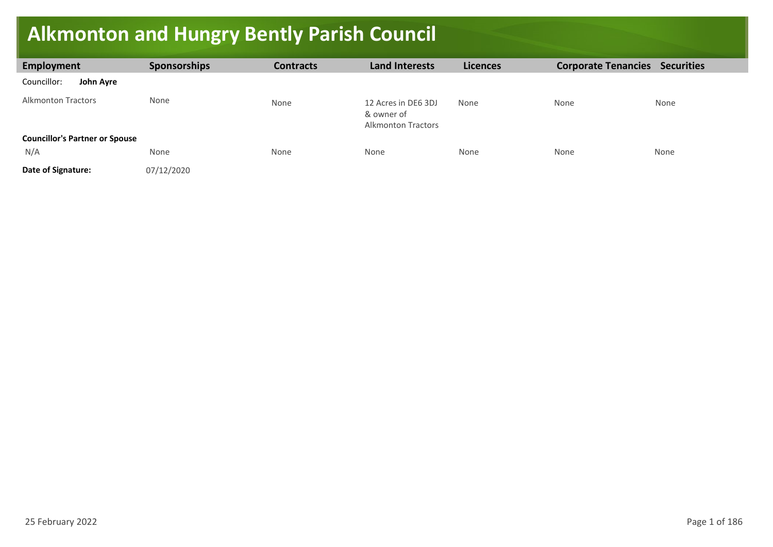## **Alkmonton and Hungry Bently Parish Council**

| Employment                                   | <b>Sponsorships</b> | <b>Contracts</b> | <b>Land Interests</b>                                          | <b>Licences</b> | <b>Corporate Tenancies</b> | <b>Securities</b> |
|----------------------------------------------|---------------------|------------------|----------------------------------------------------------------|-----------------|----------------------------|-------------------|
| Councillor:<br>John Ayre                     |                     |                  |                                                                |                 |                            |                   |
| <b>Alkmonton Tractors</b>                    | None                | None             | 12 Acres in DE6 3DJ<br>& owner of<br><b>Alkmonton Tractors</b> | None            | None                       | None              |
| <b>Councillor's Partner or Spouse</b><br>N/A | None                | None             | None                                                           | None            | None                       | None              |
| Date of Signature:                           | 07/12/2020          |                  |                                                                |                 |                            |                   |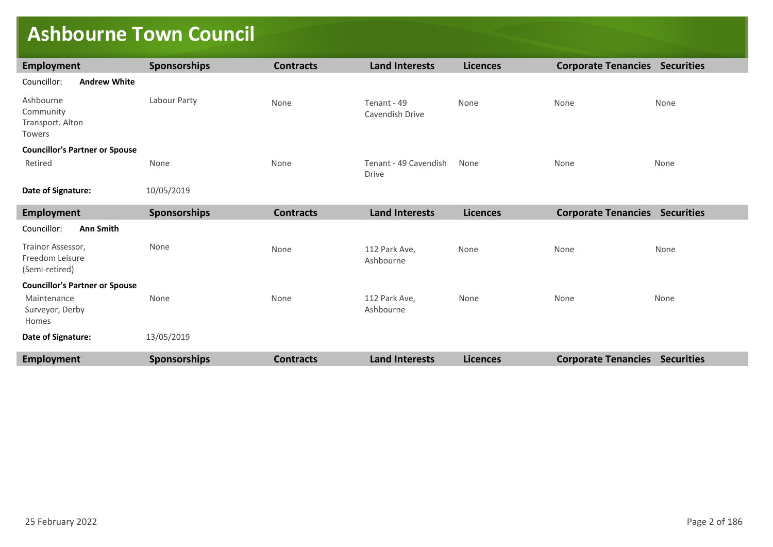## **Ashbourne Town Council**

| <b>Employment</b>                                      | <b>Sponsorships</b> | <b>Contracts</b> | <b>Land Interests</b>                 | <b>Licences</b> | <b>Corporate Tenancies Securities</b> |                   |
|--------------------------------------------------------|---------------------|------------------|---------------------------------------|-----------------|---------------------------------------|-------------------|
| Councillor:<br><b>Andrew White</b>                     |                     |                  |                                       |                 |                                       |                   |
| Ashbourne<br>Community<br>Transport. Alton<br>Towers   | Labour Party        | None             | Tenant - 49<br>Cavendish Drive        | None            | None                                  | None              |
| <b>Councillor's Partner or Spouse</b>                  |                     |                  |                                       |                 |                                       |                   |
| Retired                                                | None                | None             | Tenant - 49 Cavendish<br><b>Drive</b> | None            | None                                  | None              |
| Date of Signature:                                     | 10/05/2019          |                  |                                       |                 |                                       |                   |
| <b>Employment</b>                                      | <b>Sponsorships</b> | <b>Contracts</b> | <b>Land Interests</b>                 | <b>Licences</b> | <b>Corporate Tenancies Securities</b> |                   |
| Councillor:<br><b>Ann Smith</b>                        |                     |                  |                                       |                 |                                       |                   |
| Trainor Assessor,<br>Freedom Leisure<br>(Semi-retired) | None                | None             | 112 Park Ave,<br>Ashbourne            | None            | None                                  | None              |
| <b>Councillor's Partner or Spouse</b>                  |                     |                  |                                       |                 |                                       |                   |
| Maintenance<br>Surveyor, Derby<br>Homes                | None                | None             | 112 Park Ave,<br>Ashbourne            | None            | None                                  | None              |
| Date of Signature:                                     | 13/05/2019          |                  |                                       |                 |                                       |                   |
| <b>Employment</b>                                      | <b>Sponsorships</b> | <b>Contracts</b> | <b>Land Interests</b>                 | <b>Licences</b> | <b>Corporate Tenancies</b>            | <b>Securities</b> |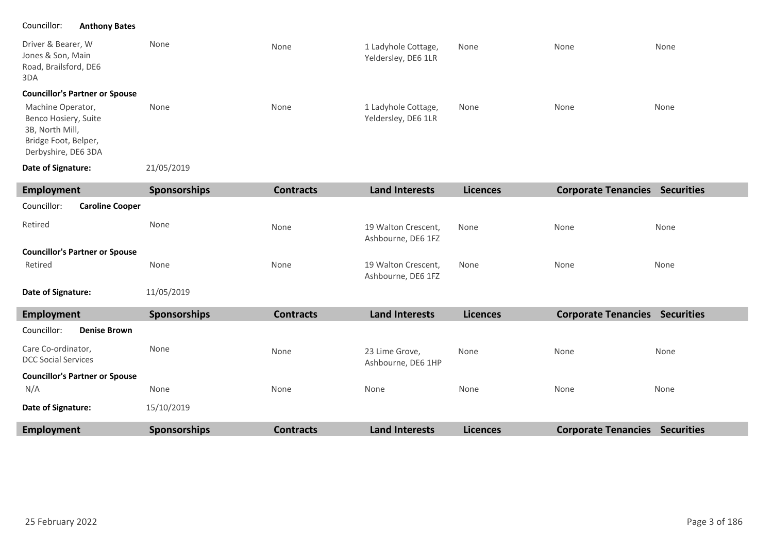| Driver & Bearer, W<br>Jones & Son, Main<br>Road, Brailsford, DE6<br>3DA                                     | None                | None             | 1 Ladyhole Cottage,<br>Yeldersley, DE6 1LR | None            | None                                  | None |
|-------------------------------------------------------------------------------------------------------------|---------------------|------------------|--------------------------------------------|-----------------|---------------------------------------|------|
| <b>Councillor's Partner or Spouse</b>                                                                       |                     |                  |                                            |                 |                                       |      |
| Machine Operator,<br>Benco Hosiery, Suite<br>3B, North Mill,<br>Bridge Foot, Belper,<br>Derbyshire, DE6 3DA | None                | None             | 1 Ladyhole Cottage,<br>Yeldersley, DE6 1LR | None            | None                                  | None |
| Date of Signature:                                                                                          | 21/05/2019          |                  |                                            |                 |                                       |      |
| Employment                                                                                                  | Sponsorships        | <b>Contracts</b> | <b>Land Interests</b>                      | <b>Licences</b> | <b>Corporate Tenancies Securities</b> |      |
| Councillor:<br><b>Caroline Cooper</b>                                                                       |                     |                  |                                            |                 |                                       |      |
| Retired                                                                                                     | None                | None             | 19 Walton Crescent,<br>Ashbourne, DE6 1FZ  | None            | None                                  | None |
| <b>Councillor's Partner or Spouse</b>                                                                       |                     |                  |                                            |                 |                                       |      |
| Retired                                                                                                     | None                | None             | 19 Walton Crescent,<br>Ashbourne, DE6 1FZ  | None            | None                                  | None |
| Date of Signature:                                                                                          | 11/05/2019          |                  |                                            |                 |                                       |      |
| <b>Employment</b>                                                                                           | <b>Sponsorships</b> | <b>Contracts</b> | <b>Land Interests</b>                      | <b>Licences</b> | <b>Corporate Tenancies Securities</b> |      |
| Councillor:<br><b>Denise Brown</b>                                                                          |                     |                  |                                            |                 |                                       |      |
| Care Co-ordinator,<br><b>DCC Social Services</b>                                                            | None                | None             | 23 Lime Grove,<br>Ashbourne, DE6 1HP       | None            | None                                  | None |
| <b>Councillor's Partner or Spouse</b>                                                                       |                     |                  |                                            |                 |                                       |      |
| N/A                                                                                                         | None                | None             | None                                       | None            | None                                  | None |
| Date of Signature:                                                                                          | 15/10/2019          |                  |                                            |                 |                                       |      |
| <b>Employment</b>                                                                                           | Sponsorships        | <b>Contracts</b> | <b>Land Interests</b>                      | <b>Licences</b> | <b>Corporate Tenancies Securities</b> |      |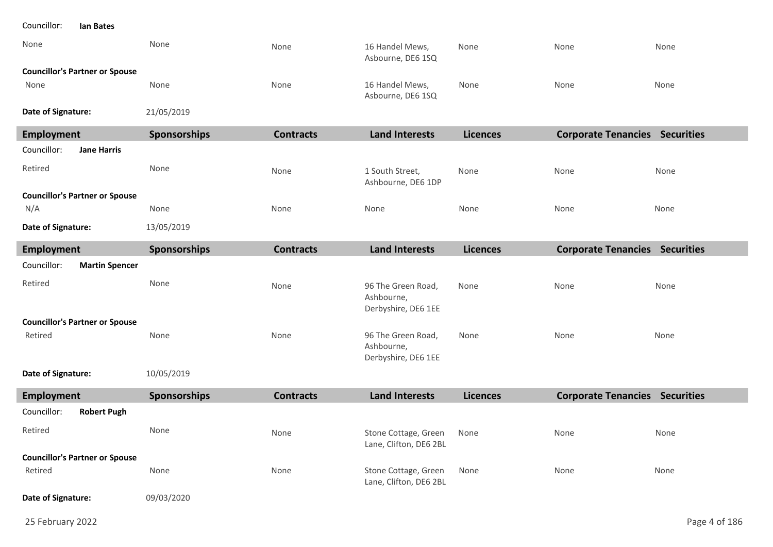#### Councillor: **Ian Bates**

| None               |                                       | None                | None             | 16 Handel Mews,<br>Asbourne, DE6 1SQ                    | None            | None                                  | None |
|--------------------|---------------------------------------|---------------------|------------------|---------------------------------------------------------|-----------------|---------------------------------------|------|
|                    | <b>Councillor's Partner or Spouse</b> |                     |                  |                                                         |                 |                                       |      |
| None               |                                       | None                | None             | 16 Handel Mews,<br>Asbourne, DE6 1SQ                    | None            | None                                  | None |
| Date of Signature: |                                       | 21/05/2019          |                  |                                                         |                 |                                       |      |
| <b>Employment</b>  |                                       | Sponsorships        | <b>Contracts</b> | <b>Land Interests</b>                                   | <b>Licences</b> | <b>Corporate Tenancies Securities</b> |      |
| Councillor:        | <b>Jane Harris</b>                    |                     |                  |                                                         |                 |                                       |      |
| Retired            |                                       | None                | None             | 1 South Street,<br>Ashbourne, DE6 1DP                   | None            | None                                  | None |
|                    | <b>Councillor's Partner or Spouse</b> |                     |                  |                                                         |                 |                                       |      |
| N/A                |                                       | None                | None             | None                                                    | None            | None                                  | None |
| Date of Signature: |                                       | 13/05/2019          |                  |                                                         |                 |                                       |      |
| <b>Employment</b>  |                                       | Sponsorships        | <b>Contracts</b> | <b>Land Interests</b>                                   | <b>Licences</b> | <b>Corporate Tenancies Securities</b> |      |
| Councillor:        | <b>Martin Spencer</b>                 |                     |                  |                                                         |                 |                                       |      |
| Retired            |                                       | None                | None             | 96 The Green Road,<br>Ashbourne,<br>Derbyshire, DE6 1EE | None            | None                                  | None |
|                    | <b>Councillor's Partner or Spouse</b> |                     |                  |                                                         |                 |                                       |      |
| Retired            |                                       | None                | None             | 96 The Green Road,<br>Ashbourne,<br>Derbyshire, DE6 1EE | None            | None                                  | None |
| Date of Signature: |                                       | 10/05/2019          |                  |                                                         |                 |                                       |      |
| <b>Employment</b>  |                                       | <b>Sponsorships</b> | <b>Contracts</b> | <b>Land Interests</b>                                   | <b>Licences</b> | <b>Corporate Tenancies Securities</b> |      |
| Councillor:        | <b>Robert Pugh</b>                    |                     |                  |                                                         |                 |                                       |      |
| Retired            |                                       | None                | None             | Stone Cottage, Green<br>Lane, Clifton, DE6 2BL          | None            | None                                  | None |
|                    | <b>Councillor's Partner or Spouse</b> |                     |                  |                                                         |                 |                                       |      |
| Retired            |                                       | None                | None             | Stone Cottage, Green<br>Lane, Clifton, DE6 2BL          | None            | None                                  | None |

09/03/2020 **Date of Signature:**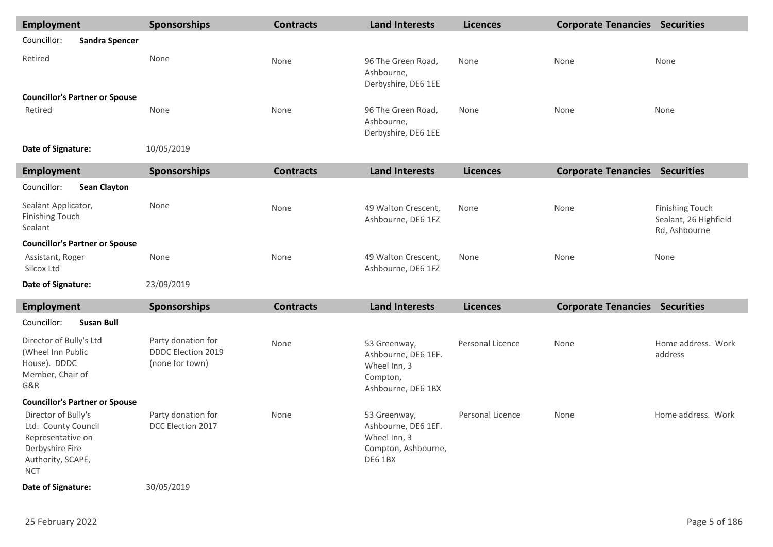| <b>Employment</b>                                                                                                     | <b>Sponsorships</b>                                                | <b>Contracts</b> | <b>Land Interests</b>                                                                 | <b>Licences</b>  | <b>Corporate Tenancies Securities</b> |                                                                  |
|-----------------------------------------------------------------------------------------------------------------------|--------------------------------------------------------------------|------------------|---------------------------------------------------------------------------------------|------------------|---------------------------------------|------------------------------------------------------------------|
| Councillor:<br><b>Sandra Spencer</b>                                                                                  |                                                                    |                  |                                                                                       |                  |                                       |                                                                  |
| Retired                                                                                                               | None                                                               | None             | 96 The Green Road,<br>Ashbourne,<br>Derbyshire, DE6 1EE                               | None             | None                                  | None                                                             |
| <b>Councillor's Partner or Spouse</b><br>Retired                                                                      | None                                                               | None             | 96 The Green Road,<br>Ashbourne,<br>Derbyshire, DE6 1EE                               | None             | None                                  | None                                                             |
| Date of Signature:                                                                                                    | 10/05/2019                                                         |                  |                                                                                       |                  |                                       |                                                                  |
| <b>Employment</b>                                                                                                     | <b>Sponsorships</b>                                                | <b>Contracts</b> | <b>Land Interests</b>                                                                 | <b>Licences</b>  | <b>Corporate Tenancies Securities</b> |                                                                  |
| Councillor:<br><b>Sean Clayton</b>                                                                                    |                                                                    |                  |                                                                                       |                  |                                       |                                                                  |
| Sealant Applicator,<br><b>Finishing Touch</b><br>Sealant                                                              | None                                                               | None             | 49 Walton Crescent,<br>Ashbourne, DE6 1FZ                                             | None             | None                                  | <b>Finishing Touch</b><br>Sealant, 26 Highfield<br>Rd, Ashbourne |
| <b>Councillor's Partner or Spouse</b>                                                                                 |                                                                    |                  |                                                                                       |                  |                                       |                                                                  |
| Assistant, Roger<br>Silcox Ltd                                                                                        | None                                                               | None             | 49 Walton Crescent,<br>Ashbourne, DE6 1FZ                                             | None             | None                                  | None                                                             |
| Date of Signature:                                                                                                    | 23/09/2019                                                         |                  |                                                                                       |                  |                                       |                                                                  |
| <b>Employment</b>                                                                                                     | <b>Sponsorships</b>                                                | <b>Contracts</b> | <b>Land Interests</b>                                                                 | <b>Licences</b>  | <b>Corporate Tenancies Securities</b> |                                                                  |
| Councillor:<br><b>Susan Bull</b>                                                                                      |                                                                    |                  |                                                                                       |                  |                                       |                                                                  |
| Director of Bully's Ltd<br>(Wheel Inn Public<br>House). DDDC<br>Member, Chair of<br>G&R                               | Party donation for<br><b>DDDC Election 2019</b><br>(none for town) | None             | 53 Greenway,<br>Ashbourne, DE6 1EF.<br>Wheel Inn, 3<br>Compton,<br>Ashbourne, DE6 1BX | Personal Licence | None                                  | Home address. Work<br>address                                    |
| <b>Councillor's Partner or Spouse</b>                                                                                 |                                                                    |                  |                                                                                       |                  |                                       |                                                                  |
| Director of Bully's<br>Ltd. County Council<br>Representative on<br>Derbyshire Fire<br>Authority, SCAPE,<br><b>NCT</b> | Party donation for<br>DCC Election 2017                            | None             | 53 Greenway,<br>Ashbourne, DE6 1EF.<br>Wheel Inn, 3<br>Compton, Ashbourne,<br>DE6 1BX | Personal Licence | None                                  | Home address. Work                                               |
| Date of Signature:                                                                                                    | 30/05/2019                                                         |                  |                                                                                       |                  |                                       |                                                                  |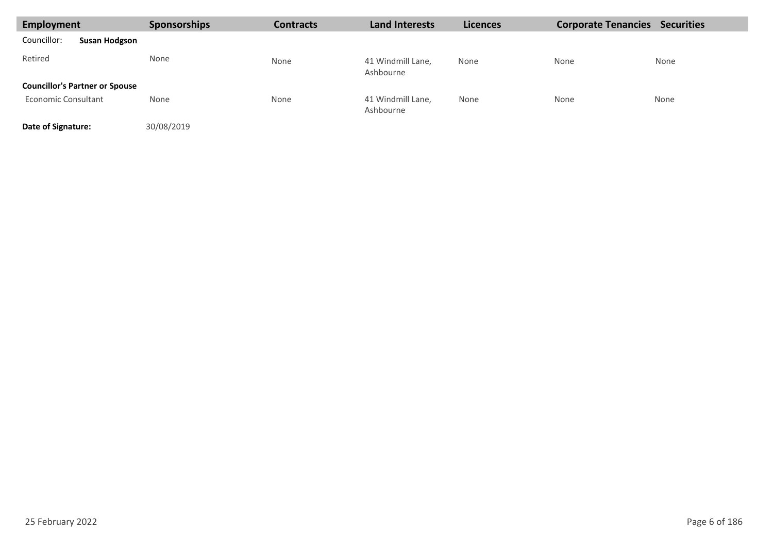| Employment                            | <b>Sponsorships</b> | <b>Contracts</b> | <b>Land Interests</b>          | <b>Licences</b> | <b>Corporate Tenancies</b> | <b>Securities</b> |
|---------------------------------------|---------------------|------------------|--------------------------------|-----------------|----------------------------|-------------------|
| Councillor:<br><b>Susan Hodgson</b>   |                     |                  |                                |                 |                            |                   |
| Retired                               | None                | None             | 41 Windmill Lane,<br>Ashbourne | None            | None                       | None              |
| <b>Councillor's Partner or Spouse</b> |                     |                  |                                |                 |                            |                   |
| Economic Consultant                   | None                | None             | 41 Windmill Lane,<br>Ashbourne | None            | None                       | None              |
| Date of Signature:                    | 30/08/2019          |                  |                                |                 |                            |                   |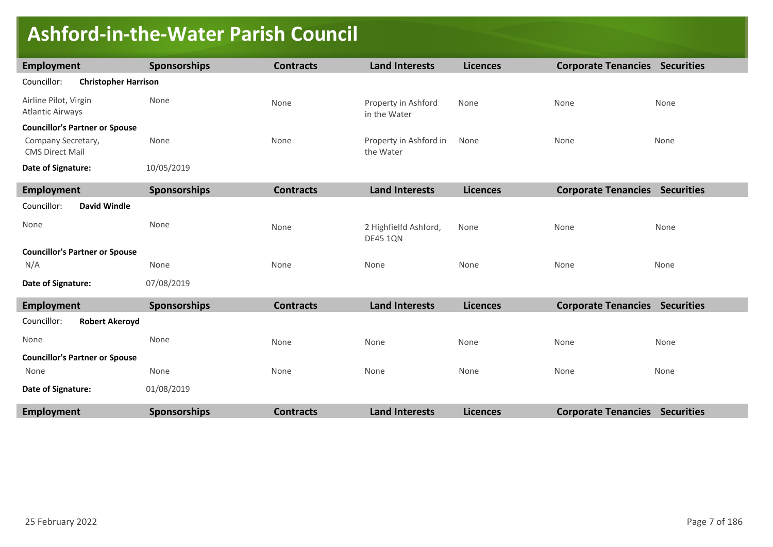### **Ashford-in-the-Water Parish Council**

| <b>Employment</b>                                | <b>Sponsorships</b> | <b>Contracts</b> | <b>Land Interests</b>                    | <b>Licences</b> | <b>Corporate Tenancies Securities</b> |      |
|--------------------------------------------------|---------------------|------------------|------------------------------------------|-----------------|---------------------------------------|------|
| Councillor:<br><b>Christopher Harrison</b>       |                     |                  |                                          |                 |                                       |      |
| Airline Pilot, Virgin<br><b>Atlantic Airways</b> | None                | None             | Property in Ashford<br>in the Water      | None            | None                                  | None |
| <b>Councillor's Partner or Spouse</b>            |                     |                  |                                          |                 |                                       |      |
| Company Secretary,<br><b>CMS Direct Mail</b>     | None                | None             | Property in Ashford in<br>the Water      | None            | None                                  | None |
| Date of Signature:                               | 10/05/2019          |                  |                                          |                 |                                       |      |
| <b>Employment</b>                                | <b>Sponsorships</b> | <b>Contracts</b> | <b>Land Interests</b>                    | <b>Licences</b> | <b>Corporate Tenancies Securities</b> |      |
| Councillor:<br><b>David Windle</b>               |                     |                  |                                          |                 |                                       |      |
| None                                             | None                | None             | 2 Highfielfd Ashford,<br><b>DE45 1QN</b> | None            | None                                  | None |
| <b>Councillor's Partner or Spouse</b>            |                     |                  |                                          |                 |                                       |      |
| N/A                                              | None                | None             | None                                     | None            | None                                  | None |
| Date of Signature:                               | 07/08/2019          |                  |                                          |                 |                                       |      |
| Employment                                       | <b>Sponsorships</b> | <b>Contracts</b> | <b>Land Interests</b>                    | <b>Licences</b> | <b>Corporate Tenancies Securities</b> |      |
| Councillor:<br><b>Robert Akeroyd</b>             |                     |                  |                                          |                 |                                       |      |
| None                                             | None                | None             | None                                     | None            | None                                  | None |
| <b>Councillor's Partner or Spouse</b>            |                     |                  |                                          |                 |                                       |      |
| None                                             | None                | None             | None                                     | None            | None                                  | None |
| Date of Signature:                               | 01/08/2019          |                  |                                          |                 |                                       |      |
| <b>Employment</b>                                | <b>Sponsorships</b> | <b>Contracts</b> | <b>Land Interests</b>                    | <b>Licences</b> | <b>Corporate Tenancies Securities</b> |      |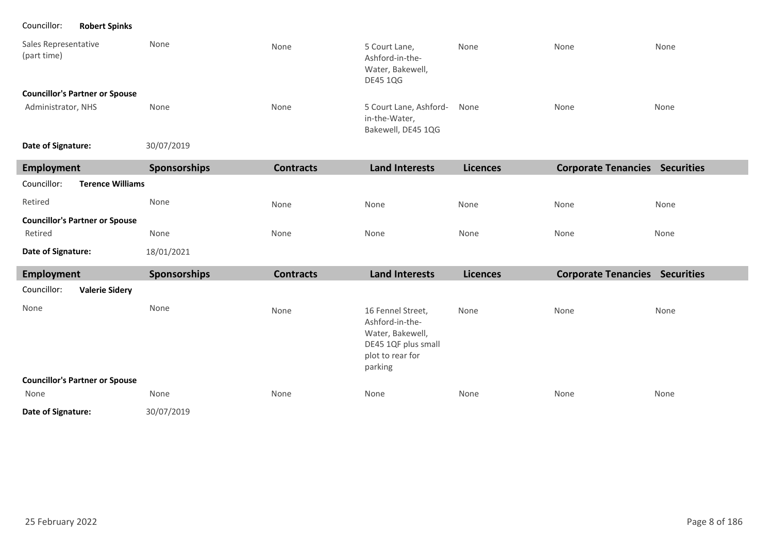Councillor: **Robert Spinks**

| Sales Representative<br>(part time)   | None | None | 5 Court Lane,<br>Ashford-in-the-<br>Water, Bakewell,<br><b>DE45 1QG</b> | None | None | None |
|---------------------------------------|------|------|-------------------------------------------------------------------------|------|------|------|
| <b>Councillor's Partner or Spouse</b> |      |      |                                                                         |      |      |      |
| Administrator, NHS                    | None | None | 5 Court Lane, Ashford-<br>in-the-Water,<br>Bakewell, DE45 1QG           | None | None | None |

30/07/2019 **Date of Signature:**

| Employment                             | <b>Sponsorships</b> | <b>Contracts</b> | <b>Land Interests</b>                                                                                          | <b>Licences</b> | <b>Corporate Tenancies Securities</b> |      |
|----------------------------------------|---------------------|------------------|----------------------------------------------------------------------------------------------------------------|-----------------|---------------------------------------|------|
| Councillor:<br><b>Terence Williams</b> |                     |                  |                                                                                                                |                 |                                       |      |
| Retired                                | None                | None             | None                                                                                                           | None            | None                                  | None |
| <b>Councillor's Partner or Spouse</b>  |                     |                  |                                                                                                                |                 |                                       |      |
| Retired                                | None                | None             | None                                                                                                           | None            | None                                  | None |
| Date of Signature:                     | 18/01/2021          |                  |                                                                                                                |                 |                                       |      |
| <b>Employment</b>                      | Sponsorships        | <b>Contracts</b> | <b>Land Interests</b>                                                                                          | <b>Licences</b> | <b>Corporate Tenancies Securities</b> |      |
| Councillor:<br><b>Valerie Sidery</b>   |                     |                  |                                                                                                                |                 |                                       |      |
| None                                   | None                | None             | 16 Fennel Street,<br>Ashford-in-the-<br>Water, Bakewell,<br>DE45 1QF plus small<br>plot to rear for<br>parking | None            | None                                  | None |
| <b>Councillor's Partner or Spouse</b>  |                     |                  |                                                                                                                |                 |                                       |      |
| None                                   | None                | None             | None                                                                                                           | None            | None                                  | None |
| Date of Signature:                     | 30/07/2019          |                  |                                                                                                                |                 |                                       |      |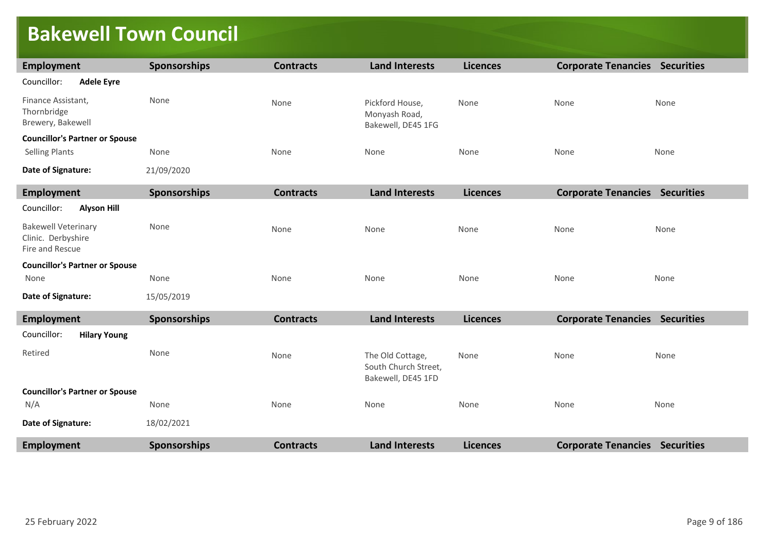## **Bakewell Town Council**

| Employment                                                          | Sponsorships        | <b>Contracts</b> | <b>Land Interests</b>                                          | <b>Licences</b> | <b>Corporate Tenancies Securities</b> |      |
|---------------------------------------------------------------------|---------------------|------------------|----------------------------------------------------------------|-----------------|---------------------------------------|------|
| Councillor:<br><b>Adele Eyre</b>                                    |                     |                  |                                                                |                 |                                       |      |
| Finance Assistant,<br>Thornbridge<br>Brewery, Bakewell              | None                | None             | Pickford House,<br>Monyash Road,<br>Bakewell, DE45 1FG         | None            | None                                  | None |
| <b>Councillor's Partner or Spouse</b>                               |                     |                  |                                                                |                 |                                       |      |
| <b>Selling Plants</b>                                               | None                | None             | None                                                           | None            | None                                  | None |
| Date of Signature:                                                  | 21/09/2020          |                  |                                                                |                 |                                       |      |
| <b>Employment</b>                                                   | <b>Sponsorships</b> | <b>Contracts</b> | <b>Land Interests</b>                                          | <b>Licences</b> | <b>Corporate Tenancies Securities</b> |      |
| Councillor:<br><b>Alyson Hill</b>                                   |                     |                  |                                                                |                 |                                       |      |
| <b>Bakewell Veterinary</b><br>Clinic. Derbyshire<br>Fire and Rescue | None                | None             | None                                                           | None            | None                                  | None |
| <b>Councillor's Partner or Spouse</b>                               |                     |                  |                                                                |                 |                                       |      |
| None                                                                | None                | None             | None                                                           | None            | None                                  | None |
| Date of Signature:                                                  | 15/05/2019          |                  |                                                                |                 |                                       |      |
| <b>Employment</b>                                                   | <b>Sponsorships</b> | <b>Contracts</b> | <b>Land Interests</b>                                          | <b>Licences</b> | <b>Corporate Tenancies Securities</b> |      |
| Councillor:<br><b>Hilary Young</b>                                  |                     |                  |                                                                |                 |                                       |      |
| Retired                                                             | None                | None             | The Old Cottage,<br>South Church Street,<br>Bakewell, DE45 1FD | None            | None                                  | None |
| <b>Councillor's Partner or Spouse</b>                               |                     |                  |                                                                |                 |                                       |      |
| N/A                                                                 | None                | None             | None                                                           | None            | None                                  | None |
| Date of Signature:                                                  | 18/02/2021          |                  |                                                                |                 |                                       |      |
| <b>Employment</b>                                                   | Sponsorships        | <b>Contracts</b> | <b>Land Interests</b>                                          | <b>Licences</b> | <b>Corporate Tenancies Securities</b> |      |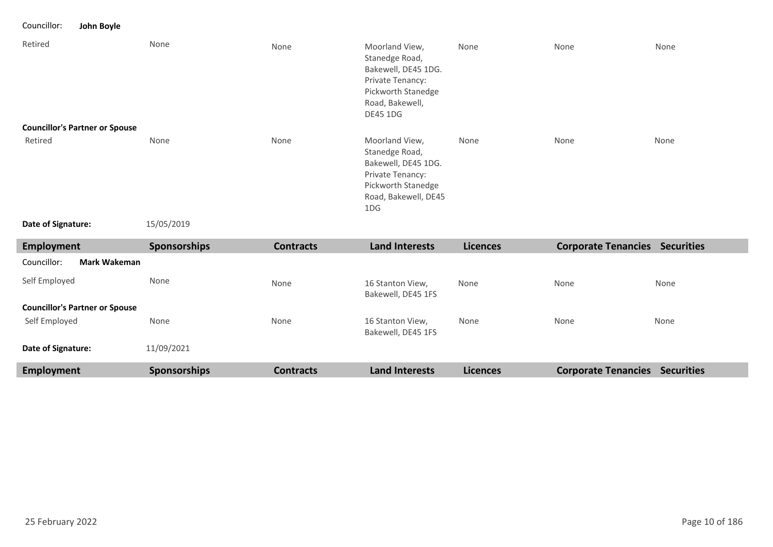Councillor: **John Boyle**

| Retired                               | None         | None             | Moorland View,<br>Stanedge Road,<br>Bakewell, DE45 1DG.<br>Private Tenancy:<br>Pickworth Stanedge<br>Road, Bakewell,<br><b>DE45 1DG</b> | None            | None                                  | None |
|---------------------------------------|--------------|------------------|-----------------------------------------------------------------------------------------------------------------------------------------|-----------------|---------------------------------------|------|
| <b>Councillor's Partner or Spouse</b> |              |                  |                                                                                                                                         |                 |                                       |      |
| Retired                               | None         | None             | Moorland View,<br>Stanedge Road,<br>Bakewell, DE45 1DG.<br>Private Tenancy:<br>Pickworth Stanedge<br>Road, Bakewell, DE45<br>1DG        | None            | None                                  | None |
| Date of Signature:                    | 15/05/2019   |                  |                                                                                                                                         |                 |                                       |      |
| <b>Employment</b>                     | Sponsorships | <b>Contracts</b> | <b>Land Interests</b>                                                                                                                   | <b>Licences</b> | <b>Corporate Tenancies Securities</b> |      |
| <b>Mark Wakeman</b><br>Councillor:    |              |                  |                                                                                                                                         |                 |                                       |      |
| Self Employed                         | None         | None             | 16 Stanton View,<br>Bakewell, DE45 1FS                                                                                                  | None            | None                                  | None |
| <b>Councillor's Partner or Spouse</b> |              |                  |                                                                                                                                         |                 |                                       |      |
| Self Employed                         | None         | None             | 16 Stanton View,<br>Bakewell, DE45 1FS                                                                                                  | None            | None                                  | None |
|                                       |              |                  |                                                                                                                                         |                 |                                       |      |
| Date of Signature:                    | 11/09/2021   |                  |                                                                                                                                         |                 |                                       |      |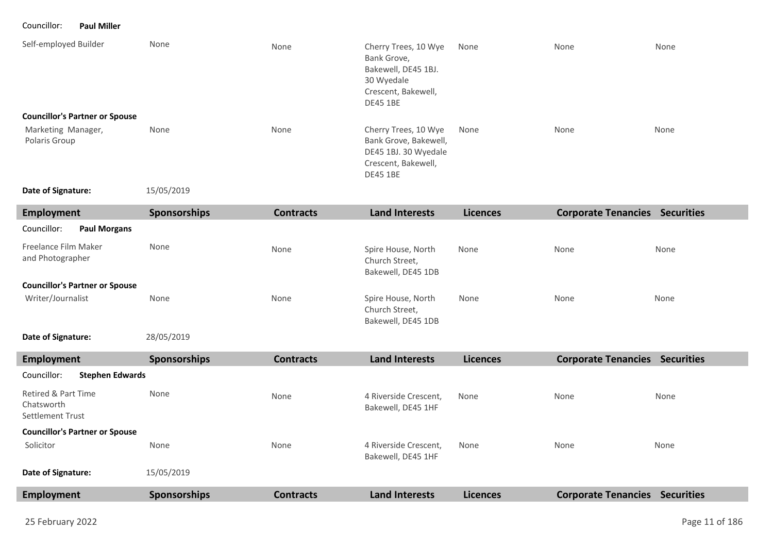Councillor: **Paul Miller**

| Self-employed Builder<br><b>Councillor's Partner or Spouse</b> | None                | None             | Cherry Trees, 10 Wye<br>Bank Grove,<br>Bakewell, DE45 1BJ.<br>30 Wyedale<br>Crescent, Bakewell,<br><b>DE45 1BE</b> | None            | None                       | None              |
|----------------------------------------------------------------|---------------------|------------------|--------------------------------------------------------------------------------------------------------------------|-----------------|----------------------------|-------------------|
| Marketing Manager,<br>Polaris Group                            | None                | None             | Cherry Trees, 10 Wye<br>Bank Grove, Bakewell,<br>DE45 1BJ. 30 Wyedale<br>Crescent, Bakewell,<br><b>DE45 1BE</b>    | None            | None                       | None              |
| Date of Signature:                                             | 15/05/2019          |                  |                                                                                                                    |                 |                            |                   |
| Employment                                                     | <b>Sponsorships</b> | <b>Contracts</b> | <b>Land Interests</b>                                                                                              | <b>Licences</b> | <b>Corporate Tenancies</b> | <b>Securities</b> |
| Councillor:<br><b>Paul Morgans</b>                             |                     |                  |                                                                                                                    |                 |                            |                   |

| Freelance Film Maker<br>and Photographer | None | None | Spire House, North<br>Church Street,<br>Bakewell, DE45 1DB | None | None | None |
|------------------------------------------|------|------|------------------------------------------------------------|------|------|------|
| <b>Councillor's Partner or Spouse</b>    |      |      |                                                            |      |      |      |
| Writer/Journalist                        | None | None | Spire House, North<br>Church Street,<br>Bakewell, DE45 1DB | None | None | None |

#### 28/05/2019 **Date of Signature:**

| Employment                                            | <b>Sponsorships</b> | <b>Contracts</b> | <b>Land Interests</b>                       | <b>Licences</b> | <b>Corporate Tenancies</b> | <b>Securities</b> |
|-------------------------------------------------------|---------------------|------------------|---------------------------------------------|-----------------|----------------------------|-------------------|
| Councillor:<br><b>Stephen Edwards</b>                 |                     |                  |                                             |                 |                            |                   |
| Retired & Part Time<br>Chatsworth<br>Settlement Trust | None                | None             | 4 Riverside Crescent.<br>Bakewell, DE45 1HF | None            | None                       | None              |
| <b>Councillor's Partner or Spouse</b>                 |                     |                  |                                             |                 |                            |                   |
| Solicitor                                             | None                | None             | 4 Riverside Crescent,<br>Bakewell, DE45 1HF | None            | None                       | None              |
| Date of Signature:                                    | 15/05/2019          |                  |                                             |                 |                            |                   |
| Employment                                            | <b>Sponsorships</b> | <b>Contracts</b> | <b>Land Interests</b>                       | <b>Licences</b> | <b>Corporate Tenancies</b> | <b>Securities</b> |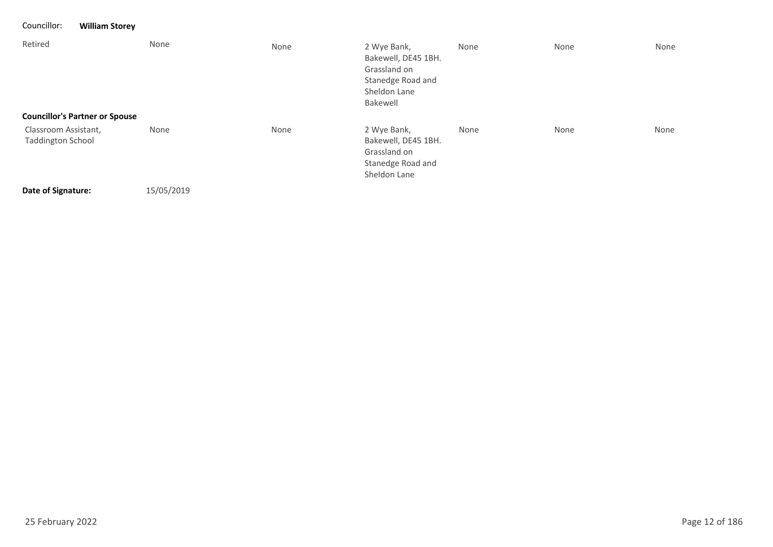| Councillor:                                      | <b>William Storey</b> |      |                                                                                                     |      |      |      |
|--------------------------------------------------|-----------------------|------|-----------------------------------------------------------------------------------------------------|------|------|------|
| Retired                                          | None                  | None | 2 Wye Bank,<br>Bakewell, DE45 1BH.<br>Grassland on<br>Stanedge Road and<br>Sheldon Lane<br>Bakewell | None | None | None |
| <b>Councillor's Partner or Spouse</b>            |                       |      |                                                                                                     |      |      |      |
| Classroom Assistant,<br><b>Taddington School</b> | None                  | None | 2 Wye Bank,<br>Bakewell, DE45 1BH.<br>Grassland on<br>Stanedge Road and<br>Sheldon Lane             | None | None | None |
| Date of Signature:                               | 15/05/2019            |      |                                                                                                     |      |      |      |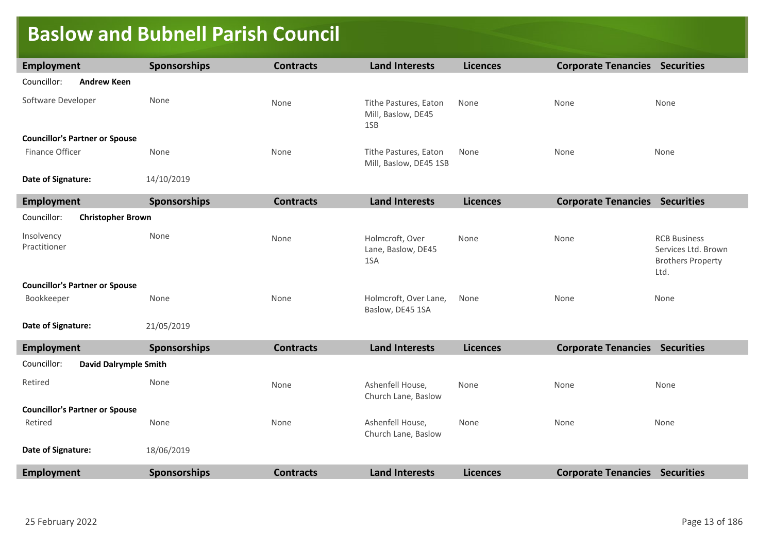#### **Baslow and Bubnell Parish Council**

| <b>Employment</b>          |                                       | <b>Sponsorships</b> | <b>Contracts</b> | <b>Land Interests</b>                              | <b>Licences</b> | <b>Corporate Tenancies Securities</b> |                                                                                |
|----------------------------|---------------------------------------|---------------------|------------------|----------------------------------------------------|-----------------|---------------------------------------|--------------------------------------------------------------------------------|
| Councillor:                | <b>Andrew Keen</b>                    |                     |                  |                                                    |                 |                                       |                                                                                |
| Software Developer         |                                       | None                | None             | Tithe Pastures, Eaton<br>Mill, Baslow, DE45<br>1SB | None            | None                                  | None                                                                           |
|                            | <b>Councillor's Partner or Spouse</b> |                     |                  |                                                    |                 |                                       |                                                                                |
| Finance Officer            |                                       | None                | None             | Tithe Pastures, Eaton<br>Mill, Baslow, DE45 1SB    | None            | None                                  | None                                                                           |
| Date of Signature:         |                                       | 14/10/2019          |                  |                                                    |                 |                                       |                                                                                |
| <b>Employment</b>          |                                       | Sponsorships        | <b>Contracts</b> | <b>Land Interests</b>                              | <b>Licences</b> | <b>Corporate Tenancies Securities</b> |                                                                                |
| Councillor:                | <b>Christopher Brown</b>              |                     |                  |                                                    |                 |                                       |                                                                                |
| Insolvency<br>Practitioner |                                       | None                | None             | Holmcroft, Over<br>Lane, Baslow, DE45<br>1SA       | None            | None                                  | <b>RCB Business</b><br>Services Ltd. Brown<br><b>Brothers Property</b><br>Ltd. |
|                            | <b>Councillor's Partner or Spouse</b> |                     |                  |                                                    |                 |                                       |                                                                                |
| Bookkeeper                 |                                       | None                | None             | Holmcroft, Over Lane,<br>Baslow, DE45 1SA          | None            | None                                  | None                                                                           |
| Date of Signature:         |                                       | 21/05/2019          |                  |                                                    |                 |                                       |                                                                                |
| <b>Employment</b>          |                                       | Sponsorships        | <b>Contracts</b> | <b>Land Interests</b>                              | <b>Licences</b> | <b>Corporate Tenancies Securities</b> |                                                                                |
| Councillor:                | <b>David Dalrymple Smith</b>          |                     |                  |                                                    |                 |                                       |                                                                                |
| Retired                    |                                       | None                | None             | Ashenfell House,<br>Church Lane, Baslow            | None            | None                                  | None                                                                           |
|                            | <b>Councillor's Partner or Spouse</b> |                     |                  |                                                    |                 |                                       |                                                                                |
| Retired                    |                                       | None                | None             | Ashenfell House,<br>Church Lane, Baslow            | None            | None                                  | None                                                                           |
| Date of Signature:         |                                       | 18/06/2019          |                  |                                                    |                 |                                       |                                                                                |
| <b>Employment</b>          |                                       | <b>Sponsorships</b> | <b>Contracts</b> | <b>Land Interests</b>                              | <b>Licences</b> | <b>Corporate Tenancies Securities</b> |                                                                                |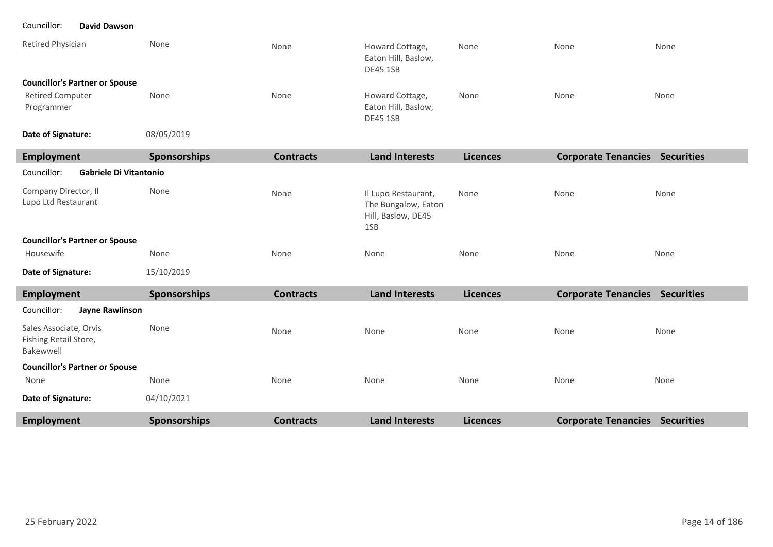#### Councillor: **David Dawson**

| Retired Physician                     | None | None | Howard Cottage,<br>Eaton Hill, Baslow,<br>DE45 1SB        | None | None | None |
|---------------------------------------|------|------|-----------------------------------------------------------|------|------|------|
| <b>Councillor's Partner or Spouse</b> |      |      |                                                           |      |      |      |
| <b>Retired Computer</b><br>Programmer | None | None | Howard Cottage,<br>Eaton Hill, Baslow,<br><b>DE45 1SB</b> | None | None | None |
|                                       | .    |      |                                                           |      |      |      |

08/05/2019 **Date of Signature:**

| Employment                                   | <b>Sponsorships</b> | <b>Contracts</b> | <b>Land Interests</b>                                                   | <b>Licences</b> | <b>Corporate Tenancies</b> | <b>Securities</b> |
|----------------------------------------------|---------------------|------------------|-------------------------------------------------------------------------|-----------------|----------------------------|-------------------|
| Councillor:<br><b>Gabriele Di Vitantonio</b> |                     |                  |                                                                         |                 |                            |                   |
| Company Director, Il<br>Lupo Ltd Restaurant  | None                | None             | Il Lupo Restaurant,<br>The Bungalow, Eaton<br>Hill, Baslow, DE45<br>1SB | None            | None                       | None              |
| <b>Councillor's Partner or Spouse</b>        |                     |                  |                                                                         |                 |                            |                   |
| Housewife                                    | None                | None             | None                                                                    | None            | None                       | None              |
| Date of Signature:                           | 15/10/2019          |                  |                                                                         |                 |                            |                   |

| Employment                                                   | <b>Sponsorships</b> | <b>Contracts</b> | <b>Land Interests</b> | <b>Licences</b> | <b>Corporate Tenancies</b> | <b>Securities</b> |
|--------------------------------------------------------------|---------------------|------------------|-----------------------|-----------------|----------------------------|-------------------|
| Councillor:<br>Jayne Rawlinson                               |                     |                  |                       |                 |                            |                   |
| Sales Associate, Orvis<br>Fishing Retail Store,<br>Bakewwell | None                | None             | None                  | None            | None                       | None              |
| <b>Councillor's Partner or Spouse</b>                        |                     |                  |                       |                 |                            |                   |
| None                                                         | None                | None             | None                  | None            | None                       | None              |
| Date of Signature:                                           | 04/10/2021          |                  |                       |                 |                            |                   |
| <b>Employment</b>                                            | <b>Sponsorships</b> | <b>Contracts</b> | <b>Land Interests</b> | <b>Licences</b> | <b>Corporate Tenancies</b> | <b>Securities</b> |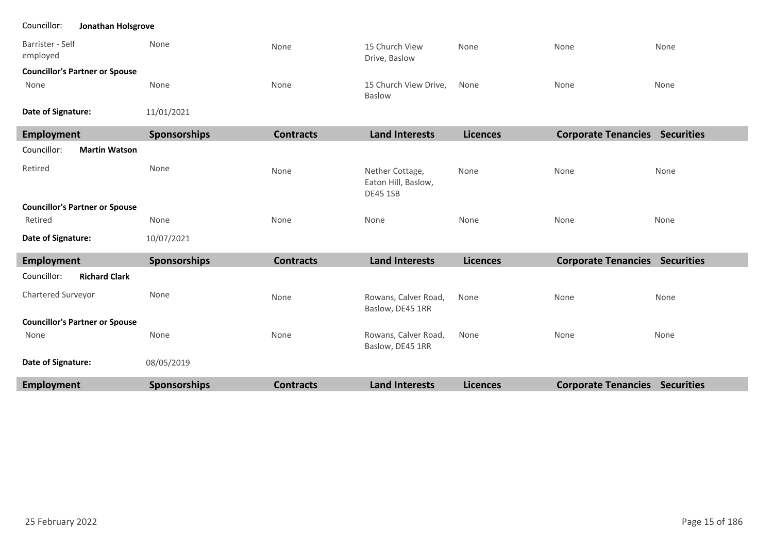#### Councillor: **Jonathan Holsgrove**

| Barrister - Self<br>emploved          | None | None | 15 Church View<br>Drive, Baslow | None | None | None |
|---------------------------------------|------|------|---------------------------------|------|------|------|
| <b>Councillor's Partner or Spouse</b> |      |      |                                 |      |      |      |
| None                                  | None | None | 15 Church View Drive,<br>Baslow | None | None | None |

**Date of Signature:**

11/01/2021

| <b>Employment</b>                     | <b>Sponsorships</b> | <b>Contracts</b> | <b>Land Interests</b>                                     | <b>Licences</b> | <b>Corporate Tenancies Securities</b> |      |
|---------------------------------------|---------------------|------------------|-----------------------------------------------------------|-----------------|---------------------------------------|------|
| Councillor:<br><b>Martin Watson</b>   |                     |                  |                                                           |                 |                                       |      |
| Retired                               | None                | None             | Nether Cottage,<br>Eaton Hill, Baslow,<br><b>DE45 1SB</b> | None            | None                                  | None |
| <b>Councillor's Partner or Spouse</b> |                     |                  |                                                           |                 |                                       |      |
| Retired                               | None                | None             | None                                                      | None            | None                                  | None |
| Date of Signature:                    | 10/07/2021          |                  |                                                           |                 |                                       |      |
| <b>Employment</b>                     | <b>Sponsorships</b> | <b>Contracts</b> | <b>Land Interests</b>                                     | <b>Licences</b> | <b>Corporate Tenancies Securities</b> |      |
| <b>Richard Clark</b><br>Councillor:   |                     |                  |                                                           |                 |                                       |      |
| Chartered Surveyor                    | None                | None             | Rowans, Calver Road,<br>Baslow, DE45 1RR                  | None            | None                                  | None |
| <b>Councillor's Partner or Spouse</b> |                     |                  |                                                           |                 |                                       |      |
| None                                  | None                | None             | Rowans, Calver Road,<br>Baslow, DE45 1RR                  | None            | None                                  | None |
| Date of Signature:                    | 08/05/2019          |                  |                                                           |                 |                                       |      |
| <b>Employment</b>                     | <b>Sponsorships</b> | <b>Contracts</b> | <b>Land Interests</b>                                     | <b>Licences</b> | <b>Corporate Tenancies Securities</b> |      |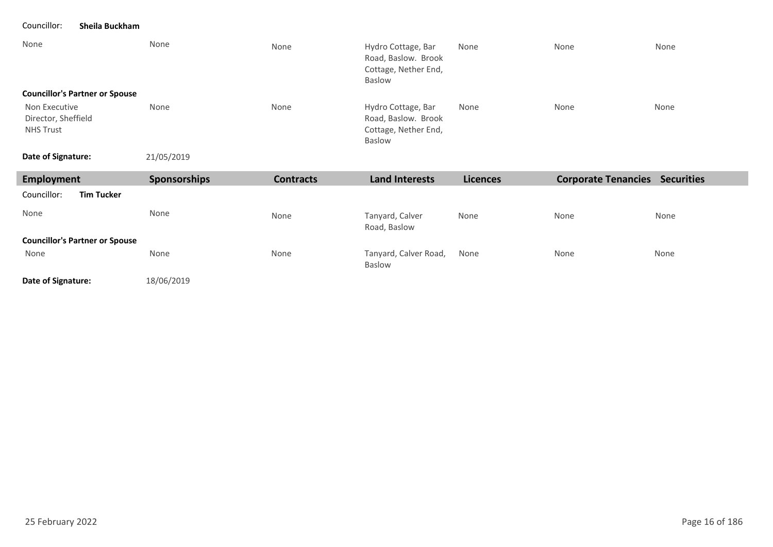#### Councillor: **Sheila Buckham**

| None                                                     | None         | None             | Hydro Cottage, Bar<br>Road, Baslow. Brook<br>Cottage, Nether End,<br>Baslow | None            | None                                  | None |
|----------------------------------------------------------|--------------|------------------|-----------------------------------------------------------------------------|-----------------|---------------------------------------|------|
| <b>Councillor's Partner or Spouse</b>                    |              |                  |                                                                             |                 |                                       |      |
| Non Executive<br>Director, Sheffield<br><b>NHS Trust</b> | None         | None             | Hydro Cottage, Bar<br>Road, Baslow. Brook<br>Cottage, Nether End,<br>Baslow | None            | None                                  | None |
|                                                          | 21/05/2019   |                  |                                                                             |                 |                                       |      |
| Date of Signature:                                       |              |                  |                                                                             |                 |                                       |      |
| <b>Employment</b>                                        | Sponsorships | <b>Contracts</b> | <b>Land Interests</b>                                                       | <b>Licences</b> | <b>Corporate Tenancies Securities</b> |      |
| Councillor:<br><b>Tim Tucker</b>                         |              |                  |                                                                             |                 |                                       |      |
| None                                                     | None         | None             | Tanyard, Calver<br>Road, Baslow                                             | None            | None                                  | None |
| <b>Councillor's Partner or Spouse</b>                    |              |                  |                                                                             |                 |                                       |      |

**Date of Signature:**

18/06/2019

T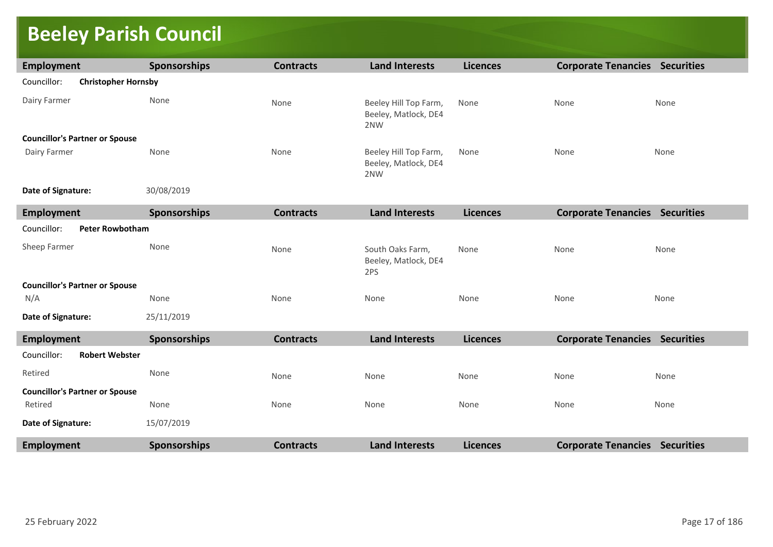# **Beeley Parish Council**

| Employment                                | <b>Sponsorships</b> | <b>Contracts</b> | <b>Land Interests</b>                                | <b>Licences</b> | <b>Corporate Tenancies Securities</b> |      |
|-------------------------------------------|---------------------|------------------|------------------------------------------------------|-----------------|---------------------------------------|------|
| Councillor:<br><b>Christopher Hornsby</b> |                     |                  |                                                      |                 |                                       |      |
| Dairy Farmer                              | None                | None             | Beeley Hill Top Farm,<br>Beeley, Matlock, DE4<br>2NW | None            | None                                  | None |
| <b>Councillor's Partner or Spouse</b>     |                     |                  |                                                      |                 |                                       |      |
| Dairy Farmer                              | None                | None             | Beeley Hill Top Farm,<br>Beeley, Matlock, DE4<br>2NW | None            | None                                  | None |
| Date of Signature:                        | 30/08/2019          |                  |                                                      |                 |                                       |      |
| <b>Employment</b>                         | <b>Sponsorships</b> | <b>Contracts</b> | <b>Land Interests</b>                                | <b>Licences</b> | <b>Corporate Tenancies Securities</b> |      |
| Councillor:<br><b>Peter Rowbotham</b>     |                     |                  |                                                      |                 |                                       |      |
| Sheep Farmer                              | None                | None             | South Oaks Farm,<br>Beeley, Matlock, DE4<br>2PS      | None            | None                                  | None |
| <b>Councillor's Partner or Spouse</b>     |                     |                  |                                                      |                 |                                       |      |
| N/A                                       | None                | None             | None                                                 | None            | None                                  | None |
| Date of Signature:                        | 25/11/2019          |                  |                                                      |                 |                                       |      |
| Employment                                | <b>Sponsorships</b> | <b>Contracts</b> | <b>Land Interests</b>                                | <b>Licences</b> | <b>Corporate Tenancies Securities</b> |      |
| Councillor:<br><b>Robert Webster</b>      |                     |                  |                                                      |                 |                                       |      |
| Retired                                   | None                | None             | None                                                 | None            | None                                  | None |
| <b>Councillor's Partner or Spouse</b>     |                     |                  |                                                      |                 |                                       |      |
| Retired                                   | None                | None             | None                                                 | None            | None                                  | None |
| Date of Signature:                        | 15/07/2019          |                  |                                                      |                 |                                       |      |
| <b>Employment</b>                         | <b>Sponsorships</b> | <b>Contracts</b> | <b>Land Interests</b>                                | <b>Licences</b> | <b>Corporate Tenancies Securities</b> |      |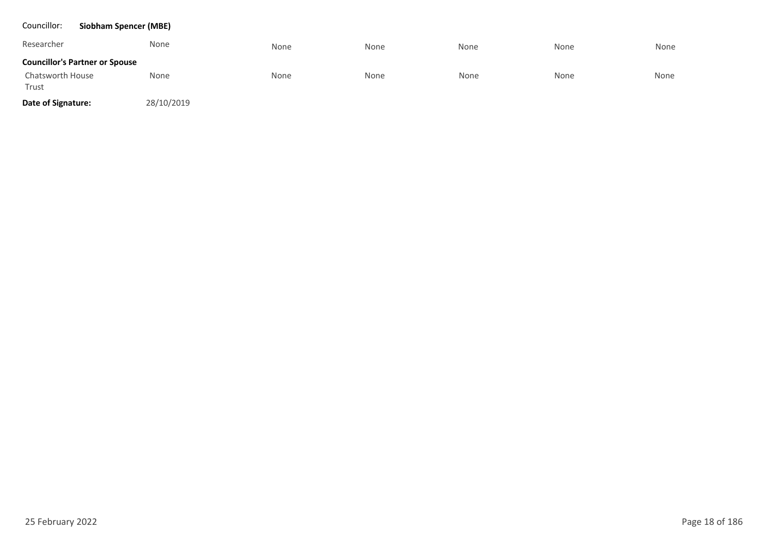| Councillor:               | <b>Siobham Spencer (MBE)</b>          |            |      |      |      |      |      |
|---------------------------|---------------------------------------|------------|------|------|------|------|------|
| Researcher                |                                       | None       | None | None | None | None | None |
|                           | <b>Councillor's Partner or Spouse</b> |            |      |      |      |      |      |
| Chatsworth House<br>Trust |                                       | None       | None | None | None | None | None |
| Date of Signature:        |                                       | 28/10/2019 |      |      |      |      |      |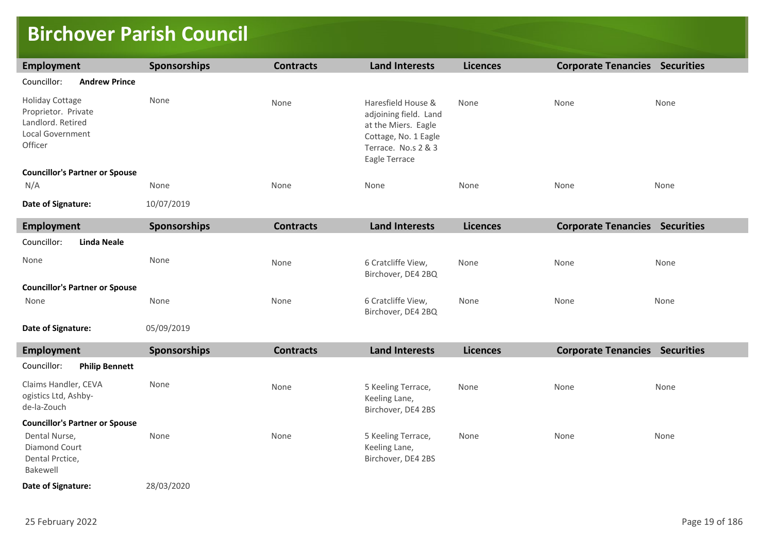### **Birchover Parish Council**

| <b>Employment</b>                                                                                 | Sponsorships | <b>Contracts</b> | <b>Land Interests</b>                                                                                                              | <b>Licences</b> | <b>Corporate Tenancies Securities</b> |      |
|---------------------------------------------------------------------------------------------------|--------------|------------------|------------------------------------------------------------------------------------------------------------------------------------|-----------------|---------------------------------------|------|
| Councillor:<br><b>Andrew Prince</b>                                                               |              |                  |                                                                                                                                    |                 |                                       |      |
| <b>Holiday Cottage</b><br>Proprietor. Private<br>Landlord. Retired<br>Local Government<br>Officer | None         | None             | Haresfield House &<br>adjoining field. Land<br>at the Miers. Eagle<br>Cottage, No. 1 Eagle<br>Terrace. No.s 2 & 3<br>Eagle Terrace | None            | None                                  | None |
| <b>Councillor's Partner or Spouse</b>                                                             |              |                  |                                                                                                                                    |                 |                                       |      |
| N/A                                                                                               | None         | None             | None                                                                                                                               | None            | None                                  | None |
| Date of Signature:                                                                                | 10/07/2019   |                  |                                                                                                                                    |                 |                                       |      |
| <b>Employment</b>                                                                                 | Sponsorships | <b>Contracts</b> | <b>Land Interests</b>                                                                                                              | <b>Licences</b> | <b>Corporate Tenancies Securities</b> |      |
| Councillor:<br><b>Linda Neale</b>                                                                 |              |                  |                                                                                                                                    |                 |                                       |      |
| None                                                                                              | None         | None             | 6 Cratcliffe View,<br>Birchover, DE4 2BQ                                                                                           | None            | None                                  | None |
| <b>Councillor's Partner or Spouse</b>                                                             |              |                  |                                                                                                                                    |                 |                                       |      |
| None                                                                                              | None         | None             | 6 Cratcliffe View,<br>Birchover, DE4 2BQ                                                                                           | None            | None                                  | None |
| Date of Signature:                                                                                | 05/09/2019   |                  |                                                                                                                                    |                 |                                       |      |
| <b>Employment</b>                                                                                 | Sponsorships | <b>Contracts</b> | <b>Land Interests</b>                                                                                                              | <b>Licences</b> | <b>Corporate Tenancies Securities</b> |      |
| <b>Philip Bennett</b><br>Councillor:                                                              |              |                  |                                                                                                                                    |                 |                                       |      |
| Claims Handler, CEVA<br>ogistics Ltd, Ashby-<br>de-la-Zouch                                       | None         | None             | 5 Keeling Terrace,<br>Keeling Lane,<br>Birchover, DE4 2BS                                                                          | None            | None                                  | None |
| <b>Councillor's Partner or Spouse</b>                                                             |              |                  |                                                                                                                                    |                 |                                       |      |
| Dental Nurse,<br>Diamond Court<br>Dental Prctice,<br>Bakewell                                     | None         | None             | 5 Keeling Terrace,<br>Keeling Lane,<br>Birchover, DE4 2BS                                                                          | None            | None                                  | None |
| Date of Signature:                                                                                | 28/03/2020   |                  |                                                                                                                                    |                 |                                       |      |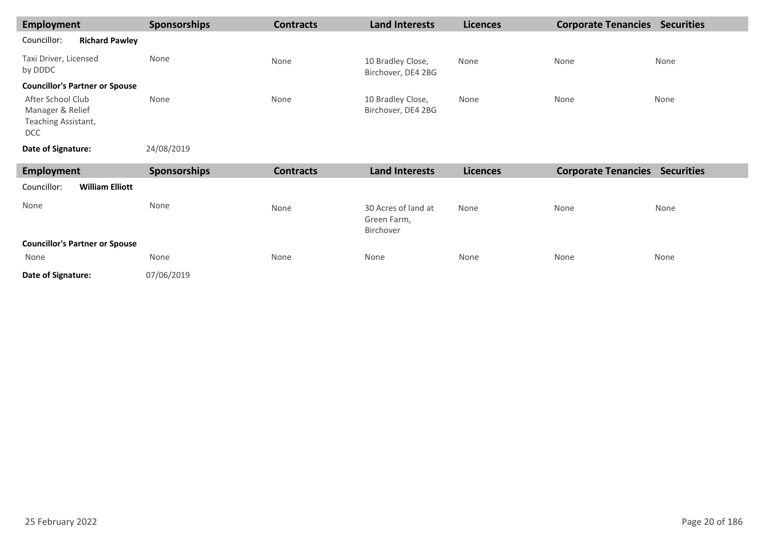| Employment                                                                 | <b>Sponsorships</b> | <b>Contracts</b> | <b>Land Interests</b>                   | <b>Licences</b> | <b>Corporate Tenancies</b> | <b>Securities</b> |
|----------------------------------------------------------------------------|---------------------|------------------|-----------------------------------------|-----------------|----------------------------|-------------------|
| Councillor:<br><b>Richard Pawley</b>                                       |                     |                  |                                         |                 |                            |                   |
| Taxi Driver, Licensed<br>by DDDC                                           | None                | None             | 10 Bradley Close,<br>Birchover, DE4 2BG | None            | None                       | None              |
| <b>Councillor's Partner or Spouse</b>                                      |                     |                  |                                         |                 |                            |                   |
| After School Club<br>Manager & Relief<br>Teaching Assistant,<br><b>DCC</b> | None                | None             | 10 Bradley Close,<br>Birchover, DE4 2BG | None            | None                       | None              |
| Date of Signature:                                                         | 24/08/2019          |                  |                                         |                 |                            |                   |

| Employment                            | <b>Sponsorships</b> | <b>Contracts</b> | <b>Land Interests</b>                           | <b>Licences</b> | <b>Corporate Tenancies</b> | <b>Securities</b> |
|---------------------------------------|---------------------|------------------|-------------------------------------------------|-----------------|----------------------------|-------------------|
| Councillor:<br><b>William Elliott</b> |                     |                  |                                                 |                 |                            |                   |
| None                                  | None                | None             | 30 Acres of land at<br>Green Farm,<br>Birchover | None            | None                       | None              |
| <b>Councillor's Partner or Spouse</b> |                     |                  |                                                 |                 |                            |                   |
| None                                  | None                | None             | None                                            | None            | None                       | None              |
| Date of Signature:                    | 07/06/2019          |                  |                                                 |                 |                            |                   |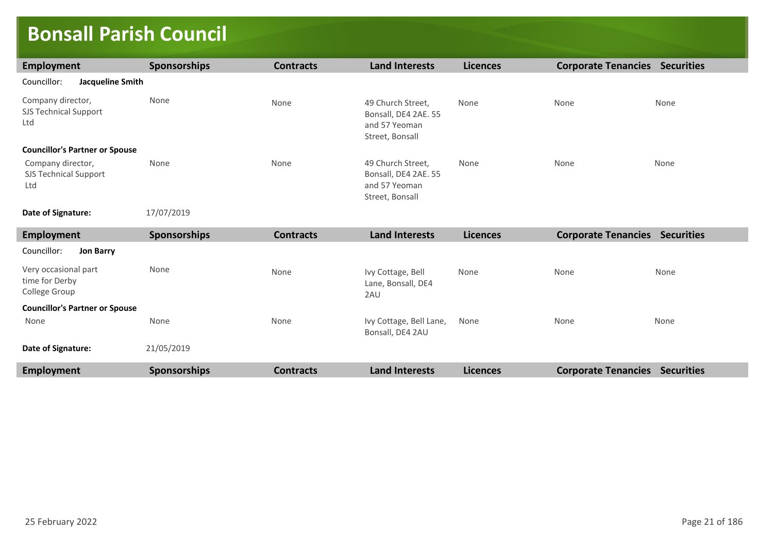### **Bonsall Parish Council**

| Employment                                               | <b>Sponsorships</b> | <b>Contracts</b> | <b>Land Interests</b>                                                         | <b>Licences</b> | <b>Corporate Tenancies Securities</b> |                   |
|----------------------------------------------------------|---------------------|------------------|-------------------------------------------------------------------------------|-----------------|---------------------------------------|-------------------|
| Councillor:<br><b>Jacqueline Smith</b>                   |                     |                  |                                                                               |                 |                                       |                   |
| Company director,<br><b>SJS Technical Support</b><br>Ltd | None                | None             | 49 Church Street,<br>Bonsall, DE4 2AE. 55<br>and 57 Yeoman<br>Street, Bonsall | None            | None                                  | None              |
| <b>Councillor's Partner or Spouse</b>                    |                     |                  |                                                                               |                 |                                       |                   |
| Company director,<br><b>SJS Technical Support</b><br>Ltd | None                | None             | 49 Church Street,<br>Bonsall, DE4 2AE. 55<br>and 57 Yeoman<br>Street, Bonsall | None            | None                                  | None              |
| Date of Signature:                                       | 17/07/2019          |                  |                                                                               |                 |                                       |                   |
| <b>Employment</b>                                        | <b>Sponsorships</b> | <b>Contracts</b> | <b>Land Interests</b>                                                         | <b>Licences</b> | <b>Corporate Tenancies Securities</b> |                   |
| Councillor:<br><b>Jon Barry</b>                          |                     |                  |                                                                               |                 |                                       |                   |
| Very occasional part<br>time for Derby<br>College Group  | None                | None             | Ivy Cottage, Bell<br>Lane, Bonsall, DE4<br>2AU                                | None            | None                                  | None              |
| <b>Councillor's Partner or Spouse</b>                    |                     |                  |                                                                               |                 |                                       |                   |
| None                                                     | None                | None             | Ivy Cottage, Bell Lane,<br>Bonsall, DE4 2AU                                   | None            | None                                  | None              |
| Date of Signature:                                       | 21/05/2019          |                  |                                                                               |                 |                                       |                   |
| Employment                                               | Sponsorships        | <b>Contracts</b> | <b>Land Interests</b>                                                         | <b>Licences</b> | <b>Corporate Tenancies</b>            | <b>Securities</b> |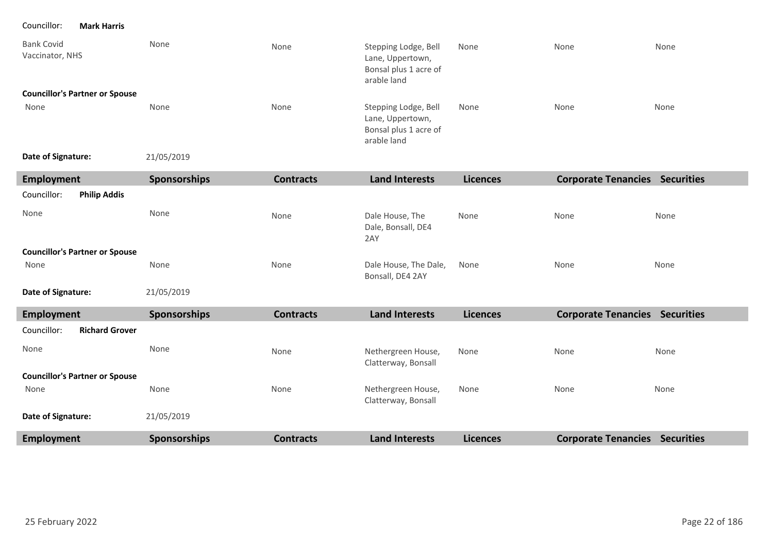Councillor: **Mark Harris**

| <b>Bank Covid</b><br>Vaccinator, NHS  | None                | None             | Stepping Lodge, Bell<br>Lane, Uppertown,<br>Bonsal plus 1 acre of<br>arable land | None            | None                                  | None |
|---------------------------------------|---------------------|------------------|----------------------------------------------------------------------------------|-----------------|---------------------------------------|------|
| <b>Councillor's Partner or Spouse</b> |                     |                  |                                                                                  |                 |                                       |      |
| None                                  | None                | None             | Stepping Lodge, Bell<br>Lane, Uppertown,<br>Bonsal plus 1 acre of<br>arable land | None            | None                                  | None |
| Date of Signature:                    | 21/05/2019          |                  |                                                                                  |                 |                                       |      |
| <b>Employment</b>                     | Sponsorships        | <b>Contracts</b> | <b>Land Interests</b>                                                            | <b>Licences</b> | <b>Corporate Tenancies Securities</b> |      |
| Councillor:<br><b>Philip Addis</b>    |                     |                  |                                                                                  |                 |                                       |      |
| None                                  | None                | None             | Dale House, The<br>Dale, Bonsall, DE4<br>2AY                                     | None            | None                                  | None |
| <b>Councillor's Partner or Spouse</b> |                     |                  |                                                                                  |                 |                                       |      |
| None                                  | None                | None             | Dale House, The Dale,<br>Bonsall, DE4 2AY                                        | None            | None                                  | None |
| Date of Signature:                    | 21/05/2019          |                  |                                                                                  |                 |                                       |      |
| <b>Employment</b>                     | <b>Sponsorships</b> | <b>Contracts</b> | <b>Land Interests</b>                                                            | <b>Licences</b> | <b>Corporate Tenancies Securities</b> |      |
| Councillor:<br><b>Richard Grover</b>  |                     |                  |                                                                                  |                 |                                       |      |
| None                                  | None                | None             | Nethergreen House,<br>Clatterway, Bonsall                                        | None            | None                                  | None |
| <b>Councillor's Partner or Spouse</b> |                     |                  |                                                                                  |                 |                                       |      |
| None                                  | None                | None             | Nethergreen House,<br>Clatterway, Bonsall                                        | None            | None                                  | None |
| Date of Signature:                    | 21/05/2019          |                  |                                                                                  |                 |                                       |      |
| Employment                            | <b>Sponsorships</b> | <b>Contracts</b> | <b>Land Interests</b>                                                            | <b>Licences</b> | <b>Corporate Tenancies Securities</b> |      |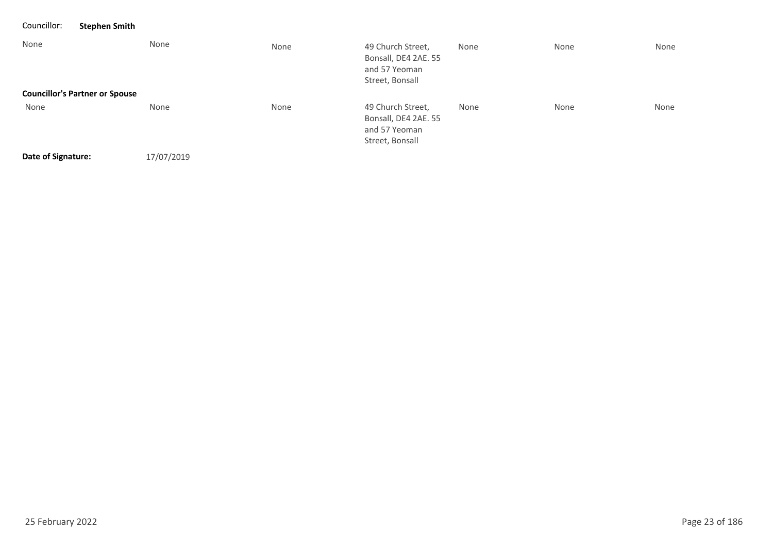| Councillor:        | <b>Stephen Smith</b>                  |      |                                                                               |      |      |      |
|--------------------|---------------------------------------|------|-------------------------------------------------------------------------------|------|------|------|
| None               | None                                  | None | 49 Church Street,<br>Bonsall, DE4 2AE. 55<br>and 57 Yeoman<br>Street, Bonsall | None | None | None |
|                    | <b>Councillor's Partner or Spouse</b> |      |                                                                               |      |      |      |
| None               | None                                  | None | 49 Church Street,<br>Bonsall, DE4 2AE. 55<br>and 57 Yeoman<br>Street, Bonsall | None | None | None |
| Date of Signature: | 17/07/2019                            |      |                                                                               |      |      |      |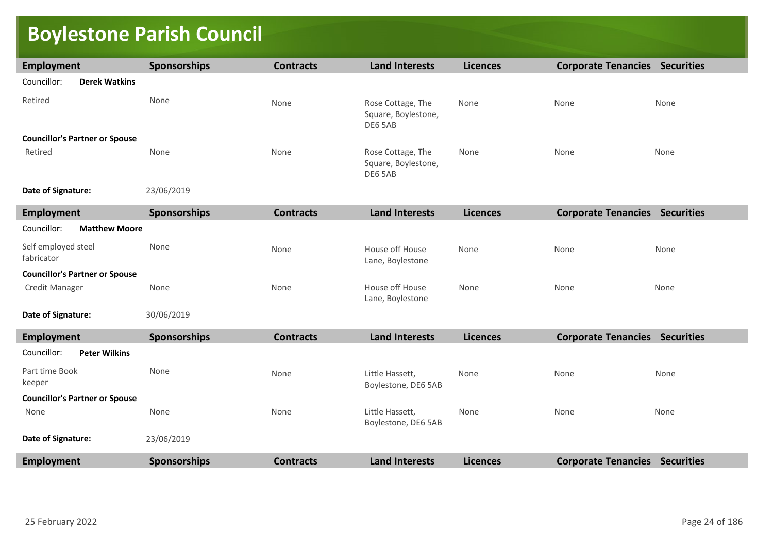# **Boylestone Parish Council**

| <b>Employment</b>                     | Sponsorships        | <b>Contracts</b> | <b>Land Interests</b>                               | <b>Licences</b> | <b>Corporate Tenancies Securities</b> |      |
|---------------------------------------|---------------------|------------------|-----------------------------------------------------|-----------------|---------------------------------------|------|
| Councillor:<br><b>Derek Watkins</b>   |                     |                  |                                                     |                 |                                       |      |
| Retired                               | None                | None             | Rose Cottage, The<br>Square, Boylestone,<br>DE6 5AB | None            | None                                  | None |
| <b>Councillor's Partner or Spouse</b> |                     |                  |                                                     |                 |                                       |      |
| Retired                               | None                | None             | Rose Cottage, The<br>Square, Boylestone,<br>DE6 5AB | None            | None                                  | None |
| Date of Signature:                    | 23/06/2019          |                  |                                                     |                 |                                       |      |
| <b>Employment</b>                     | <b>Sponsorships</b> | <b>Contracts</b> | <b>Land Interests</b>                               | <b>Licences</b> | <b>Corporate Tenancies Securities</b> |      |
| Councillor:<br><b>Matthew Moore</b>   |                     |                  |                                                     |                 |                                       |      |
| Self employed steel<br>fabricator     | None                | None             | House off House<br>Lane, Boylestone                 | None            | None                                  | None |
| <b>Councillor's Partner or Spouse</b> |                     |                  |                                                     |                 |                                       |      |
| Credit Manager                        | None                | None             | House off House<br>Lane, Boylestone                 | None            | None                                  | None |
| Date of Signature:                    | 30/06/2019          |                  |                                                     |                 |                                       |      |
| <b>Employment</b>                     | <b>Sponsorships</b> | <b>Contracts</b> | <b>Land Interests</b>                               | <b>Licences</b> | <b>Corporate Tenancies Securities</b> |      |
| <b>Peter Wilkins</b><br>Councillor:   |                     |                  |                                                     |                 |                                       |      |
| Part time Book<br>keeper              | None                | None             | Little Hassett,<br>Boylestone, DE6 5AB              | None            | None                                  | None |
| <b>Councillor's Partner or Spouse</b> |                     |                  |                                                     |                 |                                       |      |
| None                                  | None                | None             | Little Hassett,<br>Boylestone, DE6 5AB              | None            | None                                  | None |
| Date of Signature:                    | 23/06/2019          |                  |                                                     |                 |                                       |      |
| <b>Employment</b>                     | <b>Sponsorships</b> | <b>Contracts</b> | <b>Land Interests</b>                               | <b>Licences</b> | <b>Corporate Tenancies Securities</b> |      |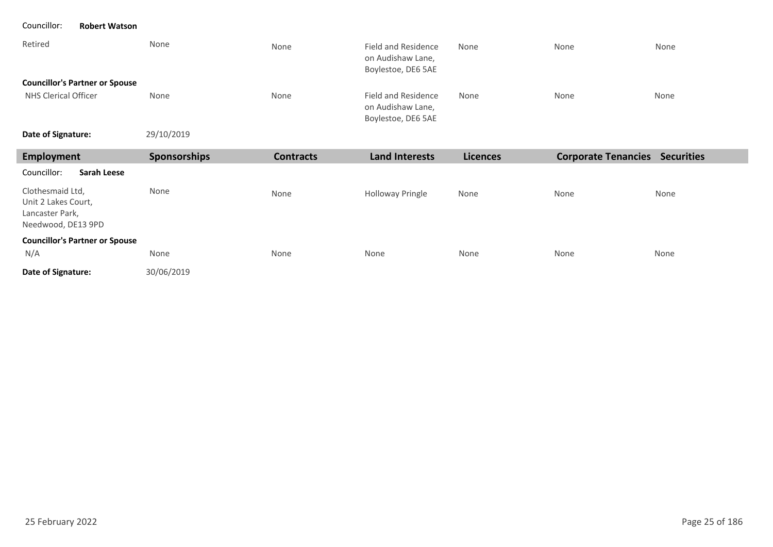#### Councillor: **Robert Watson**

| Retired                               | None       | None | Field and Residence<br>on Audishaw Lane,<br>Boylestoe, DE6 5AE | None | None | None |
|---------------------------------------|------------|------|----------------------------------------------------------------|------|------|------|
| <b>Councillor's Partner or Spouse</b> |            |      |                                                                |      |      |      |
| NHS Clerical Officer                  | None       | None | Field and Residence<br>on Audishaw Lane,<br>Boylestoe, DE6 5AE | None | None | None |
| Date of Signature:                    | 29/10/2019 |      |                                                                |      |      |      |

| Employment                                                                       | <b>Sponsorships</b> | <b>Contracts</b> | <b>Land Interests</b>   | <b>Licences</b> | <b>Corporate Tenancies</b> | <b>Securities</b> |
|----------------------------------------------------------------------------------|---------------------|------------------|-------------------------|-----------------|----------------------------|-------------------|
| Councillor:<br><b>Sarah Leese</b>                                                |                     |                  |                         |                 |                            |                   |
| Clothesmaid Ltd,<br>Unit 2 Lakes Court,<br>Lancaster Park,<br>Needwood, DE13 9PD | None                | None             | <b>Holloway Pringle</b> | None            | None                       | None              |
| <b>Councillor's Partner or Spouse</b><br>N/A                                     | None                | None             | None                    | None            | None                       | None              |
| Date of Signature:                                                               | 30/06/2019          |                  |                         |                 |                            |                   |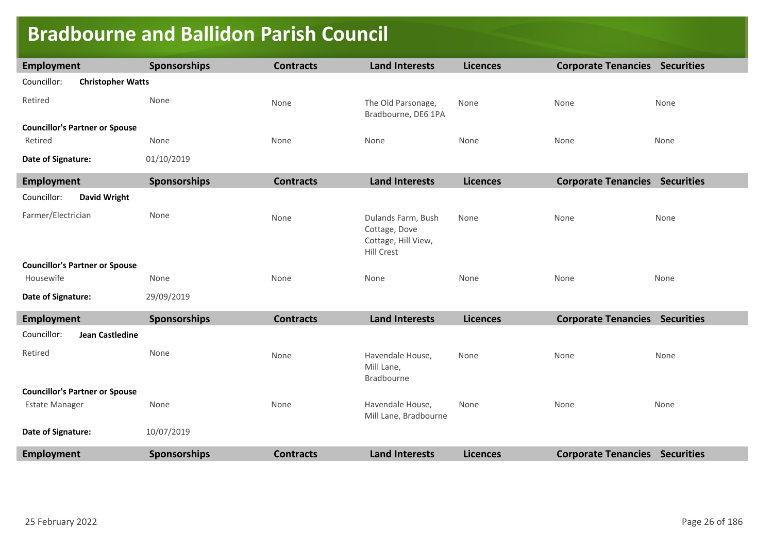### **Bradbourne and Ballidon Parish Council**

| <b>Employment</b>                       | Sponsorships        | <b>Contracts</b> | <b>Land Interests</b>                                                           | <b>Licences</b> | <b>Corporate Tenancies Securities</b> |      |
|-----------------------------------------|---------------------|------------------|---------------------------------------------------------------------------------|-----------------|---------------------------------------|------|
| Councillor:<br><b>Christopher Watts</b> |                     |                  |                                                                                 |                 |                                       |      |
| Retired                                 | None                | None             | The Old Parsonage,<br>Bradbourne, DE6 1PA                                       | None            | None                                  | None |
| <b>Councillor's Partner or Spouse</b>   |                     |                  |                                                                                 |                 |                                       |      |
| Retired                                 | None                | None             | None                                                                            | None            | None                                  | None |
| Date of Signature:                      | 01/10/2019          |                  |                                                                                 |                 |                                       |      |
| <b>Employment</b>                       | Sponsorships        | <b>Contracts</b> | <b>Land Interests</b>                                                           | <b>Licences</b> | <b>Corporate Tenancies Securities</b> |      |
| Councillor:<br><b>David Wright</b>      |                     |                  |                                                                                 |                 |                                       |      |
| Farmer/Electrician                      | None                | None             | Dulands Farm, Bush<br>Cottage, Dove<br>Cottage, Hill View,<br><b>Hill Crest</b> | None            | None                                  | None |
| <b>Councillor's Partner or Spouse</b>   |                     |                  |                                                                                 |                 |                                       |      |
| Housewife                               | None                | None             | None                                                                            | None            | None                                  | None |
| Date of Signature:                      | 29/09/2019          |                  |                                                                                 |                 |                                       |      |
| <b>Employment</b>                       | Sponsorships        | <b>Contracts</b> | <b>Land Interests</b>                                                           | <b>Licences</b> | <b>Corporate Tenancies Securities</b> |      |
| Councillor:<br><b>Jean Castledine</b>   |                     |                  |                                                                                 |                 |                                       |      |
| Retired                                 | None                | None             | Havendale House,<br>Mill Lane,<br>Bradbourne                                    | None            | None                                  | None |
| <b>Councillor's Partner or Spouse</b>   |                     |                  |                                                                                 |                 |                                       |      |
| <b>Estate Manager</b>                   | None                | None             | Havendale House,<br>Mill Lane, Bradbourne                                       | None            | None                                  | None |
| Date of Signature:                      | 10/07/2019          |                  |                                                                                 |                 |                                       |      |
| <b>Employment</b>                       | <b>Sponsorships</b> | <b>Contracts</b> | <b>Land Interests</b>                                                           | <b>Licences</b> | <b>Corporate Tenancies Securities</b> |      |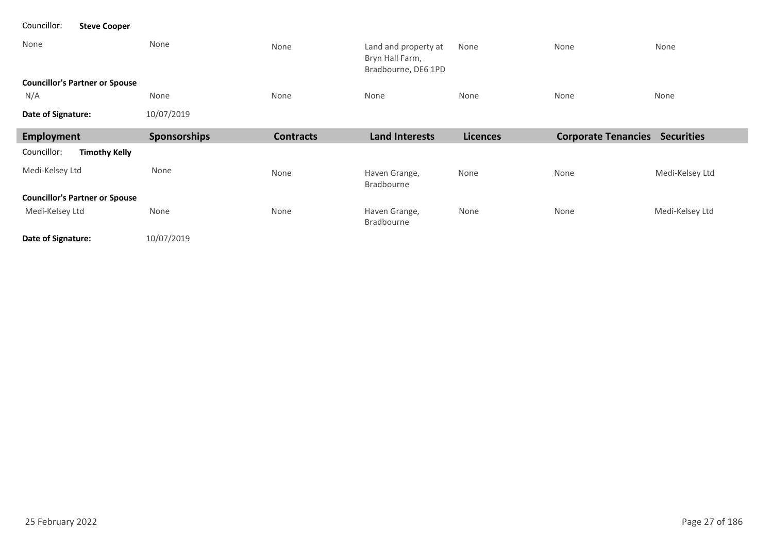| None                                  | None         | None             | Land and property at<br>Bryn Hall Farm,<br>Bradbourne, DE6 1PD | None            | None                       | None              |  |  |
|---------------------------------------|--------------|------------------|----------------------------------------------------------------|-----------------|----------------------------|-------------------|--|--|
| <b>Councillor's Partner or Spouse</b> |              |                  |                                                                |                 |                            |                   |  |  |
| N/A                                   | None         | None             | None                                                           | None            | None                       | None              |  |  |
| Date of Signature:                    | 10/07/2019   |                  |                                                                |                 |                            |                   |  |  |
| Employment                            | Sponsorships | <b>Contracts</b> | <b>Land Interests</b>                                          | <b>Licences</b> | <b>Corporate Tenancies</b> | <b>Securities</b> |  |  |
| Councillor:<br><b>Timothy Kelly</b>   |              |                  |                                                                |                 |                            |                   |  |  |
| Medi-Kelsey Ltd                       | None         | None             | Haven Grange,<br>Bradbourne                                    | None            | None                       | Medi-Kelsey Ltd   |  |  |
| <b>Councillor's Partner or Spouse</b> |              |                  |                                                                |                 |                            |                   |  |  |
| Medi-Kelsey Ltd                       | None         | None             | Haven Grange,<br>Bradbourne                                    | None            | None                       | Medi-Kelsey Ltd   |  |  |
| Date of Signature:                    | 10/07/2019   |                  |                                                                |                 |                            |                   |  |  |

Councillor: **Steve Cooper**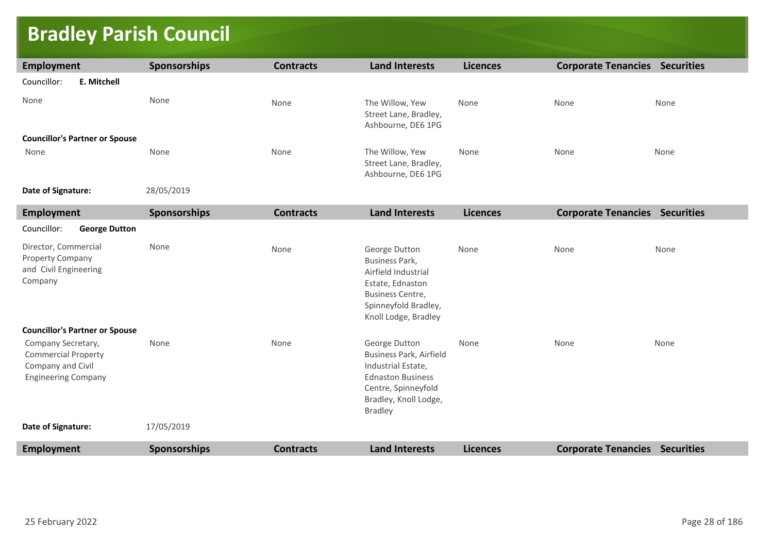## **Bradley Parish Council**

| <b>Employment</b>                                                                                   | <b>Sponsorships</b> | <b>Contracts</b> | <b>Land Interests</b>                                                                                                                                               | <b>Licences</b> | <b>Corporate Tenancies Securities</b> |      |
|-----------------------------------------------------------------------------------------------------|---------------------|------------------|---------------------------------------------------------------------------------------------------------------------------------------------------------------------|-----------------|---------------------------------------|------|
| Councillor:<br>E. Mitchell                                                                          |                     |                  |                                                                                                                                                                     |                 |                                       |      |
| None                                                                                                | None                | None             | The Willow, Yew<br>Street Lane, Bradley,<br>Ashbourne, DE6 1PG                                                                                                      | None            | None                                  | None |
| <b>Councillor's Partner or Spouse</b>                                                               |                     |                  |                                                                                                                                                                     |                 |                                       |      |
| None                                                                                                | None                | None             | The Willow, Yew<br>Street Lane, Bradley,<br>Ashbourne, DE6 1PG                                                                                                      | None            | None                                  | None |
| Date of Signature:                                                                                  | 28/05/2019          |                  |                                                                                                                                                                     |                 |                                       |      |
| Employment                                                                                          | Sponsorships        | <b>Contracts</b> | <b>Land Interests</b>                                                                                                                                               | <b>Licences</b> | <b>Corporate Tenancies Securities</b> |      |
| Councillor:<br><b>George Dutton</b>                                                                 |                     |                  |                                                                                                                                                                     |                 |                                       |      |
| Director, Commercial<br>Property Company<br>and Civil Engineering<br>Company                        | None                | None             | George Dutton<br>Business Park,<br>Airfield Industrial<br>Estate, Ednaston<br><b>Business Centre,</b><br>Spinneyfold Bradley,<br>Knoll Lodge, Bradley               | None            | None                                  | None |
| <b>Councillor's Partner or Spouse</b>                                                               |                     |                  |                                                                                                                                                                     |                 |                                       |      |
| Company Secretary,<br><b>Commercial Property</b><br>Company and Civil<br><b>Engineering Company</b> | None                | None             | George Dutton<br><b>Business Park, Airfield</b><br>Industrial Estate,<br><b>Ednaston Business</b><br>Centre, Spinneyfold<br>Bradley, Knoll Lodge,<br><b>Bradley</b> | None            | None                                  | None |
| Date of Signature:                                                                                  | 17/05/2019          |                  |                                                                                                                                                                     |                 |                                       |      |
| <b>Employment</b>                                                                                   | Sponsorships        | <b>Contracts</b> | <b>Land Interests</b>                                                                                                                                               | <b>Licences</b> | <b>Corporate Tenancies Securities</b> |      |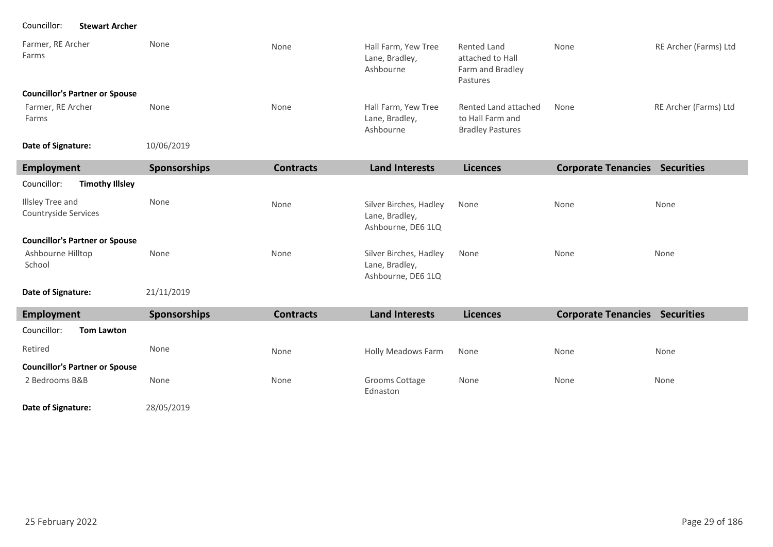Councillor: **Stewart Archer**

| Farmer, RE Archer<br>Farms            | None       | None | Hall Farm, Yew Tree<br>Lane, Bradley,<br>Ashbourne | Rented Land<br>attached to Hall<br>Farm and Bradley<br>Pastures     | None | RE Archer (Farms) Ltd |
|---------------------------------------|------------|------|----------------------------------------------------|---------------------------------------------------------------------|------|-----------------------|
| <b>Councillor's Partner or Spouse</b> |            |      |                                                    |                                                                     |      |                       |
| Farmer, RE Archer<br>Farms            | None       | None | Hall Farm, Yew Tree<br>Lane, Bradley,<br>Ashbourne | Rented Land attached<br>to Hall Farm and<br><b>Bradley Pastures</b> | None | RE Archer (Farms) Ltd |
| Date of Signature:                    | 10/06/2019 |      |                                                    |                                                                     |      |                       |

| Employment                               | <b>Sponsorships</b> | <b>Contracts</b> | <b>Land Interests</b>                                          | <b>Licences</b> | <b>Corporate Tenancies</b> | <b>Securities</b> |
|------------------------------------------|---------------------|------------------|----------------------------------------------------------------|-----------------|----------------------------|-------------------|
| Councillor:<br><b>Timothy Illsley</b>    |                     |                  |                                                                |                 |                            |                   |
| Illsley Tree and<br>Countryside Services | None                | None             | Silver Birches, Hadley<br>Lane, Bradley,<br>Ashbourne, DE6 1LQ | None            | None                       | None              |
| <b>Councillor's Partner or Spouse</b>    |                     |                  |                                                                |                 |                            |                   |
| Ashbourne Hilltop<br>School              | None                | None             | Silver Birches, Hadley<br>Lane, Bradley,<br>Ashbourne, DE6 1LQ | None            | None                       | None              |

**Date of Signature:**

21/11/2019

| Employment                                              | <b>Sponsorships</b> | <b>Contracts</b> | <b>Land Interests</b>      | <b>Licences</b> | <b>Corporate Tenancies</b> | <b>Securities</b> |
|---------------------------------------------------------|---------------------|------------------|----------------------------|-----------------|----------------------------|-------------------|
| Councillor:<br><b>Tom Lawton</b>                        |                     |                  |                            |                 |                            |                   |
| Retired                                                 | None                | None             | Holly Meadows Farm         | None            | None                       | None              |
| <b>Councillor's Partner or Spouse</b><br>2 Bedrooms B&B | None                | None             | Grooms Cottage<br>Ednaston | None            | None                       | None              |

28/05/2019 **Date of Signature:**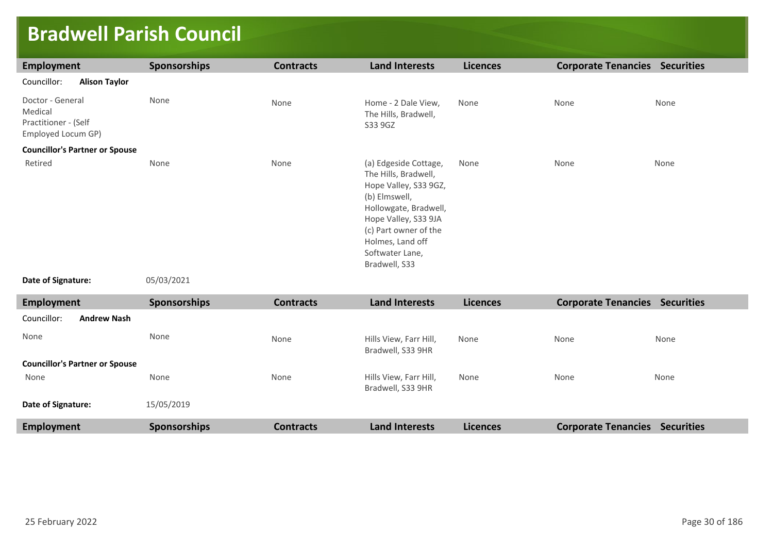### **Bradwell Parish Council**

| Employment                                                                | <b>Sponsorships</b> | <b>Contracts</b> | <b>Land Interests</b>                                                                                                                                                                                                     | <b>Licences</b> | <b>Corporate Tenancies Securities</b> |      |
|---------------------------------------------------------------------------|---------------------|------------------|---------------------------------------------------------------------------------------------------------------------------------------------------------------------------------------------------------------------------|-----------------|---------------------------------------|------|
| Councillor:<br><b>Alison Taylor</b>                                       |                     |                  |                                                                                                                                                                                                                           |                 |                                       |      |
| Doctor - General<br>Medical<br>Practitioner - (Self<br>Employed Locum GP) | None                | None             | Home - 2 Dale View,<br>The Hills, Bradwell,<br>S33 9GZ                                                                                                                                                                    | None            | None                                  | None |
| <b>Councillor's Partner or Spouse</b>                                     |                     |                  |                                                                                                                                                                                                                           |                 |                                       |      |
| Retired                                                                   | None                | None             | (a) Edgeside Cottage,<br>The Hills, Bradwell,<br>Hope Valley, S33 9GZ,<br>(b) Elmswell,<br>Hollowgate, Bradwell,<br>Hope Valley, S33 9JA<br>(c) Part owner of the<br>Holmes, Land off<br>Softwater Lane,<br>Bradwell, S33 | None            | None                                  | None |

```
Date of Signature:
```
05/03/2021

| Employment                            | <b>Sponsorships</b> | <b>Contracts</b> | <b>Land Interests</b>                       | <b>Licences</b> | <b>Corporate Tenancies</b> | <b>Securities</b> |
|---------------------------------------|---------------------|------------------|---------------------------------------------|-----------------|----------------------------|-------------------|
| Councillor:<br><b>Andrew Nash</b>     |                     |                  |                                             |                 |                            |                   |
| None                                  | None                | None             | Hills View, Farr Hill,<br>Bradwell, S33 9HR | None            | None                       | None              |
| <b>Councillor's Partner or Spouse</b> |                     |                  |                                             |                 |                            |                   |
| None                                  | None                | None             | Hills View, Farr Hill,<br>Bradwell, S33 9HR | None            | None                       | None              |
| Date of Signature:                    | 15/05/2019          |                  |                                             |                 |                            |                   |
| Employment                            | <b>Sponsorships</b> | <b>Contracts</b> | <b>Land Interests</b>                       | <b>Licences</b> | <b>Corporate Tenancies</b> | <b>Securities</b> |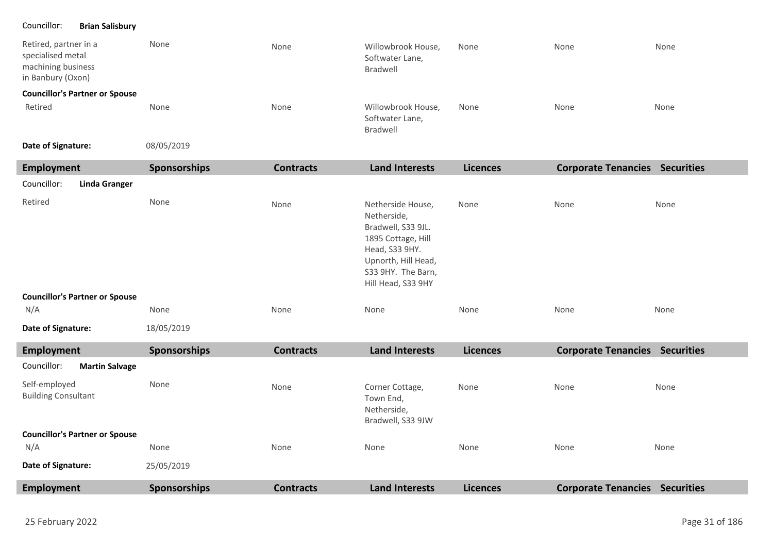#### Councillor: **Brian Salisbury**

| Retired, partner in a<br>specialised metal<br>machining business<br>in Banbury (Oxon) | None       | None | Willowbrook House,<br>Softwater Lane,<br>Bradwell | None | None | None |  |
|---------------------------------------------------------------------------------------|------------|------|---------------------------------------------------|------|------|------|--|
| <b>Councillor's Partner or Spouse</b>                                                 |            |      |                                                   |      |      |      |  |
| Retired                                                                               | None       | None | Willowbrook House,<br>Softwater Lane,<br>Bradwell | None | None | None |  |
| Date of Signature:                                                                    | 08/05/2019 |      |                                                   |      |      |      |  |

**Date of Signature:**

| Employment                                  | Sponsorships | <b>Contracts</b> | <b>Land Interests</b>                                                                                                                                             | <b>Licences</b> | <b>Corporate Tenancies Securities</b> |      |
|---------------------------------------------|--------------|------------------|-------------------------------------------------------------------------------------------------------------------------------------------------------------------|-----------------|---------------------------------------|------|
| <b>Linda Granger</b><br>Councillor:         |              |                  |                                                                                                                                                                   |                 |                                       |      |
| Retired                                     | None         | None             | Netherside House,<br>Netherside,<br>Bradwell, S33 9JL.<br>1895 Cottage, Hill<br>Head, S33 9HY.<br>Upnorth, Hill Head,<br>S33 9HY. The Barn,<br>Hill Head, S33 9HY | None            | None                                  | None |
| <b>Councillor's Partner or Spouse</b>       |              |                  |                                                                                                                                                                   |                 |                                       |      |
| N/A                                         | None         | None             | None                                                                                                                                                              | None            | None                                  | None |
| Date of Signature:                          | 18/05/2019   |                  |                                                                                                                                                                   |                 |                                       |      |
| Employment                                  | Sponsorships | <b>Contracts</b> | <b>Land Interests</b>                                                                                                                                             | <b>Licences</b> | <b>Corporate Tenancies Securities</b> |      |
| Councillor:<br><b>Martin Salvage</b>        |              |                  |                                                                                                                                                                   |                 |                                       |      |
| Self-employed<br><b>Building Consultant</b> | None         | None             | Corner Cottage,<br>Town End,<br>Netherside,<br>Bradwell, S33 9JW                                                                                                  | None            | None                                  | None |
| <b>Councillor's Partner or Spouse</b>       |              |                  |                                                                                                                                                                   |                 |                                       |      |
| N/A                                         | None         | None             | None                                                                                                                                                              | None            | None                                  | None |
| Date of Signature:                          | 25/05/2019   |                  |                                                                                                                                                                   |                 |                                       |      |
| <b>Employment</b>                           | Sponsorships | <b>Contracts</b> | <b>Land Interests</b>                                                                                                                                             | <b>Licences</b> | <b>Corporate Tenancies Securities</b> |      |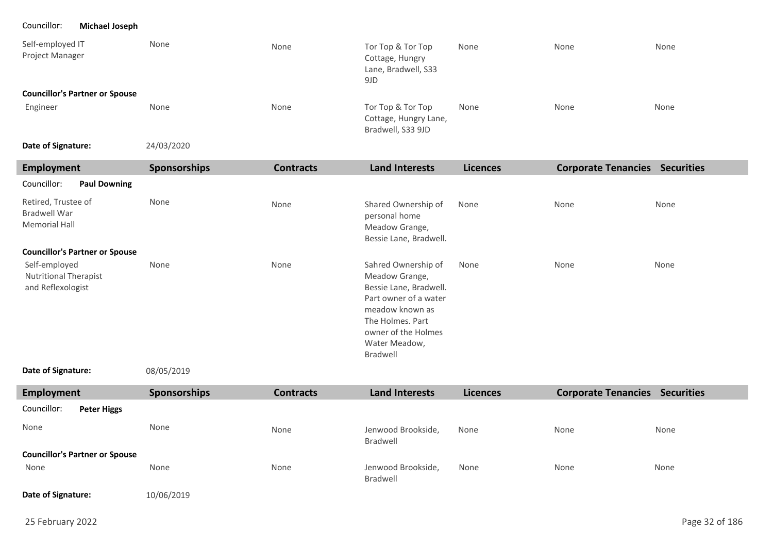Councillor: **Michael Joseph**

| Self-employed IT<br>Project Manager   | None | None | Tor Top & Tor Top<br>Cottage, Hungry<br>Lane, Bradwell, S33<br>9JD | None | None | None |
|---------------------------------------|------|------|--------------------------------------------------------------------|------|------|------|
| <b>Councillor's Partner or Spouse</b> |      |      |                                                                    |      |      |      |
| Engineer                              | None | None | Tor Top & Tor Top<br>Cottage, Hungry Lane,<br>Bradwell, S33 9JD    | None | None | None |

24/03/2020 **Date of Signature:**

| <b>Employment</b>                                                  | Sponsorships | <b>Contracts</b> | <b>Land Interests</b>                                                                                                                                                               | <b>Licences</b> | <b>Corporate Tenancies Securities</b> |      |
|--------------------------------------------------------------------|--------------|------------------|-------------------------------------------------------------------------------------------------------------------------------------------------------------------------------------|-----------------|---------------------------------------|------|
| Councillor:<br><b>Paul Downing</b>                                 |              |                  |                                                                                                                                                                                     |                 |                                       |      |
| Retired, Trustee of<br>Bradwell War<br><b>Memorial Hall</b>        | None         | None             | Shared Ownership of<br>personal home<br>Meadow Grange,<br>Bessie Lane, Bradwell.                                                                                                    | None            | None                                  | None |
| <b>Councillor's Partner or Spouse</b>                              |              |                  |                                                                                                                                                                                     |                 |                                       |      |
| Self-employed<br><b>Nutritional Therapist</b><br>and Reflexologist | None         | None             | Sahred Ownership of<br>Meadow Grange,<br>Bessie Lane, Bradwell.<br>Part owner of a water<br>meadow known as<br>The Holmes, Part<br>owner of the Holmes<br>Water Meadow,<br>Bradwell | None            | None                                  | None |

```
08/05/2019
Date of Signature:
```

| Employment                            | <b>Sponsorships</b> | <b>Contracts</b> | <b>Land Interests</b>          | <b>Licences</b> | <b>Corporate Tenancies</b> | <b>Securities</b> |
|---------------------------------------|---------------------|------------------|--------------------------------|-----------------|----------------------------|-------------------|
| Councillor:<br><b>Peter Higgs</b>     |                     |                  |                                |                 |                            |                   |
| None                                  | None                | None             | Jenwood Brookside,<br>Bradwell | None            | None                       | None              |
| <b>Councillor's Partner or Spouse</b> |                     |                  |                                |                 |                            |                   |
| None                                  | None                | None             | Jenwood Brookside,<br>Bradwell | None            | None                       | None              |
| Date of Signature:                    | 10/06/2019          |                  |                                |                 |                            |                   |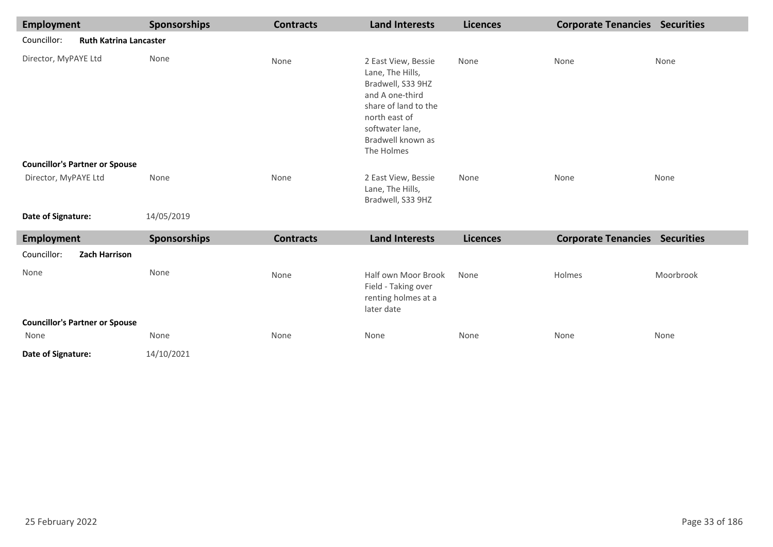| <b>Employment</b>    |                                       | Sponsorships | <b>Contracts</b> | <b>Land Interests</b>                                                                                                                                                          | <b>Licences</b> | <b>Corporate Tenancies Securities</b> |           |
|----------------------|---------------------------------------|--------------|------------------|--------------------------------------------------------------------------------------------------------------------------------------------------------------------------------|-----------------|---------------------------------------|-----------|
| Councillor:          | <b>Ruth Katrina Lancaster</b>         |              |                  |                                                                                                                                                                                |                 |                                       |           |
| Director, MyPAYE Ltd |                                       | None         | None             | 2 East View, Bessie<br>Lane, The Hills,<br>Bradwell, S33 9HZ<br>and A one-third<br>share of land to the<br>north east of<br>softwater lane,<br>Bradwell known as<br>The Holmes | None            | None                                  | None      |
|                      | <b>Councillor's Partner or Spouse</b> |              |                  |                                                                                                                                                                                |                 |                                       |           |
| Director, MyPAYE Ltd |                                       | None         | None             | 2 East View, Bessie<br>Lane, The Hills,<br>Bradwell, S33 9HZ                                                                                                                   | None            | None                                  | None      |
| Date of Signature:   |                                       | 14/05/2019   |                  |                                                                                                                                                                                |                 |                                       |           |
| <b>Employment</b>    |                                       | Sponsorships | <b>Contracts</b> | <b>Land Interests</b>                                                                                                                                                          | <b>Licences</b> | <b>Corporate Tenancies Securities</b> |           |
| Councillor:          | Zach Harrison                         |              |                  |                                                                                                                                                                                |                 |                                       |           |
| None                 |                                       | None         | None             | Half own Moor Brook<br>Field - Taking over<br>renting holmes at a<br>later date                                                                                                | None            | Holmes                                | Moorbrook |
|                      | <b>Councillor's Partner or Spouse</b> |              |                  |                                                                                                                                                                                |                 |                                       |           |
| None                 |                                       | None         | None             | None                                                                                                                                                                           | None            | None                                  | None      |
| Date of Signature:   |                                       | 14/10/2021   |                  |                                                                                                                                                                                |                 |                                       |           |

I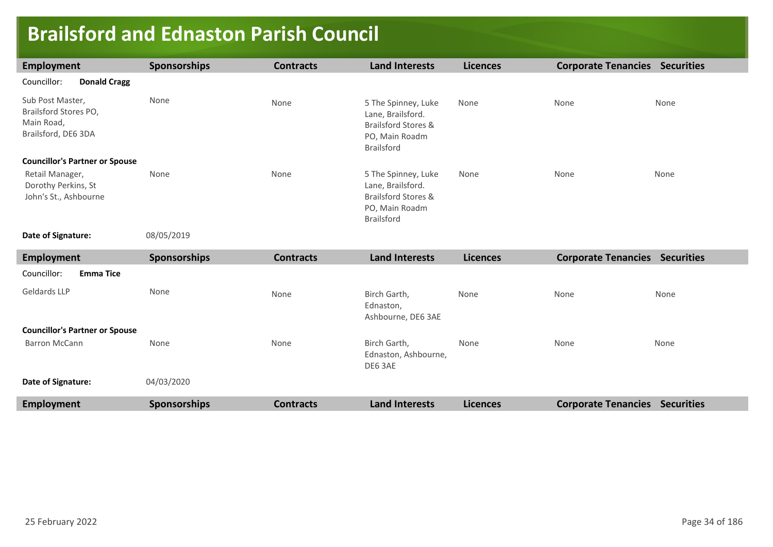## **Brailsford and Ednaston Parish Council**

| Employment                                                                     | <b>Sponsorships</b> | <b>Contracts</b> | <b>Land Interests</b>                                                                                  | <b>Licences</b> | <b>Corporate Tenancies</b> | <b>Securities</b> |
|--------------------------------------------------------------------------------|---------------------|------------------|--------------------------------------------------------------------------------------------------------|-----------------|----------------------------|-------------------|
| Councillor:<br><b>Donald Cragg</b>                                             |                     |                  |                                                                                                        |                 |                            |                   |
| Sub Post Master,<br>Brailsford Stores PO,<br>Main Road,<br>Brailsford, DE6 3DA | None                | None             | 5 The Spinney, Luke<br>Lane, Brailsford.<br>Brailsford Stores &<br>PO, Main Roadm<br><b>Brailsford</b> | None            | None                       | None              |
| <b>Councillor's Partner or Spouse</b>                                          |                     |                  |                                                                                                        |                 |                            |                   |
| Retail Manager,<br>Dorothy Perkins, St<br>John's St., Ashbourne                | None                | None             | 5 The Spinney, Luke<br>Lane, Brailsford.<br>Brailsford Stores &<br>PO, Main Roadm<br><b>Brailsford</b> | None            | None                       | None              |

**Date of Signature:**

08/05/2019

| <b>Employment</b>                     | <b>Sponsorships</b> | <b>Contracts</b> | <b>Land Interests</b>                           | <b>Licences</b> | <b>Corporate Tenancies</b> | <b>Securities</b> |
|---------------------------------------|---------------------|------------------|-------------------------------------------------|-----------------|----------------------------|-------------------|
| Councillor:<br><b>Emma Tice</b>       |                     |                  |                                                 |                 |                            |                   |
| Geldards LLP                          | None                | None             | Birch Garth,<br>Ednaston,<br>Ashbourne, DE6 3AE | None            | None                       | None              |
| <b>Councillor's Partner or Spouse</b> |                     |                  |                                                 |                 |                            |                   |
| Barron McCann                         | None                | None             | Birch Garth,<br>Ednaston, Ashbourne,<br>DE6 3AE | None            | None                       | None              |
| Date of Signature:                    | 04/03/2020          |                  |                                                 |                 |                            |                   |
| <b>Employment</b>                     | <b>Sponsorships</b> | <b>Contracts</b> | <b>Land Interests</b>                           | <b>Licences</b> | <b>Corporate Tenancies</b> | <b>Securities</b> |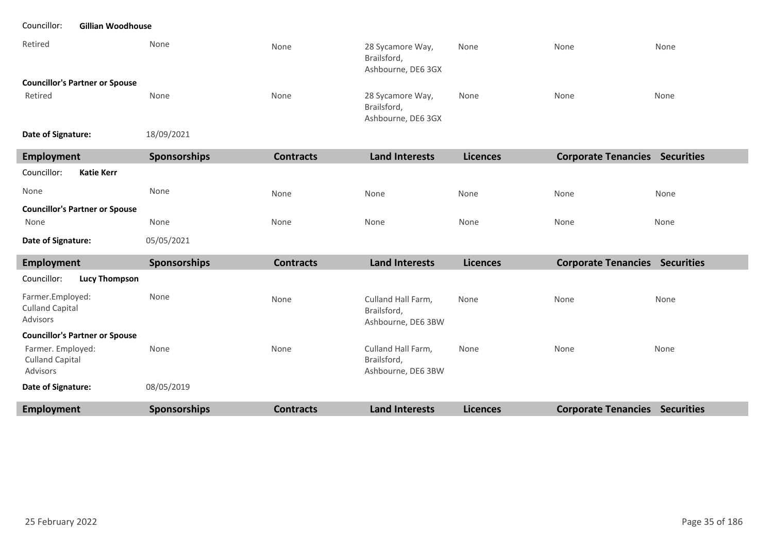#### Councillor: **Gillian Woodhouse**

| Retired                               | None       | None | 28 Sycamore Way,<br>Brailsford,<br>Ashbourne, DE6 3GX | None | None | None |
|---------------------------------------|------------|------|-------------------------------------------------------|------|------|------|
| <b>Councillor's Partner or Spouse</b> |            |      |                                                       |      |      |      |
| Retired                               | None       | None | 28 Sycamore Way,<br>Brailsford,<br>Ashbourne, DE6 3GX | None | None | None |
| Date of Signature:                    | 18/09/2021 |      |                                                       |      |      |      |

| <b>Employment</b>                                       | <b>Sponsorships</b> | <b>Contracts</b> | <b>Land Interests</b>                                   | <b>Licences</b> | <b>Corporate Tenancies Securities</b> |      |
|---------------------------------------------------------|---------------------|------------------|---------------------------------------------------------|-----------------|---------------------------------------|------|
| Councillor:<br><b>Katie Kerr</b>                        |                     |                  |                                                         |                 |                                       |      |
| None                                                    | None                | None             | None                                                    | None            | None                                  | None |
| <b>Councillor's Partner or Spouse</b>                   |                     |                  |                                                         |                 |                                       |      |
| None                                                    | None                | None             | None                                                    | None            | None                                  | None |
| Date of Signature:                                      | 05/05/2021          |                  |                                                         |                 |                                       |      |
| <b>Employment</b>                                       | <b>Sponsorships</b> | <b>Contracts</b> | <b>Land Interests</b>                                   | <b>Licences</b> | <b>Corporate Tenancies Securities</b> |      |
| Councillor:<br><b>Lucy Thompson</b>                     |                     |                  |                                                         |                 |                                       |      |
| Farmer.Employed:<br><b>Culland Capital</b><br>Advisors  | None                | None             | Culland Hall Farm,<br>Brailsford,<br>Ashbourne, DE6 3BW | None            | None                                  | None |
| <b>Councillor's Partner or Spouse</b>                   |                     |                  |                                                         |                 |                                       |      |
| Farmer. Employed:<br><b>Culland Capital</b><br>Advisors | None                | None             | Culland Hall Farm,<br>Brailsford,<br>Ashbourne, DE6 3BW | None            | None                                  | None |
| Date of Signature:                                      | 08/05/2019          |                  |                                                         |                 |                                       |      |
| <b>Employment</b>                                       | <b>Sponsorships</b> | <b>Contracts</b> | <b>Land Interests</b>                                   | <b>Licences</b> | <b>Corporate Tenancies Securities</b> |      |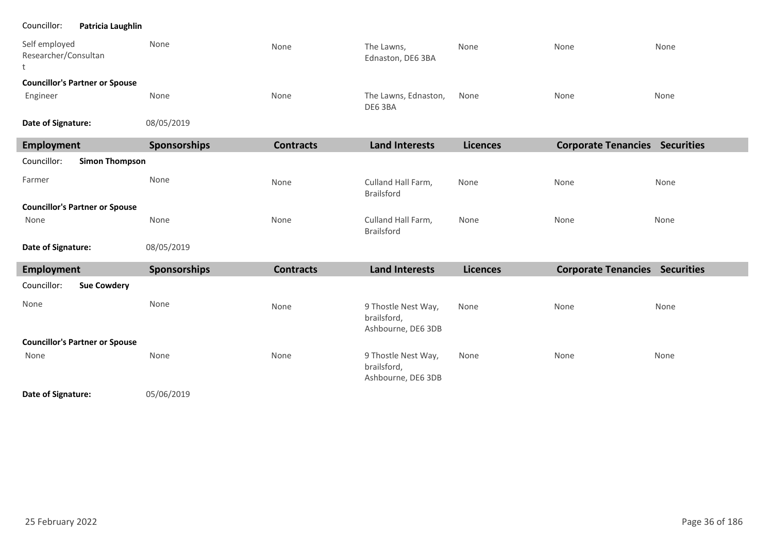#### Councillor: **Patricia Laughlin**

٠

л J

| Self employed<br>Researcher/Consultan<br>t | None         | None             | The Lawns,<br>Ednaston, DE6 3BA                          | None            | None                                  | None |
|--------------------------------------------|--------------|------------------|----------------------------------------------------------|-----------------|---------------------------------------|------|
| <b>Councillor's Partner or Spouse</b>      |              |                  |                                                          |                 |                                       |      |
| Engineer                                   | None         | None             | The Lawns, Ednaston,<br>DE6 3BA                          | None            | None                                  | None |
| Date of Signature:                         | 08/05/2019   |                  |                                                          |                 |                                       |      |
| <b>Employment</b>                          | Sponsorships | <b>Contracts</b> | <b>Land Interests</b>                                    | <b>Licences</b> | <b>Corporate Tenancies Securities</b> |      |
| Councillor:<br><b>Simon Thompson</b>       |              |                  |                                                          |                 |                                       |      |
| Farmer                                     | None         | None             | Culland Hall Farm,<br><b>Brailsford</b>                  | None            | None                                  | None |
| <b>Councillor's Partner or Spouse</b>      |              |                  |                                                          |                 |                                       |      |
| None                                       | None         | None             | Culland Hall Farm,<br><b>Brailsford</b>                  | None            | None                                  | None |
| Date of Signature:                         | 08/05/2019   |                  |                                                          |                 |                                       |      |
| <b>Employment</b>                          | Sponsorships | <b>Contracts</b> | <b>Land Interests</b>                                    | <b>Licences</b> | <b>Corporate Tenancies Securities</b> |      |
| Councillor:<br><b>Sue Cowdery</b>          |              |                  |                                                          |                 |                                       |      |
| None                                       | None         | None             | 9 Thostle Nest Way,<br>brailsford,<br>Ashbourne, DE6 3DB | None            | None                                  | None |
| <b>Councillor's Partner or Spouse</b>      |              |                  |                                                          |                 |                                       |      |
| None                                       | None         | None             | 9 Thostle Nest Way,<br>brailsford,                       | None            | None                                  | None |

Ashbourne, DE6 3DB

05/06/2019 **Date of Signature:**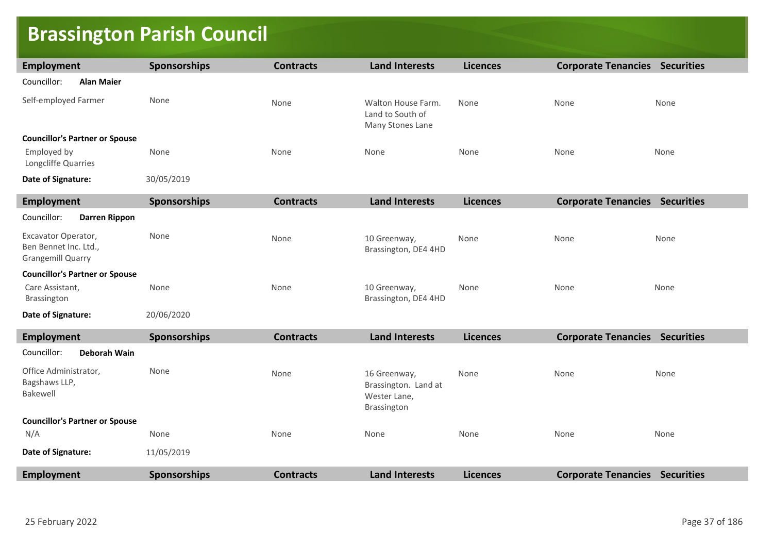# **Brassington Parish Council**

| Employment                                                               | Sponsorships        | <b>Contracts</b> | <b>Land Interests</b>                                               | <b>Licences</b> | <b>Corporate Tenancies Securities</b> |      |
|--------------------------------------------------------------------------|---------------------|------------------|---------------------------------------------------------------------|-----------------|---------------------------------------|------|
| Councillor:<br><b>Alan Maier</b>                                         |                     |                  |                                                                     |                 |                                       |      |
| Self-employed Farmer                                                     | None                | None             | Walton House Farm.<br>Land to South of<br>Many Stones Lane          | None            | None                                  | None |
| <b>Councillor's Partner or Spouse</b>                                    |                     |                  |                                                                     |                 |                                       |      |
| Employed by<br>Longcliffe Quarries                                       | None                | None             | None                                                                | None            | None                                  | None |
| Date of Signature:                                                       | 30/05/2019          |                  |                                                                     |                 |                                       |      |
| <b>Employment</b>                                                        | <b>Sponsorships</b> | <b>Contracts</b> | <b>Land Interests</b>                                               | <b>Licences</b> | <b>Corporate Tenancies Securities</b> |      |
| Councillor:<br><b>Darren Rippon</b>                                      |                     |                  |                                                                     |                 |                                       |      |
| Excavator Operator,<br>Ben Bennet Inc. Ltd.,<br><b>Grangemill Quarry</b> | None                | None             | 10 Greenway,<br>Brassington, DE4 4HD                                | None            | None                                  | None |
| <b>Councillor's Partner or Spouse</b>                                    |                     |                  |                                                                     |                 |                                       |      |
| Care Assistant,<br>Brassington                                           | None                | None             | 10 Greenway,<br>Brassington, DE4 4HD                                | None            | None                                  | None |
| Date of Signature:                                                       | 20/06/2020          |                  |                                                                     |                 |                                       |      |
| <b>Employment</b>                                                        | <b>Sponsorships</b> | <b>Contracts</b> | <b>Land Interests</b>                                               | <b>Licences</b> | <b>Corporate Tenancies Securities</b> |      |
| Councillor:<br>Deborah Wain                                              |                     |                  |                                                                     |                 |                                       |      |
| Office Administrator,<br>Bagshaws LLP,<br>Bakewell                       | None                | None             | 16 Greenway,<br>Brassington. Land at<br>Wester Lane,<br>Brassington | None            | None                                  | None |
| <b>Councillor's Partner or Spouse</b>                                    |                     |                  |                                                                     |                 |                                       |      |
| N/A                                                                      | None                | None             | None                                                                | None            | None                                  | None |
| Date of Signature:                                                       | 11/05/2019          |                  |                                                                     |                 |                                       |      |
| <b>Employment</b>                                                        | <b>Sponsorships</b> | <b>Contracts</b> | <b>Land Interests</b>                                               | <b>Licences</b> | <b>Corporate Tenancies Securities</b> |      |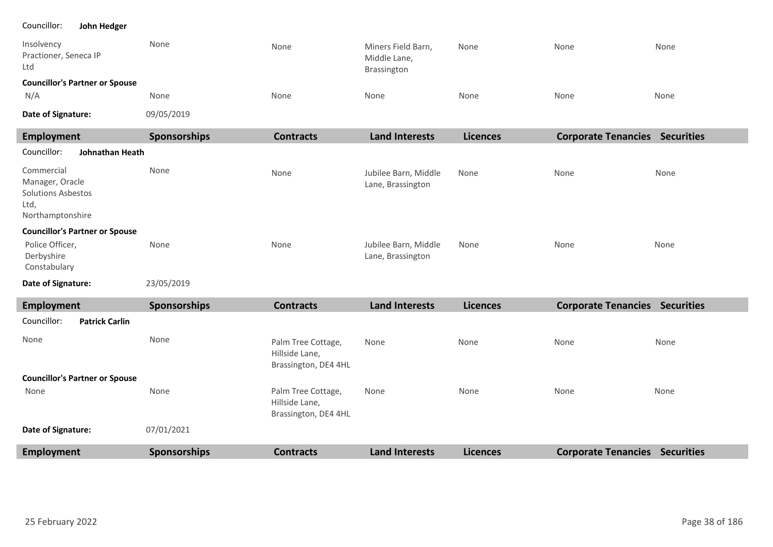#### Councillor: **John Hedger**

| Insolvency<br>Practioner, Seneca IP<br>Ltd                                             | None         | None             | Miners Field Barn,<br>Middle Lane,<br>Brassington | None            | None                       | None              |  |  |
|----------------------------------------------------------------------------------------|--------------|------------------|---------------------------------------------------|-----------------|----------------------------|-------------------|--|--|
| <b>Councillor's Partner or Spouse</b>                                                  |              |                  |                                                   |                 |                            |                   |  |  |
| N/A                                                                                    | None         | None             | None                                              | None            | None                       | None              |  |  |
| Date of Signature:                                                                     | 09/05/2019   |                  |                                                   |                 |                            |                   |  |  |
| <b>Employment</b>                                                                      | Sponsorships | <b>Contracts</b> | <b>Land Interests</b>                             | <b>Licences</b> | <b>Corporate Tenancies</b> | <b>Securities</b> |  |  |
| Johnathan Heath<br>Councillor:                                                         |              |                  |                                                   |                 |                            |                   |  |  |
| Commercial<br>Manager, Oracle<br><b>Solutions Asbestos</b><br>Ltd,<br>Northamptonshire | None         | None             | Jubilee Barn, Middle<br>Lane, Brassington         | None            | None                       | None              |  |  |
| <b>Councillor's Partner or Spouse</b><br>Police Officer,<br>Derbyshire<br>Constabulary | None         | None             | Jubilee Barn, Middle<br>Lane, Brassington         | None            | None                       | None              |  |  |
| Date of Signature:                                                                     | 23/05/2019   |                  |                                                   |                 |                            |                   |  |  |

**Employment Sponsorships Contracts Land Interests Licences Corporate Tenancies Securities** None None None Palm Tree Cottage, Hillside Lane, Brassington, DE4 4HL Palm Tree Cottage, Hillside Lane, Brassington, DE4 4HL None None None None None None None None 07/01/2021 **Councillor's Partner or Spouse Date of Signature:** Councillor: **Patrick Carlin** None **Employment Sponsorships Contracts Land Interests Licences Corporate Tenancies Securities**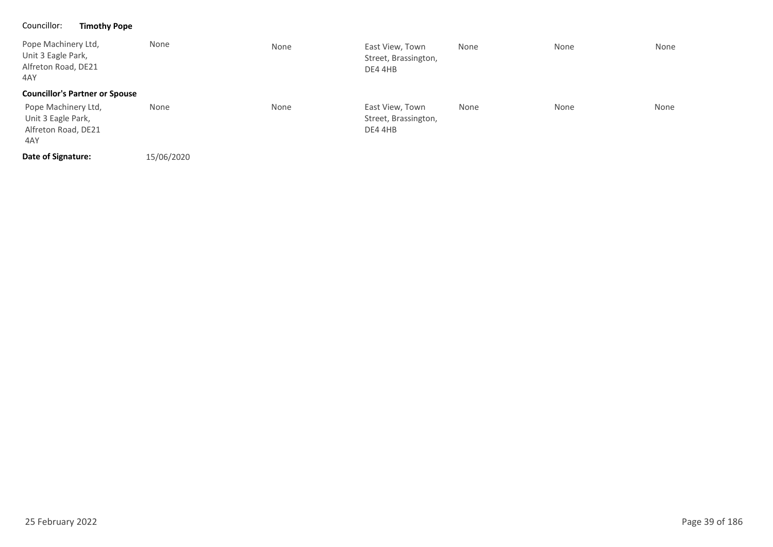### Councillor: **Timothy Pope**

| Pope Machinery Ltd,<br>Unit 3 Eagle Park,<br>Alfreton Road, DE21<br>4AY | None       | None | East View, Town<br>Street, Brassington,<br>DE4 4HB | None | None | None |
|-------------------------------------------------------------------------|------------|------|----------------------------------------------------|------|------|------|
| <b>Councillor's Partner or Spouse</b>                                   |            |      |                                                    |      |      |      |
| Pope Machinery Ltd,<br>Unit 3 Eagle Park,<br>Alfreton Road, DE21<br>4AY | None       | None | East View, Town<br>Street, Brassington,<br>DE44HB  | None | None | None |
| Date of Signature:                                                      | 15/06/2020 |      |                                                    |      |      |      |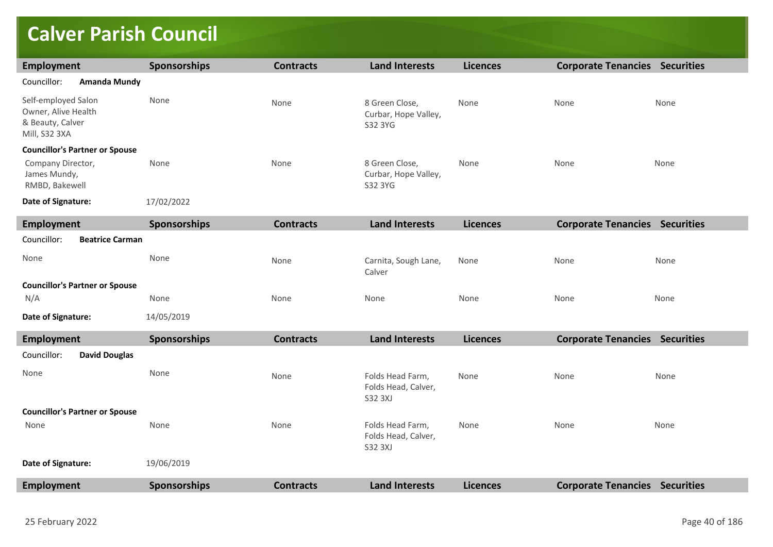# **Calver Parish Council**

| <b>Employment</b>                                                               | Sponsorships        | <b>Contracts</b> | <b>Land Interests</b>                                     | <b>Licences</b> | <b>Corporate Tenancies Securities</b> |      |
|---------------------------------------------------------------------------------|---------------------|------------------|-----------------------------------------------------------|-----------------|---------------------------------------|------|
| Councillor:<br><b>Amanda Mundy</b>                                              |                     |                  |                                                           |                 |                                       |      |
| Self-employed Salon<br>Owner, Alive Health<br>& Beauty, Calver<br>Mill, S32 3XA | None                | None             | 8 Green Close,<br>Curbar, Hope Valley,<br>S32 3YG         | None            | None                                  | None |
| <b>Councillor's Partner or Spouse</b>                                           |                     |                  |                                                           |                 |                                       |      |
| Company Director,<br>James Mundy,<br>RMBD, Bakewell                             | None                | None             | 8 Green Close,<br>Curbar, Hope Valley,<br>S32 3YG         | None            | None                                  | None |
| Date of Signature:                                                              | 17/02/2022          |                  |                                                           |                 |                                       |      |
| <b>Employment</b>                                                               | Sponsorships        | <b>Contracts</b> | <b>Land Interests</b>                                     | <b>Licences</b> | <b>Corporate Tenancies Securities</b> |      |
| Councillor:<br><b>Beatrice Carman</b>                                           |                     |                  |                                                           |                 |                                       |      |
| None                                                                            | None                | None             | Carnita, Sough Lane,<br>Calver                            | None            | None                                  | None |
| <b>Councillor's Partner or Spouse</b>                                           |                     |                  |                                                           |                 |                                       |      |
| N/A                                                                             | None                | None             | None                                                      | None            | None                                  | None |
| Date of Signature:                                                              | 14/05/2019          |                  |                                                           |                 |                                       |      |
| <b>Employment</b>                                                               | <b>Sponsorships</b> | <b>Contracts</b> | <b>Land Interests</b>                                     | <b>Licences</b> | <b>Corporate Tenancies Securities</b> |      |
| Councillor:<br><b>David Douglas</b>                                             |                     |                  |                                                           |                 |                                       |      |
| None                                                                            | None                | None             | Folds Head Farm,<br>Folds Head, Calver,<br><b>S32 3XJ</b> | None            | None                                  | None |
| <b>Councillor's Partner or Spouse</b>                                           |                     |                  |                                                           |                 |                                       |      |
| None                                                                            | None                | None             | Folds Head Farm,<br>Folds Head, Calver,<br><b>S32 3XJ</b> | None            | None                                  | None |
| Date of Signature:                                                              | 19/06/2019          |                  |                                                           |                 |                                       |      |
| Employment                                                                      | Sponsorships        | <b>Contracts</b> | <b>Land Interests</b>                                     | <b>Licences</b> | <b>Corporate Tenancies Securities</b> |      |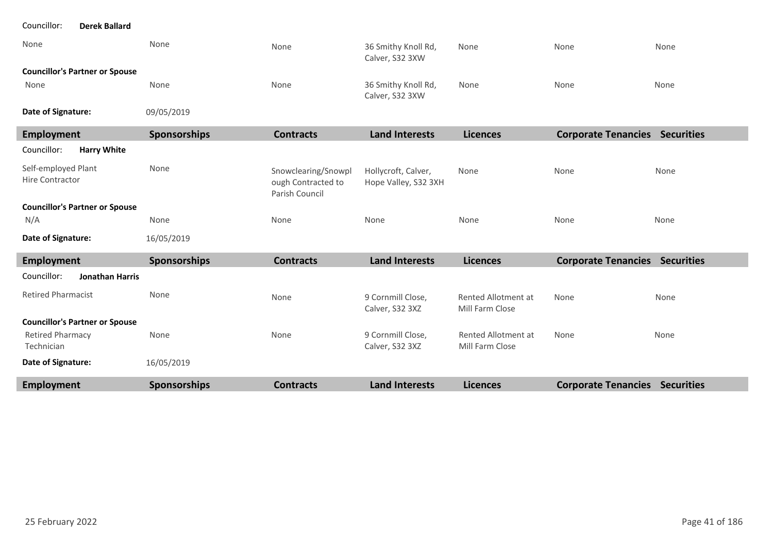| Councillor:<br><b>Derek Ballard</b>    |                     |                                                             |                                             |                                        |                                       |      |
|----------------------------------------|---------------------|-------------------------------------------------------------|---------------------------------------------|----------------------------------------|---------------------------------------|------|
| None                                   | None                | None                                                        | 36 Smithy Knoll Rd,<br>Calver, S32 3XW      | None                                   | None                                  | None |
| <b>Councillor's Partner or Spouse</b>  |                     |                                                             |                                             |                                        |                                       |      |
| None                                   | None                | None                                                        | 36 Smithy Knoll Rd,<br>Calver, S32 3XW      | None                                   | None                                  | None |
| Date of Signature:                     | 09/05/2019          |                                                             |                                             |                                        |                                       |      |
| <b>Employment</b>                      | Sponsorships        | <b>Contracts</b>                                            | <b>Land Interests</b>                       | <b>Licences</b>                        | <b>Corporate Tenancies Securities</b> |      |
| <b>Harry White</b><br>Councillor:      |                     |                                                             |                                             |                                        |                                       |      |
| Self-employed Plant<br>Hire Contractor | None                | Snowclearing/Snowpl<br>ough Contracted to<br>Parish Council | Hollycroft, Calver,<br>Hope Valley, S32 3XH | None                                   | None                                  | None |
| <b>Councillor's Partner or Spouse</b>  |                     |                                                             |                                             |                                        |                                       |      |
| N/A                                    | None                | None                                                        | None                                        | None                                   | None                                  | None |
| Date of Signature:                     | 16/05/2019          |                                                             |                                             |                                        |                                       |      |
| <b>Employment</b>                      | <b>Sponsorships</b> | <b>Contracts</b>                                            | <b>Land Interests</b>                       | <b>Licences</b>                        | <b>Corporate Tenancies Securities</b> |      |
| Councillor:<br><b>Jonathan Harris</b>  |                     |                                                             |                                             |                                        |                                       |      |
| <b>Retired Pharmacist</b>              | None                | None                                                        | 9 Cornmill Close,<br>Calver, S32 3XZ        | Rented Allotment at<br>Mill Farm Close | None                                  | None |
| <b>Councillor's Partner or Spouse</b>  |                     |                                                             |                                             |                                        |                                       |      |
| <b>Retired Pharmacy</b><br>Technician  | None                | None                                                        | 9 Cornmill Close,<br>Calver, S32 3XZ        | Rented Allotment at<br>Mill Farm Close | None                                  | None |
| Date of Signature:                     | 16/05/2019          |                                                             |                                             |                                        |                                       |      |
| <b>Employment</b>                      | Sponsorships        | <b>Contracts</b>                                            | <b>Land Interests</b>                       | <b>Licences</b>                        | <b>Corporate Tenancies Securities</b> |      |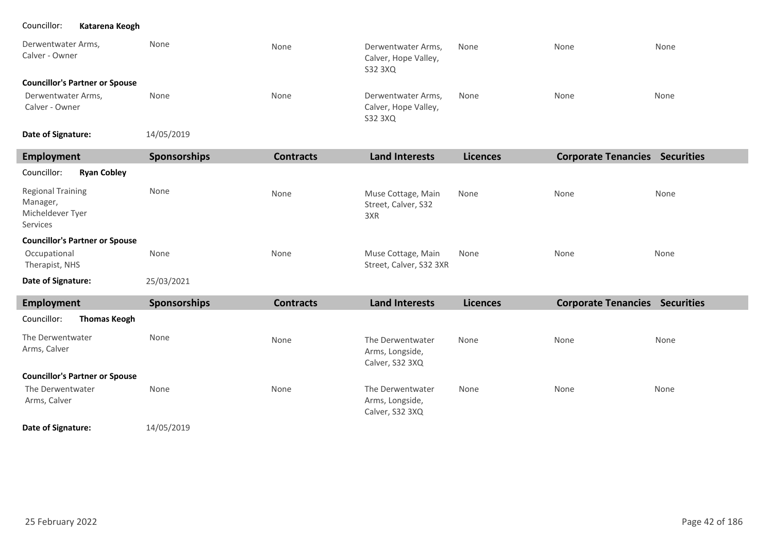### Councillor: **Katarena Keogh**

| Derwentwater Arms,<br>Calver - Owner  | None | None | Derwentwater Arms,<br>Calver, Hope Valley,<br>S32 3XQ | None | None | None |
|---------------------------------------|------|------|-------------------------------------------------------|------|------|------|
| <b>Councillor's Partner or Spouse</b> |      |      |                                                       |      |      |      |
| Derwentwater Arms,<br>Calver - Owner  | None | None | Derwentwater Arms,<br>Calver, Hope Valley,<br>S32 3XQ | None | None | None |

14/05/2019 **Date of Signature:**

| Employment                                                           | <b>Sponsorships</b> | <b>Contracts</b> | <b>Land Interests</b>                            | <b>Licences</b> | <b>Corporate Tenancies</b> | <b>Securities</b> |
|----------------------------------------------------------------------|---------------------|------------------|--------------------------------------------------|-----------------|----------------------------|-------------------|
| Councillor:<br><b>Ryan Cobley</b>                                    |                     |                  |                                                  |                 |                            |                   |
| <b>Regional Training</b><br>Manager,<br>Micheldever Tyer<br>Services | None                | None             | Muse Cottage, Main<br>Street, Calver, S32<br>3XR | None            | None                       | None              |
| <b>Councillor's Partner or Spouse</b>                                |                     |                  |                                                  |                 |                            |                   |
| Occupational<br>Therapist, NHS                                       | None                | None             | Muse Cottage, Main<br>Street, Calver, S32 3XR    | None            | None                       | None              |
| Date of Signature:                                                   | 25/03/2021          |                  |                                                  |                 |                            |                   |

| Employment                            | <b>Sponsorships</b> | <b>Contracts</b> | <b>Land Interests</b>                                  | <b>Licences</b> | <b>Corporate Tenancies</b> | <b>Securities</b> |
|---------------------------------------|---------------------|------------------|--------------------------------------------------------|-----------------|----------------------------|-------------------|
| Councillor:<br><b>Thomas Keogh</b>    |                     |                  |                                                        |                 |                            |                   |
| The Derwentwater<br>Arms, Calver      | None                | None             | The Derwentwater<br>Arms, Longside,<br>Calver, S32 3XQ | None            | None                       | None              |
| <b>Councillor's Partner or Spouse</b> |                     |                  |                                                        |                 |                            |                   |
| The Derwentwater<br>Arms, Calver      | None                | None             | The Derwentwater<br>Arms, Longside,<br>Calver, S32 3XQ | None            | None                       | None              |

14/05/2019 **Date of Signature:**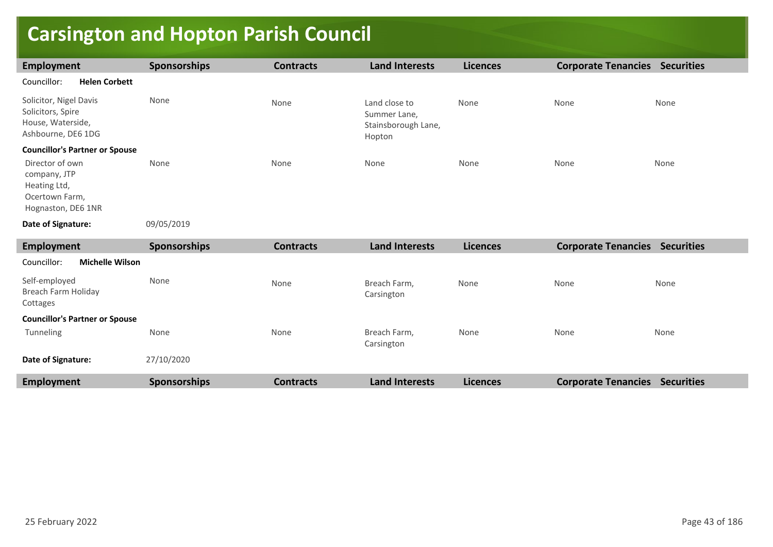# **Carsington and Hopton Parish Council**

| <b>Employment</b>                                                                       | <b>Sponsorships</b> | <b>Contracts</b> | <b>Land Interests</b>                                          | <b>Licences</b> | <b>Corporate Tenancies Securities</b> |      |
|-----------------------------------------------------------------------------------------|---------------------|------------------|----------------------------------------------------------------|-----------------|---------------------------------------|------|
| Councillor:<br><b>Helen Corbett</b>                                                     |                     |                  |                                                                |                 |                                       |      |
| Solicitor, Nigel Davis<br>Solicitors, Spire<br>House, Waterside,<br>Ashbourne, DE6 1DG  | None                | None             | Land close to<br>Summer Lane,<br>Stainsborough Lane,<br>Hopton | None            | None                                  | None |
| <b>Councillor's Partner or Spouse</b>                                                   |                     |                  |                                                                |                 |                                       |      |
| Director of own<br>company, JTP<br>Heating Ltd,<br>Ocertown Farm,<br>Hognaston, DE6 1NR | None                | None             | None                                                           | None            | None                                  | None |
| Date of Signature:                                                                      | 09/05/2019          |                  |                                                                |                 |                                       |      |
| <b>Employment</b>                                                                       | Sponsorships        | <b>Contracts</b> | <b>Land Interests</b>                                          | <b>Licences</b> | <b>Corporate Tenancies Securities</b> |      |
| <b>Michelle Wilson</b><br>Councillor:                                                   |                     |                  |                                                                |                 |                                       |      |
| Self-employed<br>Breach Farm Holiday<br>Cottages                                        | None                | None             | Breach Farm,<br>Carsington                                     | None            | None                                  | None |
| <b>Councillor's Partner or Spouse</b>                                                   |                     |                  |                                                                |                 |                                       |      |
| Tunneling                                                                               | None                | None             | Breach Farm,<br>Carsington                                     | None            | None                                  | None |
| Date of Signature:                                                                      | 27/10/2020          |                  |                                                                |                 |                                       |      |
| <b>Employment</b>                                                                       | <b>Sponsorships</b> | <b>Contracts</b> | <b>Land Interests</b>                                          | <b>Licences</b> | <b>Corporate Tenancies Securities</b> |      |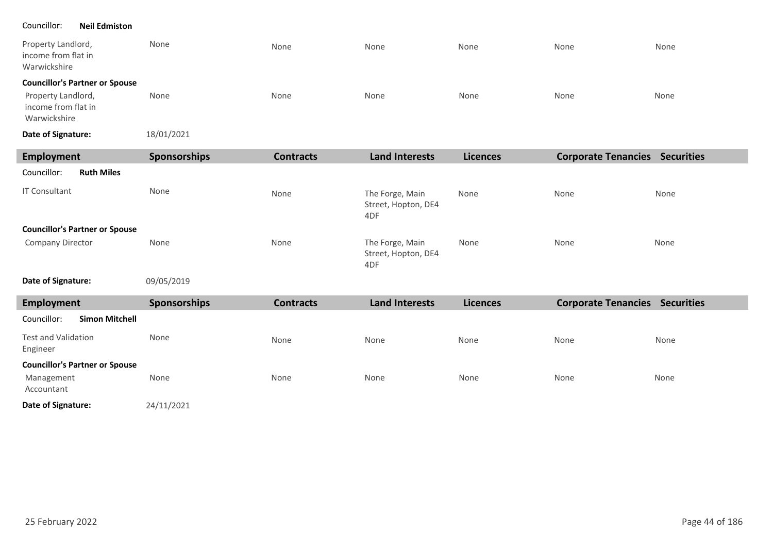### Councillor: **Neil Edmiston**

| Property Landlord,<br>income from flat in<br>Warwickshire | None       | None | None | None | None | None |
|-----------------------------------------------------------|------------|------|------|------|------|------|
| <b>Councillor's Partner or Spouse</b>                     |            |      |      |      |      |      |
| Property Landlord,<br>income from flat in<br>Warwickshire | None       | None | None | None | None | None |
| Date of Signature:                                        | 18/01/2021 |      |      |      |      |      |

| Employment                            | <b>Sponsorships</b> | <b>Contracts</b> | <b>Land Interests</b>                         | <b>Licences</b> | <b>Corporate Tenancies</b> | <b>Securities</b> |
|---------------------------------------|---------------------|------------------|-----------------------------------------------|-----------------|----------------------------|-------------------|
| Councillor:<br><b>Ruth Miles</b>      |                     |                  |                                               |                 |                            |                   |
| <b>IT Consultant</b>                  | None                | None             | The Forge, Main<br>Street, Hopton, DE4<br>4DF | None            | None                       | None              |
| <b>Councillor's Partner or Spouse</b> |                     |                  |                                               |                 |                            |                   |
| Company Director                      | None                | None             | The Forge, Main<br>Street, Hopton, DE4<br>4DF | None            | None                       | None              |

#### 09/05/2019 **Date of Signature:**

| Employment                             | <b>Sponsorships</b> | <b>Contracts</b> | <b>Land Interests</b> | <b>Licences</b> | <b>Corporate Tenancies</b> | <b>Securities</b> |
|----------------------------------------|---------------------|------------------|-----------------------|-----------------|----------------------------|-------------------|
| Councillor:<br><b>Simon Mitchell</b>   |                     |                  |                       |                 |                            |                   |
| <b>Test and Validation</b><br>Engineer | None                | None             | None                  | None            | None                       | None              |
| <b>Councillor's Partner or Spouse</b>  |                     |                  |                       |                 |                            |                   |
| Management<br>Accountant               | None                | None             | None                  | None            | None                       | None              |
| Date of Signature:                     | 24/11/2021          |                  |                       |                 |                            |                   |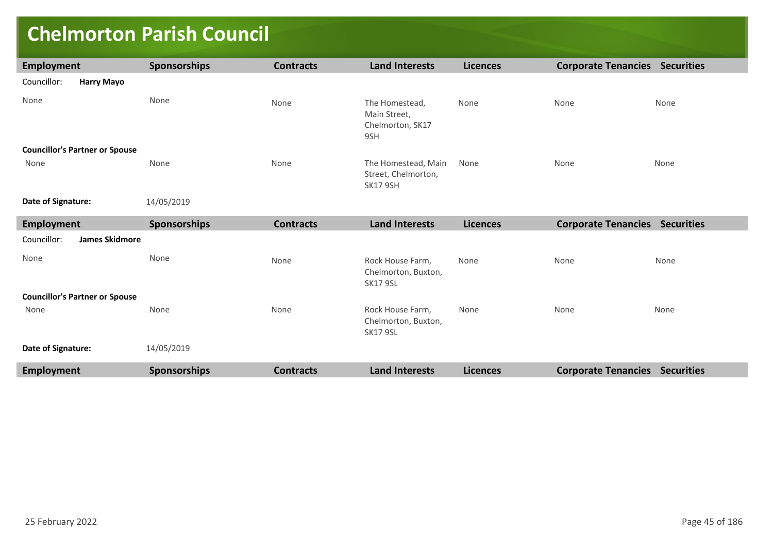### **Chelmorton Parish Council**

| <b>Employment</b>                     | Sponsorships        | <b>Contracts</b> | <b>Land Interests</b>                                         | <b>Licences</b> | <b>Corporate Tenancies Securities</b> |      |
|---------------------------------------|---------------------|------------------|---------------------------------------------------------------|-----------------|---------------------------------------|------|
| Councillor:<br><b>Harry Mayo</b>      |                     |                  |                                                               |                 |                                       |      |
| None                                  | None                | None             | The Homestead,<br>Main Street,<br>Chelmorton, SK17<br>9SH     | None            | None                                  | None |
| <b>Councillor's Partner or Spouse</b> |                     |                  |                                                               |                 |                                       |      |
| None                                  | None                | None             | The Homestead, Main<br>Street, Chelmorton,<br><b>SK17 9SH</b> | None            | None                                  | None |
| Date of Signature:                    | 14/05/2019          |                  |                                                               |                 |                                       |      |
| <b>Employment</b>                     | Sponsorships        | <b>Contracts</b> | <b>Land Interests</b>                                         | <b>Licences</b> | <b>Corporate Tenancies Securities</b> |      |
| <b>James Skidmore</b><br>Councillor:  |                     |                  |                                                               |                 |                                       |      |
| None                                  | None                | None             | Rock House Farm,<br>Chelmorton, Buxton,<br><b>SK17 9SL</b>    | None            | None                                  | None |
| <b>Councillor's Partner or Spouse</b> |                     |                  |                                                               |                 |                                       |      |
| None                                  | None                | None             | Rock House Farm,<br>Chelmorton, Buxton,<br><b>SK17 9SL</b>    | None            | None                                  | None |
| Date of Signature:                    | 14/05/2019          |                  |                                                               |                 |                                       |      |
| <b>Employment</b>                     | <b>Sponsorships</b> | <b>Contracts</b> | <b>Land Interests</b>                                         | <b>Licences</b> | <b>Corporate Tenancies Securities</b> |      |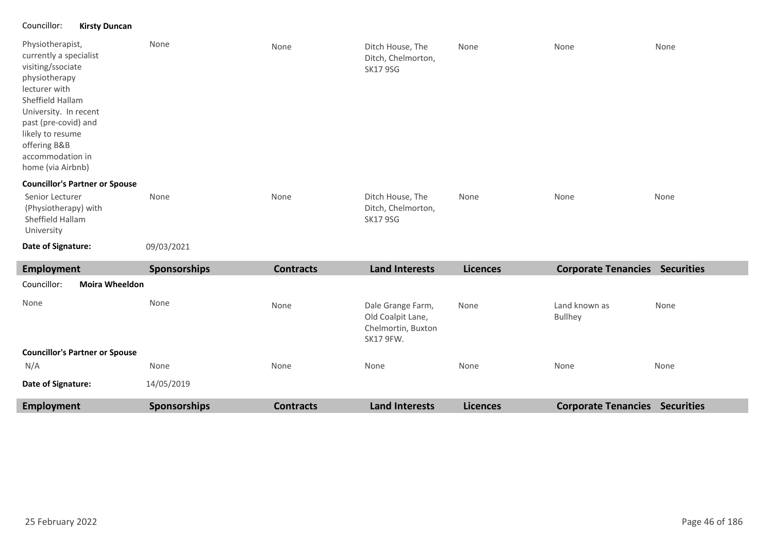### Councillor: **Kirsty Duncan**

| Physiotherapist,<br>currently a specialist<br>visiting/ssociate<br>physiotherapy<br>lecturer with<br>Sheffield Hallam<br>University. In recent<br>past (pre-covid) and<br>likely to resume<br>offering B&B<br>accommodation in<br>home (via Airbnb) | None                | None             | Ditch House, The<br>Ditch, Chelmorton,<br><b>SK17 9SG</b> | None            | None                                  | None |
|-----------------------------------------------------------------------------------------------------------------------------------------------------------------------------------------------------------------------------------------------------|---------------------|------------------|-----------------------------------------------------------|-----------------|---------------------------------------|------|
| <b>Councillor's Partner or Spouse</b><br>Senior Lecturer<br>(Physiotherapy) with<br>Sheffield Hallam<br>University<br>Date of Signature:                                                                                                            | None<br>09/03/2021  | None             | Ditch House, The<br>Ditch, Chelmorton,<br><b>SK17 9SG</b> | None            | None                                  | None |
|                                                                                                                                                                                                                                                     |                     |                  |                                                           |                 |                                       |      |
| <b>Employment</b>                                                                                                                                                                                                                                   | <b>Sponsorships</b> | <b>Contracts</b> | <b>Land Interests</b>                                     | <b>Licences</b> | <b>Corporate Tenancies Securities</b> |      |
| <b>Moira Wheeldon</b><br>Councillor:                                                                                                                                                                                                                |                     |                  |                                                           |                 |                                       |      |

| None<br><b>Councillor's Partner or Spouse</b> | None                | None             | Dale Grange Farm,<br>Old Coalpit Lane,<br>Chelmortin, Buxton<br><b>SK17 9FW.</b> | None            | Land known as<br><b>Bullhey</b> | None              |
|-----------------------------------------------|---------------------|------------------|----------------------------------------------------------------------------------|-----------------|---------------------------------|-------------------|
|                                               |                     |                  |                                                                                  |                 |                                 |                   |
| N/A                                           | None                | None             | None                                                                             | None            | None                            | None              |
| Date of Signature:                            | 14/05/2019          |                  |                                                                                  |                 |                                 |                   |
| Employment                                    | <b>Sponsorships</b> | <b>Contracts</b> | <b>Land Interests</b>                                                            | <b>Licences</b> | <b>Corporate Tenancies</b>      | <b>Securities</b> |

٠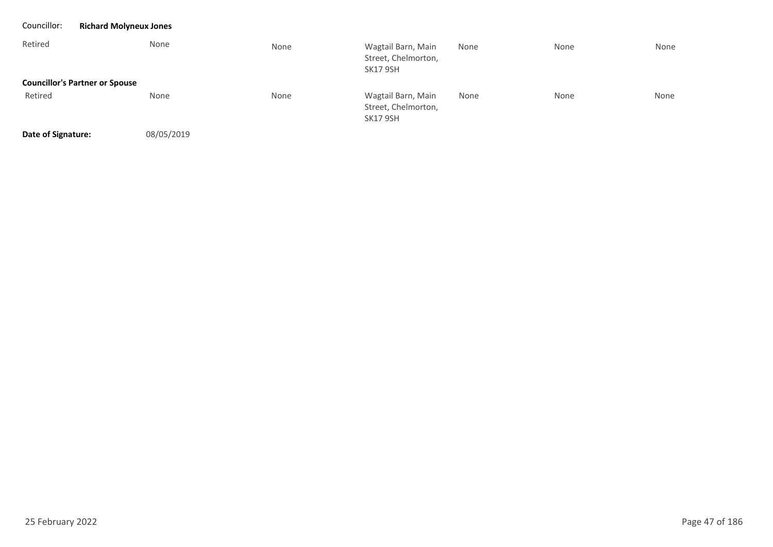| Councillor:        | <b>Richard Molyneux Jones</b>         |      |                                                              |      |      |      |
|--------------------|---------------------------------------|------|--------------------------------------------------------------|------|------|------|
| Retired            | None                                  | None | Wagtail Barn, Main<br>Street, Chelmorton,<br><b>SK17 9SH</b> | None | None | None |
|                    | <b>Councillor's Partner or Spouse</b> |      |                                                              |      |      |      |
| Retired            | None                                  | None | Wagtail Barn, Main<br>Street, Chelmorton,<br><b>SK17 9SH</b> | None | None | None |
| Date of Signature: | 08/05/2019                            |      |                                                              |      |      |      |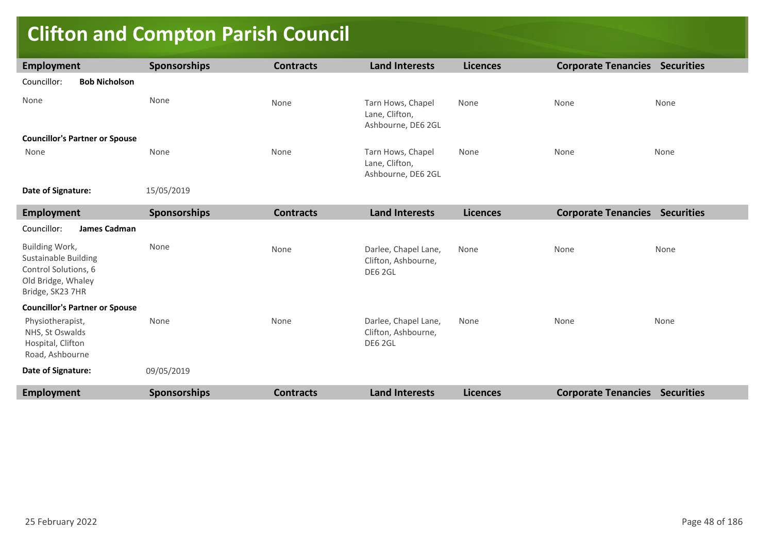# **Clifton and Compton Parish Council**

| <b>Employment</b>                                                                                               | <b>Sponsorships</b> | <b>Contracts</b> | <b>Land Interests</b>                                     | <b>Licences</b> | <b>Corporate Tenancies Securities</b> |      |
|-----------------------------------------------------------------------------------------------------------------|---------------------|------------------|-----------------------------------------------------------|-----------------|---------------------------------------|------|
| <b>Bob Nicholson</b><br>Councillor:                                                                             |                     |                  |                                                           |                 |                                       |      |
| None                                                                                                            | None                | None             | Tarn Hows, Chapel<br>Lane, Clifton,<br>Ashbourne, DE6 2GL | None            | None                                  | None |
| <b>Councillor's Partner or Spouse</b>                                                                           |                     |                  |                                                           |                 |                                       |      |
| None                                                                                                            | None                | None             | Tarn Hows, Chapel<br>Lane, Clifton,<br>Ashbourne, DE6 2GL | None            | None                                  | None |
| Date of Signature:                                                                                              | 15/05/2019          |                  |                                                           |                 |                                       |      |
| <b>Employment</b>                                                                                               | <b>Sponsorships</b> | <b>Contracts</b> | <b>Land Interests</b>                                     | <b>Licences</b> | <b>Corporate Tenancies Securities</b> |      |
| Councillor:<br>James Cadman                                                                                     |                     |                  |                                                           |                 |                                       |      |
| Building Work,<br><b>Sustainable Building</b><br>Control Solutions, 6<br>Old Bridge, Whaley<br>Bridge, SK23 7HR | None                | None             | Darlee, Chapel Lane,<br>Clifton, Ashbourne,<br>DE6 2GL    | None            | None                                  | None |
| <b>Councillor's Partner or Spouse</b>                                                                           |                     |                  |                                                           |                 |                                       |      |
| Physiotherapist,<br>NHS, St Oswalds<br>Hospital, Clifton<br>Road, Ashbourne                                     | None                | None             | Darlee, Chapel Lane,<br>Clifton, Ashbourne,<br>DE6 2GL    | None            | None                                  | None |
| Date of Signature:                                                                                              | 09/05/2019          |                  |                                                           |                 |                                       |      |
| <b>Employment</b>                                                                                               | <b>Sponsorships</b> | <b>Contracts</b> | <b>Land Interests</b>                                     | <b>Licences</b> | <b>Corporate Tenancies Securities</b> |      |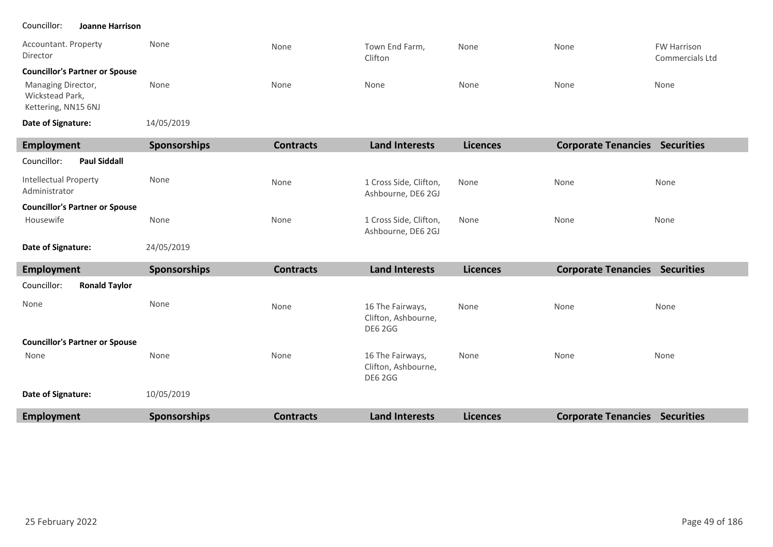#### Councillor: **Joanne Harrison**

| Accountant. Property<br>Director                             | None                | None             | Town End Farm,<br>Clifton | None            | None                       | <b>FW Harrison</b><br><b>Commercials Ltd</b> |
|--------------------------------------------------------------|---------------------|------------------|---------------------------|-----------------|----------------------------|----------------------------------------------|
| <b>Councillor's Partner or Spouse</b>                        |                     |                  |                           |                 |                            |                                              |
| Managing Director,<br>Wickstead Park,<br>Kettering, NN15 6NJ | None                | None             | None                      | None            | None                       | None                                         |
| Date of Signature:                                           | 14/05/2019          |                  |                           |                 |                            |                                              |
| <b>Employment</b>                                            | <b>Sponsorships</b> | <b>Contracts</b> | <b>Land Interests</b>     | <b>Licences</b> | <b>Corporate Tenancies</b> | <b>Securities</b>                            |
| <b>Paul Siddall</b><br>Councillor:                           |                     |                  |                           |                 |                            |                                              |
| <b>Intellectual Property</b><br>Adminictrator                | None                | None             | 1 Cross Side, Clifton,    | None            | None                       | None                                         |

| Administrator                         |              |      | Ashbourne, DE6 2GJ                           |      |      |      |
|---------------------------------------|--------------|------|----------------------------------------------|------|------|------|
| <b>Councillor's Partner or Spouse</b> |              |      |                                              |      |      |      |
| Housewife                             | None         | None | 1 Cross Side, Clifton,<br>Ashbourne, DE6 2GJ | None | None | None |
| Data of Clangtings                    | $24/05/2010$ |      |                                              |      |      |      |

24/05/2019 **Date of Signature:**

| <b>Employment</b>                     | <b>Sponsorships</b> | <b>Contracts</b> | <b>Land Interests</b>                                     | <b>Licences</b> | <b>Corporate Tenancies</b> | <b>Securities</b> |
|---------------------------------------|---------------------|------------------|-----------------------------------------------------------|-----------------|----------------------------|-------------------|
| Councillor:<br><b>Ronald Taylor</b>   |                     |                  |                                                           |                 |                            |                   |
| None                                  | None                | None             | 16 The Fairways,<br>Clifton, Ashbourne,<br><b>DE6 2GG</b> | None            | None                       | None              |
| <b>Councillor's Partner or Spouse</b> |                     |                  |                                                           |                 |                            |                   |
| None                                  | None                | None             | 16 The Fairways,<br>Clifton, Ashbourne,<br><b>DE6 2GG</b> | None            | None                       | None              |
| Date of Signature:                    | 10/05/2019          |                  |                                                           |                 |                            |                   |
| <b>Employment</b>                     | <b>Sponsorships</b> | <b>Contracts</b> | <b>Land Interests</b>                                     | <b>Licences</b> | <b>Corporate Tenancies</b> | <b>Securities</b> |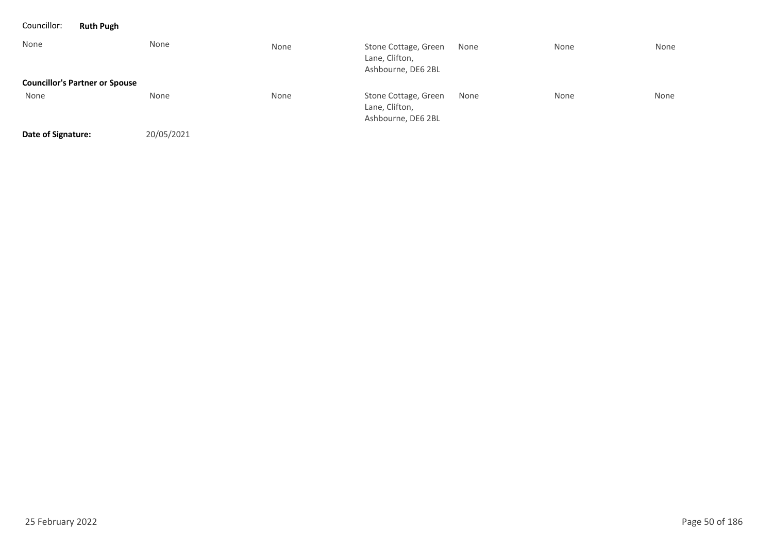| Councillor:        | <b>Ruth Pugh</b>                      |            |      |                                                              |      |      |      |
|--------------------|---------------------------------------|------------|------|--------------------------------------------------------------|------|------|------|
| None               |                                       | None       | None | Stone Cottage, Green<br>Lane, Clifton,<br>Ashbourne, DE6 2BL | None | None | None |
|                    | <b>Councillor's Partner or Spouse</b> |            |      |                                                              |      |      |      |
| None               |                                       | None       | None | Stone Cottage, Green<br>Lane, Clifton,<br>Ashbourne, DE6 2BL | None | None | None |
| Date of Signature: |                                       | 20/05/2021 |      |                                                              |      |      |      |

25 February 2022 Page 50 of 186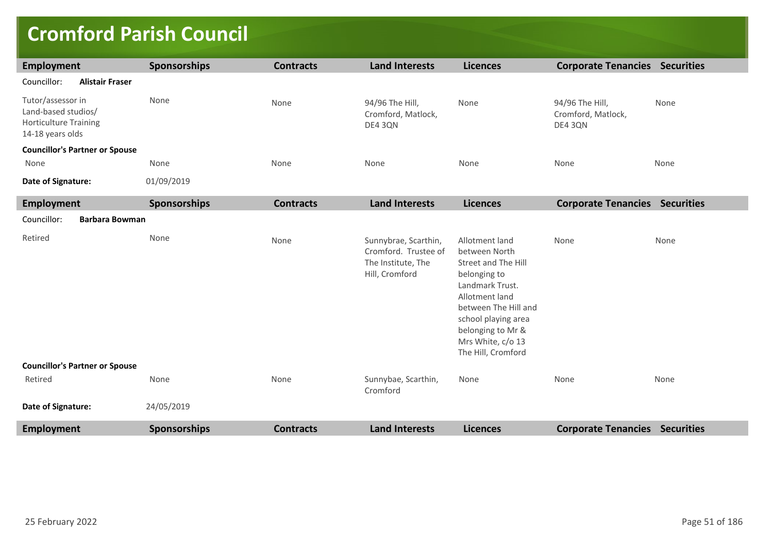### **Cromford Parish Council**

| Employment                                                                                   | Sponsorships        | <b>Contracts</b> | <b>Land Interests</b>                                                                | <b>Licences</b>                                                                                                                                                                                                            | <b>Corporate Tenancies Securities</b>            |      |
|----------------------------------------------------------------------------------------------|---------------------|------------------|--------------------------------------------------------------------------------------|----------------------------------------------------------------------------------------------------------------------------------------------------------------------------------------------------------------------------|--------------------------------------------------|------|
| Councillor:<br><b>Alistair Fraser</b>                                                        |                     |                  |                                                                                      |                                                                                                                                                                                                                            |                                                  |      |
| Tutor/assessor in<br>Land-based studios/<br><b>Horticulture Training</b><br>14-18 years olds | None                | None             | 94/96 The Hill,<br>Cromford, Matlock,<br>DE4 3QN                                     | None                                                                                                                                                                                                                       | 94/96 The Hill,<br>Cromford, Matlock,<br>DE4 3QN | None |
| <b>Councillor's Partner or Spouse</b>                                                        |                     |                  |                                                                                      |                                                                                                                                                                                                                            |                                                  |      |
| None                                                                                         | None                | None             | None                                                                                 | None                                                                                                                                                                                                                       | None                                             | None |
| Date of Signature:                                                                           | 01/09/2019          |                  |                                                                                      |                                                                                                                                                                                                                            |                                                  |      |
| Employment                                                                                   | Sponsorships        | <b>Contracts</b> | <b>Land Interests</b>                                                                | <b>Licences</b>                                                                                                                                                                                                            | <b>Corporate Tenancies Securities</b>            |      |
| Councillor:<br><b>Barbara Bowman</b>                                                         |                     |                  |                                                                                      |                                                                                                                                                                                                                            |                                                  |      |
| Retired                                                                                      | None                | None             | Sunnybrae, Scarthin,<br>Cromford. Trustee of<br>The Institute, The<br>Hill, Cromford | Allotment land<br>between North<br>Street and The Hill<br>belonging to<br>Landmark Trust.<br>Allotment land<br>between The Hill and<br>school playing area<br>belonging to Mr &<br>Mrs White, c/o 13<br>The Hill, Cromford | None                                             | None |
| <b>Councillor's Partner or Spouse</b>                                                        |                     |                  |                                                                                      |                                                                                                                                                                                                                            |                                                  |      |
| Retired                                                                                      | None                | None             | Sunnybae, Scarthin,<br>Cromford                                                      | None                                                                                                                                                                                                                       | None                                             | None |
| Date of Signature:                                                                           | 24/05/2019          |                  |                                                                                      |                                                                                                                                                                                                                            |                                                  |      |
| <b>Employment</b>                                                                            | <b>Sponsorships</b> | <b>Contracts</b> | <b>Land Interests</b>                                                                | <b>Licences</b>                                                                                                                                                                                                            | <b>Corporate Tenancies Securities</b>            |      |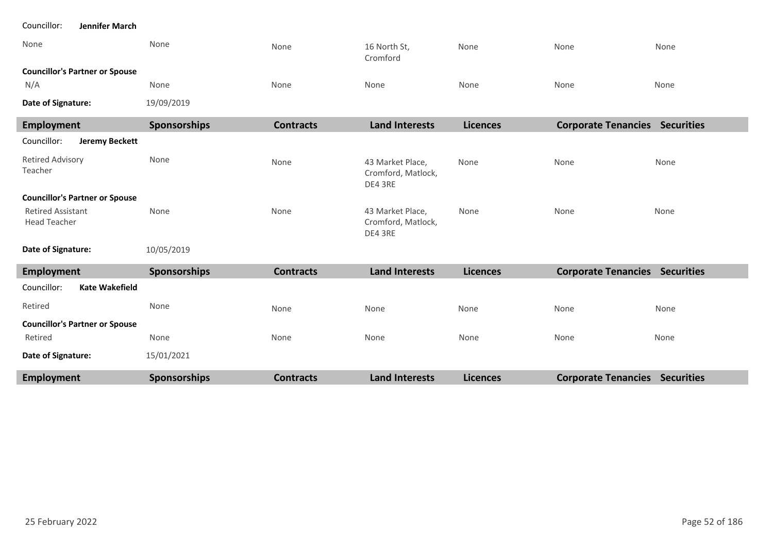| None                                             | None         | None             | 16 North St,<br>Cromford                          | None            | None                                  | None |
|--------------------------------------------------|--------------|------------------|---------------------------------------------------|-----------------|---------------------------------------|------|
| <b>Councillor's Partner or Spouse</b>            |              |                  |                                                   |                 |                                       |      |
| N/A                                              | None         | None             | None                                              | None            | None                                  | None |
| Date of Signature:                               | 19/09/2019   |                  |                                                   |                 |                                       |      |
| <b>Employment</b>                                | Sponsorships | <b>Contracts</b> | <b>Land Interests</b>                             | <b>Licences</b> | <b>Corporate Tenancies Securities</b> |      |
| <b>Jeremy Beckett</b><br>Councillor:             |              |                  |                                                   |                 |                                       |      |
| <b>Retired Advisory</b><br>Teacher               | None         | None             | 43 Market Place,<br>Cromford, Matlock,<br>DE4 3RE | None            | None                                  | None |
| <b>Councillor's Partner or Spouse</b>            |              |                  |                                                   |                 |                                       |      |
| <b>Retired Assistant</b><br><b>Head Teacher</b>  | None         | None             | 43 Market Place,<br>Cromford, Matlock,<br>DE4 3RE | None            | None                                  | None |
| Date of Signature:                               | 10/05/2019   |                  |                                                   |                 |                                       |      |
| <b>Employment</b>                                | Sponsorships | <b>Contracts</b> | <b>Land Interests</b>                             | <b>Licences</b> | <b>Corporate Tenancies Securities</b> |      |
| <b>Kate Wakefield</b><br>Councillor:             |              |                  |                                                   |                 |                                       |      |
| Retired                                          | None         | None             | None                                              | None            | None                                  | None |
| <b>Councillor's Partner or Spouse</b><br>Retired | None         | None             | None                                              | None            | None                                  | None |
| Date of Signature:                               | 15/01/2021   |                  |                                                   |                 |                                       |      |
| <b>Employment</b>                                | Sponsorships | <b>Contracts</b> | <b>Land Interests</b>                             | <b>Licences</b> | <b>Corporate Tenancies Securities</b> |      |

п

Councillor: **Jennifer March**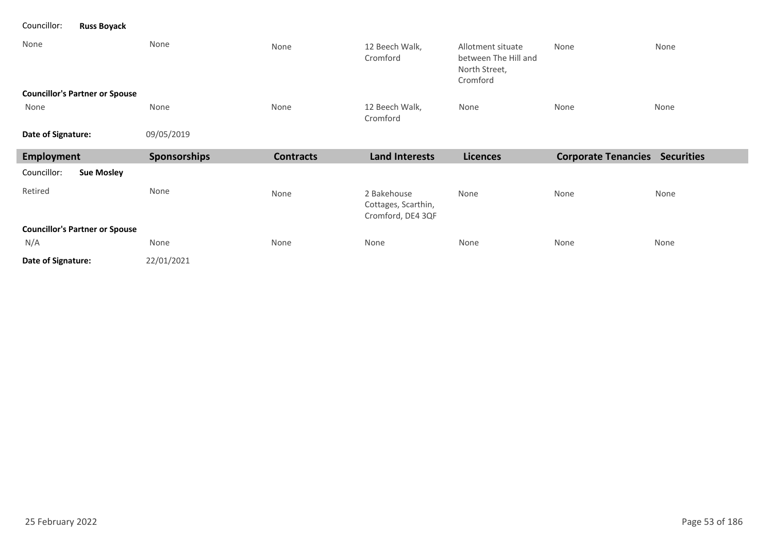### Councillor: **Russ Boyack**

| None<br><b>Councillor's Partner or Spouse</b> | None         | None             | 12 Beech Walk,<br>Cromford                              | Allotment situate<br>between The Hill and<br>North Street,<br>Cromford | None                                  | None |
|-----------------------------------------------|--------------|------------------|---------------------------------------------------------|------------------------------------------------------------------------|---------------------------------------|------|
| None                                          | None         | None             | 12 Beech Walk,<br>Cromford                              | None                                                                   | None                                  | None |
| Date of Signature:                            | 09/05/2019   |                  |                                                         |                                                                        |                                       |      |
| Employment                                    | Sponsorships | <b>Contracts</b> | <b>Land Interests</b>                                   | <b>Licences</b>                                                        | <b>Corporate Tenancies Securities</b> |      |
| <b>Sue Mosley</b><br>Councillor:              |              |                  |                                                         |                                                                        |                                       |      |
| Retired                                       | None         | None             | 2 Bakehouse<br>Cottages, Scarthin,<br>Cromford, DE4 3QF | None                                                                   | None                                  | None |
| <b>Councillor's Partner or Spouse</b>         |              |                  |                                                         |                                                                        |                                       |      |
| N/A                                           | None         | None             | None                                                    | None                                                                   | None                                  | None |
| Date of Signature:                            | 22/01/2021   |                  |                                                         |                                                                        |                                       |      |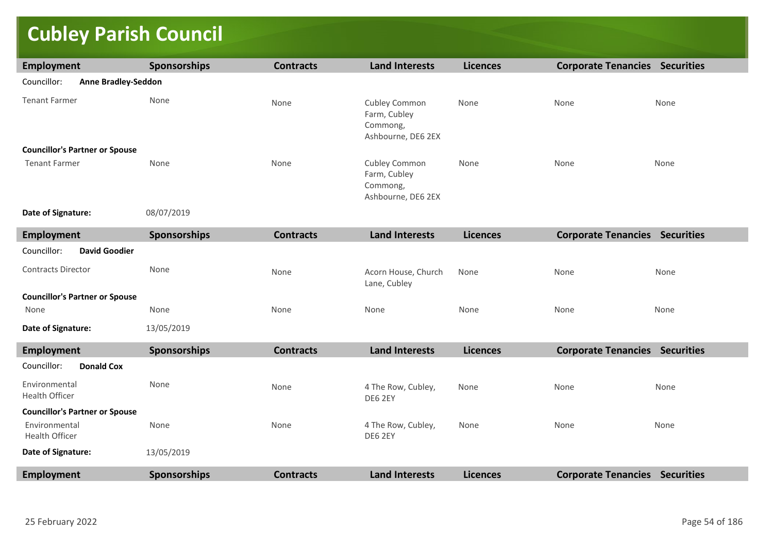# **Cubley Parish Council**

| <b>Employment</b>                         | <b>Sponsorships</b> | <b>Contracts</b> | <b>Land Interests</b>                                           | <b>Licences</b> | <b>Corporate Tenancies Securities</b> |      |
|-------------------------------------------|---------------------|------------------|-----------------------------------------------------------------|-----------------|---------------------------------------|------|
| Councillor:<br><b>Anne Bradley-Seddon</b> |                     |                  |                                                                 |                 |                                       |      |
| <b>Tenant Farmer</b>                      | None                | None             | Cubley Common<br>Farm, Cubley<br>Commong,<br>Ashbourne, DE6 2EX | None            | None                                  | None |
| <b>Councillor's Partner or Spouse</b>     |                     |                  |                                                                 |                 |                                       |      |
| <b>Tenant Farmer</b>                      | None                | None             | Cubley Common<br>Farm, Cubley<br>Commong,<br>Ashbourne, DE6 2EX | None            | None                                  | None |
| Date of Signature:                        | 08/07/2019          |                  |                                                                 |                 |                                       |      |
| <b>Employment</b>                         | <b>Sponsorships</b> | <b>Contracts</b> | <b>Land Interests</b>                                           | <b>Licences</b> | <b>Corporate Tenancies Securities</b> |      |
| Councillor:<br><b>David Goodier</b>       |                     |                  |                                                                 |                 |                                       |      |
| <b>Contracts Director</b>                 | None                | None             | Acorn House, Church<br>Lane, Cubley                             | None            | None                                  | None |
| <b>Councillor's Partner or Spouse</b>     |                     |                  |                                                                 |                 |                                       |      |
| None                                      | None                | None             | None                                                            | None            | None                                  | None |
| Date of Signature:                        | 13/05/2019          |                  |                                                                 |                 |                                       |      |
| <b>Employment</b>                         | Sponsorships        | <b>Contracts</b> | <b>Land Interests</b>                                           | <b>Licences</b> | <b>Corporate Tenancies Securities</b> |      |
| Councillor:<br><b>Donald Cox</b>          |                     |                  |                                                                 |                 |                                       |      |
| Environmental<br>Health Officer           | None                | None             | 4 The Row, Cubley,<br>DE6 2EY                                   | None            | None                                  | None |
| <b>Councillor's Partner or Spouse</b>     |                     |                  |                                                                 |                 |                                       |      |
| Environmental<br><b>Health Officer</b>    | None                | None             | 4 The Row, Cubley,<br>DE6 2EY                                   | None            | None                                  | None |
| Date of Signature:                        | 13/05/2019          |                  |                                                                 |                 |                                       |      |
| <b>Employment</b>                         | Sponsorships        | <b>Contracts</b> | <b>Land Interests</b>                                           | <b>Licences</b> | <b>Corporate Tenancies Securities</b> |      |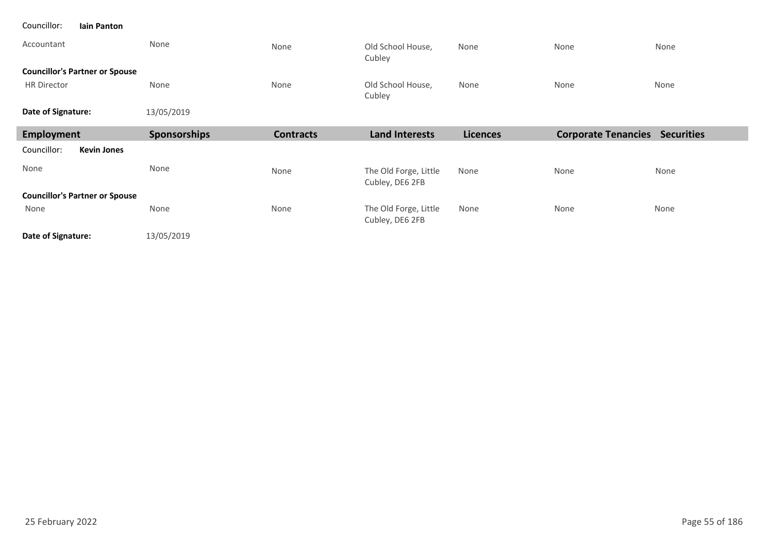| Councillor:<br><b>Iain Panton</b>     |                     |                  |                                          |                 |                                       |      |
|---------------------------------------|---------------------|------------------|------------------------------------------|-----------------|---------------------------------------|------|
| Accountant                            | None                | None             | Old School House,<br>Cubley              | None            | None                                  | None |
| <b>Councillor's Partner or Spouse</b> |                     |                  |                                          |                 |                                       |      |
| <b>HR Director</b>                    | None                | None             | Old School House,<br>Cubley              | None            | None                                  | None |
| Date of Signature:                    | 13/05/2019          |                  |                                          |                 |                                       |      |
| Employment                            | <b>Sponsorships</b> | <b>Contracts</b> | <b>Land Interests</b>                    | <b>Licences</b> | <b>Corporate Tenancies Securities</b> |      |
| <b>Kevin Jones</b><br>Councillor:     |                     |                  |                                          |                 |                                       |      |
|                                       |                     |                  |                                          |                 |                                       |      |
| None                                  | None                | None             | The Old Forge, Little<br>Cubley, DE6 2FB | None            | None                                  | None |
| <b>Councillor's Partner or Spouse</b> |                     |                  |                                          |                 |                                       |      |
| None                                  | None                | None             | The Old Forge, Little<br>Cubley, DE6 2FB | None            | None                                  | None |

25 February 2022 Page 55 of 186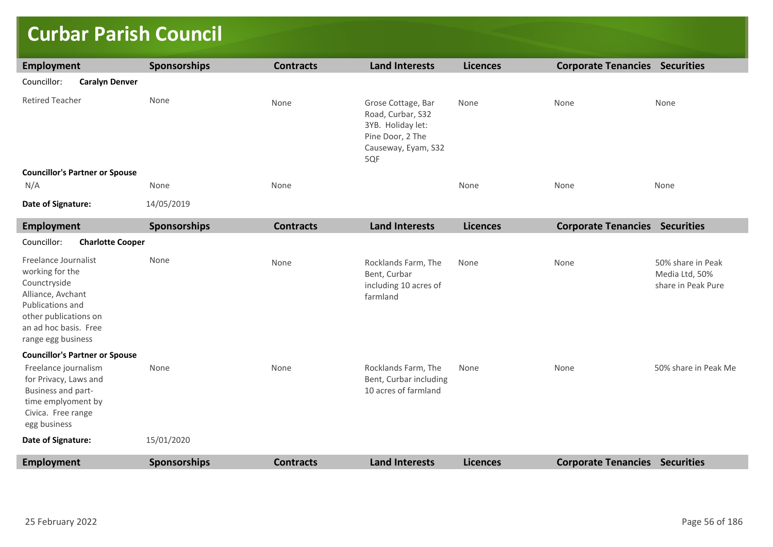# **Curbar Parish Council**

| <b>Employment</b>                                                                                                                                                        | <b>Sponsorships</b> | <b>Contracts</b> | <b>Land Interests</b>                                                                                          | <b>Licences</b> | <b>Corporate Tenancies Securities</b> |                                                           |
|--------------------------------------------------------------------------------------------------------------------------------------------------------------------------|---------------------|------------------|----------------------------------------------------------------------------------------------------------------|-----------------|---------------------------------------|-----------------------------------------------------------|
| Councillor:<br><b>Caralyn Denver</b>                                                                                                                                     |                     |                  |                                                                                                                |                 |                                       |                                                           |
| <b>Retired Teacher</b>                                                                                                                                                   | None                | None             | Grose Cottage, Bar<br>Road, Curbar, S32<br>3YB. Holiday let:<br>Pine Door, 2 The<br>Causeway, Eyam, S32<br>5QF | None            | None                                  | None                                                      |
| <b>Councillor's Partner or Spouse</b>                                                                                                                                    |                     |                  |                                                                                                                |                 |                                       |                                                           |
| N/A                                                                                                                                                                      | None                | None             |                                                                                                                | None            | None                                  | None                                                      |
| Date of Signature:                                                                                                                                                       | 14/05/2019          |                  |                                                                                                                |                 |                                       |                                                           |
| <b>Employment</b>                                                                                                                                                        | <b>Sponsorships</b> | <b>Contracts</b> | <b>Land Interests</b>                                                                                          | <b>Licences</b> | <b>Corporate Tenancies Securities</b> |                                                           |
| Councillor:<br><b>Charlotte Cooper</b>                                                                                                                                   |                     |                  |                                                                                                                |                 |                                       |                                                           |
| Freelance Journalist<br>working for the<br>Counctryside<br>Alliance, Avchant<br>Publications and<br>other publications on<br>an ad hoc basis. Free<br>range egg business | None                | None             | Rocklands Farm, The<br>Bent, Curbar<br>including 10 acres of<br>farmland                                       | None            | None                                  | 50% share in Peak<br>Media Ltd, 50%<br>share in Peak Pure |
| <b>Councillor's Partner or Spouse</b>                                                                                                                                    |                     |                  |                                                                                                                |                 |                                       |                                                           |
| Freelance journalism<br>for Privacy, Laws and<br>Business and part-<br>time emplyoment by<br>Civica. Free range<br>egg business                                          | None                | None             | Rocklands Farm, The<br>Bent, Curbar including<br>10 acres of farmland                                          | None            | None                                  | 50% share in Peak Me                                      |
| Date of Signature:                                                                                                                                                       | 15/01/2020          |                  |                                                                                                                |                 |                                       |                                                           |
| <b>Employment</b>                                                                                                                                                        | <b>Sponsorships</b> | <b>Contracts</b> | <b>Land Interests</b>                                                                                          | <b>Licences</b> | <b>Corporate Tenancies Securities</b> |                                                           |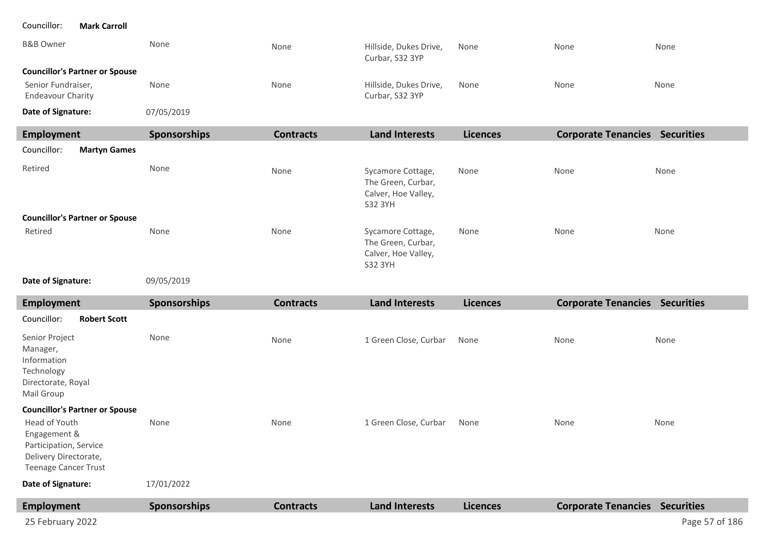| <b>B&amp;B Owner</b>                                                                                            | None         | None             | Hillside, Dukes Drive,<br>Curbar, S32 3YP                                 | None            | None                                  | None           |
|-----------------------------------------------------------------------------------------------------------------|--------------|------------------|---------------------------------------------------------------------------|-----------------|---------------------------------------|----------------|
| <b>Councillor's Partner or Spouse</b>                                                                           |              |                  |                                                                           |                 |                                       |                |
| Senior Fundraiser,<br><b>Endeavour Charity</b>                                                                  | None         | None             | Hillside, Dukes Drive,<br>Curbar, S32 3YP                                 | None            | None                                  | None           |
| Date of Signature:                                                                                              | 07/05/2019   |                  |                                                                           |                 |                                       |                |
| <b>Employment</b>                                                                                               | Sponsorships | <b>Contracts</b> | <b>Land Interests</b>                                                     | <b>Licences</b> | <b>Corporate Tenancies Securities</b> |                |
| Councillor:<br><b>Martyn Games</b>                                                                              |              |                  |                                                                           |                 |                                       |                |
| Retired                                                                                                         | None         | None             | Sycamore Cottage,<br>The Green, Curbar,<br>Calver, Hoe Valley,<br>S32 3YH | None            | None                                  | None           |
| <b>Councillor's Partner or Spouse</b>                                                                           |              |                  |                                                                           |                 |                                       |                |
| Retired                                                                                                         | None         | None             | Sycamore Cottage,<br>The Green, Curbar,<br>Calver, Hoe Valley,<br>S32 3YH | None            | None                                  | None           |
| Date of Signature:                                                                                              | 09/05/2019   |                  |                                                                           |                 |                                       |                |
| <b>Employment</b>                                                                                               | Sponsorships | <b>Contracts</b> | <b>Land Interests</b>                                                     | <b>Licences</b> | <b>Corporate Tenancies Securities</b> |                |
| Councillor:<br><b>Robert Scott</b>                                                                              |              |                  |                                                                           |                 |                                       |                |
| Senior Project<br>Manager,<br>Information<br>Technology<br>Directorate, Royal<br>Mail Group                     | None         | None             | 1 Green Close, Curbar                                                     | None            | None                                  | None           |
| <b>Councillor's Partner or Spouse</b>                                                                           |              |                  |                                                                           |                 |                                       |                |
| Head of Youth<br>Engagement &<br>Participation, Service<br>Delivery Directorate,<br><b>Teenage Cancer Trust</b> | None         | None             | 1 Green Close, Curbar                                                     | None            | None                                  | None           |
| Date of Signature:                                                                                              | 17/01/2022   |                  |                                                                           |                 |                                       |                |
| <b>Employment</b>                                                                                               | Sponsorships | <b>Contracts</b> | <b>Land Interests</b>                                                     | <b>Licences</b> | <b>Corporate Tenancies Securities</b> |                |
| 25 February 2022                                                                                                |              |                  |                                                                           |                 |                                       | Page 57 of 186 |

Councillor: **Mark Carroll**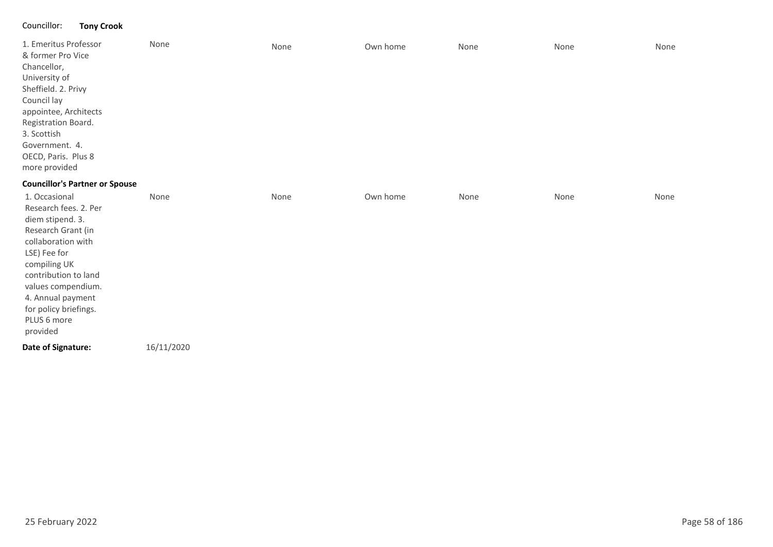### Councillor: **Tony Crook**

| 1. Emeritus Professor<br>& former Pro Vice<br>Chancellor,<br>University of<br>Sheffield. 2. Privy<br>Council lay<br>appointee, Architects<br>Registration Board.<br>3. Scottish<br>Government. 4.<br>OECD, Paris. Plus 8<br>more provided                     | None | None | Own home | None | None | None |
|---------------------------------------------------------------------------------------------------------------------------------------------------------------------------------------------------------------------------------------------------------------|------|------|----------|------|------|------|
| <b>Councillor's Partner or Spouse</b>                                                                                                                                                                                                                         |      |      |          |      |      |      |
| 1. Occasional<br>Research fees. 2. Per<br>diem stipend. 3.<br>Research Grant (in<br>collaboration with<br>LSE) Fee for<br>compiling UK<br>contribution to land<br>values compendium.<br>4. Annual payment<br>for policy briefings.<br>PLUS 6 more<br>provided | None | None | Own home | None | None | None |

16/11/2020 **Date of Signature:**

25 February 2022 Page 58 of 186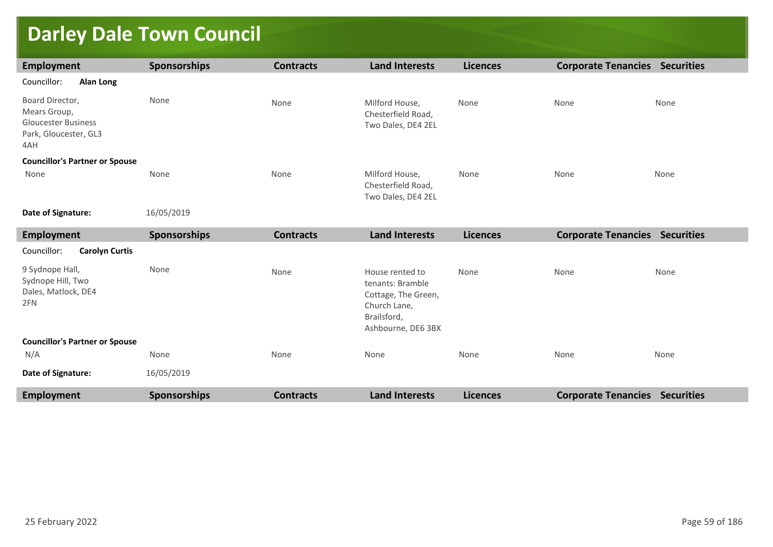# **Darley Dale Town Council**

| <b>Employment</b>                                                                             | Sponsorships | <b>Contracts</b> | <b>Land Interests</b>                                                                                           | <b>Licences</b> | <b>Corporate Tenancies Securities</b> |                   |
|-----------------------------------------------------------------------------------------------|--------------|------------------|-----------------------------------------------------------------------------------------------------------------|-----------------|---------------------------------------|-------------------|
| Councillor:<br><b>Alan Long</b>                                                               |              |                  |                                                                                                                 |                 |                                       |                   |
| Board Director,<br>Mears Group,<br><b>Gloucester Business</b><br>Park, Gloucester, GL3<br>4AH | None         | None             | Milford House,<br>Chesterfield Road,<br>Two Dales, DE4 2EL                                                      | None            | None                                  | None              |
| <b>Councillor's Partner or Spouse</b>                                                         |              |                  |                                                                                                                 |                 |                                       |                   |
| None                                                                                          | None         | None             | Milford House,<br>Chesterfield Road,<br>Two Dales, DE4 2EL                                                      | None            | None                                  | None              |
| Date of Signature:                                                                            | 16/05/2019   |                  |                                                                                                                 |                 |                                       |                   |
| <b>Employment</b>                                                                             | Sponsorships | <b>Contracts</b> | <b>Land Interests</b>                                                                                           | <b>Licences</b> | <b>Corporate Tenancies Securities</b> |                   |
| Councillor:<br><b>Carolyn Curtis</b>                                                          |              |                  |                                                                                                                 |                 |                                       |                   |
| 9 Sydnope Hall,<br>Sydnope Hill, Two<br>Dales, Matlock, DE4<br>2FN                            | None         | None             | House rented to<br>tenants: Bramble<br>Cottage, The Green,<br>Church Lane,<br>Brailsford,<br>Ashbourne, DE6 3BX | None            | None                                  | None              |
| <b>Councillor's Partner or Spouse</b>                                                         |              |                  |                                                                                                                 |                 |                                       |                   |
| N/A                                                                                           | None         | None             | None                                                                                                            | None            | None                                  | None              |
| Date of Signature:                                                                            | 16/05/2019   |                  |                                                                                                                 |                 |                                       |                   |
| <b>Employment</b>                                                                             | Sponsorships | <b>Contracts</b> | <b>Land Interests</b>                                                                                           | <b>Licences</b> | <b>Corporate Tenancies</b>            | <b>Securities</b> |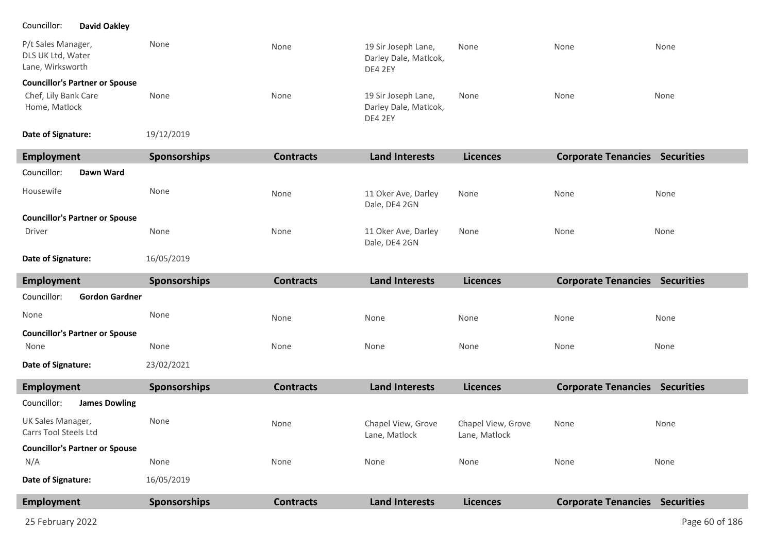### Councillor: **David Oakley**

| P/t Sales Manager,<br>DLS UK Ltd, Water<br>Lane, Wirksworth | None | None | 19 Sir Joseph Lane,<br>Darley Dale, Matlcok,<br>DE4 2EY | None | None | None |
|-------------------------------------------------------------|------|------|---------------------------------------------------------|------|------|------|
| <b>Councillor's Partner or Spouse</b>                       |      |      |                                                         |      |      |      |
| Chef, Lily Bank Care<br>Home, Matlock                       | None | None | 19 Sir Joseph Lane,<br>Darley Dale, Matlcok,<br>DE4 2EY | None | None | None |

19/12/2019 **Date of Signature:**

| Employment                            | Sponsorships  | <b>Contracts</b> | <b>Land Interests</b>                | <b>Licences</b> | <b>Corporate Tenancies Securities</b> |      |
|---------------------------------------|---------------|------------------|--------------------------------------|-----------------|---------------------------------------|------|
| Councillor:<br>Dawn Ward              |               |                  |                                      |                 |                                       |      |
| Housewife                             | None          | None             | 11 Oker Ave, Darley<br>Dale, DE4 2GN | None            | None                                  | None |
| <b>Councillor's Partner or Spouse</b> |               |                  |                                      |                 |                                       |      |
| Driver                                | None          | None             | 11 Oker Ave, Darley<br>Dale, DE4 2GN | None            | None                                  | None |
| _ _ _ _ _                             | $\frac{1}{2}$ |                  |                                      |                 |                                       |      |

16/05/2019 **Date of Signature:**

| Employment                            | <b>Sponsorships</b> | <b>Contracts</b> | <b>Land Interests</b> | <b>Licences</b> | <b>Corporate Tenancies</b> | <b>Securities</b> |
|---------------------------------------|---------------------|------------------|-----------------------|-----------------|----------------------------|-------------------|
| Councillor:<br><b>Gordon Gardner</b>  |                     |                  |                       |                 |                            |                   |
| None                                  | None                | None             | None                  | None            | None                       | None              |
| <b>Councillor's Partner or Spouse</b> |                     |                  |                       |                 |                            |                   |
| None                                  | None                | None             | None                  | None            | None                       | None              |
| Date of Signature:                    | 23/02/2021          |                  |                       |                 |                            |                   |

| <b>Employment</b>                          | <b>Sponsorships</b> | <b>Contracts</b> | <b>Land Interests</b>               | <b>Licences</b>                     | <b>Corporate Tenancies</b> | <b>Securities</b> |
|--------------------------------------------|---------------------|------------------|-------------------------------------|-------------------------------------|----------------------------|-------------------|
| Councillor:<br><b>James Dowling</b>        |                     |                  |                                     |                                     |                            |                   |
| UK Sales Manager,<br>Carrs Tool Steels Ltd | None                | None             | Chapel View, Grove<br>Lane, Matlock | Chapel View, Grove<br>Lane, Matlock | None                       | None              |
| <b>Councillor's Partner or Spouse</b>      |                     |                  |                                     |                                     |                            |                   |
| N/A                                        | None                | None             | None                                | None                                | None                       | None              |
| Date of Signature:                         | 16/05/2019          |                  |                                     |                                     |                            |                   |
| <b>Employment</b>                          | <b>Sponsorships</b> | <b>Contracts</b> | <b>Land Interests</b>               | <b>Licences</b>                     | <b>Corporate Tenancies</b> | <b>Securities</b> |
|                                            |                     |                  |                                     |                                     |                            |                   |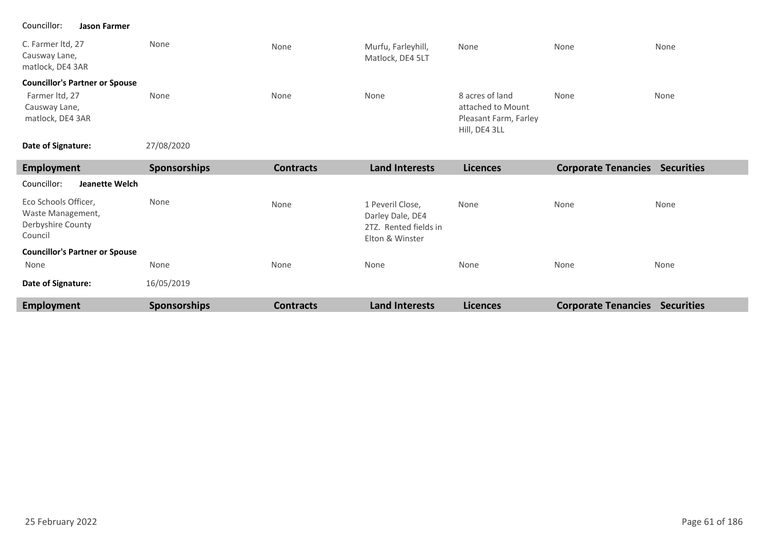#### Councillor: **Jason Farmer**

| C. Farmer ltd, 27<br>Causway Lane,<br>matlock, DE4 3AR | None | None | Murfu, Farleyhill,<br>Matlock, DE4 5LT | None                                                                           | None | None |
|--------------------------------------------------------|------|------|----------------------------------------|--------------------------------------------------------------------------------|------|------|
| <b>Councillor's Partner or Spouse</b>                  |      |      |                                        |                                                                                |      |      |
| Farmer Itd, 27<br>Causway Lane,<br>matlock, DE4 3AR    | None | None | None                                   | 8 acres of land<br>attached to Mount<br>Pleasant Farm, Farley<br>Hill, DE4 3LL | None | None |

#### 27/08/2020 **Date of Signature:**

| <b>Employment</b>                                                         | <b>Sponsorships</b> | <b>Contracts</b> | <b>Land Interests</b>                                                            | <b>Licences</b> | <b>Corporate Tenancies</b> | <b>Securities</b> |
|---------------------------------------------------------------------------|---------------------|------------------|----------------------------------------------------------------------------------|-----------------|----------------------------|-------------------|
| Councillor:<br>Jeanette Welch                                             |                     |                  |                                                                                  |                 |                            |                   |
| Eco Schools Officer,<br>Waste Management,<br>Derbyshire County<br>Council | None                | None             | 1 Peveril Close,<br>Darley Dale, DE4<br>2TZ. Rented fields in<br>Elton & Winster | None            | None                       | None              |
| <b>Councillor's Partner or Spouse</b>                                     |                     |                  |                                                                                  |                 |                            |                   |
| None                                                                      | None                | None             | None                                                                             | None            | None                       | None              |
| Date of Signature:                                                        | 16/05/2019          |                  |                                                                                  |                 |                            |                   |
| <b>Employment</b>                                                         | Sponsorships        | <b>Contracts</b> | <b>Land Interests</b>                                                            | <b>Licences</b> | <b>Corporate Tenancies</b> | <b>Securities</b> |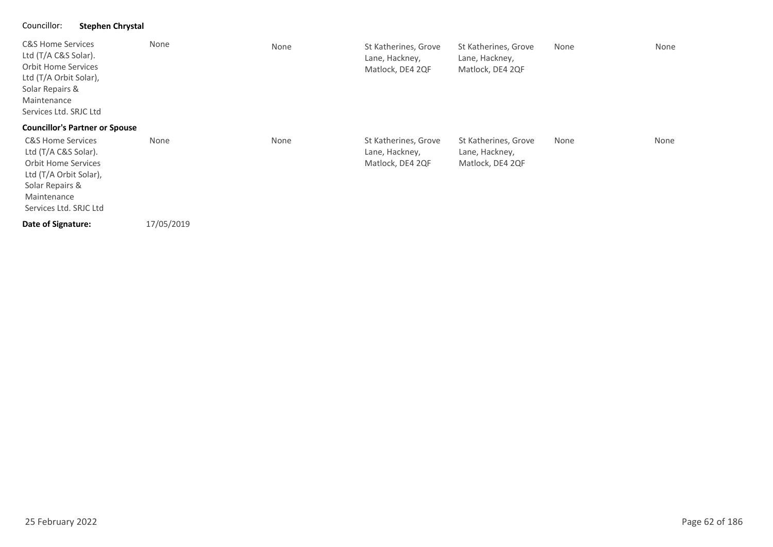### Councillor: **Stephen Chrystal**

| <b>C&amp;S Home Services</b><br>Ltd (T/A C&S Solar).<br><b>Orbit Home Services</b><br>Ltd (T/A Orbit Solar),<br>Solar Repairs &<br>Maintenance<br>Services Ltd. SRJC Ltd | None       | None | St Katherines, Grove<br>Lane, Hackney,<br>Matlock, DE4 2QF | St Katherines, Grove<br>Lane, Hackney,<br>Matlock, DE4 2QF | None | None |
|--------------------------------------------------------------------------------------------------------------------------------------------------------------------------|------------|------|------------------------------------------------------------|------------------------------------------------------------|------|------|
| <b>Councillor's Partner or Spouse</b>                                                                                                                                    |            |      |                                                            |                                                            |      |      |
| <b>C&amp;S Home Services</b><br>Ltd (T/A C&S Solar).<br><b>Orbit Home Services</b><br>Ltd (T/A Orbit Solar),<br>Solar Repairs &<br>Maintenance<br>Services Ltd. SRJC Ltd | None       | None | St Katherines, Grove<br>Lane, Hackney,<br>Matlock, DE4 2QF | St Katherines, Grove<br>Lane, Hackney,<br>Matlock, DE4 2QF | None | None |
| Date of Signature:                                                                                                                                                       | 17/05/2019 |      |                                                            |                                                            |      |      |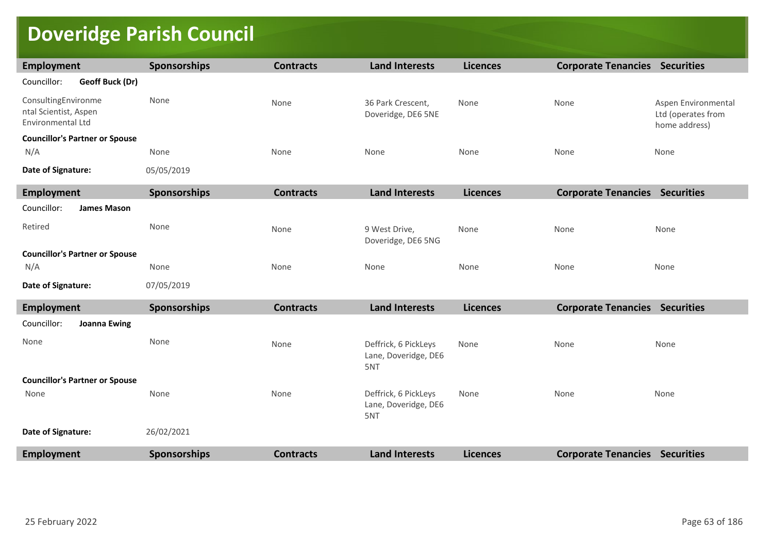# **Doveridge Parish Council**

| Employment                                                        | <b>Sponsorships</b> | <b>Contracts</b> | <b>Land Interests</b>                               | <b>Licences</b> | <b>Corporate Tenancies Securities</b> |                                                            |
|-------------------------------------------------------------------|---------------------|------------------|-----------------------------------------------------|-----------------|---------------------------------------|------------------------------------------------------------|
| Councillor:<br>Geoff Buck (Dr)                                    |                     |                  |                                                     |                 |                                       |                                                            |
| ConsultingEnvironme<br>ntal Scientist, Aspen<br>Environmental Ltd | None                | None             | 36 Park Crescent,<br>Doveridge, DE6 5NE             | None            | None                                  | Aspen Environmental<br>Ltd (operates from<br>home address) |
| <b>Councillor's Partner or Spouse</b>                             |                     |                  |                                                     |                 |                                       |                                                            |
| N/A                                                               | None                | None             | None                                                | None            | None                                  | None                                                       |
| Date of Signature:                                                | 05/05/2019          |                  |                                                     |                 |                                       |                                                            |
| <b>Employment</b>                                                 | Sponsorships        | <b>Contracts</b> | <b>Land Interests</b>                               | <b>Licences</b> | <b>Corporate Tenancies Securities</b> |                                                            |
| Councillor:<br><b>James Mason</b>                                 |                     |                  |                                                     |                 |                                       |                                                            |
| Retired                                                           | None                | None             | 9 West Drive,<br>Doveridge, DE6 5NG                 | None            | None                                  | None                                                       |
| <b>Councillor's Partner or Spouse</b>                             |                     |                  |                                                     |                 |                                       |                                                            |
| N/A                                                               | None                | None             | None                                                | None            | None                                  | None                                                       |
| Date of Signature:                                                | 07/05/2019          |                  |                                                     |                 |                                       |                                                            |
| Employment                                                        | Sponsorships        | <b>Contracts</b> | <b>Land Interests</b>                               | <b>Licences</b> | <b>Corporate Tenancies Securities</b> |                                                            |
| Councillor:<br><b>Joanna Ewing</b>                                |                     |                  |                                                     |                 |                                       |                                                            |
| None                                                              | None                | None             | Deffrick, 6 PickLeys<br>Lane, Doveridge, DE6<br>5NT | None            | None                                  | None                                                       |
| <b>Councillor's Partner or Spouse</b>                             |                     |                  |                                                     |                 |                                       |                                                            |
| None                                                              | None                | None             | Deffrick, 6 PickLeys<br>Lane, Doveridge, DE6<br>5NT | None            | None                                  | None                                                       |
| Date of Signature:                                                | 26/02/2021          |                  |                                                     |                 |                                       |                                                            |
| <b>Employment</b>                                                 | Sponsorships        | <b>Contracts</b> | <b>Land Interests</b>                               | <b>Licences</b> | <b>Corporate Tenancies Securities</b> |                                                            |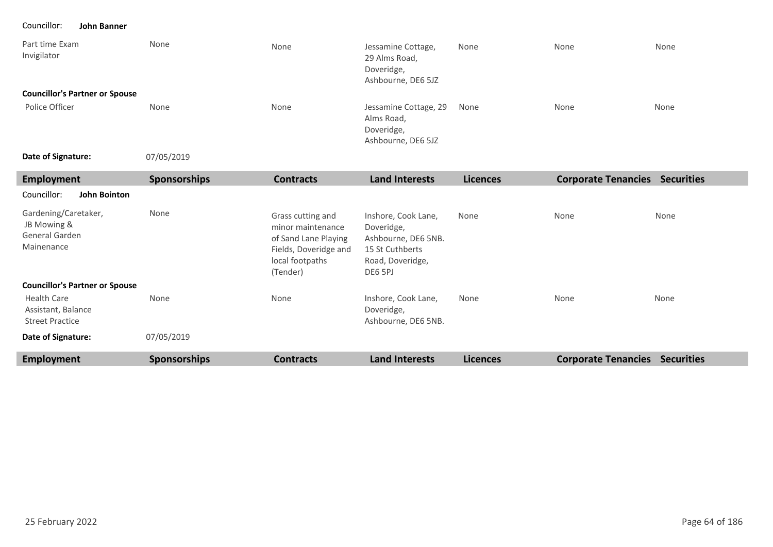Councillor: **John Banner**

| Part time Exam<br>Invigilator<br><b>Councillor's Partner or Spouse</b> | None                | None                                                                                                                   | Jessamine Cottage,<br>29 Alms Road,<br>Doveridge,<br>Ashbourne, DE6 5JZ                                    | None            | None                                  | None |
|------------------------------------------------------------------------|---------------------|------------------------------------------------------------------------------------------------------------------------|------------------------------------------------------------------------------------------------------------|-----------------|---------------------------------------|------|
| Police Officer                                                         | None                | None                                                                                                                   | Jessamine Cottage, 29<br>Alms Road,<br>Doveridge,<br>Ashbourne, DE6 5JZ                                    | None            | None                                  | None |
| Date of Signature:                                                     | 07/05/2019          |                                                                                                                        |                                                                                                            |                 |                                       |      |
| <b>Employment</b>                                                      | <b>Sponsorships</b> | <b>Contracts</b>                                                                                                       | <b>Land Interests</b>                                                                                      | <b>Licences</b> | <b>Corporate Tenancies Securities</b> |      |
| Councillor:<br><b>John Bointon</b>                                     |                     |                                                                                                                        |                                                                                                            |                 |                                       |      |
| Gardening/Caretaker,<br>JB Mowing &<br>General Garden<br>Mainenance    | None                | Grass cutting and<br>minor maintenance<br>of Sand Lane Playing<br>Fields, Doveridge and<br>local footpaths<br>(Tender) | Inshore, Cook Lane,<br>Doveridge,<br>Ashbourne, DE6 5NB.<br>15 St Cuthberts<br>Road, Doveridge,<br>DE6 5PJ | None            | None                                  | None |
| <b>Councillor's Partner or Spouse</b>                                  |                     |                                                                                                                        |                                                                                                            |                 |                                       |      |
| <b>Health Care</b><br>Assistant, Balance<br><b>Street Practice</b>     | None                | None                                                                                                                   | Inshore, Cook Lane,<br>Doveridge,<br>Ashbourne, DE6 5NB.                                                   | None            | None                                  | None |
| Date of Signature:                                                     | 07/05/2019          |                                                                                                                        |                                                                                                            |                 |                                       |      |
| <b>Employment</b>                                                      | <b>Sponsorships</b> | <b>Contracts</b>                                                                                                       | <b>Land Interests</b>                                                                                      | <b>Licences</b> | <b>Corporate Tenancies Securities</b> |      |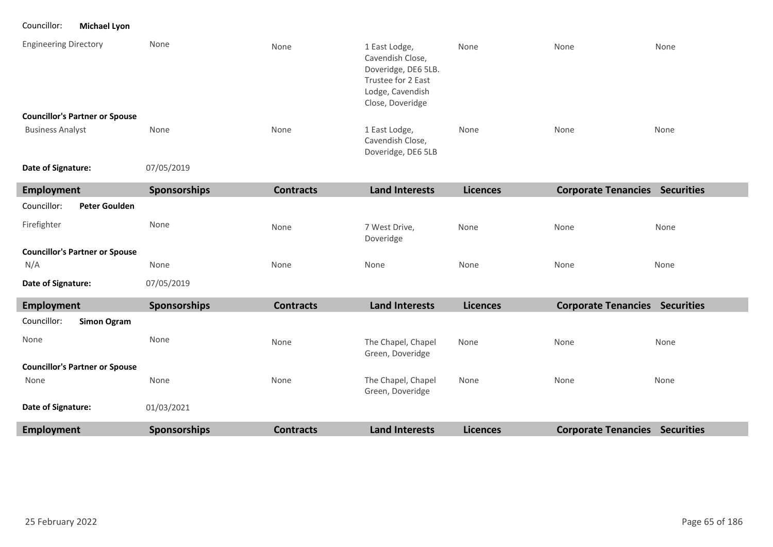Councillor: **Michael Lyon**

| <b>Engineering Directory</b>          | None                | None             | 1 East Lodge,<br>Cavendish Close,<br>Doveridge, DE6 5LB.<br>Trustee for 2 East<br>Lodge, Cavendish<br>Close, Doveridge | None            | None                                  | None |
|---------------------------------------|---------------------|------------------|------------------------------------------------------------------------------------------------------------------------|-----------------|---------------------------------------|------|
| <b>Councillor's Partner or Spouse</b> |                     |                  |                                                                                                                        |                 |                                       |      |
| <b>Business Analyst</b>               | None                | None             | 1 East Lodge,<br>Cavendish Close,<br>Doveridge, DE6 5LB                                                                | None            | None                                  | None |
| Date of Signature:                    | 07/05/2019          |                  |                                                                                                                        |                 |                                       |      |
| <b>Employment</b>                     | Sponsorships        | <b>Contracts</b> | <b>Land Interests</b>                                                                                                  | <b>Licences</b> | <b>Corporate Tenancies Securities</b> |      |
| Councillor:<br><b>Peter Goulden</b>   |                     |                  |                                                                                                                        |                 |                                       |      |
| Firefighter                           | None                | None             | 7 West Drive,<br>Doveridge                                                                                             | None            | None                                  | None |
| <b>Councillor's Partner or Spouse</b> |                     |                  |                                                                                                                        |                 |                                       |      |
| N/A                                   | None                | None             | None                                                                                                                   | None            | None                                  | None |
| Date of Signature:                    | 07/05/2019          |                  |                                                                                                                        |                 |                                       |      |
| Employment                            | Sponsorships        | <b>Contracts</b> | <b>Land Interests</b>                                                                                                  | <b>Licences</b> | <b>Corporate Tenancies Securities</b> |      |
| Councillor:<br><b>Simon Ogram</b>     |                     |                  |                                                                                                                        |                 |                                       |      |
| None                                  | None                | None             | The Chapel, Chapel<br>Green, Doveridge                                                                                 | None            | None                                  | None |
| <b>Councillor's Partner or Spouse</b> |                     |                  |                                                                                                                        |                 |                                       |      |
| None                                  | None                | None             | The Chapel, Chapel<br>Green, Doveridge                                                                                 | None            | None                                  | None |
| Date of Signature:                    | 01/03/2021          |                  |                                                                                                                        |                 |                                       |      |
| <b>Employment</b>                     | <b>Sponsorships</b> | <b>Contracts</b> | <b>Land Interests</b>                                                                                                  | <b>Licences</b> | <b>Corporate Tenancies Securities</b> |      |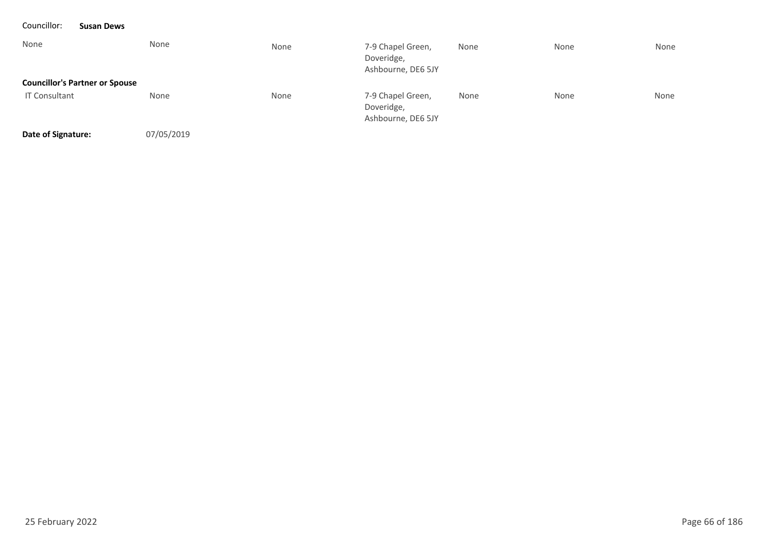| Councillor:          | <b>Susan Dews</b>                     |            |      |                                                       |      |      |      |
|----------------------|---------------------------------------|------------|------|-------------------------------------------------------|------|------|------|
| None                 |                                       | None       | None | 7-9 Chapel Green,<br>Doveridge,<br>Ashbourne, DE6 5JY | None | None | None |
|                      | <b>Councillor's Partner or Spouse</b> |            |      |                                                       |      |      |      |
| <b>IT Consultant</b> |                                       | None       | None | 7-9 Chapel Green,<br>Doveridge,<br>Ashbourne, DE6 5JY | None | None | None |
| Date of Signature:   |                                       | 07/05/2019 |      |                                                       |      |      |      |

25 February 2022 Page 66 of 186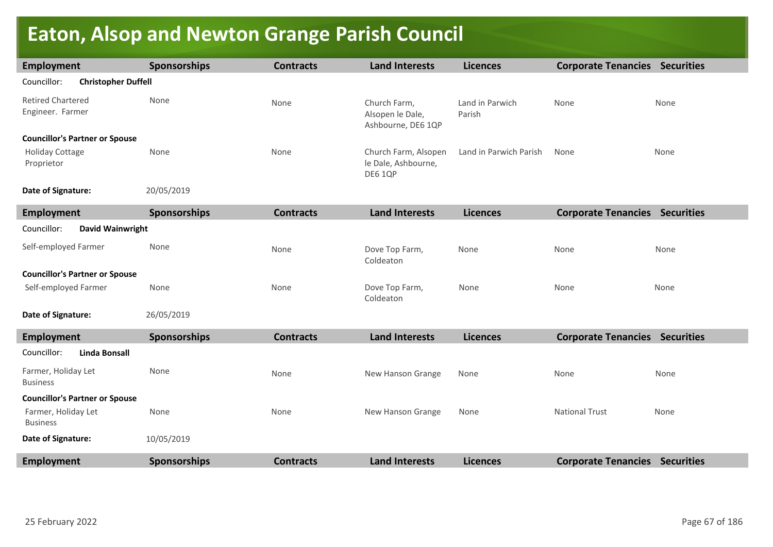# **Eaton, Alsop and Newton Grange Parish Council**

| <b>Employment</b>                            | <b>Sponsorships</b> | <b>Contracts</b> | <b>Land Interests</b>                                  | <b>Licences</b>           | <b>Corporate Tenancies Securities</b> |      |
|----------------------------------------------|---------------------|------------------|--------------------------------------------------------|---------------------------|---------------------------------------|------|
| Councillor:<br><b>Christopher Duffell</b>    |                     |                  |                                                        |                           |                                       |      |
| <b>Retired Chartered</b><br>Engineer. Farmer | None                | None             | Church Farm,<br>Alsopen le Dale,<br>Ashbourne, DE6 1QP | Land in Parwich<br>Parish | None                                  | None |
| <b>Councillor's Partner or Spouse</b>        |                     |                  |                                                        |                           |                                       |      |
| <b>Holiday Cottage</b><br>Proprietor         | None                | None             | Church Farm, Alsopen<br>le Dale, Ashbourne,<br>DE6 1QP | Land in Parwich Parish    | None                                  | None |
| Date of Signature:                           | 20/05/2019          |                  |                                                        |                           |                                       |      |
| <b>Employment</b>                            | <b>Sponsorships</b> | <b>Contracts</b> | <b>Land Interests</b>                                  | <b>Licences</b>           | <b>Corporate Tenancies Securities</b> |      |
| Councillor:<br>David Wainwright              |                     |                  |                                                        |                           |                                       |      |
| Self-employed Farmer                         | None                | None             | Dove Top Farm,<br>Coldeaton                            | None                      | None                                  | None |
| <b>Councillor's Partner or Spouse</b>        |                     |                  |                                                        |                           |                                       |      |
| Self-employed Farmer                         | None                | None             | Dove Top Farm,<br>Coldeaton                            | None                      | None                                  | None |
| Date of Signature:                           | 26/05/2019          |                  |                                                        |                           |                                       |      |
| <b>Employment</b>                            | <b>Sponsorships</b> | <b>Contracts</b> | <b>Land Interests</b>                                  | <b>Licences</b>           | <b>Corporate Tenancies Securities</b> |      |
| Councillor:<br><b>Linda Bonsall</b>          |                     |                  |                                                        |                           |                                       |      |
| Farmer, Holiday Let<br><b>Business</b>       | None                | None             | New Hanson Grange                                      | None                      | None                                  | None |
| <b>Councillor's Partner or Spouse</b>        |                     |                  |                                                        |                           |                                       |      |
| Farmer, Holiday Let<br><b>Business</b>       | None                | None             | New Hanson Grange                                      | None                      | <b>National Trust</b>                 | None |
| Date of Signature:                           | 10/05/2019          |                  |                                                        |                           |                                       |      |
| <b>Employment</b>                            | <b>Sponsorships</b> | <b>Contracts</b> | <b>Land Interests</b>                                  | <b>Licences</b>           | <b>Corporate Tenancies Securities</b> |      |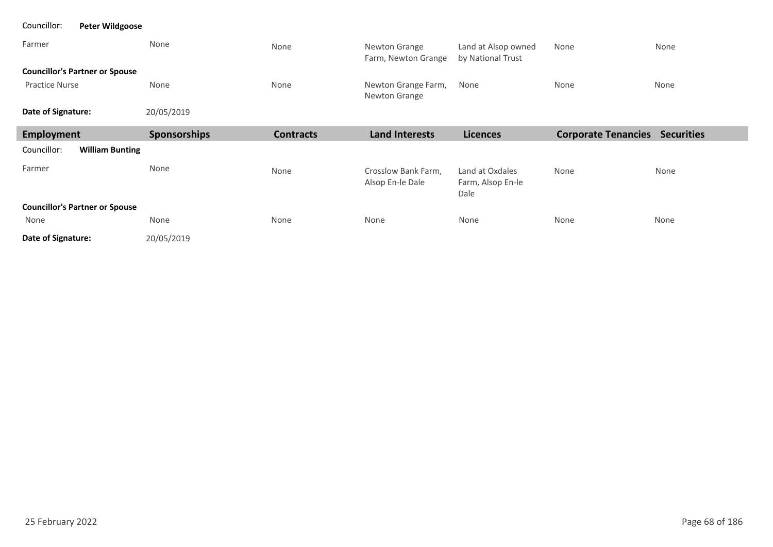| Councillor:<br><b>Peter Wildgoose</b> |              |                  |                                         |                                              |                                       |      |  |  |  |
|---------------------------------------|--------------|------------------|-----------------------------------------|----------------------------------------------|---------------------------------------|------|--|--|--|
| Farmer                                | None         | None             | Newton Grange<br>Farm, Newton Grange    | Land at Alsop owned<br>by National Trust     | None                                  | None |  |  |  |
| <b>Councillor's Partner or Spouse</b> |              |                  |                                         |                                              |                                       |      |  |  |  |
| <b>Practice Nurse</b>                 | None         | None             | Newton Grange Farm,<br>Newton Grange    | None                                         | None                                  | None |  |  |  |
| Date of Signature:                    | 20/05/2019   |                  |                                         |                                              |                                       |      |  |  |  |
| Employment                            | Sponsorships | <b>Contracts</b> | <b>Land Interests</b>                   | <b>Licences</b>                              | <b>Corporate Tenancies Securities</b> |      |  |  |  |
| Councillor:<br><b>William Bunting</b> |              |                  |                                         |                                              |                                       |      |  |  |  |
| Farmer                                | None         | None             | Crosslow Bank Farm,<br>Alsop En-le Dale | Land at Oxdales<br>Farm, Alsop En-le<br>Dale | None                                  | None |  |  |  |
| <b>Councillor's Partner or Spouse</b> |              |                  |                                         |                                              |                                       |      |  |  |  |
| None                                  | None         | None             | None                                    | None                                         | None                                  | None |  |  |  |
| Date of Signature:                    | 20/05/2019   |                  |                                         |                                              |                                       |      |  |  |  |

п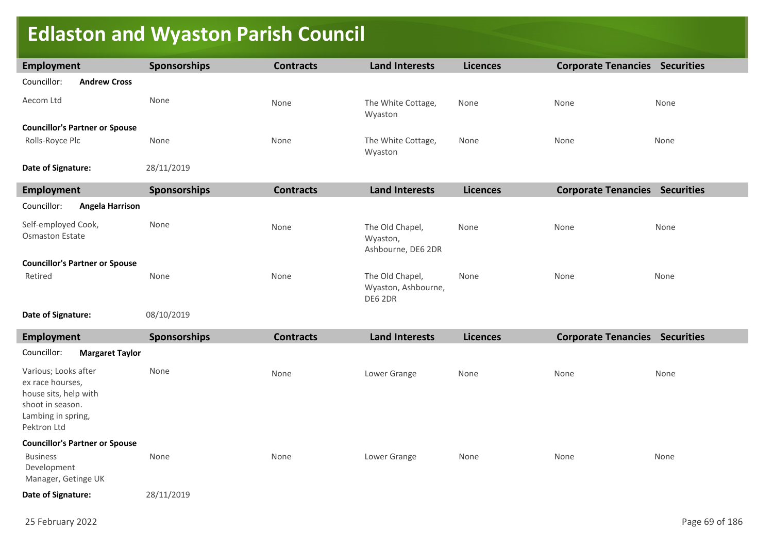# **Edlaston and Wyaston Parish Council**

| <b>Employment</b>                                                                     | <b>Sponsorships</b> | <b>Contracts</b> | <b>Land Interests</b>                             | <b>Licences</b> | <b>Corporate Tenancies Securities</b> |      |
|---------------------------------------------------------------------------------------|---------------------|------------------|---------------------------------------------------|-----------------|---------------------------------------|------|
| Councillor:<br><b>Andrew Cross</b>                                                    |                     |                  |                                                   |                 |                                       |      |
|                                                                                       |                     |                  |                                                   |                 |                                       |      |
| Aecom Ltd                                                                             | None                | None             | The White Cottage,<br>Wyaston                     | None            | None                                  | None |
| <b>Councillor's Partner or Spouse</b>                                                 |                     |                  |                                                   |                 |                                       |      |
| Rolls-Royce Plc                                                                       | None                | None             | The White Cottage,<br>Wyaston                     | None            | None                                  | None |
| Date of Signature:                                                                    | 28/11/2019          |                  |                                                   |                 |                                       |      |
| <b>Employment</b>                                                                     | <b>Sponsorships</b> | <b>Contracts</b> | <b>Land Interests</b>                             | <b>Licences</b> | <b>Corporate Tenancies Securities</b> |      |
| Councillor:<br><b>Angela Harrison</b>                                                 |                     |                  |                                                   |                 |                                       |      |
| Self-employed Cook,<br><b>Osmaston Estate</b>                                         | None                | None             | The Old Chapel,<br>Wyaston,<br>Ashbourne, DE6 2DR | None            | None                                  | None |
| <b>Councillor's Partner or Spouse</b>                                                 |                     |                  |                                                   |                 |                                       |      |
| Retired                                                                               | None                | None             | The Old Chapel,<br>Wyaston, Ashbourne,<br>DE6 2DR | None            | None                                  | None |
| Date of Signature:                                                                    | 08/10/2019          |                  |                                                   |                 |                                       |      |
| <b>Employment</b>                                                                     | <b>Sponsorships</b> | <b>Contracts</b> | <b>Land Interests</b>                             | <b>Licences</b> | <b>Corporate Tenancies Securities</b> |      |
| Councillor:<br><b>Margaret Taylor</b>                                                 |                     |                  |                                                   |                 |                                       |      |
| Various; Looks after<br>ex race hourses,<br>house sits, help with<br>shoot in season. | None                | None             | Lower Grange                                      | None            | None                                  | None |

Lambing in spring, Pektron Ltd

### **Councillor's Partner or Spouse**

| <b>Business</b>     | None | None | Lower Grange | None | None | None |  |  |
|---------------------|------|------|--------------|------|------|------|--|--|
| Development         |      |      |              |      |      |      |  |  |
| Manager, Getinge UK |      |      |              |      |      |      |  |  |
|                     |      |      |              |      |      |      |  |  |

28/11/2019 **Date of Signature:**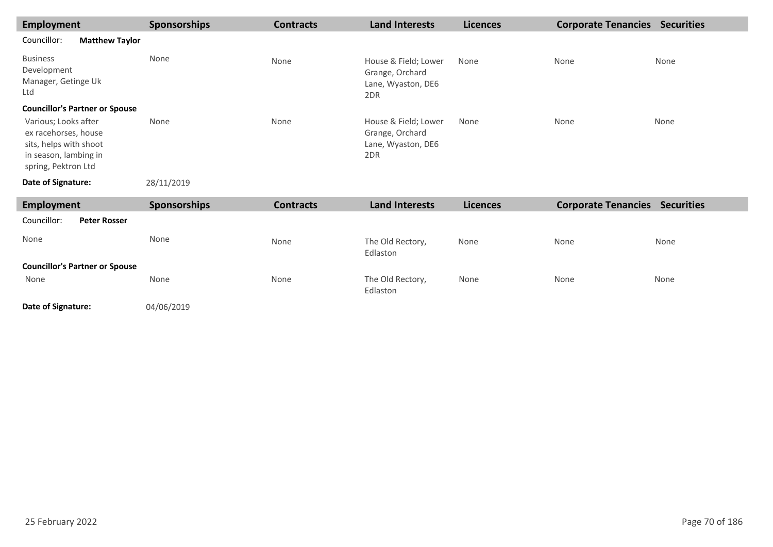| Employment                                                                                                             | <b>Sponsorships</b> | <b>Contracts</b> | <b>Land Interests</b>                                                | <b>Licences</b> | <b>Corporate Tenancies</b> | <b>Securities</b> |
|------------------------------------------------------------------------------------------------------------------------|---------------------|------------------|----------------------------------------------------------------------|-----------------|----------------------------|-------------------|
| Councillor:<br><b>Matthew Taylor</b>                                                                                   |                     |                  |                                                                      |                 |                            |                   |
| <b>Business</b><br>Development<br>Manager, Getinge Uk<br>Ltd                                                           | None                | None             | House & Field; Lower<br>Grange, Orchard<br>Lane, Wyaston, DE6<br>2DR | None            | None                       | None              |
| <b>Councillor's Partner or Spouse</b>                                                                                  |                     |                  |                                                                      |                 |                            |                   |
| Various; Looks after<br>ex racehorses, house<br>sits, helps with shoot<br>in season, lambing in<br>spring, Pektron Ltd | None                | None             | House & Field; Lower<br>Grange, Orchard<br>Lane, Wyaston, DE6<br>2DR | None            | None                       | None              |
| Date of Signature:                                                                                                     | 28/11/2019          |                  |                                                                      |                 |                            |                   |
| <b>Employment</b>                                                                                                      | <b>Sponsorships</b> | <b>Contracts</b> | <b>Land Interests</b>                                                | <b>Licences</b> | <b>Corporate Tenancies</b> | <b>Securities</b> |

| Employment                                    | <b>Sponsorships</b> | <b>Contracts</b> | <b>Land Interests</b>        | <b>Licences</b> | <b>Corporate Tenancies</b> | <b>Securities</b> |
|-----------------------------------------------|---------------------|------------------|------------------------------|-----------------|----------------------------|-------------------|
| Councillor:<br><b>Peter Rosser</b>            |                     |                  |                              |                 |                            |                   |
| None                                          | None                | None             | The Old Rectory,<br>Edlaston | None            | None                       | None              |
| <b>Councillor's Partner or Spouse</b><br>None | None                | None             | The Old Rectory,<br>Edlaston | None            | None                       | None              |

**Date of Signature:**

04/06/2019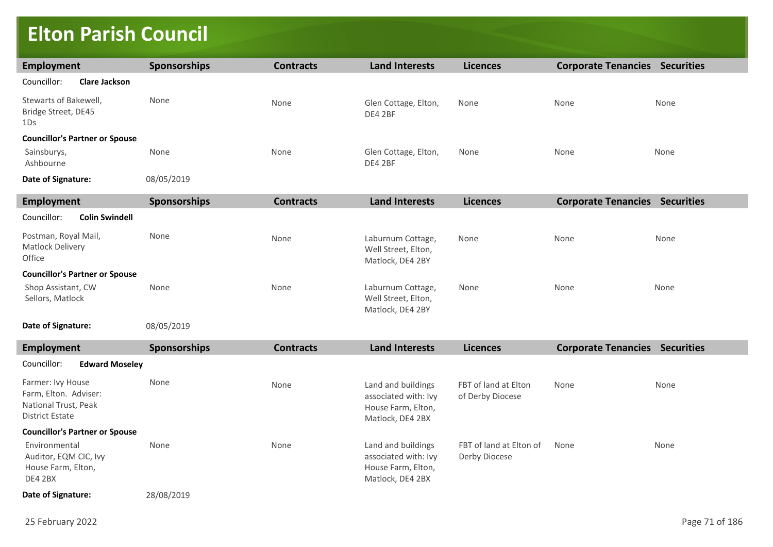### **Elton Parish Council**

| <b>Employment</b>                                         | <b>Sponsorships</b> | <b>Contracts</b> | <b>Land Interests</b>                                        | <b>Licences</b> | <b>Corporate Tenancies Securities</b> |      |
|-----------------------------------------------------------|---------------------|------------------|--------------------------------------------------------------|-----------------|---------------------------------------|------|
| Councillor:<br><b>Clare Jackson</b>                       |                     |                  |                                                              |                 |                                       |      |
| Stewarts of Bakewell,<br>Bridge Street, DE45<br>1Ds       | None                | None             | Glen Cottage, Elton,<br>DE4 2BF                              | None            | None                                  | None |
| <b>Councillor's Partner or Spouse</b>                     |                     |                  |                                                              |                 |                                       |      |
| Sainsburys,<br>Ashbourne                                  | None                | None             | Glen Cottage, Elton,<br>DE4 2BF                              | None            | None                                  | None |
| Date of Signature:                                        | 08/05/2019          |                  |                                                              |                 |                                       |      |
| <b>Employment</b>                                         | <b>Sponsorships</b> | <b>Contracts</b> | <b>Land Interests</b>                                        | <b>Licences</b> | <b>Corporate Tenancies Securities</b> |      |
| Councillor:<br><b>Colin Swindell</b>                      |                     |                  |                                                              |                 |                                       |      |
| Postman, Royal Mail,<br><b>Matlock Delivery</b><br>Office | None                | None             | Laburnum Cottage,<br>Well Street, Elton,<br>Matlock, DE4 2BY | None            | None                                  | None |
| <b>Councillor's Partner or Spouse</b>                     |                     |                  |                                                              |                 |                                       |      |
| Shop Assistant, CW<br>Sellors, Matlock                    | None                | None             | Laburnum Cottage,<br>Well Street, Elton,<br>Matlock, DE4 2BY | None            | None                                  | None |
| Date of Signature:                                        | 08/05/2019          |                  |                                                              |                 |                                       |      |

| <b>Employment</b>                                                                     | <b>Sponsorships</b> | <b>Contracts</b> | <b>Land Interests</b>                                                                | <b>Licences</b>                          | <b>Corporate Tenancies Securities</b> |      |
|---------------------------------------------------------------------------------------|---------------------|------------------|--------------------------------------------------------------------------------------|------------------------------------------|---------------------------------------|------|
| <b>Edward Moseley</b><br>Councillor:                                                  |                     |                  |                                                                                      |                                          |                                       |      |
| Farmer: Ivy House<br>Farm, Elton. Adviser:<br>National Trust, Peak<br>District Estate | None                | None             | Land and buildings<br>associated with: Ivy<br>House Farm, Elton,<br>Matlock. DE4 2BX | FBT of land at Elton<br>of Derby Diocese | None                                  | None |
| <b>Councillor's Partner or Spouse</b>                                                 |                     |                  |                                                                                      |                                          |                                       |      |
| Environmental<br>Auditor, EQM CIC, Ivy<br>House Farm, Elton,<br>DE4 2BX               | None                | None             | Land and buildings<br>associated with: Ivy<br>House Farm, Elton,<br>Matlock, DE4 2BX | FBT of land at Elton of<br>Derby Diocese | None                                  | None |
| Date of Signature:                                                                    | 28/08/2019          |                  |                                                                                      |                                          |                                       |      |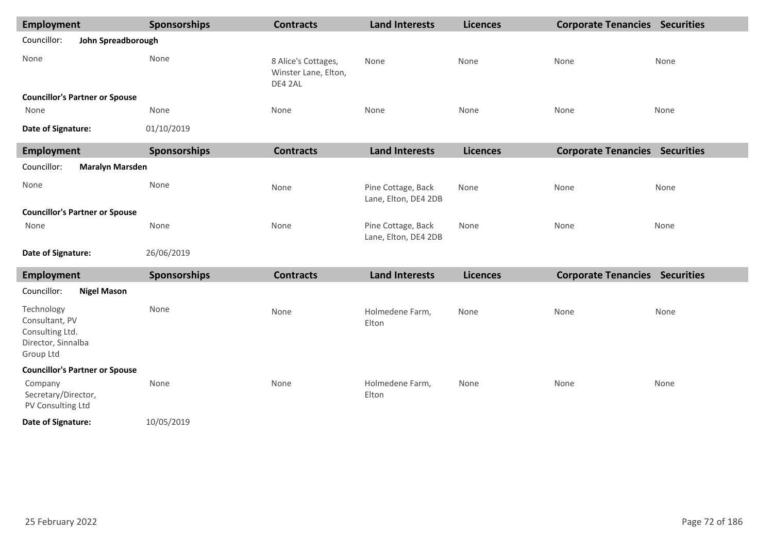| <b>Employment</b>                                                                  |                                       | <b>Sponsorships</b> | <b>Contracts</b>                                       | <b>Land Interests</b>                      | <b>Licences</b> | <b>Corporate Tenancies Securities</b> |      |  |  |  |
|------------------------------------------------------------------------------------|---------------------------------------|---------------------|--------------------------------------------------------|--------------------------------------------|-----------------|---------------------------------------|------|--|--|--|
| Councillor:<br>John Spreadborough                                                  |                                       |                     |                                                        |                                            |                 |                                       |      |  |  |  |
| None                                                                               |                                       | None                | 8 Alice's Cottages,<br>Winster Lane, Elton,<br>DE4 2AL | None                                       | None            | None                                  | None |  |  |  |
|                                                                                    | <b>Councillor's Partner or Spouse</b> |                     |                                                        |                                            |                 |                                       |      |  |  |  |
| None                                                                               |                                       | None                | None                                                   | None                                       | None            | None                                  | None |  |  |  |
| Date of Signature:                                                                 |                                       | 01/10/2019          |                                                        |                                            |                 |                                       |      |  |  |  |
| <b>Employment</b>                                                                  |                                       | Sponsorships        | <b>Contracts</b>                                       | <b>Land Interests</b>                      | <b>Licences</b> | <b>Corporate Tenancies Securities</b> |      |  |  |  |
| Councillor:                                                                        | <b>Maralyn Marsden</b>                |                     |                                                        |                                            |                 |                                       |      |  |  |  |
| None                                                                               |                                       | None                | None                                                   | Pine Cottage, Back<br>Lane, Elton, DE4 2DB | None            | None                                  | None |  |  |  |
| <b>Councillor's Partner or Spouse</b>                                              |                                       |                     |                                                        |                                            |                 |                                       |      |  |  |  |
| None                                                                               |                                       | None                | None                                                   | Pine Cottage, Back<br>Lane, Elton, DE4 2DB | None            | None                                  | None |  |  |  |
| Date of Signature:                                                                 |                                       | 26/06/2019          |                                                        |                                            |                 |                                       |      |  |  |  |
| <b>Employment</b>                                                                  |                                       | Sponsorships        | <b>Contracts</b>                                       | <b>Land Interests</b>                      | <b>Licences</b> | <b>Corporate Tenancies Securities</b> |      |  |  |  |
| Councillor:                                                                        | <b>Nigel Mason</b>                    |                     |                                                        |                                            |                 |                                       |      |  |  |  |
| Technology<br>Consultant, PV<br>Consulting Ltd.<br>Director, Sinnalba<br>Group Ltd |                                       | None                | None                                                   | Holmedene Farm,<br>Elton                   | None            | None                                  | None |  |  |  |
|                                                                                    | <b>Councillor's Partner or Spouse</b> |                     |                                                        |                                            |                 |                                       |      |  |  |  |
| Company<br>Secretary/Director,<br>PV Consulting Ltd                                |                                       | None                | None                                                   | Holmedene Farm,<br>Elton                   | None            | None                                  | None |  |  |  |
| Date of Signature:                                                                 |                                       | 10/05/2019          |                                                        |                                            |                 |                                       |      |  |  |  |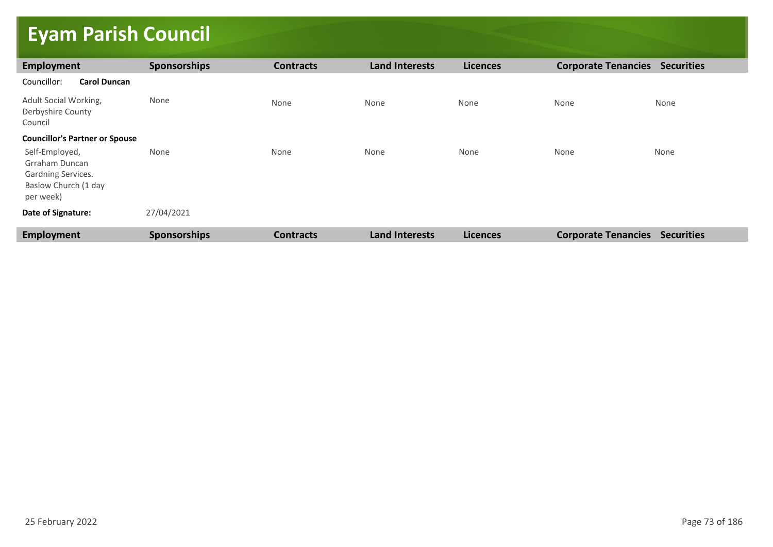# **Eyam Parish Council**

| Employment                                                                                  | <b>Sponsorships</b> | <b>Contracts</b> | <b>Land Interests</b> | <b>Licences</b> | <b>Corporate Tenancies</b> | <b>Securities</b> |
|---------------------------------------------------------------------------------------------|---------------------|------------------|-----------------------|-----------------|----------------------------|-------------------|
| Councillor:<br><b>Carol Duncan</b>                                                          |                     |                  |                       |                 |                            |                   |
| Adult Social Working,<br>Derbyshire County<br>Council                                       | None                | None             | None                  | None            | None                       | None              |
| <b>Councillor's Partner or Spouse</b>                                                       |                     |                  |                       |                 |                            |                   |
| Self-Employed,<br>Grraham Duncan<br>Gardning Services.<br>Baslow Church (1 day<br>per week) | None                | None             | None                  | None            | None                       | None              |
| Date of Signature:                                                                          | 27/04/2021          |                  |                       |                 |                            |                   |
| Employment                                                                                  | <b>Sponsorships</b> | <b>Contracts</b> | <b>Land Interests</b> | <b>Licences</b> | <b>Corporate Tenancies</b> | <b>Securities</b> |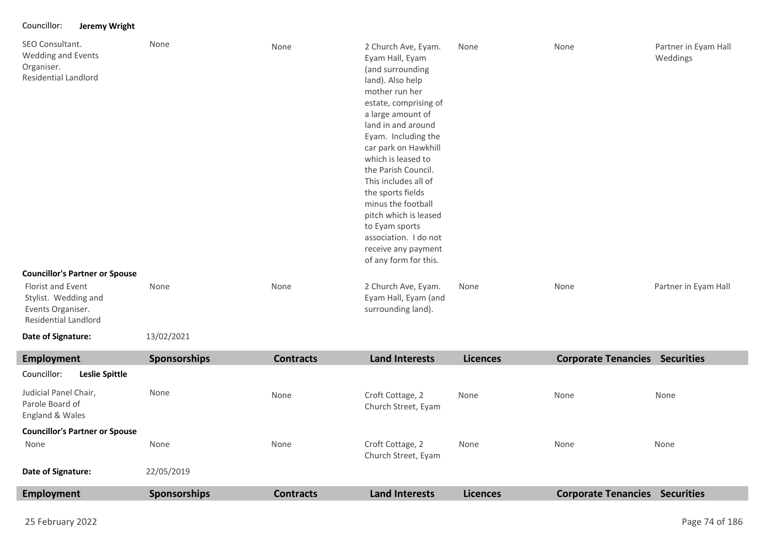### Councillor: **Jeremy Wright**

| SEO Consultant.<br><b>Wedding and Events</b><br>Organiser.<br><b>Residential Landlord</b><br><b>Councillor's Partner or Spouse</b> | None                | None             | 2 Church Ave, Eyam.<br>Eyam Hall, Eyam<br>(and surrounding<br>land). Also help<br>mother run her<br>estate, comprising of<br>a large amount of<br>land in and around<br>Eyam. Including the<br>car park on Hawkhill<br>which is leased to<br>the Parish Council.<br>This includes all of<br>the sports fields<br>minus the football<br>pitch which is leased<br>to Eyam sports<br>association. I do not<br>receive any payment<br>of any form for this. | None            | None                       | Partner in Eyam Hall<br>Weddings |
|------------------------------------------------------------------------------------------------------------------------------------|---------------------|------------------|---------------------------------------------------------------------------------------------------------------------------------------------------------------------------------------------------------------------------------------------------------------------------------------------------------------------------------------------------------------------------------------------------------------------------------------------------------|-----------------|----------------------------|----------------------------------|
| <b>Florist and Event</b>                                                                                                           | None                | None             | 2 Church Ave, Eyam.                                                                                                                                                                                                                                                                                                                                                                                                                                     | None            | None                       | Partner in Eyam Hall             |
| Stylist. Wedding and<br>Events Organiser.<br><b>Residential Landlord</b>                                                           |                     |                  | Eyam Hall, Eyam (and<br>surrounding land).                                                                                                                                                                                                                                                                                                                                                                                                              |                 |                            |                                  |
| Date of Signature:                                                                                                                 | 13/02/2021          |                  |                                                                                                                                                                                                                                                                                                                                                                                                                                                         |                 |                            |                                  |
| <b>Employment</b>                                                                                                                  | <b>Sponsorships</b> | <b>Contracts</b> | <b>Land Interests</b>                                                                                                                                                                                                                                                                                                                                                                                                                                   | <b>Licences</b> | <b>Corporate Tenancies</b> | <b>Securities</b>                |

| Leslie Spittle<br>Councillor:                               |              |                  |                                         |                 |                            |                   |
|-------------------------------------------------------------|--------------|------------------|-----------------------------------------|-----------------|----------------------------|-------------------|
| Judicial Panel Chair,<br>Parole Board of<br>England & Wales | None         | None             | Croft Cottage, 2<br>Church Street, Eyam | None            | None                       | None              |
| <b>Councillor's Partner or Spouse</b>                       |              |                  |                                         |                 |                            |                   |
| None                                                        | None         | None             | Croft Cottage, 2<br>Church Street, Eyam | None            | None                       | None              |
| Date of Signature:                                          | 22/05/2019   |                  |                                         |                 |                            |                   |
| <b>Employment</b>                                           | Sponsorships | <b>Contracts</b> | <b>Land Interests</b>                   | <b>Licences</b> | <b>Corporate Tenancies</b> | <b>Securities</b> |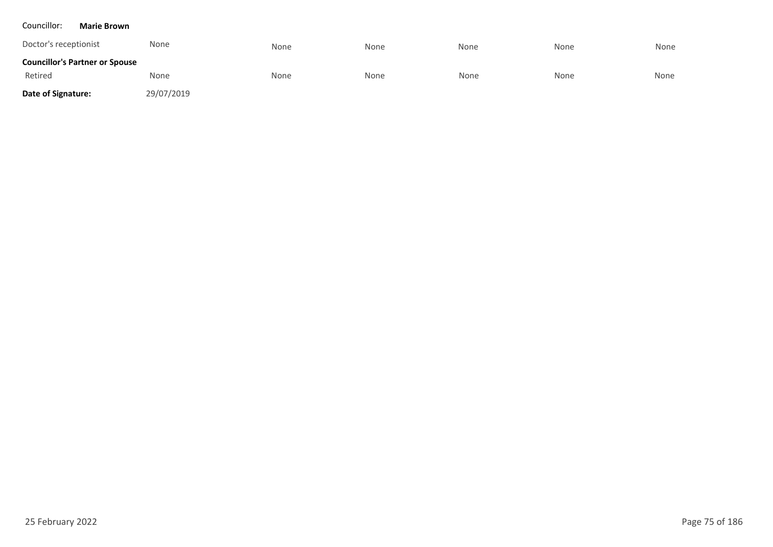#### Councillor: **Marie Brown**

| Doctor's receptionist                 | None       | None | None | None | None | None |
|---------------------------------------|------------|------|------|------|------|------|
| <b>Councillor's Partner or Spouse</b> |            |      |      |      |      |      |
| Retired                               | None       | None | None | None | None | None |
| Date of Signature:                    | 29/07/2019 |      |      |      |      |      |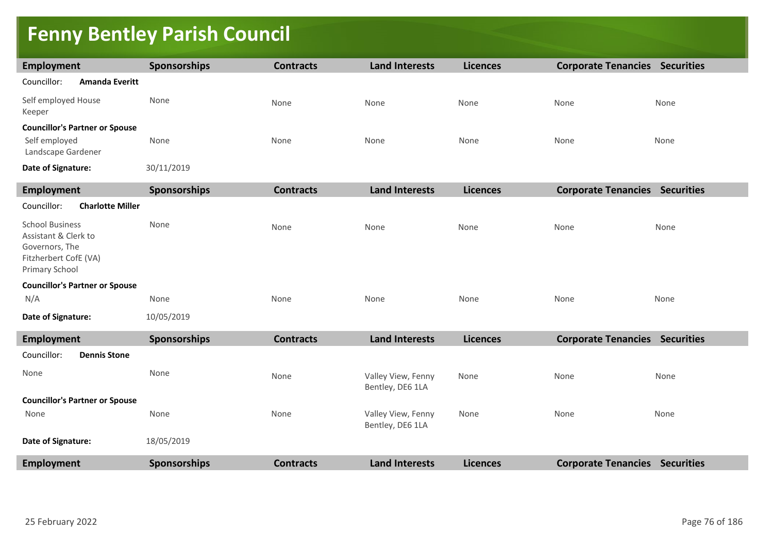## **Fenny Bentley Parish Council**

| <b>Employment</b>                                                                                           | Sponsorships | <b>Contracts</b> | <b>Land Interests</b>                  | <b>Licences</b> | <b>Corporate Tenancies Securities</b> |      |
|-------------------------------------------------------------------------------------------------------------|--------------|------------------|----------------------------------------|-----------------|---------------------------------------|------|
| Councillor:<br><b>Amanda Everitt</b>                                                                        |              |                  |                                        |                 |                                       |      |
| Self employed House<br>Keeper                                                                               | None         | None             | None                                   | None            | None                                  | None |
| <b>Councillor's Partner or Spouse</b><br>Self employed<br>Landscape Gardener                                | None         | None             | None                                   | None            | None                                  | None |
| Date of Signature:                                                                                          | 30/11/2019   |                  |                                        |                 |                                       |      |
| <b>Employment</b>                                                                                           | Sponsorships | <b>Contracts</b> | <b>Land Interests</b>                  | <b>Licences</b> | <b>Corporate Tenancies Securities</b> |      |
| Councillor:<br><b>Charlotte Miller</b>                                                                      |              |                  |                                        |                 |                                       |      |
| <b>School Business</b><br>Assistant & Clerk to<br>Governors, The<br>Fitzherbert CofE (VA)<br>Primary School | None         | None             | None                                   | None            | None                                  | None |
| <b>Councillor's Partner or Spouse</b>                                                                       |              |                  |                                        |                 |                                       |      |
| N/A                                                                                                         | None         | None             | None                                   | None            | None                                  | None |
| Date of Signature:                                                                                          | 10/05/2019   |                  |                                        |                 |                                       |      |
| <b>Employment</b>                                                                                           | Sponsorships | <b>Contracts</b> | <b>Land Interests</b>                  | <b>Licences</b> | <b>Corporate Tenancies Securities</b> |      |
| Councillor:<br><b>Dennis Stone</b>                                                                          |              |                  |                                        |                 |                                       |      |
| None                                                                                                        | None         | None             | Valley View, Fenny<br>Bentley, DE6 1LA | None            | None                                  | None |
| <b>Councillor's Partner or Spouse</b>                                                                       |              |                  |                                        |                 |                                       |      |
| None                                                                                                        | None         | None             | Valley View, Fenny<br>Bentley, DE6 1LA | None            | None                                  | None |
| Date of Signature:                                                                                          | 18/05/2019   |                  |                                        |                 |                                       |      |
| <b>Employment</b>                                                                                           | Sponsorships | <b>Contracts</b> | <b>Land Interests</b>                  | <b>Licences</b> | <b>Corporate Tenancies Securities</b> |      |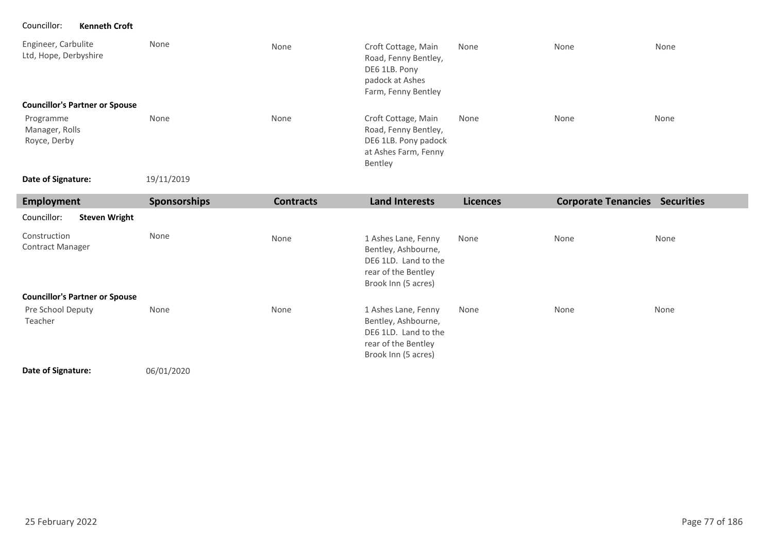Councillor: **Kenneth Croft**

| Engineer, Carbulite<br>Ltd, Hope, Derbyshire<br><b>Councillor's Partner or Spouse</b> | None                | None             | Croft Cottage, Main<br>Road, Fenny Bentley,<br>DE6 1LB. Pony<br>padock at Ashes<br>Farm, Fenny Bentley | None            | None                       | None              |
|---------------------------------------------------------------------------------------|---------------------|------------------|--------------------------------------------------------------------------------------------------------|-----------------|----------------------------|-------------------|
| Programme<br>Manager, Rolls<br>Royce, Derby                                           | None                | None             | Croft Cottage, Main<br>Road, Fenny Bentley,<br>DE6 1LB. Pony padock<br>at Ashes Farm, Fenny<br>Bentley | None            | None                       | None              |
| Date of Signature:                                                                    | 19/11/2019          |                  |                                                                                                        |                 |                            |                   |
| <b>Employment</b>                                                                     | <b>Sponsorships</b> | <b>Contracts</b> | <b>Land Interests</b>                                                                                  | <b>Licences</b> | <b>Corporate Tenancies</b> | <b>Securities</b> |
| Councillor:<br><b>Steven Wright</b>                                                   |                     |                  |                                                                                                        |                 |                            |                   |

| Construction<br><b>Contract Manager</b> | None | None | 1 Ashes Lane, Fenny<br>Bentley, Ashbourne,<br>DE6 1LD. Land to the<br>rear of the Bentley<br>Brook Inn (5 acres) | None | None | None |
|-----------------------------------------|------|------|------------------------------------------------------------------------------------------------------------------|------|------|------|
| <b>Councillor's Partner or Spouse</b>   |      |      |                                                                                                                  |      |      |      |
| Pre School Deputy<br>Teacher            | None | None | 1 Ashes Lane, Fenny<br>Bentley, Ashbourne,<br>DE6 1LD. Land to the<br>rear of the Bentley<br>Brook Inn (5 acres) | None | None | None |

**Date of Signature:**

06/01/2020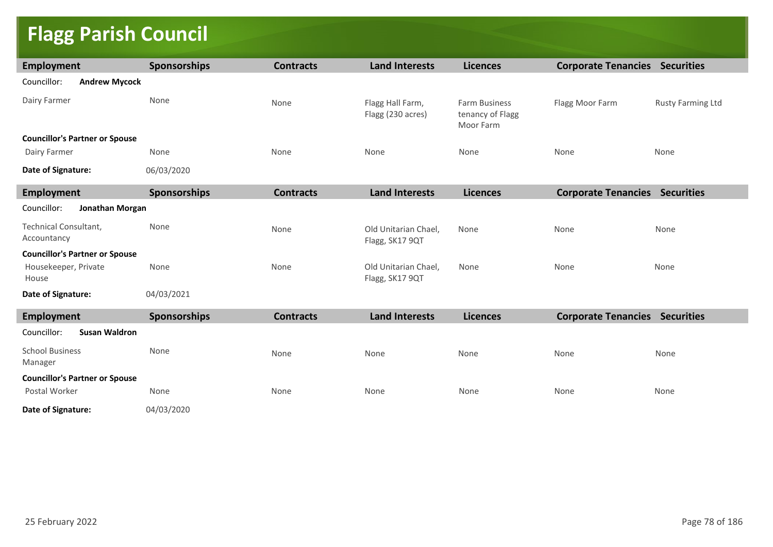# **Flagg Parish Council**

| <b>Employment</b>                     | Sponsorships | <b>Contracts</b> | <b>Land Interests</b>                   | <b>Licences</b>                                       | <b>Corporate Tenancies Securities</b> |                          |  |  |
|---------------------------------------|--------------|------------------|-----------------------------------------|-------------------------------------------------------|---------------------------------------|--------------------------|--|--|
| Councillor:<br><b>Andrew Mycock</b>   |              |                  |                                         |                                                       |                                       |                          |  |  |
| Dairy Farmer                          | None         | None             | Flagg Hall Farm,<br>Flagg (230 acres)   | <b>Farm Business</b><br>tenancy of Flagg<br>Moor Farm | Flagg Moor Farm                       | <b>Rusty Farming Ltd</b> |  |  |
| <b>Councillor's Partner or Spouse</b> |              |                  |                                         |                                                       |                                       |                          |  |  |
| Dairy Farmer                          | None         | None             | None                                    | None                                                  | None                                  | None                     |  |  |
| Date of Signature:                    | 06/03/2020   |                  |                                         |                                                       |                                       |                          |  |  |
| <b>Employment</b>                     | Sponsorships | <b>Contracts</b> | <b>Land Interests</b>                   | <b>Licences</b>                                       | <b>Corporate Tenancies Securities</b> |                          |  |  |
| Councillor:<br>Jonathan Morgan        |              |                  |                                         |                                                       |                                       |                          |  |  |
| Technical Consultant,<br>Accountancy  | None         | None             | Old Unitarian Chael,<br>Flagg, SK17 9QT | None                                                  | None                                  | None                     |  |  |
| <b>Councillor's Partner or Spouse</b> |              |                  |                                         |                                                       |                                       |                          |  |  |
| Housekeeper, Private<br>House         | None         | None             | Old Unitarian Chael,<br>Flagg, SK17 9QT | None                                                  | None                                  | None                     |  |  |
| Date of Signature:                    | 04/03/2021   |                  |                                         |                                                       |                                       |                          |  |  |
| <b>Employment</b>                     | Sponsorships | <b>Contracts</b> | <b>Land Interests</b>                   | <b>Licences</b>                                       | <b>Corporate Tenancies Securities</b> |                          |  |  |
| Councillor:<br><b>Susan Waldron</b>   |              |                  |                                         |                                                       |                                       |                          |  |  |
| <b>School Business</b><br>Manager     | None         | None             | None                                    | None                                                  | None                                  | None                     |  |  |
| <b>Councillor's Partner or Spouse</b> |              |                  |                                         |                                                       |                                       |                          |  |  |
| Postal Worker                         | None         | None             | None                                    | None                                                  | None                                  | None                     |  |  |
| Date of Signature:                    | 04/03/2020   |                  |                                         |                                                       |                                       |                          |  |  |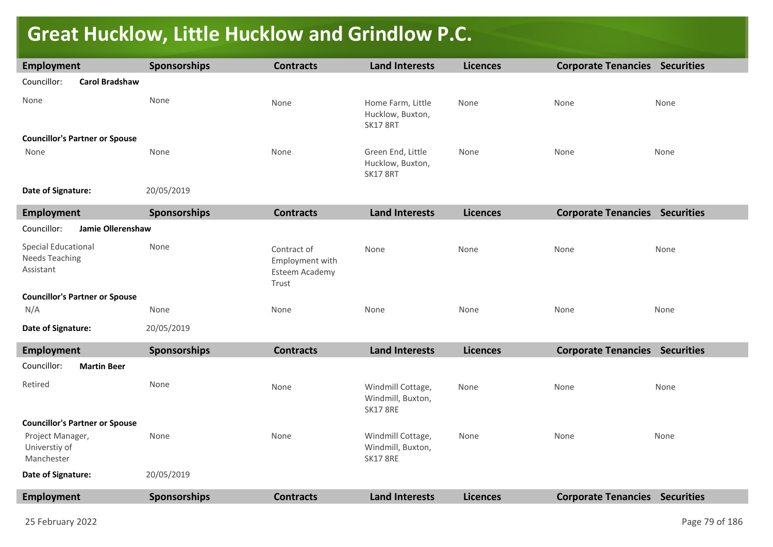# **Great Hucklow, Little Hucklow and Grindlow P.C.**

| Employment                                                       | Sponsorships        | <b>Contracts</b>                                          | <b>Land Interests</b>                                     | <b>Licences</b> | <b>Corporate Tenancies Securities</b> |      |
|------------------------------------------------------------------|---------------------|-----------------------------------------------------------|-----------------------------------------------------------|-----------------|---------------------------------------|------|
| Councillor:<br><b>Carol Bradshaw</b>                             |                     |                                                           |                                                           |                 |                                       |      |
| None                                                             | None                | None                                                      | Home Farm, Little<br>Hucklow, Buxton,<br><b>SK17 8RT</b>  | None            | None                                  | None |
| <b>Councillor's Partner or Spouse</b>                            |                     |                                                           |                                                           |                 |                                       |      |
| None                                                             | None                | None                                                      | Green End, Little<br>Hucklow, Buxton,<br><b>SK17 8RT</b>  | None            | None                                  | None |
| Date of Signature:                                               | 20/05/2019          |                                                           |                                                           |                 |                                       |      |
| <b>Employment</b>                                                | Sponsorships        | <b>Contracts</b>                                          | <b>Land Interests</b>                                     | <b>Licences</b> | <b>Corporate Tenancies Securities</b> |      |
| Councillor:<br>Jamie Ollerenshaw                                 |                     |                                                           |                                                           |                 |                                       |      |
| <b>Special Educational</b><br><b>Needs Teaching</b><br>Assistant | None                | Contract of<br>Employment with<br>Esteem Academy<br>Trust | None                                                      | None            | None                                  | None |
| <b>Councillor's Partner or Spouse</b>                            |                     |                                                           |                                                           |                 |                                       |      |
| N/A                                                              | None                | None                                                      | None                                                      | None            | None                                  | None |
| Date of Signature:                                               | 20/05/2019          |                                                           |                                                           |                 |                                       |      |
| Employment                                                       | <b>Sponsorships</b> | <b>Contracts</b>                                          | <b>Land Interests</b>                                     | <b>Licences</b> | <b>Corporate Tenancies Securities</b> |      |
| Councillor:<br><b>Martin Beer</b>                                |                     |                                                           |                                                           |                 |                                       |      |
| Retired                                                          | None                | None                                                      | Windmill Cottage,<br>Windmill, Buxton,<br><b>SK17 8RE</b> | None            | None                                  | None |
| <b>Councillor's Partner or Spouse</b>                            |                     |                                                           |                                                           |                 |                                       |      |
| Project Manager,<br>Universtiy of<br>Manchester                  | None                | None                                                      | Windmill Cottage,<br>Windmill, Buxton,<br><b>SK17 8RE</b> | None            | None                                  | None |
| Date of Signature:                                               | 20/05/2019          |                                                           |                                                           |                 |                                       |      |
| Employment                                                       | Sponsorships        | <b>Contracts</b>                                          | <b>Land Interests</b>                                     | <b>Licences</b> | <b>Corporate Tenancies Securities</b> |      |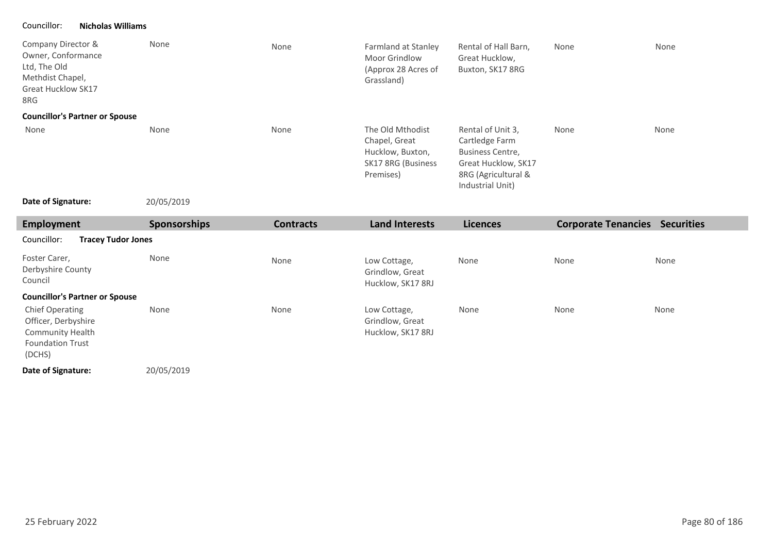### Councillor: **Nicholas Williams**

| Company Director &<br>Owner, Conformance<br>Ltd, The Old<br>Methdist Chapel,<br><b>Great Hucklow SK17</b><br>8RG | None         | None             | Farmland at Stanley<br>Moor Grindlow<br>(Approx 28 Acres of<br>Grassland)                | Rental of Hall Barn,<br>Great Hucklow,<br>Buxton, SK17 8RG                                                                       | None                                  | None |
|------------------------------------------------------------------------------------------------------------------|--------------|------------------|------------------------------------------------------------------------------------------|----------------------------------------------------------------------------------------------------------------------------------|---------------------------------------|------|
| <b>Councillor's Partner or Spouse</b>                                                                            |              |                  |                                                                                          |                                                                                                                                  |                                       |      |
| None                                                                                                             | None         | None             | The Old Mthodist<br>Chapel, Great<br>Hucklow, Buxton,<br>SK17 8RG (Business<br>Premises) | Rental of Unit 3,<br>Cartledge Farm<br><b>Business Centre,</b><br>Great Hucklow, SK17<br>8RG (Agricultural &<br>Industrial Unit) | None                                  | None |
| Date of Signature:                                                                                               | 20/05/2019   |                  |                                                                                          |                                                                                                                                  |                                       |      |
| <b>Employment</b>                                                                                                | Sponsorships | <b>Contracts</b> | <b>Land Interests</b>                                                                    | <b>Licences</b>                                                                                                                  | <b>Corporate Tenancies Securities</b> |      |
| Councillor:<br><b>Tracey Tudor Jones</b>                                                                         |              |                  |                                                                                          |                                                                                                                                  |                                       |      |
| Foster Carer,<br>Derbyshire County<br>Council                                                                    | None         | None             | Low Cottage,<br>Grindlow, Great<br>Hucklow, SK17 8RJ                                     | None                                                                                                                             | None                                  | None |
| <b>Councillor's Partner or Spouse</b>                                                                            |              |                  |                                                                                          |                                                                                                                                  |                                       |      |
| <b>Chief Operating</b><br>Officer, Derbyshire<br>Community Health<br><b>Foundation Trust</b><br>(DCHS)           | None         | None             | Low Cottage,<br>Grindlow, Great<br>Hucklow, SK17 8RJ                                     | None                                                                                                                             | None                                  | None |
|                                                                                                                  |              |                  |                                                                                          |                                                                                                                                  |                                       |      |

٠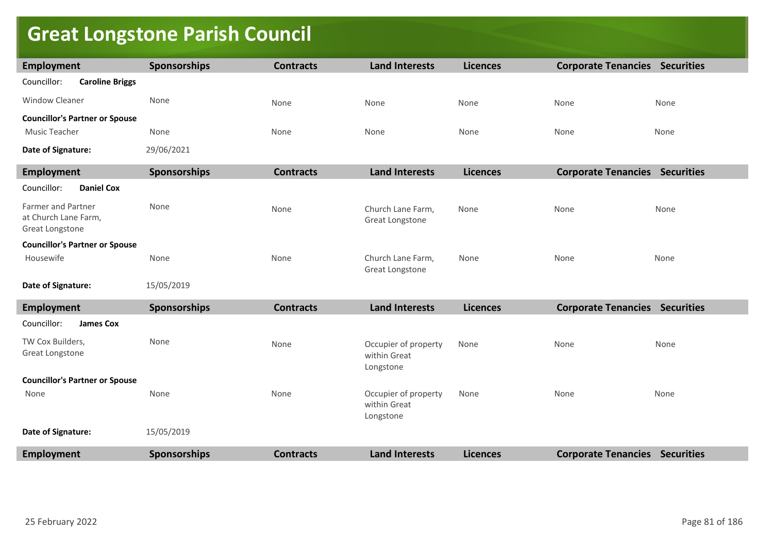## **Great Longstone Parish Council**

| <b>Employment</b>                          | <b>Sponsorships</b> | <b>Contracts</b> | <b>Land Interests</b>                             | <b>Licences</b> | <b>Corporate Tenancies Securities</b> |      |
|--------------------------------------------|---------------------|------------------|---------------------------------------------------|-----------------|---------------------------------------|------|
| Councillor:<br><b>Caroline Briggs</b>      |                     |                  |                                                   |                 |                                       |      |
| <b>Window Cleaner</b>                      | None                | None             | None                                              | None            | None                                  | None |
| <b>Councillor's Partner or Spouse</b>      |                     |                  |                                                   |                 |                                       |      |
| Music Teacher                              | None                | None             | None                                              | None            | None                                  | None |
| Date of Signature:                         | 29/06/2021          |                  |                                                   |                 |                                       |      |
| <b>Employment</b>                          | <b>Sponsorships</b> | <b>Contracts</b> | <b>Land Interests</b>                             | <b>Licences</b> | <b>Corporate Tenancies Securities</b> |      |
| <b>Daniel Cox</b><br>Councillor:           |                     |                  |                                                   |                 |                                       |      |
| Farmer and Partner<br>at Church Lane Farm, | None                | None             | Church Lane Farm,<br>Great Longstone              | None            | None                                  | None |
| Great Longstone                            |                     |                  |                                                   |                 |                                       |      |
| <b>Councillor's Partner or Spouse</b>      |                     |                  |                                                   |                 |                                       |      |
| Housewife                                  | None                | None             | Church Lane Farm,<br>Great Longstone              | None            | None                                  | None |
| Date of Signature:                         | 15/05/2019          |                  |                                                   |                 |                                       |      |
| <b>Employment</b>                          | Sponsorships        | <b>Contracts</b> | <b>Land Interests</b>                             | <b>Licences</b> | <b>Corporate Tenancies Securities</b> |      |
| Councillor:<br><b>James Cox</b>            |                     |                  |                                                   |                 |                                       |      |
| TW Cox Builders,<br>Great Longstone        | None                | None             | Occupier of property<br>within Great<br>Longstone | None            | None                                  | None |
| <b>Councillor's Partner or Spouse</b>      |                     |                  |                                                   |                 |                                       |      |
| None                                       | None                | None             | Occupier of property<br>within Great<br>Longstone | None            | None                                  | None |
| Date of Signature:                         | 15/05/2019          |                  |                                                   |                 |                                       |      |
| <b>Employment</b>                          | Sponsorships        | <b>Contracts</b> | <b>Land Interests</b>                             | <b>Licences</b> | <b>Corporate Tenancies Securities</b> |      |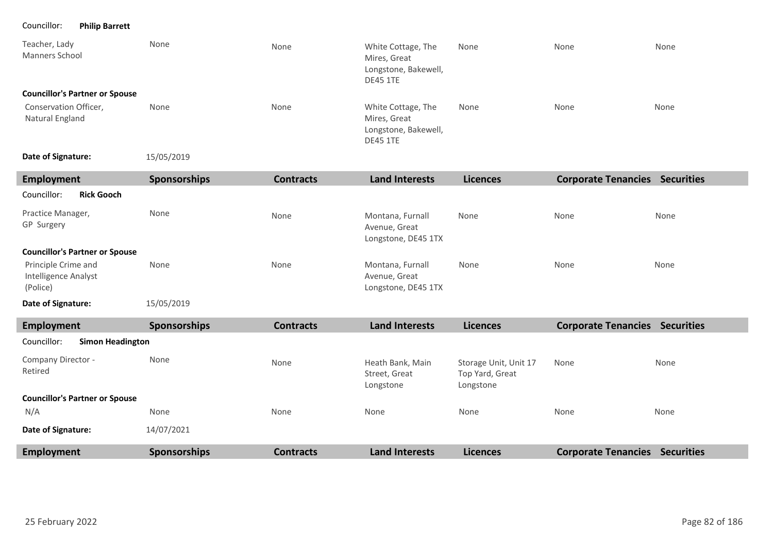Councillor: **Philip Barrett**

| Teacher, Lady<br><b>Manners School</b>                  | None                | None             | White Cottage, The<br>Mires, Great<br>Longstone, Bakewell,<br><b>DE45 1TE</b> | None                                                  | None                                  | None |
|---------------------------------------------------------|---------------------|------------------|-------------------------------------------------------------------------------|-------------------------------------------------------|---------------------------------------|------|
| <b>Councillor's Partner or Spouse</b>                   |                     |                  |                                                                               |                                                       |                                       |      |
| Conservation Officer,<br>Natural England                | None                | None             | White Cottage, The<br>Mires, Great<br>Longstone, Bakewell,<br><b>DE45 1TE</b> | None                                                  | None                                  | None |
| Date of Signature:                                      | 15/05/2019          |                  |                                                                               |                                                       |                                       |      |
| <b>Employment</b>                                       | <b>Sponsorships</b> | <b>Contracts</b> | <b>Land Interests</b>                                                         | <b>Licences</b>                                       | <b>Corporate Tenancies Securities</b> |      |
| Councillor:<br><b>Rick Gooch</b>                        |                     |                  |                                                                               |                                                       |                                       |      |
| Practice Manager,<br>GP Surgery                         | None                | None             | Montana, Furnall<br>Avenue, Great<br>Longstone, DE45 1TX                      | None                                                  | None                                  | None |
| <b>Councillor's Partner or Spouse</b>                   |                     |                  |                                                                               |                                                       |                                       |      |
| Principle Crime and<br>Intelligence Analyst<br>(Police) | None                | None             | Montana, Furnall<br>Avenue, Great<br>Longstone, DE45 1TX                      | None                                                  | None                                  | None |
| Date of Signature:                                      | 15/05/2019          |                  |                                                                               |                                                       |                                       |      |
| <b>Employment</b>                                       | <b>Sponsorships</b> | <b>Contracts</b> | <b>Land Interests</b>                                                         | <b>Licences</b>                                       | <b>Corporate Tenancies Securities</b> |      |
| Councillor:<br><b>Simon Headington</b>                  |                     |                  |                                                                               |                                                       |                                       |      |
| Company Director -<br>Retired                           | None                | None             | Heath Bank, Main<br>Street, Great<br>Longstone                                | Storage Unit, Unit 17<br>Top Yard, Great<br>Longstone | None                                  | None |
| <b>Councillor's Partner or Spouse</b>                   |                     |                  |                                                                               |                                                       |                                       |      |
| N/A                                                     | None                | None             | None                                                                          | None                                                  | None                                  | None |
| Date of Signature:                                      | 14/07/2021          |                  |                                                                               |                                                       |                                       |      |
| <b>Employment</b>                                       | <b>Sponsorships</b> | <b>Contracts</b> | <b>Land Interests</b>                                                         | <b>Licences</b>                                       | <b>Corporate Tenancies Securities</b> |      |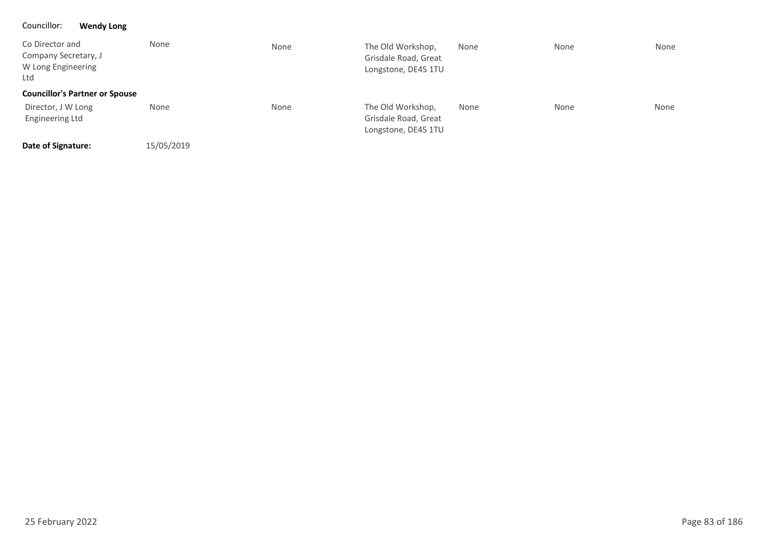### Councillor: **Wendy Long**

| Co Director and<br>Company Secretary, J<br>W Long Engineering<br>Ltd | None       | None | The Old Workshop,<br>Grisdale Road, Great<br>Longstone, DE45 1TU | None | None | None |
|----------------------------------------------------------------------|------------|------|------------------------------------------------------------------|------|------|------|
| <b>Councillor's Partner or Spouse</b>                                |            |      |                                                                  |      |      |      |
| Director, J W Long<br><b>Engineering Ltd</b>                         | None       | None | The Old Workshop,<br>Grisdale Road, Great<br>Longstone, DE45 1TU | None | None | None |
| Date of Signature:                                                   | 15/05/2019 |      |                                                                  |      |      |      |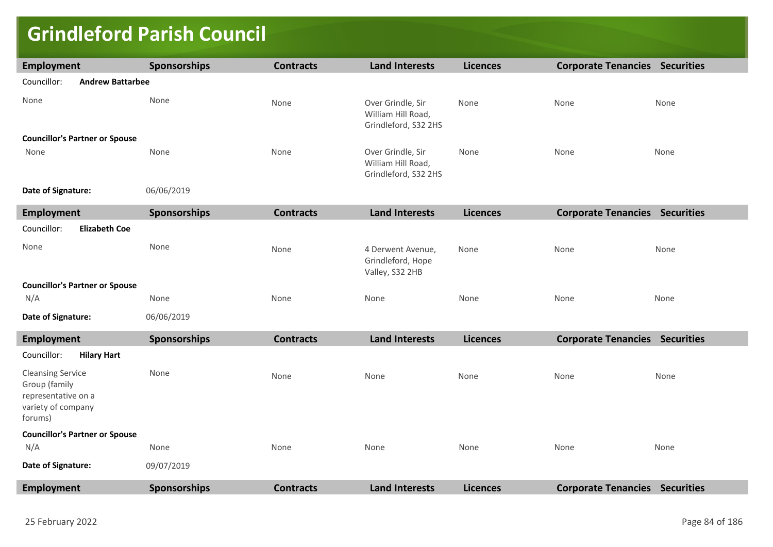## **Grindleford Parish Council**

| <b>Employment</b>                                                                                 | <b>Sponsorships</b> | <b>Contracts</b> | <b>Land Interests</b>                                           | <b>Licences</b> | <b>Corporate Tenancies Securities</b> |      |
|---------------------------------------------------------------------------------------------------|---------------------|------------------|-----------------------------------------------------------------|-----------------|---------------------------------------|------|
| Councillor:<br><b>Andrew Battarbee</b>                                                            |                     |                  |                                                                 |                 |                                       |      |
| None                                                                                              | None                | None             | Over Grindle, Sir<br>William Hill Road,<br>Grindleford, S32 2HS | None            | None                                  | None |
| <b>Councillor's Partner or Spouse</b>                                                             |                     |                  |                                                                 |                 |                                       |      |
| None                                                                                              | None                | None             | Over Grindle, Sir<br>William Hill Road,<br>Grindleford, S32 2HS | None            | None                                  | None |
| Date of Signature:                                                                                | 06/06/2019          |                  |                                                                 |                 |                                       |      |
| <b>Employment</b>                                                                                 | Sponsorships        | <b>Contracts</b> | <b>Land Interests</b>                                           | <b>Licences</b> | <b>Corporate Tenancies Securities</b> |      |
| Councillor:<br><b>Elizabeth Coe</b>                                                               |                     |                  |                                                                 |                 |                                       |      |
| None                                                                                              | None                | None             | 4 Derwent Avenue,<br>Grindleford, Hope<br>Valley, S32 2HB       | None            | None                                  | None |
| <b>Councillor's Partner or Spouse</b>                                                             |                     |                  |                                                                 |                 |                                       |      |
| N/A                                                                                               | None                | None             | None                                                            | None            | None                                  | None |
| Date of Signature:                                                                                | 06/06/2019          |                  |                                                                 |                 |                                       |      |
| <b>Employment</b>                                                                                 | Sponsorships        | <b>Contracts</b> | <b>Land Interests</b>                                           | <b>Licences</b> | <b>Corporate Tenancies Securities</b> |      |
| Councillor:<br><b>Hilary Hart</b>                                                                 |                     |                  |                                                                 |                 |                                       |      |
| <b>Cleansing Service</b><br>Group (family<br>representative on a<br>variety of company<br>forums) | None                | None             | None                                                            | None            | None                                  | None |
| <b>Councillor's Partner or Spouse</b>                                                             |                     |                  |                                                                 |                 |                                       |      |
| N/A                                                                                               | None                | None             | None                                                            | None            | None                                  | None |
| Date of Signature:                                                                                | 09/07/2019          |                  |                                                                 |                 |                                       |      |
| Employment                                                                                        | Sponsorships        | <b>Contracts</b> | <b>Land Interests</b>                                           | <b>Licences</b> | <b>Corporate Tenancies Securities</b> |      |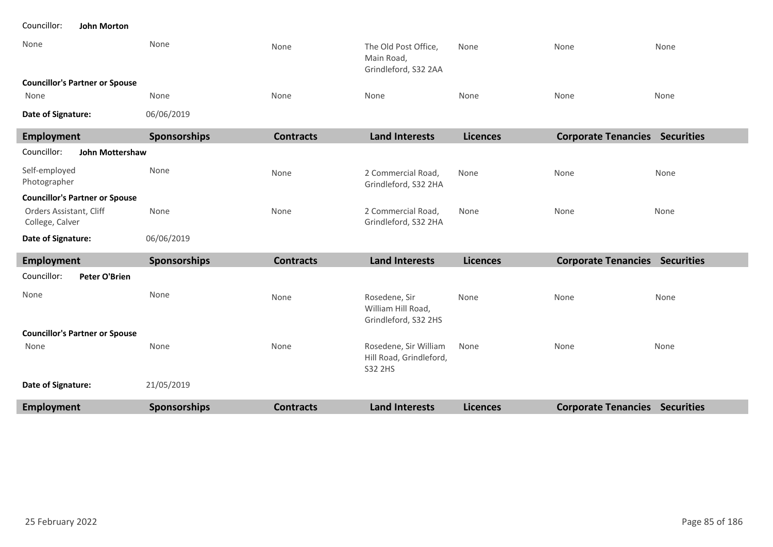| Councillor: |  | <b>John Morton</b> |  |
|-------------|--|--------------------|--|
|-------------|--|--------------------|--|

| None                                       | None                | None             | The Old Post Office,<br>Main Road,<br>Grindleford, S32 2AA  | None            | None                                  | None |
|--------------------------------------------|---------------------|------------------|-------------------------------------------------------------|-----------------|---------------------------------------|------|
| <b>Councillor's Partner or Spouse</b>      |                     |                  |                                                             |                 |                                       |      |
| None                                       | None                | None             | None                                                        | None            | None                                  | None |
| Date of Signature:                         | 06/06/2019          |                  |                                                             |                 |                                       |      |
| Employment                                 | <b>Sponsorships</b> | <b>Contracts</b> | <b>Land Interests</b>                                       | <b>Licences</b> | <b>Corporate Tenancies Securities</b> |      |
| <b>John Mottershaw</b><br>Councillor:      |                     |                  |                                                             |                 |                                       |      |
| Self-employed<br>Photographer              | None                | None             | 2 Commercial Road,<br>Grindleford, S32 2HA                  | None            | None                                  | None |
| <b>Councillor's Partner or Spouse</b>      |                     |                  |                                                             |                 |                                       |      |
| Orders Assistant, Cliff<br>College, Calver | None                | None             | 2 Commercial Road,<br>Grindleford, S32 2HA                  | None            | None                                  | None |
| Date of Signature:                         | 06/06/2019          |                  |                                                             |                 |                                       |      |
| <b>Employment</b>                          | <b>Sponsorships</b> | <b>Contracts</b> | <b>Land Interests</b>                                       | <b>Licences</b> | <b>Corporate Tenancies Securities</b> |      |
| Councillor:<br><b>Peter O'Brien</b>        |                     |                  |                                                             |                 |                                       |      |
| None                                       | None                | None             | Rosedene, Sir<br>William Hill Road,<br>Grindleford, S32 2HS | None            | None                                  | None |
| <b>Councillor's Partner or Spouse</b>      |                     |                  |                                                             |                 |                                       |      |
| None                                       | None                | None             | Rosedene, Sir William<br>Hill Road, Grindleford,<br>S32 2HS | None            | None                                  | None |
| Date of Signature:                         | 21/05/2019          |                  |                                                             |                 |                                       |      |
| Employment                                 | <b>Sponsorships</b> | <b>Contracts</b> | <b>Land Interests</b>                                       | <b>Licences</b> | <b>Corporate Tenancies Securities</b> |      |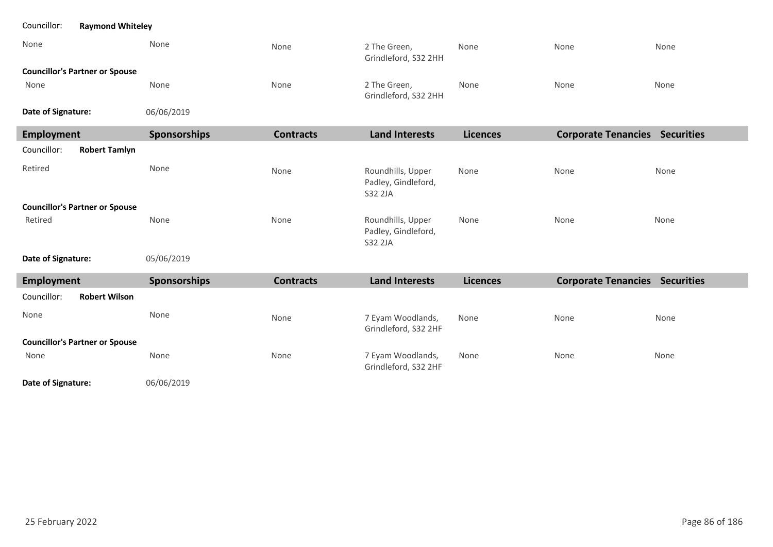| Councillor:<br><b>Raymond Whiteley</b> |              |                  |                                                     |                 |      |                                       |
|----------------------------------------|--------------|------------------|-----------------------------------------------------|-----------------|------|---------------------------------------|
| None                                   | None         | None             | 2 The Green,<br>Grindleford, S32 2HH                | None            | None | None                                  |
| <b>Councillor's Partner or Spouse</b>  |              |                  |                                                     |                 |      |                                       |
| None                                   | None         | None             | 2 The Green,<br>Grindleford, S32 2HH                | None            | None | None                                  |
| Date of Signature:                     | 06/06/2019   |                  |                                                     |                 |      |                                       |
| <b>Employment</b>                      | Sponsorships | <b>Contracts</b> | <b>Land Interests</b>                               | <b>Licences</b> |      | <b>Corporate Tenancies Securities</b> |
| Councillor:<br><b>Robert Tamlyn</b>    |              |                  |                                                     |                 |      |                                       |
| Retired                                | None         | None             | Roundhills, Upper<br>Padley, Gindleford,<br>S32 2JA | None            | None | None                                  |
| <b>Councillor's Partner or Spouse</b>  |              |                  |                                                     |                 |      |                                       |
| Retired                                | None         | None             | Roundhills, Upper<br>Padley, Gindleford,<br>S32 2JA | None            | None | None                                  |
| Date of Signature:                     | 05/06/2019   |                  |                                                     |                 |      |                                       |
| <b>Employment</b>                      | Sponsorships | <b>Contracts</b> | <b>Land Interests</b>                               | <b>Licences</b> |      | <b>Corporate Tenancies Securities</b> |
| Councillor:<br><b>Robert Wilson</b>    |              |                  |                                                     |                 |      |                                       |
| None                                   | None         | None             | 7 Eyam Woodlands,<br>Grindleford, S32 2HF           | None            | None | None                                  |
| <b>Councillor's Partner or Spouse</b>  |              |                  |                                                     |                 |      |                                       |
| None                                   | None         | None             | 7 Eyam Woodlands,<br>Grindleford, S32 2HF           | None            | None | None                                  |
| Date of Signature:                     | 06/06/2019   |                  |                                                     |                 |      |                                       |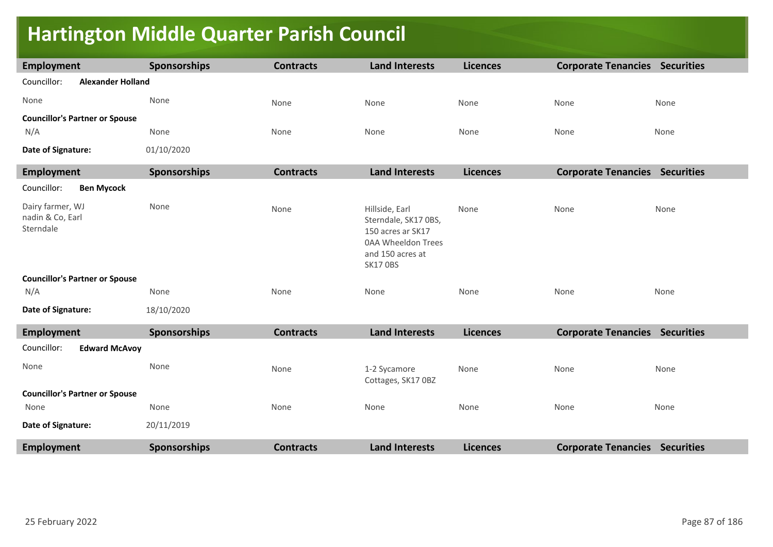## **Hartington Middle Quarter Parish Council**

| <b>Employment</b>                                 | <b>Sponsorships</b> | <b>Contracts</b> | <b>Land Interests</b>                                                                                                           | <b>Licences</b> | <b>Corporate Tenancies Securities</b> |      |
|---------------------------------------------------|---------------------|------------------|---------------------------------------------------------------------------------------------------------------------------------|-----------------|---------------------------------------|------|
| Councillor:<br><b>Alexander Holland</b>           |                     |                  |                                                                                                                                 |                 |                                       |      |
| None                                              | None                | None             | None                                                                                                                            | None            | None                                  | None |
| <b>Councillor's Partner or Spouse</b>             |                     |                  |                                                                                                                                 |                 |                                       |      |
| N/A                                               | None                | None             | None                                                                                                                            | None            | None                                  | None |
| Date of Signature:                                | 01/10/2020          |                  |                                                                                                                                 |                 |                                       |      |
| <b>Employment</b>                                 | <b>Sponsorships</b> | <b>Contracts</b> | <b>Land Interests</b>                                                                                                           | <b>Licences</b> | <b>Corporate Tenancies Securities</b> |      |
| <b>Ben Mycock</b><br>Councillor:                  |                     |                  |                                                                                                                                 |                 |                                       |      |
| Dairy farmer, WJ<br>nadin & Co, Earl<br>Sterndale | None                | None             | Hillside, Earl<br>Sterndale, SK17 0BS,<br>150 acres ar SK17<br><b>0AA Wheeldon Trees</b><br>and 150 acres at<br><b>SK17 OBS</b> | None            | None                                  | None |
| <b>Councillor's Partner or Spouse</b>             |                     |                  |                                                                                                                                 |                 |                                       |      |
| N/A                                               | None                | None             | None                                                                                                                            | None            | None                                  | None |
| Date of Signature:                                | 18/10/2020          |                  |                                                                                                                                 |                 |                                       |      |
| <b>Employment</b>                                 | <b>Sponsorships</b> | <b>Contracts</b> | <b>Land Interests</b>                                                                                                           | <b>Licences</b> | <b>Corporate Tenancies Securities</b> |      |
| Councillor:<br><b>Edward McAvoy</b>               |                     |                  |                                                                                                                                 |                 |                                       |      |
| None                                              | None                | None             | 1-2 Sycamore<br>Cottages, SK17 OBZ                                                                                              | None            | None                                  | None |
| <b>Councillor's Partner or Spouse</b>             |                     |                  |                                                                                                                                 |                 |                                       |      |
| None                                              | None                | None             | None                                                                                                                            | None            | None                                  | None |
| Date of Signature:                                | 20/11/2019          |                  |                                                                                                                                 |                 |                                       |      |
| <b>Employment</b>                                 | <b>Sponsorships</b> | <b>Contracts</b> | <b>Land Interests</b>                                                                                                           | <b>Licences</b> | <b>Corporate Tenancies Securities</b> |      |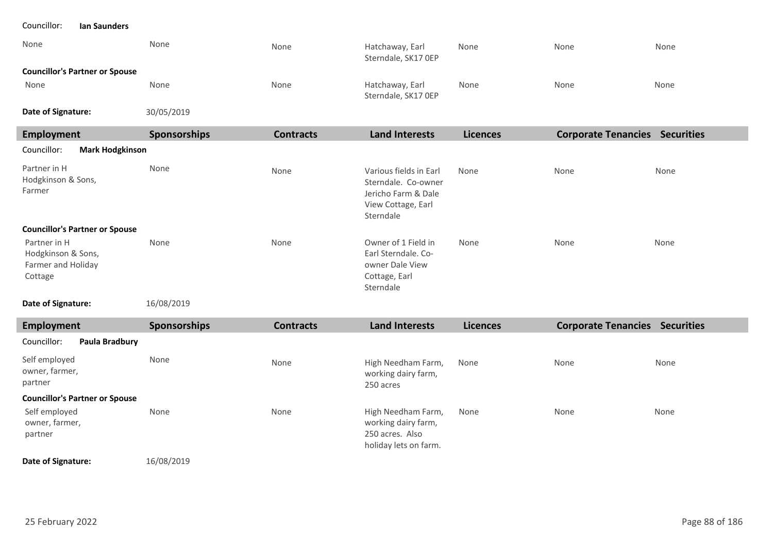| Councillor:<br>Ian Saunders                                         |                     |                  |                                                                                                         |                 |                                       |      |
|---------------------------------------------------------------------|---------------------|------------------|---------------------------------------------------------------------------------------------------------|-----------------|---------------------------------------|------|
| None                                                                | None                | None             | Hatchaway, Earl<br>Sterndale, SK17 OEP                                                                  | None            | None                                  | None |
| <b>Councillor's Partner or Spouse</b>                               |                     |                  |                                                                                                         |                 |                                       |      |
| None                                                                | None                | None             | Hatchaway, Earl<br>Sterndale, SK17 OEP                                                                  | None            | None                                  | None |
| Date of Signature:                                                  | 30/05/2019          |                  |                                                                                                         |                 |                                       |      |
| <b>Employment</b>                                                   | <b>Sponsorships</b> | <b>Contracts</b> | <b>Land Interests</b>                                                                                   | <b>Licences</b> | <b>Corporate Tenancies Securities</b> |      |
| Councillor:<br><b>Mark Hodgkinson</b>                               |                     |                  |                                                                                                         |                 |                                       |      |
| Partner in H<br>Hodgkinson & Sons,<br>Farmer                        | None                | None             | Various fields in Earl<br>Sterndale. Co-owner<br>Jericho Farm & Dale<br>View Cottage, Earl<br>Sterndale | None            | None                                  | None |
| <b>Councillor's Partner or Spouse</b>                               |                     |                  |                                                                                                         |                 |                                       |      |
| Partner in H<br>Hodgkinson & Sons,<br>Farmer and Holiday<br>Cottage | None                | None             | Owner of 1 Field in<br>Earl Sterndale. Co-<br>owner Dale View<br>Cottage, Earl<br>Sterndale             | None            | None                                  | None |
| Date of Signature:                                                  | 16/08/2019          |                  |                                                                                                         |                 |                                       |      |
| <b>Employment</b>                                                   | <b>Sponsorships</b> | <b>Contracts</b> | <b>Land Interests</b>                                                                                   | <b>Licences</b> | <b>Corporate Tenancies Securities</b> |      |
| Councillor:<br>Paula Bradbury                                       |                     |                  |                                                                                                         |                 |                                       |      |
| Self employed<br>owner, farmer,<br>partner                          | None                | None             | High Needham Farm,<br>working dairy farm,<br>250 acres                                                  | None            | None                                  | None |
| <b>Councillor's Partner or Spouse</b>                               |                     |                  |                                                                                                         |                 |                                       |      |
| Self employed<br>owner, farmer,<br>partner                          | None                | None             | High Needham Farm,<br>working dairy farm,<br>250 acres. Also<br>holiday lets on farm.                   | None            | None                                  | None |
|                                                                     |                     |                  |                                                                                                         |                 |                                       |      |

**Date of Signature:**

16/08/2019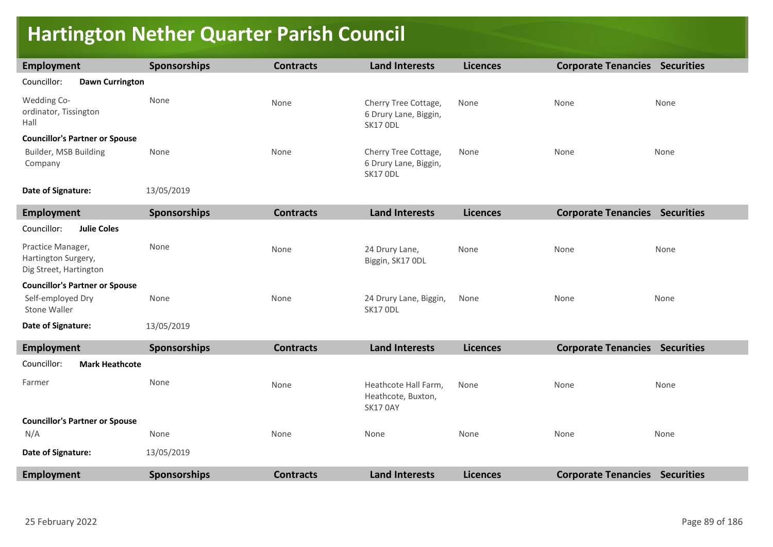## **Hartington Nether Quarter Parish Council**

| <b>Employment</b>                                                  | <b>Sponsorships</b> | <b>Contracts</b> | <b>Land Interests</b>                                            | <b>Licences</b> | <b>Corporate Tenancies Securities</b> |      |
|--------------------------------------------------------------------|---------------------|------------------|------------------------------------------------------------------|-----------------|---------------------------------------|------|
| Councillor:<br><b>Dawn Currington</b>                              |                     |                  |                                                                  |                 |                                       |      |
| Wedding Co-<br>ordinator, Tissington<br>Hall                       | None                | None             | Cherry Tree Cottage,<br>6 Drury Lane, Biggin,<br><b>SK17 ODL</b> | None            | None                                  | None |
| <b>Councillor's Partner or Spouse</b>                              |                     |                  |                                                                  |                 |                                       |      |
| Builder, MSB Building<br>Company                                   | None                | None             | Cherry Tree Cottage,<br>6 Drury Lane, Biggin,<br><b>SK17 ODL</b> | None            | None                                  | None |
| Date of Signature:                                                 | 13/05/2019          |                  |                                                                  |                 |                                       |      |
| <b>Employment</b>                                                  | <b>Sponsorships</b> | <b>Contracts</b> | <b>Land Interests</b>                                            | <b>Licences</b> | <b>Corporate Tenancies Securities</b> |      |
| Councillor:<br><b>Julie Coles</b>                                  |                     |                  |                                                                  |                 |                                       |      |
| Practice Manager,<br>Hartington Surgery,<br>Dig Street, Hartington | None                | None             | 24 Drury Lane,<br>Biggin, SK17 ODL                               | None            | None                                  | None |
| <b>Councillor's Partner or Spouse</b>                              |                     |                  |                                                                  |                 |                                       |      |
| Self-employed Dry<br>Stone Waller                                  | None                | None             | 24 Drury Lane, Biggin,<br>SK17 ODL                               | None            | None                                  | None |
| Date of Signature:                                                 | 13/05/2019          |                  |                                                                  |                 |                                       |      |
| <b>Employment</b>                                                  | <b>Sponsorships</b> | <b>Contracts</b> | <b>Land Interests</b>                                            | <b>Licences</b> | <b>Corporate Tenancies Securities</b> |      |
| Councillor:<br><b>Mark Heathcote</b>                               |                     |                  |                                                                  |                 |                                       |      |
| Farmer                                                             | None                | None             | Heathcote Hall Farm,<br>Heathcote, Buxton,<br><b>SK17 0AY</b>    | None            | None                                  | None |
| <b>Councillor's Partner or Spouse</b>                              |                     |                  |                                                                  |                 |                                       |      |
| N/A                                                                | None                | None             | None                                                             | None            | None                                  | None |
| Date of Signature:                                                 | 13/05/2019          |                  |                                                                  |                 |                                       |      |
| <b>Employment</b>                                                  | <b>Sponsorships</b> | <b>Contracts</b> | <b>Land Interests</b>                                            | <b>Licences</b> | <b>Corporate Tenancies Securities</b> |      |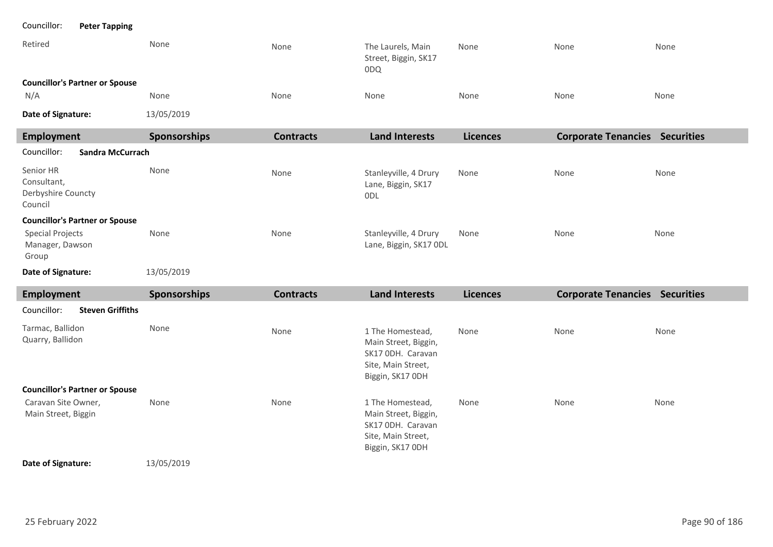| Councillor:<br><b>Peter Tapping</b>                       |              |                  |                                                                                                         |                 |                                       |      |
|-----------------------------------------------------------|--------------|------------------|---------------------------------------------------------------------------------------------------------|-----------------|---------------------------------------|------|
| Retired                                                   | None         | None             | The Laurels, Main<br>Street, Biggin, SK17<br>0DQ                                                        | None            | None                                  | None |
| <b>Councillor's Partner or Spouse</b>                     |              |                  |                                                                                                         |                 |                                       |      |
| N/A                                                       | None         | None             | None                                                                                                    | None            | None                                  | None |
| Date of Signature:                                        | 13/05/2019   |                  |                                                                                                         |                 |                                       |      |
| <b>Employment</b>                                         | Sponsorships | <b>Contracts</b> | <b>Land Interests</b>                                                                                   | <b>Licences</b> | <b>Corporate Tenancies Securities</b> |      |
| Councillor:<br><b>Sandra McCurrach</b>                    |              |                  |                                                                                                         |                 |                                       |      |
| Senior HR<br>Consultant,<br>Derbyshire Councty<br>Council | None         | None             | Stanleyville, 4 Drury<br>Lane, Biggin, SK17<br>0DL                                                      | None            | None                                  | None |
| <b>Councillor's Partner or Spouse</b>                     |              |                  |                                                                                                         |                 |                                       |      |
| <b>Special Projects</b><br>Manager, Dawson<br>Group       | None         | None             | Stanleyville, 4 Drury<br>Lane, Biggin, SK17 ODL                                                         | None            | None                                  | None |
| Date of Signature:                                        | 13/05/2019   |                  |                                                                                                         |                 |                                       |      |
| Employment                                                | Sponsorships | <b>Contracts</b> | <b>Land Interests</b>                                                                                   | <b>Licences</b> | <b>Corporate Tenancies Securities</b> |      |
| <b>Steven Griffiths</b><br>Councillor:                    |              |                  |                                                                                                         |                 |                                       |      |
| Tarmac, Ballidon<br>Quarry, Ballidon                      | None         | None             | 1 The Homestead,<br>Main Street, Biggin,<br>SK17 ODH. Caravan<br>Site, Main Street,<br>Biggin, SK17 ODH | None            | None                                  | None |
| <b>Councillor's Partner or Spouse</b>                     |              |                  |                                                                                                         |                 |                                       |      |
| Caravan Site Owner,<br>Main Street, Biggin                | None         | None             | 1 The Homestead,<br>Main Street, Biggin,<br>SK17 ODH. Caravan<br>Site, Main Street,<br>Biggin, SK17 ODH | None            | None                                  | None |

### **Date of Signature:**

13/05/2019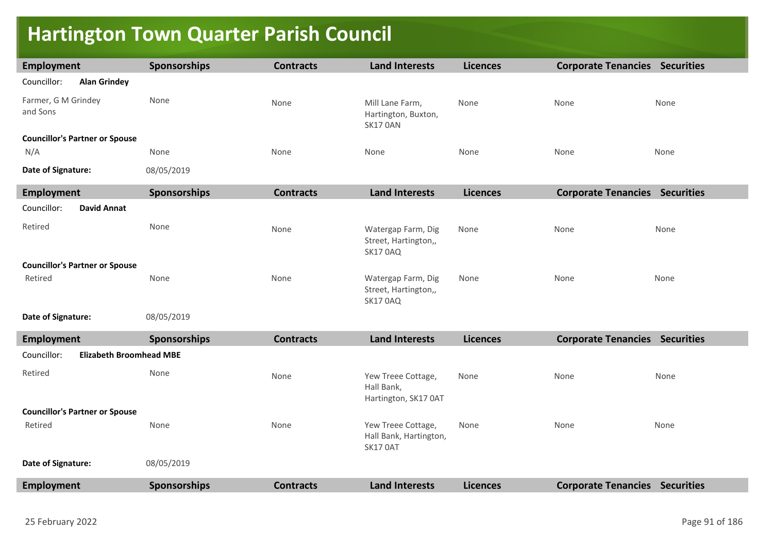## **Hartington Town Quarter Parish Council**

| <b>Employment</b>                             | Sponsorships        | <b>Contracts</b> | <b>Land Interests</b>                                         | <b>Licences</b> | <b>Corporate Tenancies Securities</b> |      |
|-----------------------------------------------|---------------------|------------------|---------------------------------------------------------------|-----------------|---------------------------------------|------|
| Councillor:<br><b>Alan Grindey</b>            |                     |                  |                                                               |                 |                                       |      |
| Farmer, G M Grindey<br>and Sons               | None                | None             | Mill Lane Farm,<br>Hartington, Buxton,<br>SK17 OAN            | None            | None                                  | None |
| <b>Councillor's Partner or Spouse</b>         |                     |                  |                                                               |                 |                                       |      |
| N/A                                           | None                | None             | None                                                          | None            | None                                  | None |
| Date of Signature:                            | 08/05/2019          |                  |                                                               |                 |                                       |      |
| <b>Employment</b>                             | Sponsorships        | <b>Contracts</b> | <b>Land Interests</b>                                         | <b>Licences</b> | <b>Corporate Tenancies Securities</b> |      |
| Councillor:<br><b>David Annat</b>             |                     |                  |                                                               |                 |                                       |      |
| Retired                                       | None                | None             | Watergap Farm, Dig<br>Street, Hartington,,<br><b>SK17 0AQ</b> | None            | None                                  | None |
| <b>Councillor's Partner or Spouse</b>         |                     |                  |                                                               |                 |                                       |      |
| Retired                                       | None                | None             | Watergap Farm, Dig<br>Street, Hartington,,<br><b>SK17 0AQ</b> | None            | None                                  | None |
| Date of Signature:                            | 08/05/2019          |                  |                                                               |                 |                                       |      |
| <b>Employment</b>                             | <b>Sponsorships</b> | <b>Contracts</b> | <b>Land Interests</b>                                         | <b>Licences</b> | <b>Corporate Tenancies Securities</b> |      |
| Councillor:<br><b>Elizabeth Broomhead MBE</b> |                     |                  |                                                               |                 |                                       |      |
| Retired                                       | None                | None             | Yew Treee Cottage,<br>Hall Bank,<br>Hartington, SK17 0AT      | None            | None                                  | None |
| <b>Councillor's Partner or Spouse</b>         |                     |                  |                                                               |                 |                                       |      |
| Retired                                       | None                | None             | Yew Treee Cottage,<br>Hall Bank, Hartington,<br>SK17 OAT      | None            | None                                  | None |
| Date of Signature:                            | 08/05/2019          |                  |                                                               |                 |                                       |      |
| <b>Employment</b>                             | <b>Sponsorships</b> | <b>Contracts</b> | <b>Land Interests</b>                                         | <b>Licences</b> | <b>Corporate Tenancies Securities</b> |      |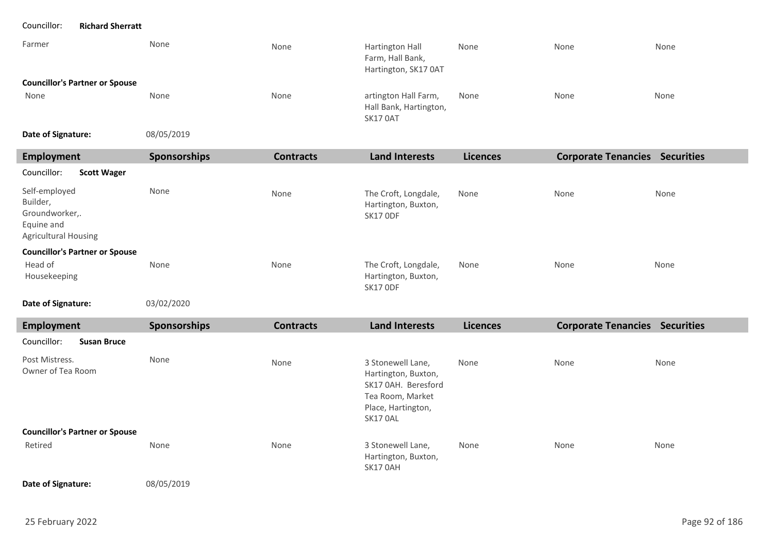### Councillor: **Richard Sherratt**

| Farmer                                | None       | None | Hartington Hall<br>Farm, Hall Bank,<br>Hartington, SK17 0AT       | None | None | None |
|---------------------------------------|------------|------|-------------------------------------------------------------------|------|------|------|
| <b>Councillor's Partner or Spouse</b> |            |      |                                                                   |      |      |      |
| None                                  | None       | None | artington Hall Farm,<br>Hall Bank, Hartington,<br><b>SK17 0AT</b> | None | None | None |
| Date of Signature:                    | 08/05/2019 |      |                                                                   |      |      |      |

| te of Signature: | 08/05/ |
|------------------|--------|
|------------------|--------|

| Employment                                                                               | Sponsorships | <b>Contracts</b> | <b>Land Interests</b>                                                                                                 | <b>Licences</b> | <b>Corporate Tenancies Securities</b> |      |
|------------------------------------------------------------------------------------------|--------------|------------------|-----------------------------------------------------------------------------------------------------------------------|-----------------|---------------------------------------|------|
| Councillor:<br><b>Scott Wager</b>                                                        |              |                  |                                                                                                                       |                 |                                       |      |
| Self-employed<br>Builder,<br>Groundworker,.<br>Equine and<br><b>Agricultural Housing</b> | None         | None             | The Croft, Longdale,<br>Hartington, Buxton,<br><b>SK17 ODF</b>                                                        | None            | None                                  | None |
| <b>Councillor's Partner or Spouse</b>                                                    |              |                  |                                                                                                                       |                 |                                       |      |
| Head of<br>Housekeeping                                                                  | None         | None             | The Croft, Longdale,<br>Hartington, Buxton,<br><b>SK17 ODF</b>                                                        | None            | None                                  | None |
| Date of Signature:                                                                       | 03/02/2020   |                  |                                                                                                                       |                 |                                       |      |
| <b>Employment</b>                                                                        | Sponsorships | <b>Contracts</b> | <b>Land Interests</b>                                                                                                 | <b>Licences</b> | <b>Corporate Tenancies Securities</b> |      |
| Councillor:<br><b>Susan Bruce</b>                                                        |              |                  |                                                                                                                       |                 |                                       |      |
| Post Mistress.<br>Owner of Tea Room                                                      | None         | None             | 3 Stonewell Lane,<br>Hartington, Buxton,<br>SK17 0AH. Beresford<br>Tea Room, Market<br>Place, Hartington,<br>SK17 OAL | None            | None                                  | None |
| <b>Councillor's Partner or Spouse</b>                                                    |              |                  |                                                                                                                       |                 |                                       |      |

| Retired | None | None | 3 Stonewell Lane,   | None | None | None |
|---------|------|------|---------------------|------|------|------|
|         |      |      | Hartington, Buxton, |      |      |      |
|         |      |      | <b>SK17 0AH</b>     |      |      |      |
|         |      |      |                     |      |      |      |

08/05/2019 **Date of Signature:**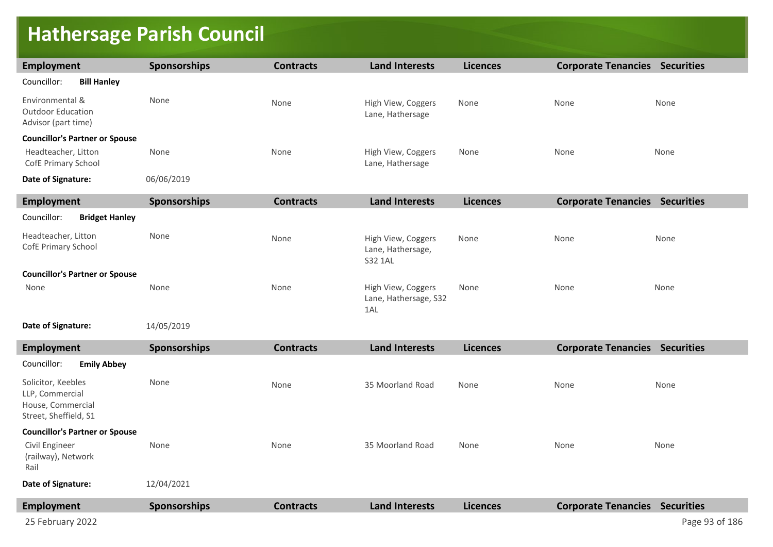### **Hathersage Parish Council**

| <b>Employment</b>                                                  | <b>Sponsorships</b> | <b>Contracts</b> | <b>Land Interests</b>                              | <b>Licences</b> | <b>Corporate Tenancies Securities</b> |      |
|--------------------------------------------------------------------|---------------------|------------------|----------------------------------------------------|-----------------|---------------------------------------|------|
| Councillor:<br><b>Bill Hanley</b>                                  |                     |                  |                                                    |                 |                                       |      |
| Environmental &<br><b>Outdoor Education</b><br>Advisor (part time) | None                | None             | High View, Coggers<br>Lane, Hathersage             | None            | None                                  | None |
| <b>Councillor's Partner or Spouse</b>                              |                     |                  |                                                    |                 |                                       |      |
| Headteacher, Litton<br>CofE Primary School                         | None                | None             | High View, Coggers<br>Lane, Hathersage             | None            | None                                  | None |
| Date of Signature:                                                 | 06/06/2019          |                  |                                                    |                 |                                       |      |
| Employment                                                         | <b>Sponsorships</b> | <b>Contracts</b> | <b>Land Interests</b>                              | <b>Licences</b> | <b>Corporate Tenancies Securities</b> |      |
| <b>Bridget Hanley</b><br>Councillor:                               |                     |                  |                                                    |                 |                                       |      |
| Headteacher, Litton<br>CofE Primary School                         | None                | None             | High View, Coggers<br>Lane, Hathersage,<br>S32 1AL | None            | None                                  | None |
| <b>Councillor's Partner or Spouse</b>                              |                     |                  |                                                    |                 |                                       |      |
| None                                                               | None                | None             | High View, Coggers<br>Lane, Hathersage, S32<br>1AL | None            | None                                  | None |
| _ _ _ _                                                            | $1.19 - 10.010$     |                  |                                                    |                 |                                       |      |

14/05/2019 **Date of Signature:**

**Employment Sponsorships Contracts Land Interests Licences Corporate Tenancies Securities** Solicitor, Keebles LLP, Commercial House, Commercial Street, Sheffield, S1 None None None None 35 Moorland Road 35 Moorland Road None None None None None None 12/04/2021 **Councillor's Partner or Spouse Date of Signature:** Councillor: **Emily Abbey** Civil Engineer (railway), Network Rail **Employment Sponsorships Contracts Land Interests Licences Corporate Tenancies Securities**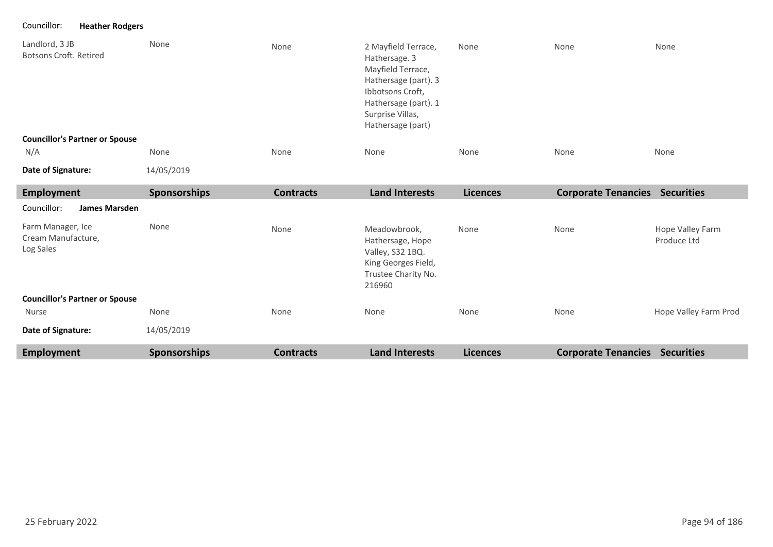Councillor: **Heather Rodgers**

| Landlord, 3 JB<br>Botsons Croft, Retired | None                | None             | 2 Mayfield Terrace,<br>Hathersage. 3<br>Mayfield Terrace,<br>Hathersage (part). 3<br>Ibbotsons Croft,<br>Hathersage (part). 1<br>Surprise Villas,<br>Hathersage (part) | None            | None                       | None              |
|------------------------------------------|---------------------|------------------|------------------------------------------------------------------------------------------------------------------------------------------------------------------------|-----------------|----------------------------|-------------------|
| <b>Councillor's Partner or Spouse</b>    |                     |                  |                                                                                                                                                                        |                 |                            |                   |
| N/A                                      | None                | None             | None                                                                                                                                                                   | None            | None                       | None              |
| Date of Signature:                       | 14/05/2019          |                  |                                                                                                                                                                        |                 |                            |                   |
| Employment                               | <b>Sponsorships</b> | <b>Contracts</b> | <b>Land Interests</b>                                                                                                                                                  | <b>Licences</b> | <b>Corporate Tenancies</b> | <b>Securities</b> |
| Councillor:<br><b>James Marsden</b>      |                     |                  |                                                                                                                                                                        |                 |                            |                   |

| <b>Employment</b>                                    | <b>Sponsorships</b> | <b>Contracts</b> | <b>Land Interests</b>                                                                                        | <b>Licences</b> | <b>Corporate Tenancies</b> | <b>Securities</b>               |
|------------------------------------------------------|---------------------|------------------|--------------------------------------------------------------------------------------------------------------|-----------------|----------------------------|---------------------------------|
| Date of Signature:                                   | 14/05/2019          |                  |                                                                                                              |                 |                            |                                 |
| Nurse                                                | None                | None             | None                                                                                                         | None            | None                       | Hope Valley Farm Prod           |
| <b>Councillor's Partner or Spouse</b>                |                     |                  |                                                                                                              |                 |                            |                                 |
| Farm Manager, Ice<br>Cream Manufacture,<br>Log Sales | None                | None             | Meadowbrook,<br>Hathersage, Hope<br>Valley, S32 1BQ.<br>King Georges Field,<br>Trustee Charity No.<br>216960 | None            | None                       | Hope Valley Farm<br>Produce Ltd |
| www.com<br>JAIIICJ IVIAI JUCII                       |                     |                  |                                                                                                              |                 |                            |                                 |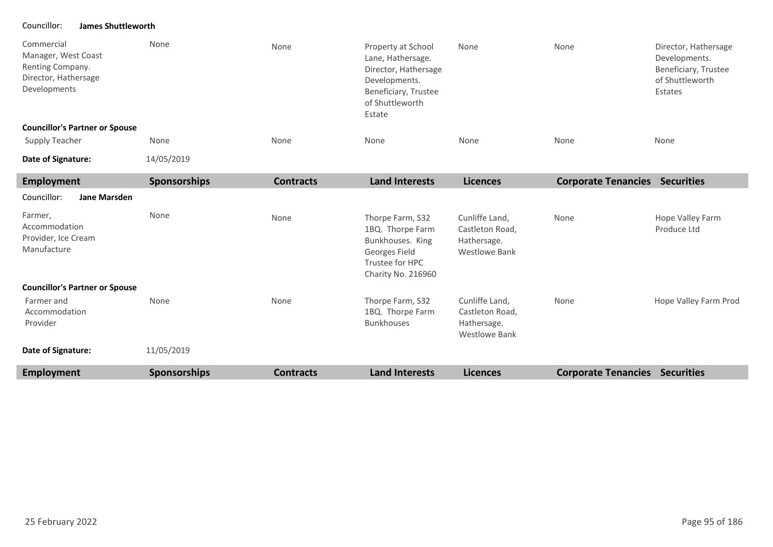### Councillor: **James Shuttleworth**

| <b>Employment</b>                                                                             | <b>Sponsorships</b> | <b>Contracts</b> | <b>Land Interests</b>                                                                                              | <b>Licences</b>                                                          | <b>Corporate Tenancies Securities</b> |                                                                                             |
|-----------------------------------------------------------------------------------------------|---------------------|------------------|--------------------------------------------------------------------------------------------------------------------|--------------------------------------------------------------------------|---------------------------------------|---------------------------------------------------------------------------------------------|
| Date of Signature:                                                                            | 11/05/2019          |                  |                                                                                                                    |                                                                          |                                       |                                                                                             |
| Farmer and<br>Accommodation<br>Provider                                                       | None                | None             | Thorpe Farm, S32<br>1BQ. Thorpe Farm<br><b>Bunkhouses</b>                                                          | Cunliffe Land,<br>Castleton Road,<br>Hathersage.<br><b>Westlowe Bank</b> | None                                  | Hope Valley Farm Prod                                                                       |
| <b>Councillor's Partner or Spouse</b>                                                         |                     |                  |                                                                                                                    |                                                                          |                                       |                                                                                             |
| Farmer,<br>Accommodation<br>Provider, Ice Cream<br>Manufacture                                | None                | None             | Thorpe Farm, S32<br>1BQ. Thorpe Farm<br>Bunkhouses. King<br>Georges Field<br>Trustee for HPC<br>Charity No. 216960 | Cunliffe Land,<br>Castleton Road,<br>Hathersage.<br><b>Westlowe Bank</b> | None                                  | Hope Valley Farm<br>Produce Ltd                                                             |
| Councillor:<br><b>Jane Marsden</b>                                                            |                     |                  |                                                                                                                    |                                                                          |                                       |                                                                                             |
| <b>Employment</b>                                                                             | <b>Sponsorships</b> | <b>Contracts</b> | <b>Land Interests</b>                                                                                              | <b>Licences</b>                                                          | <b>Corporate Tenancies Securities</b> |                                                                                             |
| Date of Signature:                                                                            | 14/05/2019          |                  |                                                                                                                    |                                                                          |                                       |                                                                                             |
| <b>Councillor's Partner or Spouse</b><br><b>Supply Teacher</b>                                | None                | None             | None                                                                                                               | None                                                                     | None                                  | None                                                                                        |
|                                                                                               |                     |                  | of Shuttleworth<br>Estate                                                                                          |                                                                          |                                       |                                                                                             |
| Commercial<br>Manager, West Coast<br>Renting Company.<br>Director, Hathersage<br>Developments | None                | None             | Property at School<br>Lane, Hathersage.<br>Director, Hathersage<br>Developments.<br>Beneficiary, Trustee           | None                                                                     | None                                  | Director, Hathersage<br>Developments.<br>Beneficiary, Trustee<br>of Shuttleworth<br>Estates |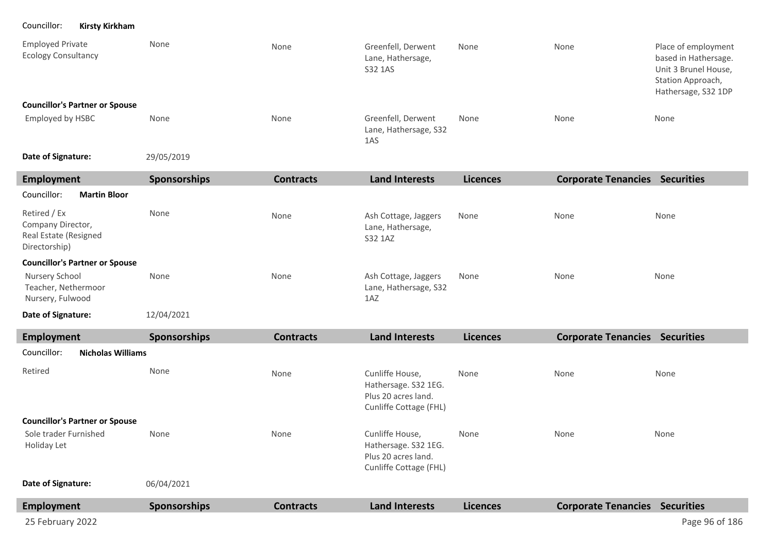Councillor: **Kirsty Kirkham**

| <b>Employed Private</b><br><b>Ecology Consultancy</b>                       | None                | None             | Greenfell, Derwent<br>Lane, Hathersage,<br>S32 1AS   | None            | None                       | Place of employment<br>based in Hathersage.<br>Unit 3 Brunel House,<br>Station Approach,<br>Hathersage, S32 1DP |
|-----------------------------------------------------------------------------|---------------------|------------------|------------------------------------------------------|-----------------|----------------------------|-----------------------------------------------------------------------------------------------------------------|
| <b>Councillor's Partner or Spouse</b>                                       |                     |                  |                                                      |                 |                            |                                                                                                                 |
| <b>Employed by HSBC</b>                                                     | None                | None             | Greenfell, Derwent<br>Lane, Hathersage, S32<br>1AS   | None            | None                       | None                                                                                                            |
| Date of Signature:                                                          | 29/05/2019          |                  |                                                      |                 |                            |                                                                                                                 |
| <b>Employment</b>                                                           | Sponsorships        | <b>Contracts</b> | <b>Land Interests</b>                                | <b>Licences</b> | <b>Corporate Tenancies</b> | <b>Securities</b>                                                                                               |
| Councillor:<br><b>Martin Bloor</b>                                          |                     |                  |                                                      |                 |                            |                                                                                                                 |
| Retired / Ex<br>Company Director,<br>Real Estate (Resigned<br>Directorship) | None                | None             | Ash Cottage, Jaggers<br>Lane, Hathersage,<br>S32 1AZ | None            | None                       | None                                                                                                            |
| <b>Councillor's Partner or Spouse</b>                                       |                     |                  |                                                      |                 |                            |                                                                                                                 |
| Nursery School<br>Teacher, Nethermoor<br>Nursery, Fulwood                   | None                | None             | Ash Cottage, Jaggers<br>Lane, Hathersage, S32<br>1AZ | None            | None                       | None                                                                                                            |
| Date of Signature:                                                          | 12/04/2021          |                  |                                                      |                 |                            |                                                                                                                 |
| <b>Employment</b>                                                           | <b>Sponsorships</b> | <b>Contracts</b> | <b>Land Interests</b>                                | <b>Licences</b> | <b>Corporate Tenancies</b> | <b>Securities</b>                                                                                               |

| Councillor:                           | <b>Nicholas Williams</b> |                     |                  |                                                                                          |                 |                                       |                |
|---------------------------------------|--------------------------|---------------------|------------------|------------------------------------------------------------------------------------------|-----------------|---------------------------------------|----------------|
| Retired                               |                          | None                | None             | Cunliffe House,<br>Hathersage. S32 1EG.<br>Plus 20 acres land.<br>Cunliffe Cottage (FHL) | None            | None                                  | None           |
| <b>Councillor's Partner or Spouse</b> |                          |                     |                  |                                                                                          |                 |                                       |                |
| Sole trader Furnished<br>Holiday Let  |                          | None                | None             | Cunliffe House,<br>Hathersage. S32 1EG.<br>Plus 20 acres land.<br>Cunliffe Cottage (FHL) | None            | None                                  | None           |
| Date of Signature:                    |                          | 06/04/2021          |                  |                                                                                          |                 |                                       |                |
| Employment                            |                          | <b>Sponsorships</b> | <b>Contracts</b> | <b>Land Interests</b>                                                                    | <b>Licences</b> | <b>Corporate Tenancies Securities</b> |                |
| 25 February 2022                      |                          |                     |                  |                                                                                          |                 |                                       | Page 96 of 186 |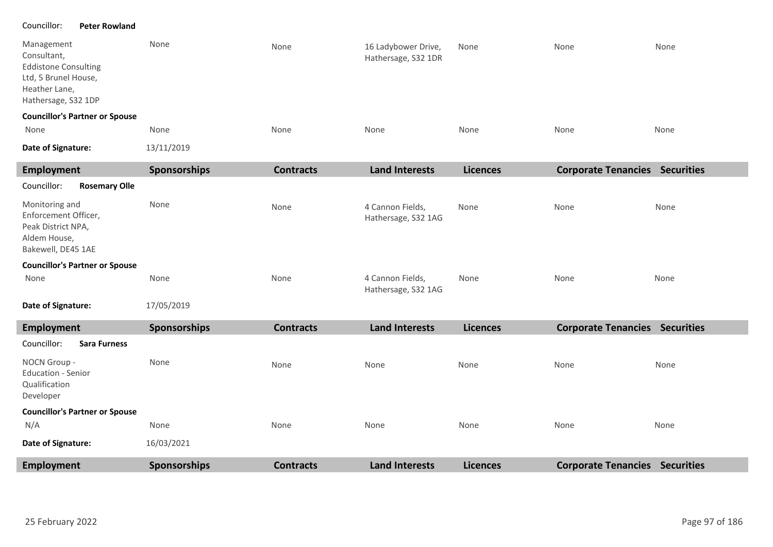### Councillor: **Peter Rowland**

| Management<br>Consultant,<br><b>Eddistone Consulting</b><br>Ltd, 5 Brunel House,<br>Heather Lane,<br>Hathersage, S32 1DP | None | None | 16 Ladybower Drive,<br>Hathersage, S32 1DR | None | None | None |
|--------------------------------------------------------------------------------------------------------------------------|------|------|--------------------------------------------|------|------|------|
| <b>Councillor's Partner or Spouse</b>                                                                                    |      |      |                                            |      |      |      |
| None                                                                                                                     | None | None | None                                       | None | None | None |

```
13/11/2019
Date of Signature:
```

| <b>Employment</b>                                                                                  | Sponsorships | <b>Contracts</b> | <b>Land Interests</b>                   | <b>Licences</b> | <b>Corporate Tenancies Securities</b> |      |
|----------------------------------------------------------------------------------------------------|--------------|------------------|-----------------------------------------|-----------------|---------------------------------------|------|
| Councillor:<br><b>Rosemary Olle</b>                                                                |              |                  |                                         |                 |                                       |      |
| Monitoring and<br>Enforcement Officer,<br>Peak District NPA,<br>Aldem House,<br>Bakewell, DE45 1AE | None         | None             | 4 Cannon Fields,<br>Hathersage, S32 1AG | None            | None                                  | None |
| <b>Councillor's Partner or Spouse</b>                                                              |              |                  |                                         |                 |                                       |      |
| None                                                                                               | None         | None             | 4 Cannon Fields,<br>Hathersage, S32 1AG | None            | None                                  | None |
| Date of Signature:                                                                                 | 17/05/2019   |                  |                                         |                 |                                       |      |
|                                                                                                    |              |                  |                                         |                 |                                       |      |
| <b>Employment</b>                                                                                  | Sponsorships | <b>Contracts</b> | <b>Land Interests</b>                   | <b>Licences</b> | <b>Corporate Tenancies Securities</b> |      |
| Councillor:<br><b>Sara Furness</b>                                                                 |              |                  |                                         |                 |                                       |      |
| NOCN Group -<br><b>Education - Senior</b><br>Qualification<br>Developer                            | None         | None             | None                                    | None            | None                                  | None |
| <b>Councillor's Partner or Spouse</b>                                                              |              |                  |                                         |                 |                                       |      |
| N/A                                                                                                | None         | None             | None                                    | None            | None                                  | None |
| Date of Signature:                                                                                 | 16/03/2021   |                  |                                         |                 |                                       |      |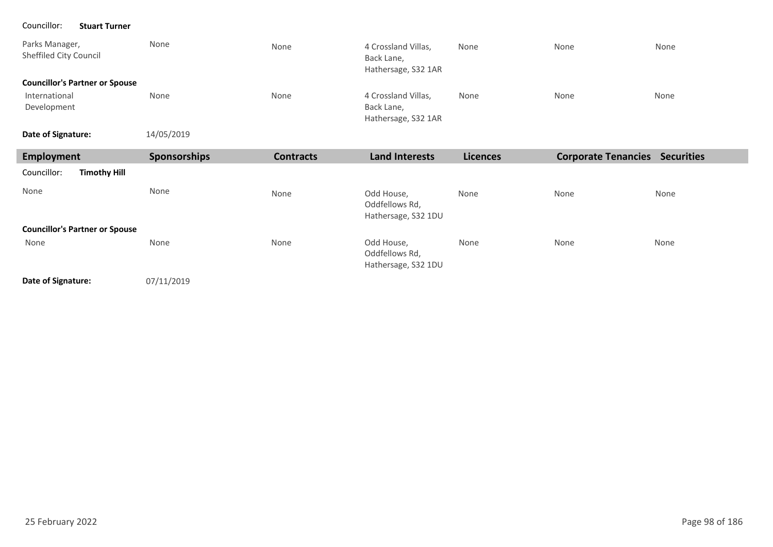### Councillor: **Stuart Turner**

| Parks Manager,<br>Sheffiled City Council | None       | None | 4 Crossland Villas,<br>Back Lane,<br>Hathersage, S32 1AR | None | None | None |
|------------------------------------------|------------|------|----------------------------------------------------------|------|------|------|
| <b>Councillor's Partner or Spouse</b>    |            |      |                                                          |      |      |      |
| International                            | None       | None | 4 Crossland Villas,<br>Back Lane,                        | None | None | None |
| Development                              |            |      | Hathersage, S32 1AR                                      |      |      |      |
| Date of Signature:                       | 14/05/2019 |      |                                                          |      |      |      |

| Employment                            | <b>Sponsorships</b> | <b>Contracts</b> | <b>Land Interests</b>                               | <b>Licences</b> | <b>Corporate Tenancies</b> | <b>Securities</b> |
|---------------------------------------|---------------------|------------------|-----------------------------------------------------|-----------------|----------------------------|-------------------|
| Councillor:<br><b>Timothy Hill</b>    |                     |                  |                                                     |                 |                            |                   |
| None                                  | None                | None             | Odd House,<br>Oddfellows Rd,<br>Hathersage, S32 1DU | None            | None                       | None              |
| <b>Councillor's Partner or Spouse</b> |                     |                  |                                                     |                 |                            |                   |
| None                                  | None                | None             | Odd House,<br>Oddfellows Rd,<br>Hathersage, S32 1DU | None            | None                       | None              |

**Date of Signature:**

07/11/2019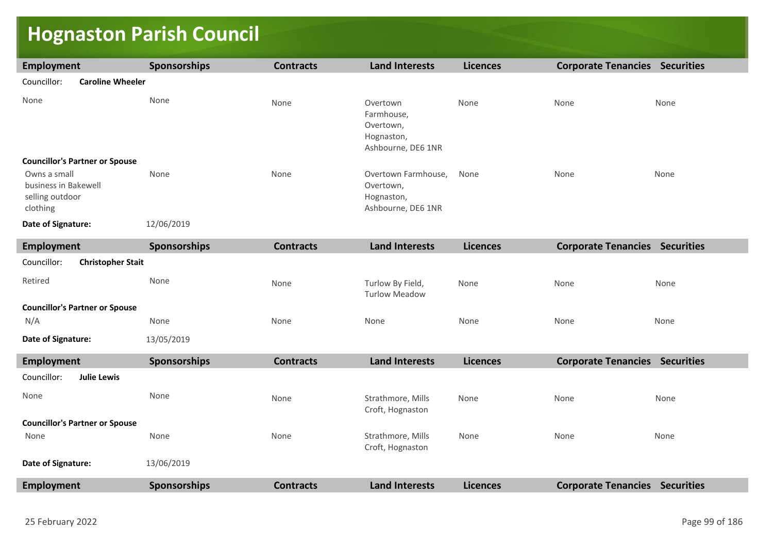# **Hognaston Parish Council**

| <b>Employment</b>                                                   | Sponsorships        | <b>Contracts</b> | <b>Land Interests</b>                                                   | <b>Licences</b> | <b>Corporate Tenancies Securities</b> |      |
|---------------------------------------------------------------------|---------------------|------------------|-------------------------------------------------------------------------|-----------------|---------------------------------------|------|
| Councillor:<br><b>Caroline Wheeler</b>                              |                     |                  |                                                                         |                 |                                       |      |
| None                                                                | None                | None             | Overtown<br>Farmhouse,<br>Overtown,<br>Hognaston,<br>Ashbourne, DE6 1NR | None            | None                                  | None |
| <b>Councillor's Partner or Spouse</b>                               |                     |                  |                                                                         |                 |                                       |      |
| Owns a small<br>business in Bakewell<br>selling outdoor<br>clothing | None                | None             | Overtown Farmhouse,<br>Overtown,<br>Hognaston,<br>Ashbourne, DE6 1NR    | None            | None                                  | None |
| Date of Signature:                                                  | 12/06/2019          |                  |                                                                         |                 |                                       |      |
| <b>Employment</b>                                                   | Sponsorships        | <b>Contracts</b> | <b>Land Interests</b>                                                   | <b>Licences</b> | <b>Corporate Tenancies Securities</b> |      |
| Councillor:<br><b>Christopher Stait</b>                             |                     |                  |                                                                         |                 |                                       |      |
| Retired                                                             | None                | None             | Turlow By Field,<br><b>Turlow Meadow</b>                                | None            | None                                  | None |
| <b>Councillor's Partner or Spouse</b>                               |                     |                  |                                                                         |                 |                                       |      |
| N/A                                                                 | None                | None             | None                                                                    | None            | None                                  | None |
| Date of Signature:                                                  | 13/05/2019          |                  |                                                                         |                 |                                       |      |
| Employment                                                          | Sponsorships        | <b>Contracts</b> | <b>Land Interests</b>                                                   | <b>Licences</b> | <b>Corporate Tenancies Securities</b> |      |
| Councillor:<br><b>Julie Lewis</b>                                   |                     |                  |                                                                         |                 |                                       |      |
| None                                                                | None                | None             | Strathmore, Mills<br>Croft, Hognaston                                   | None            | None                                  | None |
| <b>Councillor's Partner or Spouse</b>                               |                     |                  |                                                                         |                 |                                       |      |
| None                                                                | None                | None             | Strathmore, Mills<br>Croft, Hognaston                                   | None            | None                                  | None |
| Date of Signature:                                                  | 13/06/2019          |                  |                                                                         |                 |                                       |      |
| Employment                                                          | <b>Sponsorships</b> | <b>Contracts</b> | <b>Land Interests</b>                                                   | <b>Licences</b> | <b>Corporate Tenancies Securities</b> |      |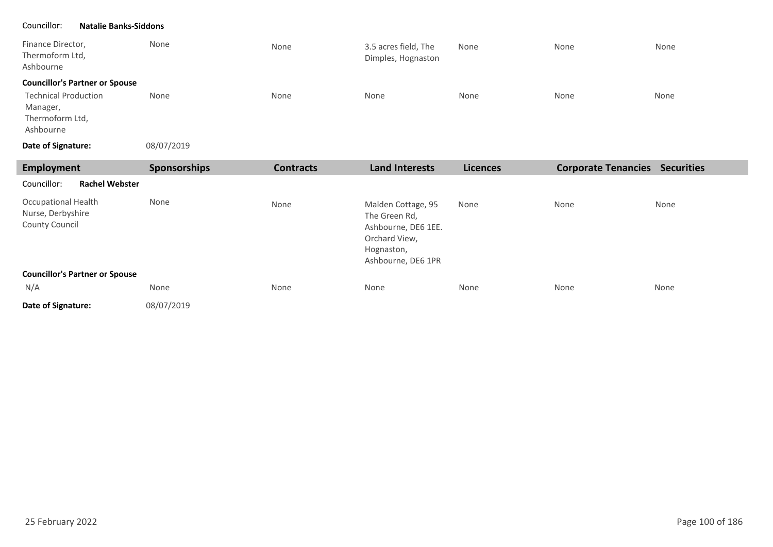### Councillor: **Natalie Banks-Siddons**

| Finance Director,<br>Thermoform Ltd,<br>Ashbourne                       | None       | None | 3.5 acres field, The<br>Dimples, Hognaston | None | None | None |
|-------------------------------------------------------------------------|------------|------|--------------------------------------------|------|------|------|
| <b>Councillor's Partner or Spouse</b>                                   |            |      |                                            |      |      |      |
| <b>Technical Production</b><br>Manager,<br>Thermoform Ltd,<br>Ashbourne | None       | None | None                                       | None | None | None |
| Date of Signature:                                                      | 08/07/2019 |      |                                            |      |      |      |

| Employment                                                        | <b>Sponsorships</b> | <b>Contracts</b> | <b>Land Interests</b>                                                                                           | <b>Licences</b> | <b>Corporate Tenancies</b> | <b>Securities</b> |
|-------------------------------------------------------------------|---------------------|------------------|-----------------------------------------------------------------------------------------------------------------|-----------------|----------------------------|-------------------|
| Councillor:<br><b>Rachel Webster</b>                              |                     |                  |                                                                                                                 |                 |                            |                   |
| <b>Occupational Health</b><br>Nurse, Derbyshire<br>County Council | None                | None             | Malden Cottage, 95<br>The Green Rd,<br>Ashbourne, DE6 1EE.<br>Orchard View,<br>Hognaston,<br>Ashbourne, DE6 1PR | None            | None                       | None              |
| <b>Councillor's Partner or Spouse</b>                             |                     |                  |                                                                                                                 |                 |                            |                   |
| N/A                                                               | None                | None             | None                                                                                                            | None            | None                       | None              |
| Date of Signature:                                                | 08/07/2019          |                  |                                                                                                                 |                 |                            |                   |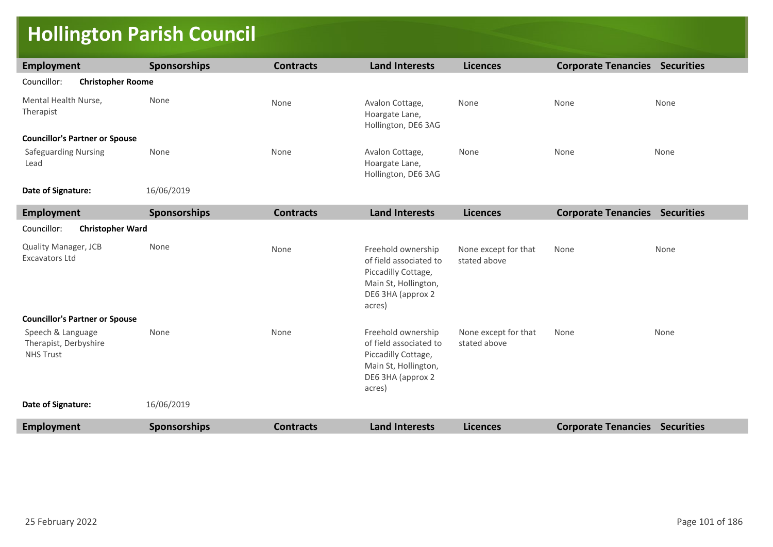## **Hollington Parish Council**

| Employment                                                     | <b>Sponsorships</b> | <b>Contracts</b> | <b>Land Interests</b>                                                                                                      | <b>Licences</b>                      | <b>Corporate Tenancies Securities</b> |      |  |  |
|----------------------------------------------------------------|---------------------|------------------|----------------------------------------------------------------------------------------------------------------------------|--------------------------------------|---------------------------------------|------|--|--|
| Councillor:<br><b>Christopher Roome</b>                        |                     |                  |                                                                                                                            |                                      |                                       |      |  |  |
| Mental Health Nurse,<br>Therapist                              | None                | None             | Avalon Cottage,<br>Hoargate Lane,<br>Hollington, DE6 3AG                                                                   | None                                 | None                                  | None |  |  |
| <b>Councillor's Partner or Spouse</b>                          |                     |                  |                                                                                                                            |                                      |                                       |      |  |  |
| <b>Safeguarding Nursing</b><br>Lead                            | None                | None             | Avalon Cottage,<br>Hoargate Lane,<br>Hollington, DE6 3AG                                                                   | None                                 | None                                  | None |  |  |
| Date of Signature:                                             | 16/06/2019          |                  |                                                                                                                            |                                      |                                       |      |  |  |
| <b>Employment</b>                                              | <b>Sponsorships</b> | <b>Contracts</b> | <b>Land Interests</b>                                                                                                      | <b>Licences</b>                      | <b>Corporate Tenancies Securities</b> |      |  |  |
| Councillor:<br><b>Christopher Ward</b>                         |                     |                  |                                                                                                                            |                                      |                                       |      |  |  |
| Quality Manager, JCB<br><b>Excavators Ltd</b>                  | None                | None             | Freehold ownership<br>of field associated to<br>Piccadilly Cottage,<br>Main St, Hollington,<br>DE6 3HA (approx 2<br>acres) | None except for that<br>stated above | None                                  | None |  |  |
| <b>Councillor's Partner or Spouse</b>                          |                     |                  |                                                                                                                            |                                      |                                       |      |  |  |
| Speech & Language<br>Therapist, Derbyshire<br><b>NHS Trust</b> | None                | None             | Freehold ownership<br>of field associated to<br>Piccadilly Cottage,<br>Main St, Hollington,<br>DE6 3HA (approx 2<br>acres) | None except for that<br>stated above | None                                  | None |  |  |
| Date of Signature:                                             | 16/06/2019          |                  |                                                                                                                            |                                      |                                       |      |  |  |
| <b>Employment</b>                                              | <b>Sponsorships</b> | <b>Contracts</b> | <b>Land Interests</b>                                                                                                      | <b>Licences</b>                      | <b>Corporate Tenancies Securities</b> |      |  |  |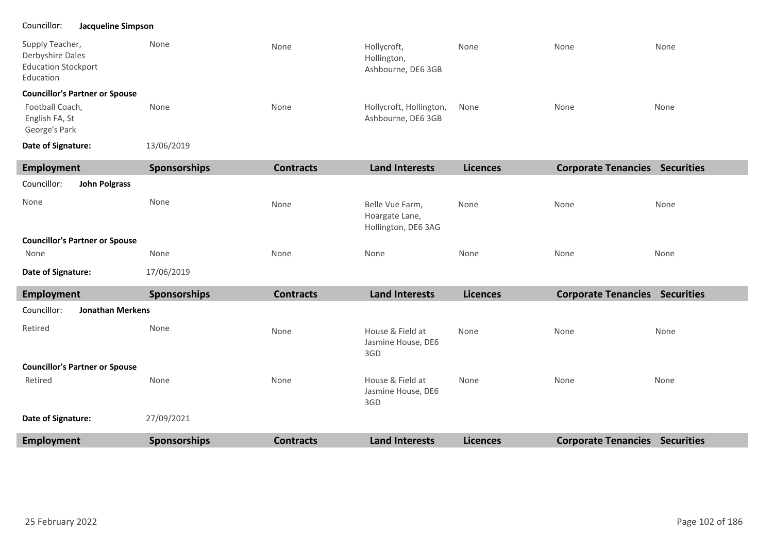### Councillor: **Jacqueline Simpson**

| Supply Teacher,<br>Derbyshire Dales<br><b>Education Stockport</b><br>Education | None | None | Hollycroft,<br>Hollington,<br>Ashbourne, DE6 3GB | None | None | None |
|--------------------------------------------------------------------------------|------|------|--------------------------------------------------|------|------|------|
| <b>Councillor's Partner or Spouse</b>                                          |      |      |                                                  |      |      |      |
| Football Coach,<br>English FA, St                                              | None | None | Hollycroft, Hollington,<br>Ashbourne, DE6 3GB    | None | None | None |

13/06/2019 **Date of Signature:**

George's Park

| Employment                            | <b>Sponsorships</b> | <b>Contracts</b> | <b>Land Interests</b>                                    | <b>Licences</b> | <b>Corporate Tenancies</b> | <b>Securities</b> |
|---------------------------------------|---------------------|------------------|----------------------------------------------------------|-----------------|----------------------------|-------------------|
| Councillor:<br><b>John Polgrass</b>   |                     |                  |                                                          |                 |                            |                   |
| None                                  | None                | None             | Belle Vue Farm,<br>Hoargate Lane,<br>Hollington, DE6 3AG | None            | None                       | None              |
| <b>Councillor's Partner or Spouse</b> |                     |                  |                                                          |                 |                            |                   |
| None                                  | None                | None             | None                                                     | None            | None                       | None              |
| Date of Signature:                    | 17/06/2019          |                  |                                                          |                 |                            |                   |

| Employment                             | <b>Sponsorships</b> | <b>Contracts</b> | <b>Land Interests</b>                         | <b>Licences</b> | <b>Corporate Tenancies</b> | <b>Securities</b> |
|----------------------------------------|---------------------|------------------|-----------------------------------------------|-----------------|----------------------------|-------------------|
| Councillor:<br><b>Jonathan Merkens</b> |                     |                  |                                               |                 |                            |                   |
| Retired                                | None                | None             | House & Field at<br>Jasmine House, DE6<br>3GD | None            | None                       | None              |
| <b>Councillor's Partner or Spouse</b>  |                     |                  |                                               |                 |                            |                   |
| Retired                                | None                | None             | House & Field at<br>Jasmine House, DE6<br>3GD | None            | None                       | None              |
| Date of Signature:                     | 27/09/2021          |                  |                                               |                 |                            |                   |
| Employment                             | <b>Sponsorships</b> | <b>Contracts</b> | <b>Land Interests</b>                         | <b>Licences</b> | <b>Corporate Tenancies</b> | <b>Securities</b> |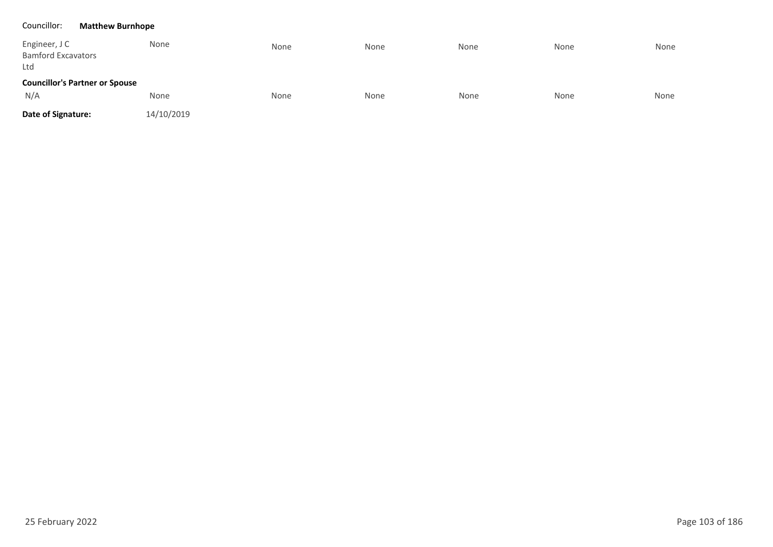### Councillor: **Matthew Burnhope**

| Engineer, J C<br><b>Bamford Excavators</b><br>Ltd | None       | None | None | None | None | None |
|---------------------------------------------------|------------|------|------|------|------|------|
| <b>Councillor's Partner or Spouse</b>             |            |      |      |      |      |      |
| N/A                                               | None       | None | None | None | None | None |
| Date of Signature:                                | 14/10/2019 |      |      |      |      |      |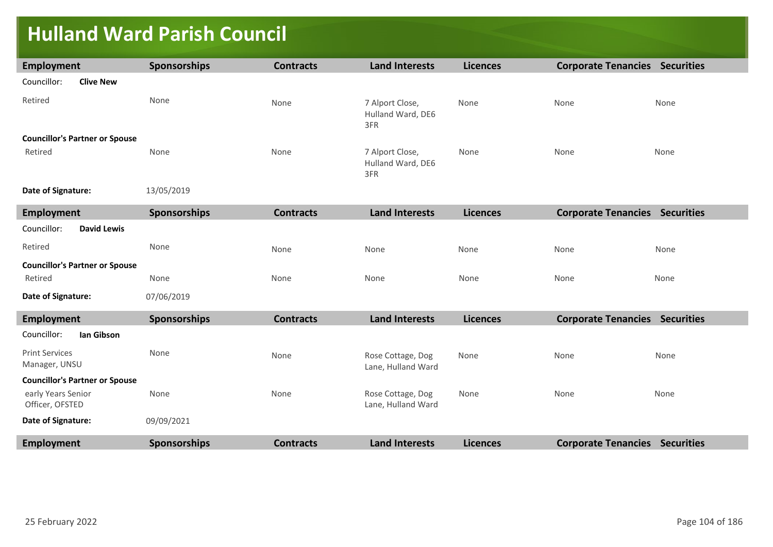## **Hulland Ward Parish Council**

| Employment                                       | Sponsorships        | <b>Contracts</b> | <b>Land Interests</b>                       | <b>Licences</b> | <b>Corporate Tenancies Securities</b> |      |
|--------------------------------------------------|---------------------|------------------|---------------------------------------------|-----------------|---------------------------------------|------|
| Councillor:<br><b>Clive New</b>                  |                     |                  |                                             |                 |                                       |      |
| Retired                                          | None                | None             | 7 Alport Close,<br>Hulland Ward, DE6<br>3FR | None            | None                                  | None |
| <b>Councillor's Partner or Spouse</b>            |                     |                  |                                             |                 |                                       |      |
| Retired                                          | None                | None             | 7 Alport Close,<br>Hulland Ward, DE6<br>3FR | None            | None                                  | None |
| Date of Signature:                               | 13/05/2019          |                  |                                             |                 |                                       |      |
| <b>Employment</b>                                | Sponsorships        | <b>Contracts</b> | <b>Land Interests</b>                       | <b>Licences</b> | <b>Corporate Tenancies Securities</b> |      |
| Councillor:<br><b>David Lewis</b>                |                     |                  |                                             |                 |                                       |      |
| Retired                                          | None                | None             | None                                        | None            | None                                  | None |
| <b>Councillor's Partner or Spouse</b><br>Retired | None                | None             | None                                        | None            | None                                  | None |
| Date of Signature:                               | 07/06/2019          |                  |                                             |                 |                                       |      |
| Employment                                       | <b>Sponsorships</b> | <b>Contracts</b> | <b>Land Interests</b>                       | <b>Licences</b> | <b>Corporate Tenancies Securities</b> |      |
| Councillor:<br>lan Gibson                        |                     |                  |                                             |                 |                                       |      |
| <b>Print Services</b><br>Manager, UNSU           | None                | None             | Rose Cottage, Dog<br>Lane, Hulland Ward     | None            | None                                  | None |
| <b>Councillor's Partner or Spouse</b>            |                     |                  |                                             |                 |                                       |      |
| early Years Senior<br>Officer, OFSTED            | None                | None             | Rose Cottage, Dog<br>Lane, Hulland Ward     | None            | None                                  | None |
| Date of Signature:                               | 09/09/2021          |                  |                                             |                 |                                       |      |
| <b>Employment</b>                                | <b>Sponsorships</b> | <b>Contracts</b> | <b>Land Interests</b>                       | <b>Licences</b> | <b>Corporate Tenancies Securities</b> |      |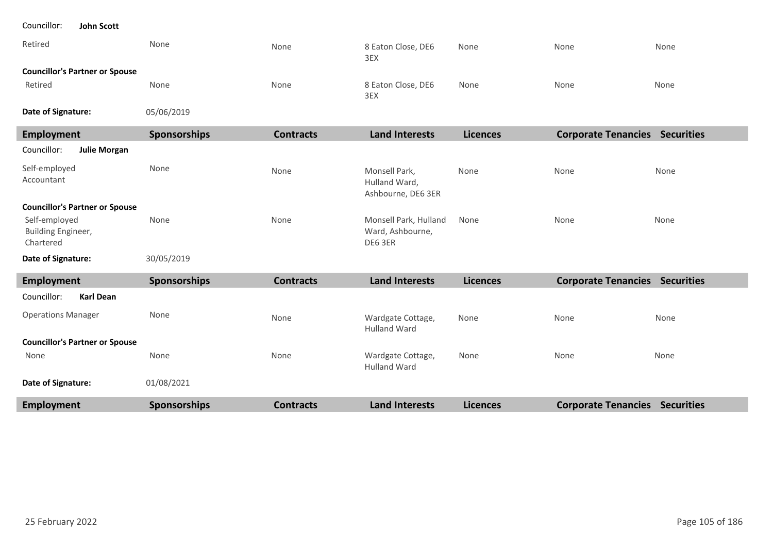| Councillor:<br>John Scott                        |                     |                  |                                                      |                 |                                       |      |
|--------------------------------------------------|---------------------|------------------|------------------------------------------------------|-----------------|---------------------------------------|------|
| Retired                                          | None                | None             | 8 Eaton Close, DE6<br>3EX                            | None            | None                                  | None |
| <b>Councillor's Partner or Spouse</b>            |                     |                  |                                                      |                 |                                       |      |
| Retired                                          | None                | None             | 8 Eaton Close, DE6<br>3EX                            | None            | None                                  | None |
| Date of Signature:                               | 05/06/2019          |                  |                                                      |                 |                                       |      |
| <b>Employment</b>                                | Sponsorships        | <b>Contracts</b> | <b>Land Interests</b>                                | <b>Licences</b> | <b>Corporate Tenancies Securities</b> |      |
| <b>Julie Morgan</b><br>Councillor:               |                     |                  |                                                      |                 |                                       |      |
| Self-employed<br>Accountant                      | None                | None             | Monsell Park,<br>Hulland Ward,<br>Ashbourne, DE6 3ER | None            | None                                  | None |
| <b>Councillor's Partner or Spouse</b>            |                     |                  |                                                      |                 |                                       |      |
| Self-employed<br>Building Engineer,<br>Chartered | None                | None             | Monsell Park, Hulland<br>Ward, Ashbourne,<br>DE6 3ER | None            | None                                  | None |
| Date of Signature:                               | 30/05/2019          |                  |                                                      |                 |                                       |      |
| Employment                                       | <b>Sponsorships</b> | <b>Contracts</b> | <b>Land Interests</b>                                | <b>Licences</b> | <b>Corporate Tenancies Securities</b> |      |
| <b>Karl Dean</b><br>Councillor:                  |                     |                  |                                                      |                 |                                       |      |
| <b>Operations Manager</b>                        | None                | None             | Wardgate Cottage,<br><b>Hulland Ward</b>             | None            | None                                  | None |
| <b>Councillor's Partner or Spouse</b>            |                     |                  |                                                      |                 |                                       |      |
| None                                             | None                | None             | Wardgate Cottage,<br><b>Hulland Ward</b>             | None            | None                                  | None |
| Date of Signature:                               | 01/08/2021          |                  |                                                      |                 |                                       |      |
| <b>Employment</b>                                | <b>Sponsorships</b> | <b>Contracts</b> | <b>Land Interests</b>                                | <b>Licences</b> | <b>Corporate Tenancies Securities</b> |      |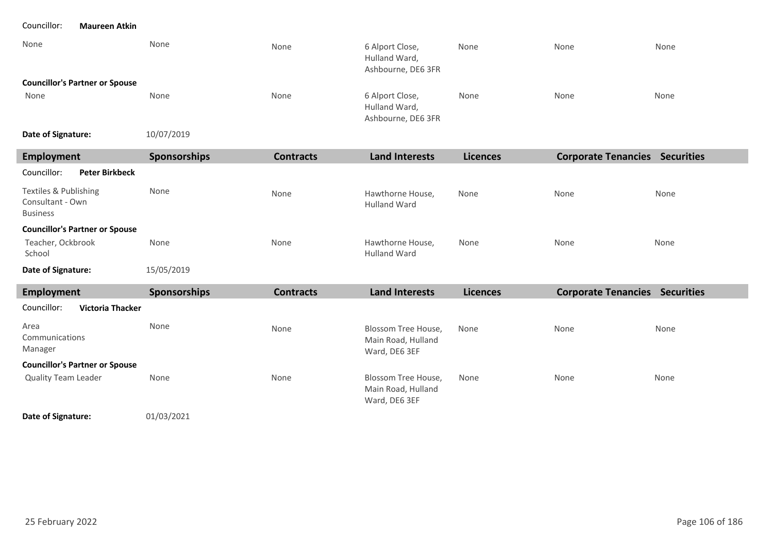### Councillor: **Maureen Atkin**

| None                                  | None       | None | 6 Alport Close,<br>Hulland Ward,<br>Ashbourne, DE6 3FR | None | None | None |
|---------------------------------------|------------|------|--------------------------------------------------------|------|------|------|
| <b>Councillor's Partner or Spouse</b> |            |      |                                                        |      |      |      |
| None                                  | None       | None | 6 Alport Close,<br>Hulland Ward,<br>Ashbourne, DE6 3FR | None | None | None |
| Date of Signature:                    | 10/07/2019 |      |                                                        |      |      |      |

| Employment                                                   | <b>Sponsorships</b> | <b>Contracts</b> | <b>Land Interests</b>                   | <b>Licences</b> | <b>Corporate Tenancies</b> | <b>Securities</b> |
|--------------------------------------------------------------|---------------------|------------------|-----------------------------------------|-----------------|----------------------------|-------------------|
| Councillor:<br><b>Peter Birkbeck</b>                         |                     |                  |                                         |                 |                            |                   |
| Textiles & Publishing<br>Consultant - Own<br><b>Business</b> | None                | None             | Hawthorne House,<br><b>Hulland Ward</b> | None            | None                       | None              |
| <b>Councillor's Partner or Spouse</b>                        |                     |                  |                                         |                 |                            |                   |
| Teacher, Ockbrook<br>School                                  | None                | None             | Hawthorne House,<br><b>Hulland Ward</b> | None            | None                       | None              |
| Date of Signature:                                           | 15/05/2019          |                  |                                         |                 |                            |                   |

| Employment                             | <b>Sponsorships</b> | <b>Contracts</b> | <b>Land Interests</b>                                      | <b>Licences</b> | <b>Corporate Tenancies</b> | <b>Securities</b> |
|----------------------------------------|---------------------|------------------|------------------------------------------------------------|-----------------|----------------------------|-------------------|
| Councillor:<br><b>Victoria Thacker</b> |                     |                  |                                                            |                 |                            |                   |
| Area<br>Communications<br>Manager      | None                | None             | Blossom Tree House,<br>Main Road, Hulland<br>Ward, DE6 3EF | None            | None                       | None              |
| <b>Councillor's Partner or Spouse</b>  |                     |                  |                                                            |                 |                            |                   |
| <b>Quality Team Leader</b>             | None                | None             | Blossom Tree House,<br>Main Road, Hulland<br>Ward, DE6 3EF | None            | None                       | None              |

01/03/2021 **Date of Signature:**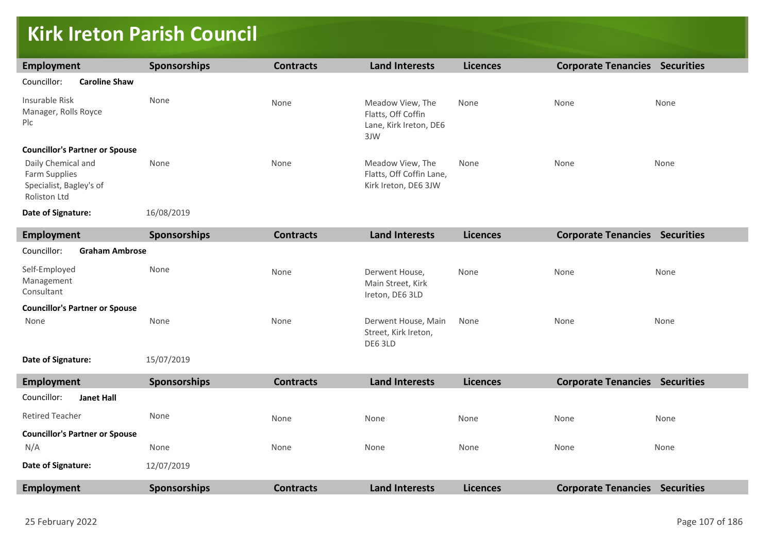## **Kirk Ireton Parish Council**

| <b>Employment</b>                                                              | Sponsorships        | <b>Contracts</b> | <b>Land Interests</b>                                                   | <b>Licences</b> | <b>Corporate Tenancies Securities</b> |      |  |
|--------------------------------------------------------------------------------|---------------------|------------------|-------------------------------------------------------------------------|-----------------|---------------------------------------|------|--|
| Councillor:<br><b>Caroline Shaw</b>                                            |                     |                  |                                                                         |                 |                                       |      |  |
| Insurable Risk<br>Manager, Rolls Royce<br>Plc                                  | None                | None             | Meadow View, The<br>Flatts, Off Coffin<br>Lane, Kirk Ireton, DE6<br>3JW | None            | None                                  | None |  |
| <b>Councillor's Partner or Spouse</b>                                          |                     |                  |                                                                         |                 |                                       |      |  |
| Daily Chemical and<br>Farm Supplies<br>Specialist, Bagley's of<br>Roliston Ltd | None                | None             | Meadow View, The<br>Flatts, Off Coffin Lane,<br>Kirk Ireton, DE6 3JW    | None            | None                                  | None |  |
| Date of Signature:                                                             | 16/08/2019          |                  |                                                                         |                 |                                       |      |  |
| <b>Employment</b>                                                              | Sponsorships        | <b>Contracts</b> | <b>Land Interests</b>                                                   | <b>Licences</b> | <b>Corporate Tenancies Securities</b> |      |  |
| Councillor:<br><b>Graham Ambrose</b>                                           |                     |                  |                                                                         |                 |                                       |      |  |
| Self-Employed<br>Management<br>Consultant                                      | None                | None             | Derwent House,<br>Main Street, Kirk<br>Ireton, DE6 3LD                  | None            | None                                  | None |  |
| <b>Councillor's Partner or Spouse</b>                                          |                     |                  |                                                                         |                 |                                       |      |  |
| None                                                                           | None                | None             | Derwent House, Main<br>Street, Kirk Ireton,<br>DE6 3LD                  | None            | None                                  | None |  |
| Date of Signature:                                                             | 15/07/2019          |                  |                                                                         |                 |                                       |      |  |
| <b>Employment</b>                                                              | <b>Sponsorships</b> | <b>Contracts</b> | <b>Land Interests</b>                                                   | <b>Licences</b> | <b>Corporate Tenancies Securities</b> |      |  |
| Councillor:<br><b>Janet Hall</b>                                               |                     |                  |                                                                         |                 |                                       |      |  |
| <b>Retired Teacher</b>                                                         | None                | None             | None                                                                    | None            | None                                  | None |  |
| <b>Councillor's Partner or Spouse</b><br>N/A                                   | None                | None             | None                                                                    | None            | None                                  | None |  |
| Date of Signature:                                                             | 12/07/2019          |                  |                                                                         |                 |                                       |      |  |
| <b>Employment</b>                                                              | Sponsorships        | <b>Contracts</b> | <b>Land Interests</b>                                                   | <b>Licences</b> | <b>Corporate Tenancies Securities</b> |      |  |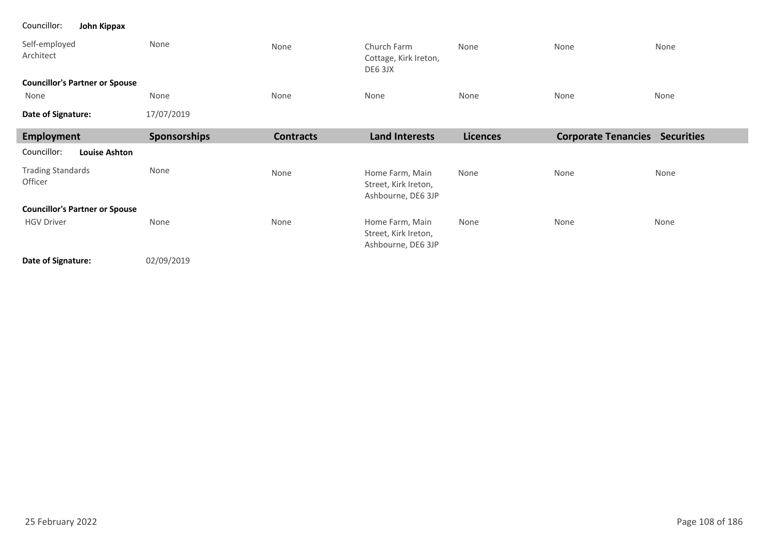### Councillor: **John Kippax**

٠

| Self-employed<br>Architect            | None         | None             | Church Farm<br>Cottage, Kirk Ireton,<br>DE6 3JX               | None            | None                       | None              |  |
|---------------------------------------|--------------|------------------|---------------------------------------------------------------|-----------------|----------------------------|-------------------|--|
| <b>Councillor's Partner or Spouse</b> |              |                  |                                                               |                 |                            |                   |  |
| None                                  | None         | None             | None                                                          | None            | None                       | None              |  |
| Date of Signature:                    | 17/07/2019   |                  |                                                               |                 |                            |                   |  |
| Employment                            | Sponsorships | <b>Contracts</b> | <b>Land Interests</b>                                         | <b>Licences</b> | <b>Corporate Tenancies</b> | <b>Securities</b> |  |
| <b>Louise Ashton</b><br>Councillor:   |              |                  |                                                               |                 |                            |                   |  |
| <b>Trading Standards</b><br>Officer   | None         | None             | Home Farm, Main<br>Street, Kirk Ireton,<br>Ashbourne, DE6 3JP | None            | None                       | None              |  |
| <b>Councillor's Partner or Spouse</b> |              |                  |                                                               |                 |                            |                   |  |
| <b>HGV Driver</b>                     | None         | None             | Home Farm, Main<br>Street, Kirk Ireton,<br>Ashbourne, DE6 3JP | None            | None                       | None              |  |
| Date of Signature:                    | 02/09/2019   |                  |                                                               |                 |                            |                   |  |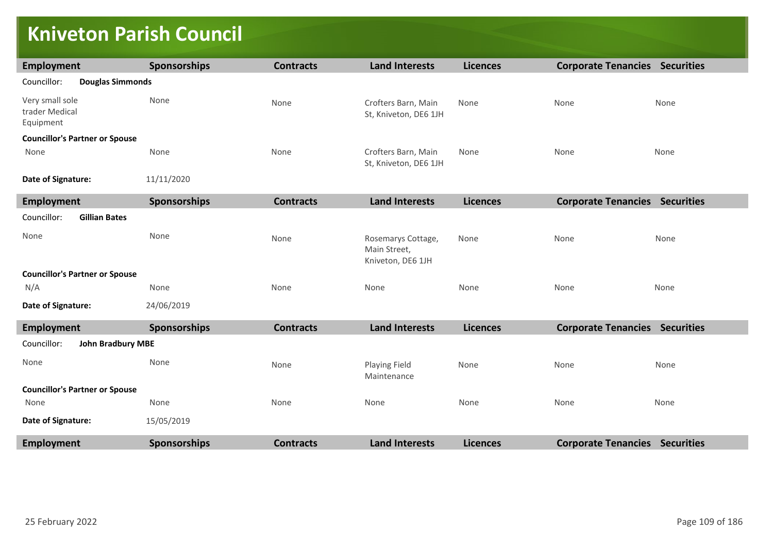### **Kniveton Parish Council**

| <b>Employment</b>                              | <b>Sponsorships</b> | <b>Contracts</b> | <b>Land Interests</b>                                   | <b>Licences</b> | <b>Corporate Tenancies Securities</b> |      |
|------------------------------------------------|---------------------|------------------|---------------------------------------------------------|-----------------|---------------------------------------|------|
| Councillor:<br><b>Douglas Simmonds</b>         |                     |                  |                                                         |                 |                                       |      |
| Very small sole<br>trader Medical<br>Equipment | None                | None             | Crofters Barn, Main<br>St, Kniveton, DE6 1JH            | None            | None                                  | None |
| <b>Councillor's Partner or Spouse</b>          |                     |                  |                                                         |                 |                                       |      |
| None                                           | None                | None             | Crofters Barn, Main<br>St, Kniveton, DE6 1JH            | None            | None                                  | None |
| Date of Signature:                             | 11/11/2020          |                  |                                                         |                 |                                       |      |
| <b>Employment</b>                              | Sponsorships        | <b>Contracts</b> | <b>Land Interests</b>                                   | <b>Licences</b> | <b>Corporate Tenancies Securities</b> |      |
| Councillor:<br><b>Gillian Bates</b>            |                     |                  |                                                         |                 |                                       |      |
| None                                           | None                | None             | Rosemarys Cottage,<br>Main Street,<br>Kniveton, DE6 1JH | None            | None                                  | None |
| <b>Councillor's Partner or Spouse</b>          |                     |                  |                                                         |                 |                                       |      |
| N/A                                            | None                | None             | None                                                    | None            | None                                  | None |
| Date of Signature:                             | 24/06/2019          |                  |                                                         |                 |                                       |      |
| <b>Employment</b>                              | Sponsorships        | <b>Contracts</b> | <b>Land Interests</b>                                   | <b>Licences</b> | <b>Corporate Tenancies Securities</b> |      |
| Councillor:<br><b>John Bradbury MBE</b>        |                     |                  |                                                         |                 |                                       |      |
| None                                           | None                | None             | Playing Field<br>Maintenance                            | None            | None                                  | None |
| <b>Councillor's Partner or Spouse</b>          |                     |                  |                                                         |                 |                                       |      |
| None                                           | None                | None             | None                                                    | None            | None                                  | None |
| Date of Signature:                             | 15/05/2019          |                  |                                                         |                 |                                       |      |
| <b>Employment</b>                              | Sponsorships        | <b>Contracts</b> | <b>Land Interests</b>                                   | <b>Licences</b> | <b>Corporate Tenancies Securities</b> |      |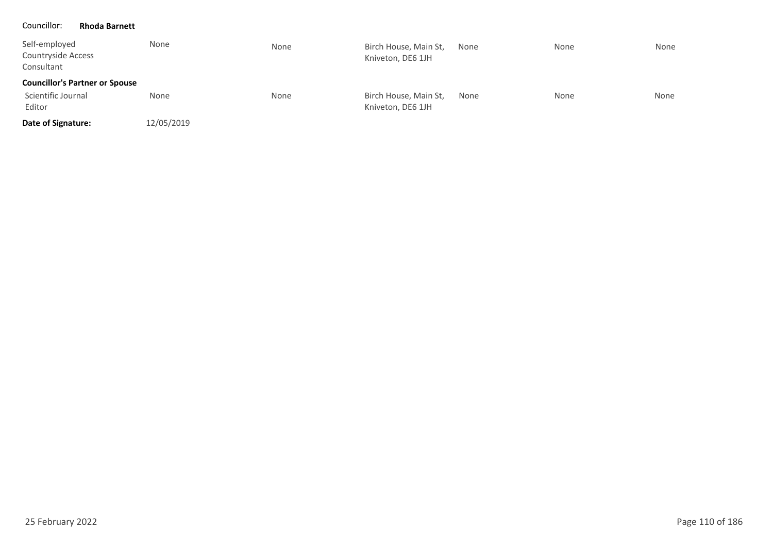#### Councillor: **Rhoda Barnett**

| Self-employed<br>Countryside Access<br>Consultant | None       | None | Birch House, Main St,<br>Kniveton, DE6 1JH | None | None | None |
|---------------------------------------------------|------------|------|--------------------------------------------|------|------|------|
| <b>Councillor's Partner or Spouse</b>             |            |      |                                            |      |      |      |
| Scientific Journal<br>Editor                      | None       | None | Birch House, Main St,<br>Kniveton, DE6 1JH | None | None | None |
| Date of Signature:                                | 12/05/2019 |      |                                            |      |      |      |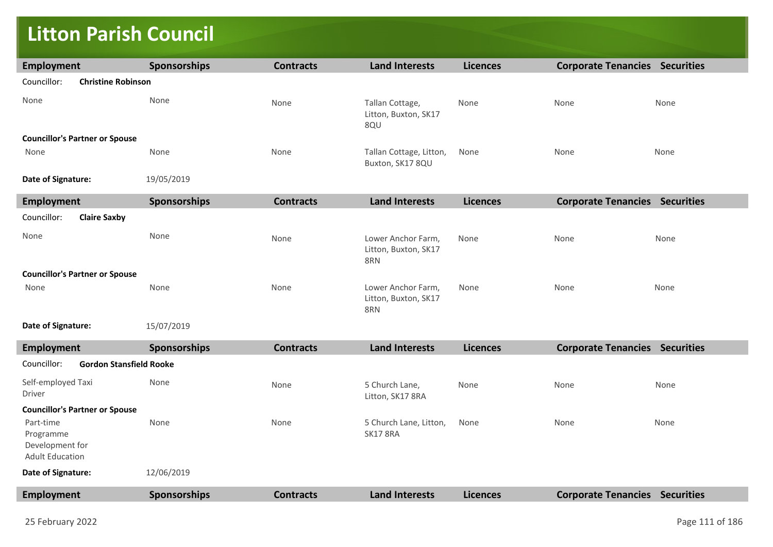### **Litton Parish Council**

| <b>Employment</b>                        | <b>Sponsorships</b> | <b>Contracts</b> | <b>Land Interests</b>                             | <b>Licences</b> | <b>Corporate Tenancies Securities</b> |      |  |
|------------------------------------------|---------------------|------------------|---------------------------------------------------|-----------------|---------------------------------------|------|--|
| Councillor:<br><b>Christine Robinson</b> |                     |                  |                                                   |                 |                                       |      |  |
| None                                     | None                | None             | Tallan Cottage,<br>Litton, Buxton, SK17<br>8QU    | None            | None                                  | None |  |
| <b>Councillor's Partner or Spouse</b>    |                     |                  |                                                   |                 |                                       |      |  |
| None                                     | None                | None             | Tallan Cottage, Litton,<br>Buxton, SK17 8QU       | None            | None                                  | None |  |
| Date of Signature:                       | 19/05/2019          |                  |                                                   |                 |                                       |      |  |
| <b>Employment</b>                        | <b>Sponsorships</b> | <b>Contracts</b> | <b>Land Interests</b>                             | <b>Licences</b> | <b>Corporate Tenancies Securities</b> |      |  |
| <b>Claire Saxby</b><br>Councillor:       |                     |                  |                                                   |                 |                                       |      |  |
| None                                     | None                | None             | Lower Anchor Farm,<br>Litton, Buxton, SK17<br>8RN | None            | None                                  | None |  |
|                                          |                     |                  |                                                   |                 |                                       |      |  |
| <b>Councillor's Partner or Spouse</b>    |                     |                  |                                                   |                 |                                       |      |  |
| None                                     | None                | None             | Lower Anchor Farm,<br>Litton, Buxton, SK17<br>8RN | None            | None                                  | None |  |

| Employment                                                          | <b>Sponsorships</b> | <b>Contracts</b> | <b>Land Interests</b>                     | <b>Licences</b> | <b>Corporate Tenancies</b> | <b>Securities</b> |  |  |
|---------------------------------------------------------------------|---------------------|------------------|-------------------------------------------|-----------------|----------------------------|-------------------|--|--|
| <b>Gordon Stansfield Rooke</b><br>Councillor:                       |                     |                  |                                           |                 |                            |                   |  |  |
| Self-employed Taxi<br>Driver                                        | None                | None             | 5 Church Lane,<br>Litton, SK17 8RA        | None            | None                       | None              |  |  |
| <b>Councillor's Partner or Spouse</b>                               |                     |                  |                                           |                 |                            |                   |  |  |
| Part-time<br>Programme<br>Development for<br><b>Adult Education</b> | None                | None             | 5 Church Lane, Litton,<br><b>SK17 8RA</b> | None            | None                       | None              |  |  |
| Date of Signature:                                                  | 12/06/2019          |                  |                                           |                 |                            |                   |  |  |
| Employment                                                          | <b>Sponsorships</b> | <b>Contracts</b> | <b>Land Interests</b>                     | <b>Licences</b> | <b>Corporate Tenancies</b> | <b>Securities</b> |  |  |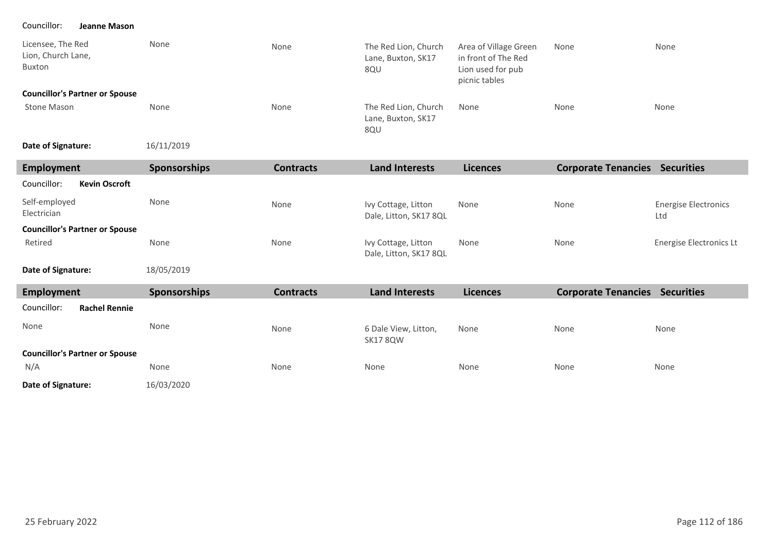### Councillor: **Jeanne Mason**

| Licensee, The Red<br>Lion, Church Lane,<br>Buxton | None | None | The Red Lion, Church<br>Lane, Buxton, SK17<br>8QU | Area of Village Green<br>in front of The Red<br>Lion used for pub<br>picnic tables | None | None |
|---------------------------------------------------|------|------|---------------------------------------------------|------------------------------------------------------------------------------------|------|------|
| <b>Councillor's Partner or Spouse</b>             |      |      |                                                   |                                                                                    |      |      |
| Stone Mason                                       | None | None | The Red Lion, Church<br>Lane, Buxton, SK17<br>8QU | None                                                                               | None | None |

16/11/2019 **Date of Signature:**

| Employment                            | <b>Sponsorships</b> | <b>Contracts</b> | Land Interests                                | <b>Licences</b> | <b>Corporate Tenancies</b> | <b>Securities</b>                  |
|---------------------------------------|---------------------|------------------|-----------------------------------------------|-----------------|----------------------------|------------------------------------|
| Councillor:<br><b>Kevin Oscroft</b>   |                     |                  |                                               |                 |                            |                                    |
| Self-employed<br>Electrician          | None                | None             | Ivy Cottage, Litton<br>Dale, Litton, SK17 8QL | None            | None                       | <b>Energise Electronics</b><br>Ltd |
| <b>Councillor's Partner or Spouse</b> |                     |                  |                                               |                 |                            |                                    |
| Retired                               | None                | None             | Ivy Cottage, Litton<br>Dale, Litton, SK17 8QL | None            | None                       | Energise Electronics Lt            |

18/05/2019 **Date of Signature:**

| Employment                            | <b>Sponsorships</b> | <b>Contracts</b> | <b>Land Interests</b>                   | <b>Licences</b> | <b>Corporate Tenancies</b> | <b>Securities</b> |
|---------------------------------------|---------------------|------------------|-----------------------------------------|-----------------|----------------------------|-------------------|
| Councillor:<br><b>Rachel Rennie</b>   |                     |                  |                                         |                 |                            |                   |
| None                                  | None                | None             | 6 Dale View, Litton,<br><b>SK17 8QW</b> | None            | None                       | None              |
| <b>Councillor's Partner or Spouse</b> |                     |                  |                                         |                 |                            |                   |
| N/A                                   | None                | None             | None                                    | None            | None                       | None              |
| Date of Signature:                    | 16/03/2020          |                  |                                         |                 |                            |                   |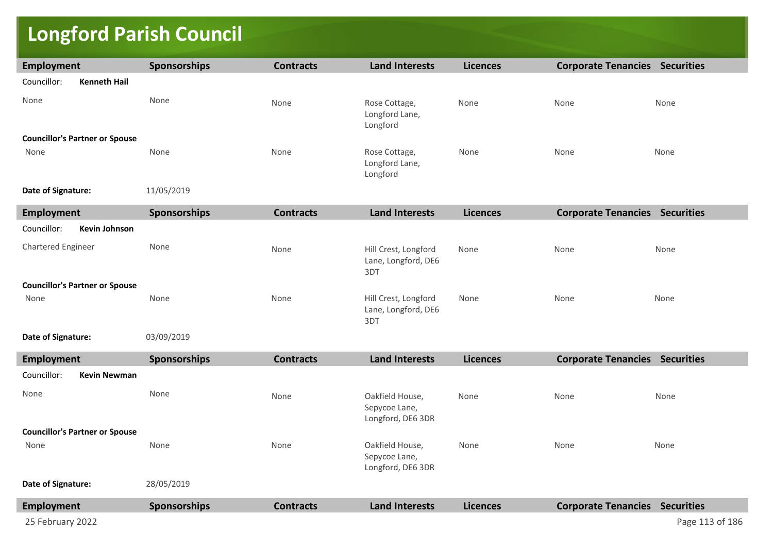# **Longford Parish Council**

| <b>Employment</b>                     | Sponsorships | <b>Contracts</b> | <b>Land Interests</b>                                 | <b>Licences</b> | <b>Corporate Tenancies Securities</b> |                 |
|---------------------------------------|--------------|------------------|-------------------------------------------------------|-----------------|---------------------------------------|-----------------|
| Councillor:<br><b>Kenneth Hail</b>    |              |                  |                                                       |                 |                                       |                 |
| None                                  | None         | None             | Rose Cottage,<br>Longford Lane,<br>Longford           | None            | None                                  | None            |
| <b>Councillor's Partner or Spouse</b> |              |                  |                                                       |                 |                                       |                 |
| None                                  | None         | None             | Rose Cottage,<br>Longford Lane,<br>Longford           | None            | None                                  | None            |
| Date of Signature:                    | 11/05/2019   |                  |                                                       |                 |                                       |                 |
| <b>Employment</b>                     | Sponsorships | <b>Contracts</b> | <b>Land Interests</b>                                 | <b>Licences</b> | <b>Corporate Tenancies Securities</b> |                 |
| Councillor:<br><b>Kevin Johnson</b>   |              |                  |                                                       |                 |                                       |                 |
| Chartered Engineer                    | None         | None             | Hill Crest, Longford<br>Lane, Longford, DE6<br>3DT    | None            | None                                  | None            |
| <b>Councillor's Partner or Spouse</b> |              |                  |                                                       |                 |                                       |                 |
| None                                  | None         | None             | Hill Crest, Longford<br>Lane, Longford, DE6<br>3DT    | None            | None                                  | None            |
| Date of Signature:                    | 03/09/2019   |                  |                                                       |                 |                                       |                 |
| <b>Employment</b>                     | Sponsorships | <b>Contracts</b> | <b>Land Interests</b>                                 | <b>Licences</b> | <b>Corporate Tenancies Securities</b> |                 |
| Councillor:<br><b>Kevin Newman</b>    |              |                  |                                                       |                 |                                       |                 |
| None                                  | None         | None             | Oakfield House,<br>Sepycoe Lane,<br>Longford, DE6 3DR | None            | None                                  | None            |
| <b>Councillor's Partner or Spouse</b> |              |                  |                                                       |                 |                                       |                 |
| None                                  | None         | None             | Oakfield House,<br>Sepycoe Lane,<br>Longford, DE6 3DR | None            | None                                  | None            |
| Date of Signature:                    | 28/05/2019   |                  |                                                       |                 |                                       |                 |
| <b>Employment</b>                     | Sponsorships | <b>Contracts</b> | <b>Land Interests</b>                                 | <b>Licences</b> | <b>Corporate Tenancies Securities</b> |                 |
| 25 February 2022                      |              |                  |                                                       |                 |                                       | Page 113 of 186 |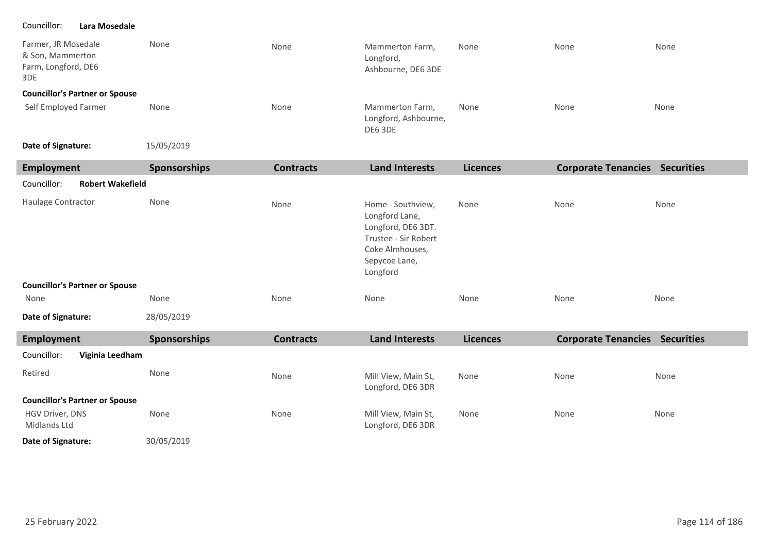### Councillor: **Lara Mosedale**

| Farmer, JR Mosedale<br>& Son, Mammerton<br>Farm, Longford, DE6<br>3DE | None | None | Mammerton Farm,<br>Longford,<br>Ashbourne, DE6 3DE | None | None | None |
|-----------------------------------------------------------------------|------|------|----------------------------------------------------|------|------|------|
| <b>Councillor's Partner or Spouse</b>                                 |      |      |                                                    |      |      |      |
| Self Employed Farmer                                                  | None | None | Mammerton Farm,<br>Longford, Ashbourne,<br>DE6 3DE | None | None | None |

15/05/2019 **Date of Signature:**

| <b>Employment</b>                      | Sponsorships | <b>Contracts</b> | <b>Land Interests</b>                                                                                                             | <b>Licences</b> | <b>Corporate Tenancies Securities</b> |      |  |  |  |
|----------------------------------------|--------------|------------------|-----------------------------------------------------------------------------------------------------------------------------------|-----------------|---------------------------------------|------|--|--|--|
| <b>Robert Wakefield</b><br>Councillor: |              |                  |                                                                                                                                   |                 |                                       |      |  |  |  |
| Haulage Contractor                     | None         | None             | Home - Southview,<br>Longford Lane,<br>Longford, DE6 3DT.<br>Trustee - Sir Robert<br>Coke Almhouses,<br>Sepycoe Lane,<br>Longford | None            | None                                  | None |  |  |  |
| <b>Councillor's Partner or Spouse</b>  |              |                  |                                                                                                                                   |                 |                                       |      |  |  |  |
| None                                   | None         | None             | None                                                                                                                              | None            | None                                  | None |  |  |  |
| Date of Signature:                     | 28/05/2019   |                  |                                                                                                                                   |                 |                                       |      |  |  |  |
| <b>Employment</b>                      | Sponsorships | <b>Contracts</b> | <b>Land Interests</b>                                                                                                             | <b>Licences</b> | <b>Corporate Tenancies Securities</b> |      |  |  |  |
| Councillor:<br>Viginia Leedham         |              |                  |                                                                                                                                   |                 |                                       |      |  |  |  |
| Retired                                | None         | None             | Mill View, Main St,<br>Longford, DE6 3DR                                                                                          | None            | None                                  | None |  |  |  |
| <b>Councillor's Partner or Spouse</b>  |              |                  |                                                                                                                                   |                 |                                       |      |  |  |  |
| HGV Driver, DNS<br>Midlands Ltd        | None         | None             | Mill View, Main St,<br>Longford, DE6 3DR                                                                                          | None            | None                                  | None |  |  |  |
| Date of Signature:                     | 30/05/2019   |                  |                                                                                                                                   |                 |                                       |      |  |  |  |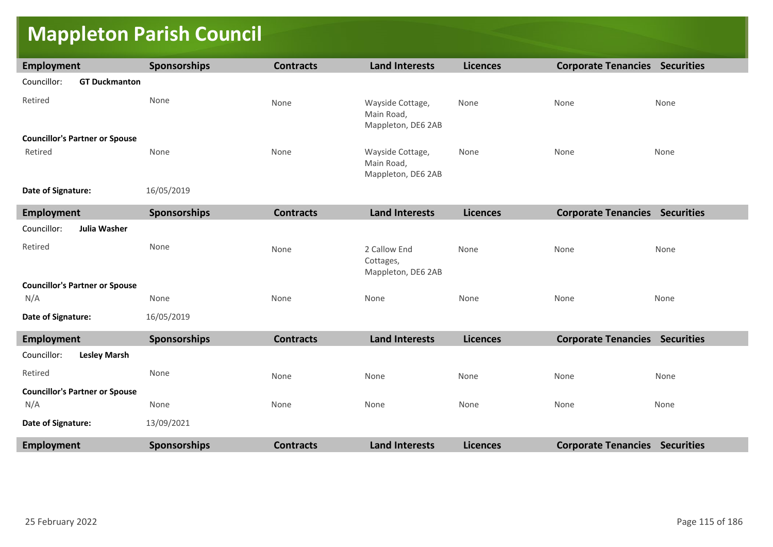# **Mappleton Parish Council**

| <b>Employment</b>                     | <b>Sponsorships</b> | <b>Contracts</b> | <b>Land Interests</b>                                | <b>Licences</b> | <b>Corporate Tenancies Securities</b> |      |
|---------------------------------------|---------------------|------------------|------------------------------------------------------|-----------------|---------------------------------------|------|
| Councillor:<br><b>GT Duckmanton</b>   |                     |                  |                                                      |                 |                                       |      |
| Retired                               | None                | None             | Wayside Cottage,<br>Main Road,<br>Mappleton, DE6 2AB | None            | None                                  | None |
| <b>Councillor's Partner or Spouse</b> |                     |                  |                                                      |                 |                                       |      |
| Retired                               | None                | None             | Wayside Cottage,<br>Main Road,<br>Mappleton, DE6 2AB | None            | None                                  | None |
| Date of Signature:                    | 16/05/2019          |                  |                                                      |                 |                                       |      |
| <b>Employment</b>                     | Sponsorships        | <b>Contracts</b> | <b>Land Interests</b>                                | <b>Licences</b> | <b>Corporate Tenancies Securities</b> |      |
| Councillor:<br><b>Julia Washer</b>    |                     |                  |                                                      |                 |                                       |      |
| Retired                               | None                | None             | 2 Callow End<br>Cottages,<br>Mappleton, DE6 2AB      | None            | None                                  | None |
| <b>Councillor's Partner or Spouse</b> |                     |                  |                                                      |                 |                                       |      |
| N/A                                   | None                | None             | None                                                 | None            | None                                  | None |
| Date of Signature:                    | 16/05/2019          |                  |                                                      |                 |                                       |      |
| <b>Employment</b>                     | <b>Sponsorships</b> | <b>Contracts</b> | <b>Land Interests</b>                                | <b>Licences</b> | <b>Corporate Tenancies Securities</b> |      |
| Councillor:<br><b>Lesley Marsh</b>    |                     |                  |                                                      |                 |                                       |      |
| Retired                               | None                | None             | None                                                 | None            | None                                  | None |
| <b>Councillor's Partner or Spouse</b> |                     |                  |                                                      |                 |                                       |      |
| N/A                                   | None                | None             | None                                                 | None            | None                                  | None |
| Date of Signature:                    | 13/09/2021          |                  |                                                      |                 |                                       |      |
| <b>Employment</b>                     | <b>Sponsorships</b> | <b>Contracts</b> | <b>Land Interests</b>                                | <b>Licences</b> | <b>Corporate Tenancies Securities</b> |      |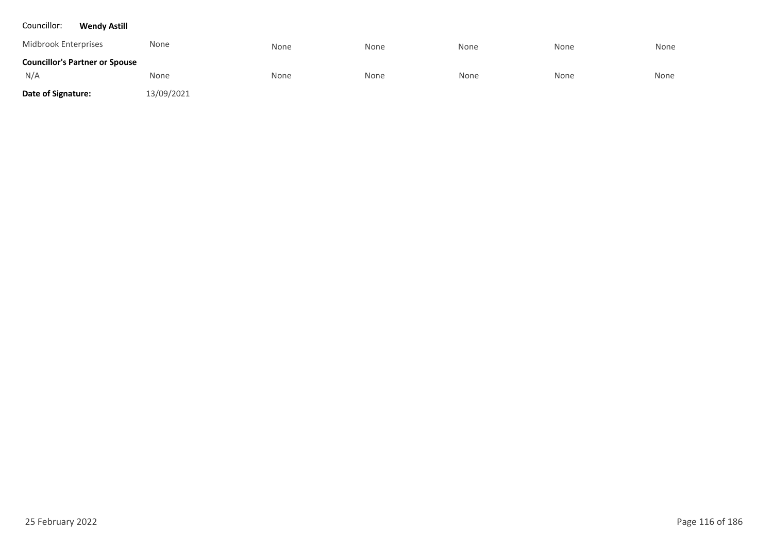#### Councillor: **Wendy Astill**

| Midbrook Enterprises                  | None       | None | None | None | None | None |
|---------------------------------------|------------|------|------|------|------|------|
| <b>Councillor's Partner or Spouse</b> |            |      |      |      |      |      |
| N/A                                   | None       | None | None | None | None | None |
| Date of Signature:                    | 13/09/2021 |      |      |      |      |      |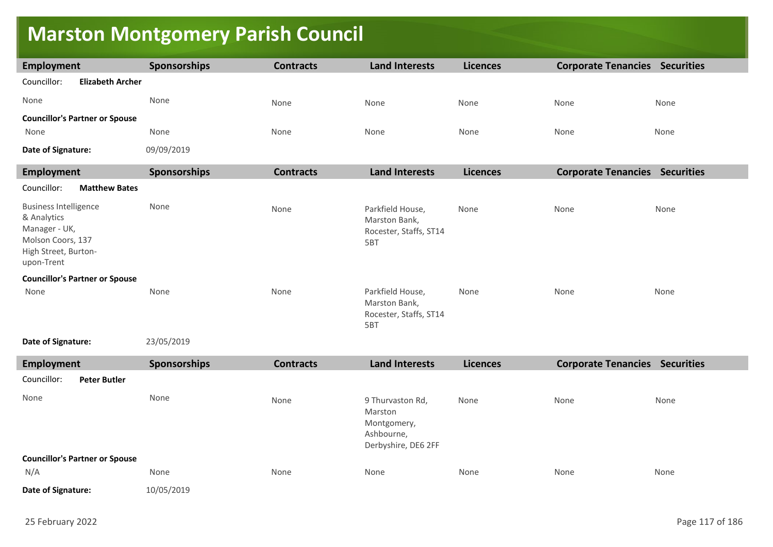# **Marston Montgomery Parish Council**

| <b>Employment</b>                                                                                                       | Sponsorships | <b>Contracts</b> | <b>Land Interests</b>                                                           | <b>Licences</b> | <b>Corporate Tenancies Securities</b> |      |
|-------------------------------------------------------------------------------------------------------------------------|--------------|------------------|---------------------------------------------------------------------------------|-----------------|---------------------------------------|------|
| Councillor:<br><b>Elizabeth Archer</b>                                                                                  |              |                  |                                                                                 |                 |                                       |      |
| None                                                                                                                    | None         | None             | None                                                                            | None            | None                                  | None |
| <b>Councillor's Partner or Spouse</b>                                                                                   |              |                  |                                                                                 |                 |                                       |      |
| None                                                                                                                    | None         | None             | None                                                                            | None            | None                                  | None |
| Date of Signature:                                                                                                      | 09/09/2019   |                  |                                                                                 |                 |                                       |      |
| <b>Employment</b>                                                                                                       | Sponsorships | <b>Contracts</b> | <b>Land Interests</b>                                                           | <b>Licences</b> | <b>Corporate Tenancies Securities</b> |      |
| Councillor:<br><b>Matthew Bates</b>                                                                                     |              |                  |                                                                                 |                 |                                       |      |
| <b>Business Intelligence</b><br>& Analytics<br>Manager - UK,<br>Molson Coors, 137<br>High Street, Burton-<br>upon-Trent | None         | None             | Parkfield House,<br>Marston Bank,<br>Rocester, Staffs, ST14<br>5BT              | None            | None                                  | None |
| <b>Councillor's Partner or Spouse</b>                                                                                   |              |                  |                                                                                 |                 |                                       |      |
| None                                                                                                                    | None         | None             | Parkfield House,<br>Marston Bank,<br>Rocester, Staffs, ST14<br>5BT              | None            | None                                  | None |
| Date of Signature:                                                                                                      | 23/05/2019   |                  |                                                                                 |                 |                                       |      |
| <b>Employment</b>                                                                                                       | Sponsorships | <b>Contracts</b> | <b>Land Interests</b>                                                           | <b>Licences</b> | <b>Corporate Tenancies Securities</b> |      |
| <b>Peter Butler</b><br>Councillor:                                                                                      |              |                  |                                                                                 |                 |                                       |      |
| None                                                                                                                    | None         | None             | 9 Thurvaston Rd,<br>Marston<br>Montgomery,<br>Ashbourne,<br>Derbyshire, DE6 2FF | None            | None                                  | None |
| <b>Councillor's Partner or Spouse</b>                                                                                   |              |                  |                                                                                 |                 |                                       |      |
| N/A                                                                                                                     | None         | None             | None                                                                            | None            | None                                  | None |
| Date of Signature:                                                                                                      | 10/05/2019   |                  |                                                                                 |                 |                                       |      |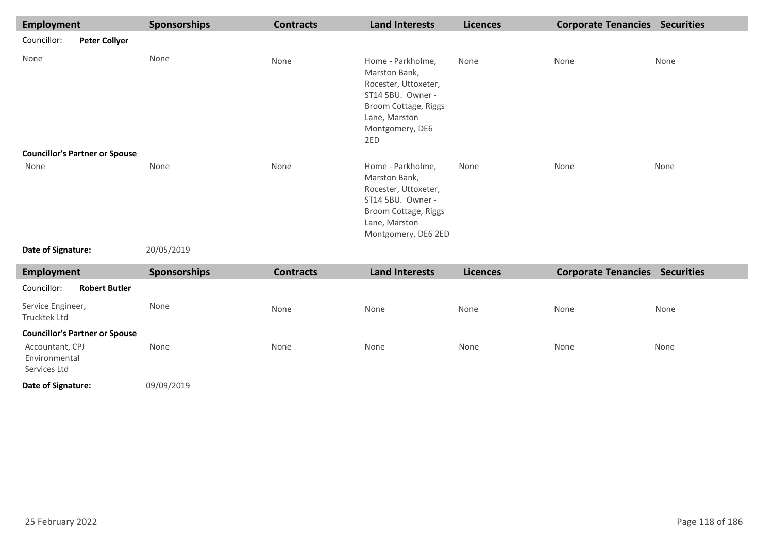| <b>Employment</b>                                |                                       | Sponsorships | <b>Contracts</b> | <b>Land Interests</b>                                                                                                                              | <b>Licences</b> | <b>Corporate Tenancies Securities</b> |      |
|--------------------------------------------------|---------------------------------------|--------------|------------------|----------------------------------------------------------------------------------------------------------------------------------------------------|-----------------|---------------------------------------|------|
| Councillor:                                      | <b>Peter Collyer</b>                  |              |                  |                                                                                                                                                    |                 |                                       |      |
| None                                             |                                       | None         | None             | Home - Parkholme,<br>Marston Bank,<br>Rocester, Uttoxeter,<br>ST14 5BU. Owner -<br>Broom Cottage, Riggs<br>Lane, Marston<br>Montgomery, DE6<br>2ED | None            | None                                  | None |
|                                                  | <b>Councillor's Partner or Spouse</b> |              |                  |                                                                                                                                                    |                 |                                       |      |
| None                                             |                                       | None         | None             | Home - Parkholme,<br>Marston Bank,<br>Rocester, Uttoxeter,<br>ST14 5BU. Owner -<br>Broom Cottage, Riggs<br>Lane, Marston<br>Montgomery, DE6 2ED    | None            | None                                  | None |
| Date of Signature:                               |                                       | 20/05/2019   |                  |                                                                                                                                                    |                 |                                       |      |
| <b>Employment</b>                                |                                       | Sponsorships | <b>Contracts</b> | <b>Land Interests</b>                                                                                                                              | <b>Licences</b> | <b>Corporate Tenancies Securities</b> |      |
| Councillor:                                      | <b>Robert Butler</b>                  |              |                  |                                                                                                                                                    |                 |                                       |      |
| Service Engineer,<br>Trucktek Ltd                |                                       | None         | None             | None                                                                                                                                               | None            | None                                  | None |
|                                                  | <b>Councillor's Partner or Spouse</b> |              |                  |                                                                                                                                                    |                 |                                       |      |
| Accountant, CPJ<br>Environmental<br>Services Ltd |                                       | None         | None             | None                                                                                                                                               | None            | None                                  | None |
| Date of Signature:                               |                                       | 09/09/2019   |                  |                                                                                                                                                    |                 |                                       |      |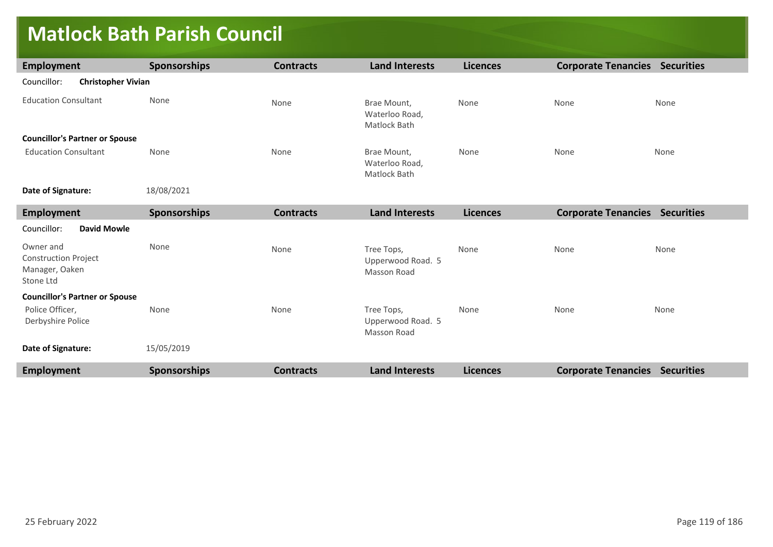### **Matlock Bath Parish Council**

| <b>Employment</b>                                                       | <b>Sponsorships</b> | <b>Contracts</b> | <b>Land Interests</b>                          | <b>Licences</b> | <b>Corporate Tenancies Securities</b> |      |
|-------------------------------------------------------------------------|---------------------|------------------|------------------------------------------------|-----------------|---------------------------------------|------|
| Councillor:<br><b>Christopher Vivian</b>                                |                     |                  |                                                |                 |                                       |      |
| <b>Education Consultant</b>                                             | None                | None             | Brae Mount,<br>Waterloo Road,<br>Matlock Bath  | None            | None                                  | None |
| <b>Councillor's Partner or Spouse</b>                                   |                     |                  |                                                |                 |                                       |      |
| <b>Education Consultant</b>                                             | None                | None             | Brae Mount,<br>Waterloo Road,<br>Matlock Bath  | None            | None                                  | None |
| Date of Signature:                                                      | 18/08/2021          |                  |                                                |                 |                                       |      |
| <b>Employment</b>                                                       | Sponsorships        | <b>Contracts</b> | <b>Land Interests</b>                          | <b>Licences</b> | <b>Corporate Tenancies Securities</b> |      |
| Councillor:<br><b>David Mowle</b>                                       |                     |                  |                                                |                 |                                       |      |
| Owner and<br><b>Construction Project</b><br>Manager, Oaken<br>Stone Ltd | None                | None             | Tree Tops,<br>Upperwood Road. 5<br>Masson Road | None            | None                                  | None |
| <b>Councillor's Partner or Spouse</b>                                   |                     |                  |                                                |                 |                                       |      |
| Police Officer,<br>Derbyshire Police                                    | None                | None             | Tree Tops,<br>Upperwood Road. 5<br>Masson Road | None            | None                                  | None |
| Date of Signature:                                                      | 15/05/2019          |                  |                                                |                 |                                       |      |
| <b>Employment</b>                                                       | <b>Sponsorships</b> | <b>Contracts</b> | <b>Land Interests</b>                          | <b>Licences</b> | <b>Corporate Tenancies Securities</b> |      |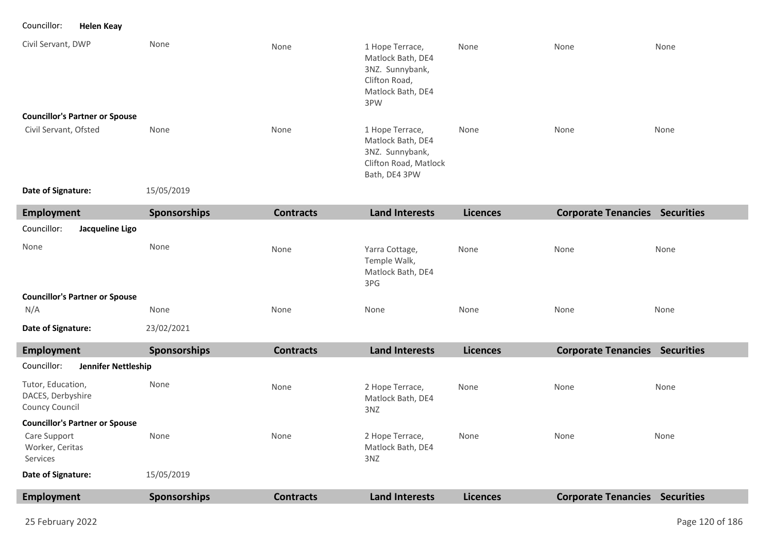Councillor: **Helen Keay**

| Civil Servant, DWP                                       | None                | None             | 1 Hope Terrace,<br>Matlock Bath, DE4<br>3NZ. Sunnybank,                                           | None            | None                                  | None |
|----------------------------------------------------------|---------------------|------------------|---------------------------------------------------------------------------------------------------|-----------------|---------------------------------------|------|
|                                                          |                     |                  | Clifton Road,<br>Matlock Bath, DE4<br>3PW                                                         |                 |                                       |      |
| <b>Councillor's Partner or Spouse</b>                    |                     |                  |                                                                                                   |                 |                                       |      |
| Civil Servant, Ofsted                                    | None                | None             | 1 Hope Terrace,<br>Matlock Bath, DE4<br>3NZ. Sunnybank,<br>Clifton Road, Matlock<br>Bath, DE4 3PW | None            | None                                  | None |
| Date of Signature:                                       | 15/05/2019          |                  |                                                                                                   |                 |                                       |      |
| <b>Employment</b>                                        | Sponsorships        | <b>Contracts</b> | <b>Land Interests</b>                                                                             | <b>Licences</b> | <b>Corporate Tenancies Securities</b> |      |
| Councillor:<br>Jacqueline Ligo                           |                     |                  |                                                                                                   |                 |                                       |      |
| None                                                     | None                | None             | Yarra Cottage,<br>Temple Walk,<br>Matlock Bath, DE4<br>3PG                                        | None            | None                                  | None |
| <b>Councillor's Partner or Spouse</b>                    |                     |                  |                                                                                                   |                 |                                       |      |
| N/A                                                      | None                | None             | None                                                                                              | None            | None                                  | None |
| Date of Signature:                                       | 23/02/2021          |                  |                                                                                                   |                 |                                       |      |
| <b>Employment</b>                                        | <b>Sponsorships</b> | <b>Contracts</b> | <b>Land Interests</b>                                                                             | <b>Licences</b> | <b>Corporate Tenancies Securities</b> |      |
| Councillor:<br>Jennifer Nettleship                       |                     |                  |                                                                                                   |                 |                                       |      |
| Tutor, Education,<br>DACES, Derbyshire<br>Councy Council | None                | None             | 2 Hope Terrace,<br>Matlock Bath, DE4<br>3NZ                                                       | None            | None                                  | None |
| <b>Councillor's Partner or Spouse</b>                    |                     |                  |                                                                                                   |                 |                                       |      |
| Care Support<br>Worker, Ceritas<br>Services              | None                | None             | 2 Hope Terrace,<br>Matlock Bath, DE4<br>3NZ                                                       | None            | None                                  | None |
| Date of Signature:                                       | 15/05/2019          |                  |                                                                                                   |                 |                                       |      |
| <b>Employment</b>                                        | <b>Sponsorships</b> | <b>Contracts</b> | <b>Land Interests</b>                                                                             | <b>Licences</b> | <b>Corporate Tenancies Securities</b> |      |

٠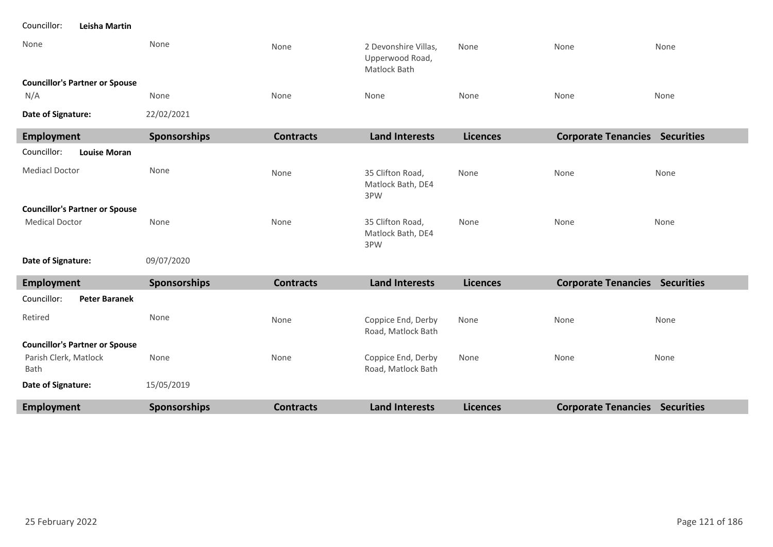| <b>Employment</b>                            | Sponsorships        | <b>Contracts</b> | <b>Land Interests</b>                                   | <b>Licences</b> | <b>Corporate Tenancies Securities</b> |      |
|----------------------------------------------|---------------------|------------------|---------------------------------------------------------|-----------------|---------------------------------------|------|
| Date of Signature:                           | 15/05/2019          |                  |                                                         |                 |                                       |      |
| Parish Clerk, Matlock<br>Bath                | None                | None             | Coppice End, Derby<br>Road, Matlock Bath                | None            | None                                  | None |
| <b>Councillor's Partner or Spouse</b>        |                     |                  |                                                         |                 |                                       |      |
| Retired                                      | None                | None             | Coppice End, Derby<br>Road, Matlock Bath                | None            | None                                  | None |
| Councillor:<br><b>Peter Baranek</b>          |                     |                  |                                                         |                 |                                       |      |
| <b>Employment</b>                            | <b>Sponsorships</b> | <b>Contracts</b> | <b>Land Interests</b>                                   | <b>Licences</b> | <b>Corporate Tenancies Securities</b> |      |
| Date of Signature:                           | 09/07/2020          |                  |                                                         |                 |                                       |      |
| <b>Medical Doctor</b>                        | None                | None             | 35 Clifton Road,<br>Matlock Bath, DE4<br>3PW            | None            | None                                  | None |
| <b>Councillor's Partner or Spouse</b>        |                     |                  |                                                         |                 |                                       |      |
| <b>Mediacl Doctor</b>                        | None                | None             | 35 Clifton Road,<br>Matlock Bath, DE4<br>3PW            | None            | None                                  | None |
| Councillor:<br><b>Louise Moran</b>           |                     |                  |                                                         |                 |                                       |      |
| <b>Employment</b>                            | Sponsorships        | <b>Contracts</b> | <b>Land Interests</b>                                   | <b>Licences</b> | <b>Corporate Tenancies Securities</b> |      |
| Date of Signature:                           | 22/02/2021          |                  |                                                         |                 |                                       |      |
| <b>Councillor's Partner or Spouse</b><br>N/A | None                | None             | None                                                    | None            | None                                  | None |
| None                                         | None                | None             | 2 Devonshire Villas,<br>Upperwood Road,<br>Matlock Bath | None            | None                                  | None |
|                                              |                     |                  |                                                         |                 |                                       |      |

Councillor: **Leisha Martin**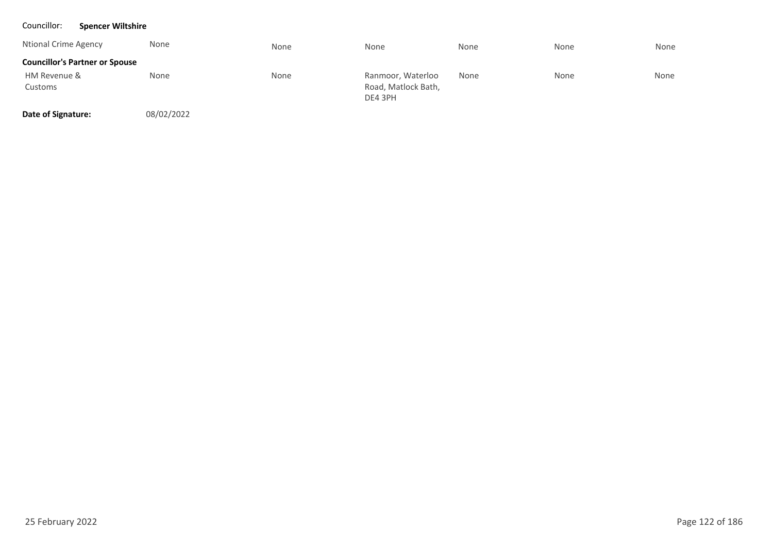### Councillor: **Spencer Wiltshire**

| Ntional Crime Agency                  | None | None | None                                                | None | None | None |
|---------------------------------------|------|------|-----------------------------------------------------|------|------|------|
| <b>Councillor's Partner or Spouse</b> |      |      |                                                     |      |      |      |
| HM Revenue &<br>Customs               | None | None | Ranmoor, Waterloo<br>Road, Matlock Bath,<br>DE4 3PH | None | None | None |

**Date of Signature:**

08/02/2022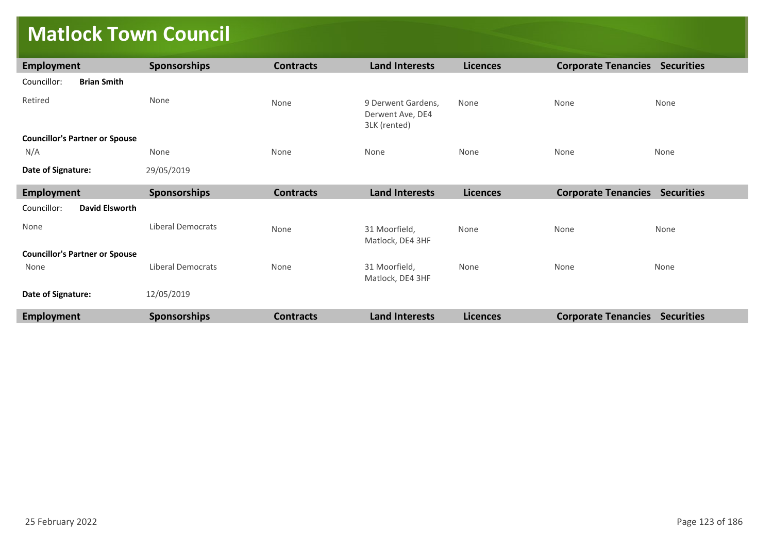# **Matlock Town Council**

| Employment                            | Sponsorships             | <b>Contracts</b> | <b>Land Interests</b>                                  | <b>Licences</b> | <b>Corporate Tenancies Securities</b> |      |
|---------------------------------------|--------------------------|------------------|--------------------------------------------------------|-----------------|---------------------------------------|------|
| Councillor:<br><b>Brian Smith</b>     |                          |                  |                                                        |                 |                                       |      |
| Retired                               | None                     | None             | 9 Derwent Gardens,<br>Derwent Ave, DE4<br>3LK (rented) | None            | None                                  | None |
| <b>Councillor's Partner or Spouse</b> |                          |                  |                                                        |                 |                                       |      |
| N/A                                   | None                     | None             | None                                                   | None            | None                                  | None |
| Date of Signature:                    | 29/05/2019               |                  |                                                        |                 |                                       |      |
| <b>Employment</b>                     | Sponsorships             | <b>Contracts</b> | <b>Land Interests</b>                                  | <b>Licences</b> | <b>Corporate Tenancies Securities</b> |      |
| Councillor:<br><b>David Elsworth</b>  |                          |                  |                                                        |                 |                                       |      |
| None                                  | <b>Liberal Democrats</b> | None             | 31 Moorfield,<br>Matlock, DE4 3HF                      | None            | None                                  | None |
| <b>Councillor's Partner or Spouse</b> |                          |                  |                                                        |                 |                                       |      |
| None                                  | <b>Liberal Democrats</b> | None             | 31 Moorfield,<br>Matlock, DE4 3HF                      | None            | None                                  | None |
| Date of Signature:                    | 12/05/2019               |                  |                                                        |                 |                                       |      |
| Employment                            | Sponsorships             | <b>Contracts</b> | <b>Land Interests</b>                                  | <b>Licences</b> | <b>Corporate Tenancies Securities</b> |      |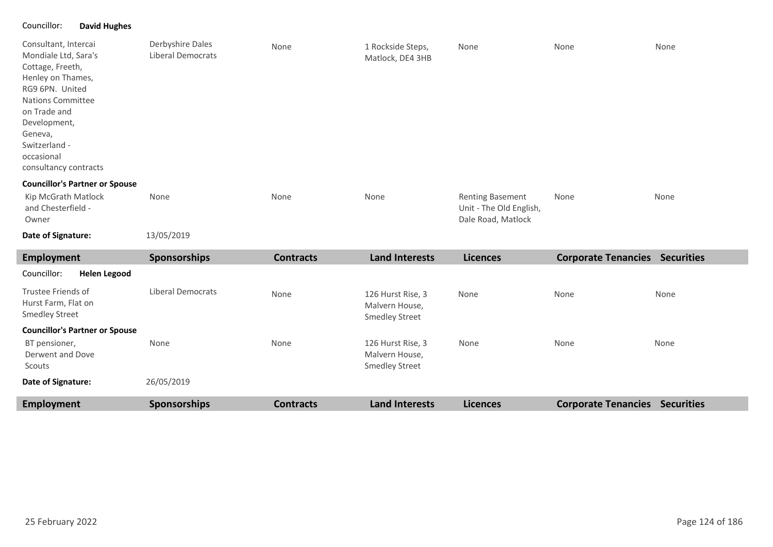### Councillor: **David Hughes**

| Consultant, Intercai<br>Mondiale Ltd, Sara's<br>Cottage, Freeth,<br>Henley on Thames,<br>RG9 6PN. United<br><b>Nations Committee</b><br>on Trade and<br>Development,<br>Geneva,<br>Switzerland -<br>occasional<br>consultancy contracts | Derbyshire Dales<br><b>Liberal Democrats</b> | None | 1 Rockside Steps,<br>Matlock, DE4 3HB | None                                                                     | None | None |
|-----------------------------------------------------------------------------------------------------------------------------------------------------------------------------------------------------------------------------------------|----------------------------------------------|------|---------------------------------------|--------------------------------------------------------------------------|------|------|
| <b>Councillor's Partner or Spouse</b>                                                                                                                                                                                                   |                                              |      |                                       |                                                                          |      |      |
| Kip McGrath Matlock<br>and Chesterfield -<br>Owner                                                                                                                                                                                      | None                                         | None | None                                  | <b>Renting Basement</b><br>Unit - The Old English,<br>Dale Road, Matlock | None | None |

13/05/2019 **Date of Signature:**

| Employment                                                         | <b>Sponsorships</b> | <b>Contracts</b> | <b>Land Interests</b>                                        | <b>Licences</b> | <b>Corporate Tenancies Securities</b> |                   |
|--------------------------------------------------------------------|---------------------|------------------|--------------------------------------------------------------|-----------------|---------------------------------------|-------------------|
| Councillor:<br><b>Helen Legood</b>                                 |                     |                  |                                                              |                 |                                       |                   |
| Trustee Friends of<br>Hurst Farm, Flat on<br><b>Smedley Street</b> | Liberal Democrats   | <b>None</b>      | 126 Hurst Rise, 3<br>Malvern House,<br><b>Smedley Street</b> | None            | None                                  | None              |
| <b>Councillor's Partner or Spouse</b>                              |                     |                  |                                                              |                 |                                       |                   |
| BT pensioner,<br>Derwent and Dove<br>Scouts                        | None                | None             | 126 Hurst Rise, 3<br>Malvern House,<br><b>Smedley Street</b> | None            | None                                  | None              |
| Date of Signature:                                                 | 26/05/2019          |                  |                                                              |                 |                                       |                   |
| Employment                                                         | <b>Sponsorships</b> | <b>Contracts</b> | <b>Land Interests</b>                                        | <b>Licences</b> | <b>Corporate Tenancies</b>            | <b>Securities</b> |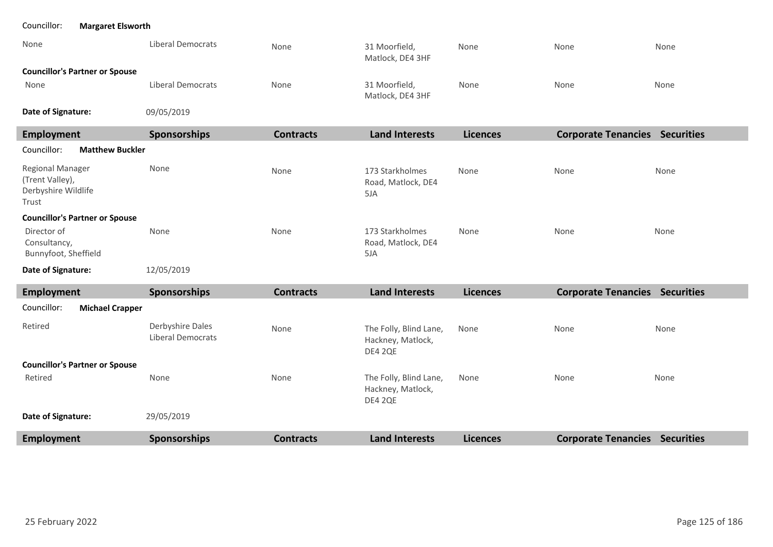| <b>Margaret Elsworth</b><br>Councillor:                                    |                                              |                  |                                                        |                 |                                       |      |
|----------------------------------------------------------------------------|----------------------------------------------|------------------|--------------------------------------------------------|-----------------|---------------------------------------|------|
| None                                                                       | Liberal Democrats                            | None             | 31 Moorfield,<br>Matlock, DE4 3HF                      | None            | None                                  | None |
| <b>Councillor's Partner or Spouse</b>                                      |                                              |                  |                                                        |                 |                                       |      |
| None                                                                       | <b>Liberal Democrats</b>                     | None             | 31 Moorfield,<br>Matlock, DE4 3HF                      | None            | None                                  | None |
| Date of Signature:                                                         | 09/05/2019                                   |                  |                                                        |                 |                                       |      |
| <b>Employment</b>                                                          | Sponsorships                                 | <b>Contracts</b> | <b>Land Interests</b>                                  | <b>Licences</b> | <b>Corporate Tenancies Securities</b> |      |
| Councillor:<br><b>Matthew Buckler</b>                                      |                                              |                  |                                                        |                 |                                       |      |
| <b>Regional Manager</b><br>(Trent Valley),<br>Derbyshire Wildlife<br>Trust | None                                         | None             | 173 Starkholmes<br>Road, Matlock, DE4<br>5JA           | None            | None                                  | None |
| <b>Councillor's Partner or Spouse</b>                                      |                                              |                  |                                                        |                 |                                       |      |
| Director of<br>Consultancy,<br>Bunnyfoot, Sheffield                        | None                                         | None             | 173 Starkholmes<br>Road, Matlock, DE4<br>5JA           | None            | None                                  | None |
| Date of Signature:                                                         | 12/05/2019                                   |                  |                                                        |                 |                                       |      |
| <b>Employment</b>                                                          | Sponsorships                                 | <b>Contracts</b> | <b>Land Interests</b>                                  | <b>Licences</b> | <b>Corporate Tenancies Securities</b> |      |
| <b>Michael Crapper</b><br>Councillor:                                      |                                              |                  |                                                        |                 |                                       |      |
| Retired                                                                    | Derbyshire Dales<br><b>Liberal Democrats</b> | None             | The Folly, Blind Lane,<br>Hackney, Matlock,<br>DE4 2QE | None            | None                                  | None |
| <b>Councillor's Partner or Spouse</b>                                      |                                              |                  |                                                        |                 |                                       |      |
| Retired                                                                    | None                                         | None             | The Folly, Blind Lane,<br>Hackney, Matlock,<br>DE4 2QE | None            | None                                  | None |
| Date of Signature:                                                         | 29/05/2019                                   |                  |                                                        |                 |                                       |      |
| <b>Employment</b>                                                          | Sponsorships                                 | <b>Contracts</b> | <b>Land Interests</b>                                  | <b>Licences</b> | <b>Corporate Tenancies Securities</b> |      |

л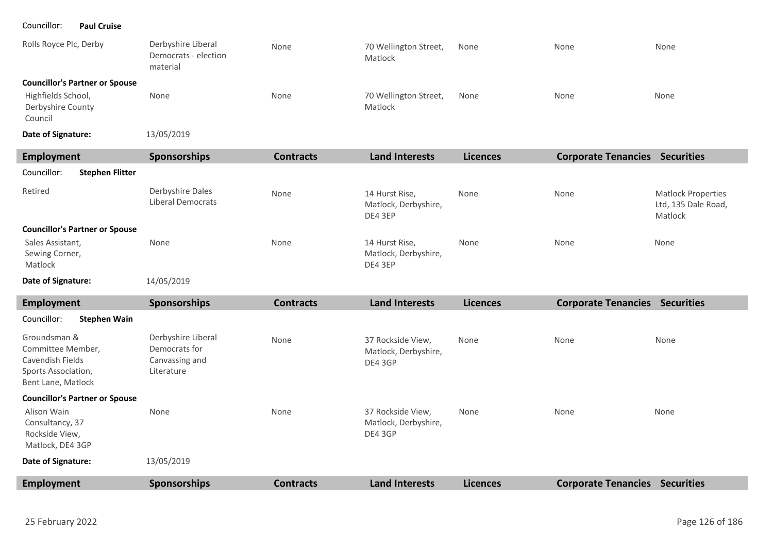Councillor: **Paul Cruise**

п

| Employment                                                                                  | Snonsorching                                           | Contracts | <b>Land Interacts</b>            | Licancas | Cornorate Tenancies Securities |      |
|---------------------------------------------------------------------------------------------|--------------------------------------------------------|-----------|----------------------------------|----------|--------------------------------|------|
| Date of Signature:                                                                          | 13/05/2019                                             |           |                                  |          |                                |      |
| <b>Councillor's Partner or Spouse</b><br>Highfields School,<br>Derbyshire County<br>Council | None                                                   | None      | 70 Wellington Street,<br>Matlock | None     | None                           | None |
| Rolls Royce Plc, Derby                                                                      | Derbyshire Liberal<br>Democrats - election<br>material | None      | 70 Wellington Street,<br>Matlock | None     | None                           | None |

| Employment                                    | <b>Sponsorships</b>                   | <b>Contracts</b> | <b>Land Interests</b>                             | <b>Licences</b> | <b>Corporate Tenancies</b> | <b>Securities</b>                                           |
|-----------------------------------------------|---------------------------------------|------------------|---------------------------------------------------|-----------------|----------------------------|-------------------------------------------------------------|
| Councillor:<br><b>Stephen Flitter</b>         |                                       |                  |                                                   |                 |                            |                                                             |
| Retired                                       | Derbyshire Dales<br>Liberal Democrats | None             | 14 Hurst Rise,<br>Matlock, Derbyshire,<br>DE4 3EP | None            | None                       | <b>Matlock Properties</b><br>Ltd, 135 Dale Road,<br>Matlock |
| <b>Councillor's Partner or Spouse</b>         |                                       |                  |                                                   |                 |                            |                                                             |
| Sales Assistant,<br>Sewing Corner,<br>Matlock | None                                  | None             | 14 Hurst Rise,<br>Matlock, Derbyshire,<br>DE4 3EP | None            | None                       | None                                                        |
| Date of Signature:                            | 14/05/2019                            |                  |                                                   |                 |                            |                                                             |

| Employment                                                                                         | <b>Sponsorships</b>                                                 | <b>Contracts</b> | <b>Land Interests</b>                                | <b>Licences</b> | <b>Corporate Tenancies</b> | <b>Securities</b> |
|----------------------------------------------------------------------------------------------------|---------------------------------------------------------------------|------------------|------------------------------------------------------|-----------------|----------------------------|-------------------|
| Councillor:<br><b>Stephen Wain</b>                                                                 |                                                                     |                  |                                                      |                 |                            |                   |
| Groundsman &<br>Committee Member,<br>Cavendish Fields<br>Sports Association,<br>Bent Lane, Matlock | Derbyshire Liberal<br>Democrats for<br>Canvassing and<br>Literature | None             | 37 Rockside View,<br>Matlock, Derbyshire,<br>DE4 3GP | None            | None                       | None              |
| <b>Councillor's Partner or Spouse</b>                                                              |                                                                     |                  |                                                      |                 |                            |                   |
| Alison Wain<br>Consultancy, 37<br>Rockside View,<br>Matlock, DE4 3GP                               | None                                                                | None             | 37 Rockside View,<br>Matlock, Derbyshire,<br>DE4 3GP | None            | None                       | None              |
| Date of Signature:                                                                                 | 13/05/2019                                                          |                  |                                                      |                 |                            |                   |
| <b>Employment</b>                                                                                  | <b>Sponsorships</b>                                                 | <b>Contracts</b> | <b>Land Interests</b>                                | <b>Licences</b> | <b>Corporate Tenancies</b> | <b>Securities</b> |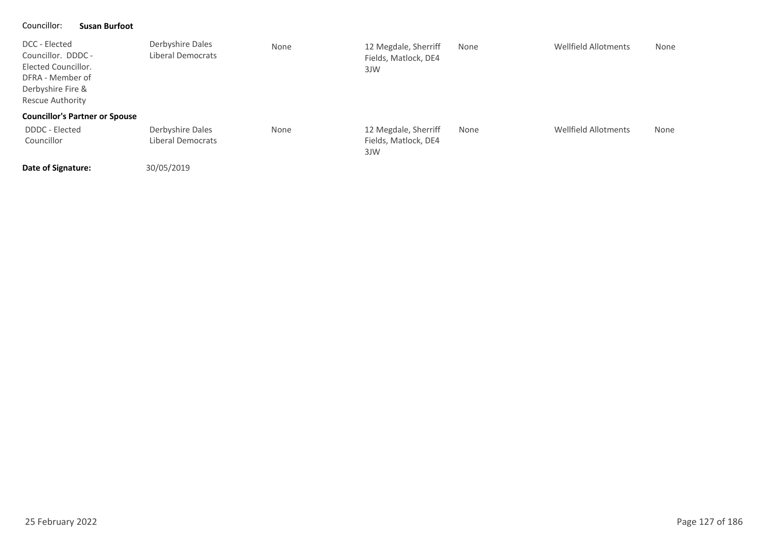### Councillor: **Susan Burfoot**

| llor: | <b>Susan Burfoot</b> |  |
|-------|----------------------|--|
|-------|----------------------|--|

| DCC - Elected<br>Councillor. DDDC -<br>Elected Councillor.<br>DFRA - Member of<br>Derbyshire Fire &<br>Rescue Authority | Derbyshire Dales<br>Liberal Democrats | None | 12 Megdale, Sherriff<br>Fields, Matlock, DE4<br>3JW | None | Wellfield Allotments | None |
|-------------------------------------------------------------------------------------------------------------------------|---------------------------------------|------|-----------------------------------------------------|------|----------------------|------|
| <b>Councillor's Partner or Spouse</b>                                                                                   |                                       |      |                                                     |      |                      |      |
| DDDC - Elected<br>Councillor                                                                                            | Derbyshire Dales<br>Liberal Democrats | None | 12 Megdale, Sherriff<br>Fields, Matlock, DE4<br>3JW | None | Wellfield Allotments | None |
|                                                                                                                         |                                       |      |                                                     |      |                      |      |

**Date of Signature:**

30/05/2019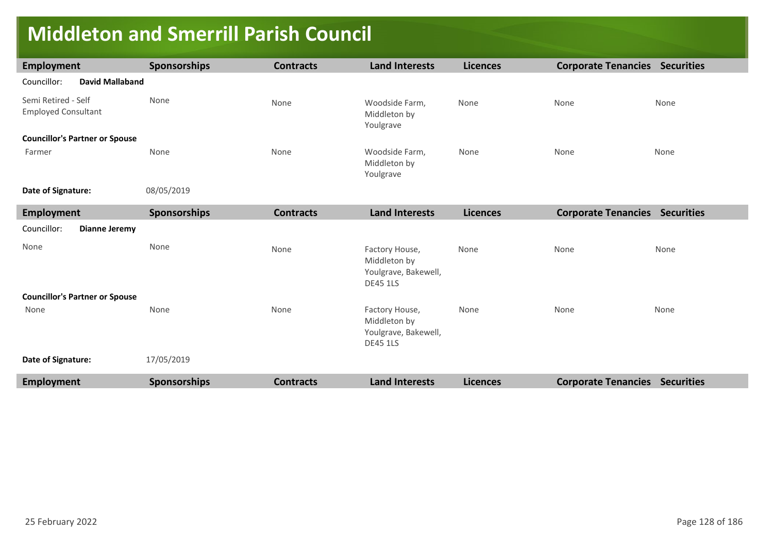## **Middleton and Smerrill Parish Council**

| <b>Employment</b>                                 | <b>Sponsorships</b> | <b>Contracts</b> | <b>Land Interests</b>                                                     | <b>Licences</b> | <b>Corporate Tenancies Securities</b> |      |
|---------------------------------------------------|---------------------|------------------|---------------------------------------------------------------------------|-----------------|---------------------------------------|------|
| <b>David Mallaband</b><br>Councillor:             |                     |                  |                                                                           |                 |                                       |      |
| Semi Retired - Self<br><b>Employed Consultant</b> | None                | None             | Woodside Farm,<br>Middleton by<br>Youlgrave                               | None            | None                                  | None |
| <b>Councillor's Partner or Spouse</b>             |                     |                  |                                                                           |                 |                                       |      |
| Farmer                                            | None                | None             | Woodside Farm,<br>Middleton by<br>Youlgrave                               | None            | None                                  | None |
| Date of Signature:                                | 08/05/2019          |                  |                                                                           |                 |                                       |      |
| <b>Employment</b>                                 | Sponsorships        | <b>Contracts</b> | <b>Land Interests</b>                                                     | <b>Licences</b> | <b>Corporate Tenancies Securities</b> |      |
| Councillor:<br><b>Dianne Jeremy</b>               |                     |                  |                                                                           |                 |                                       |      |
| None                                              | None                | None             | Factory House,<br>Middleton by<br>Youlgrave, Bakewell,<br><b>DE45 1LS</b> | None            | None                                  | None |
| <b>Councillor's Partner or Spouse</b>             |                     |                  |                                                                           |                 |                                       |      |
| None                                              | None                | None             | Factory House,<br>Middleton by<br>Youlgrave, Bakewell,<br><b>DE45 1LS</b> | None            | None                                  | None |
| Date of Signature:                                | 17/05/2019          |                  |                                                                           |                 |                                       |      |
| <b>Employment</b>                                 | <b>Sponsorships</b> | <b>Contracts</b> | <b>Land Interests</b>                                                     | <b>Licences</b> | <b>Corporate Tenancies Securities</b> |      |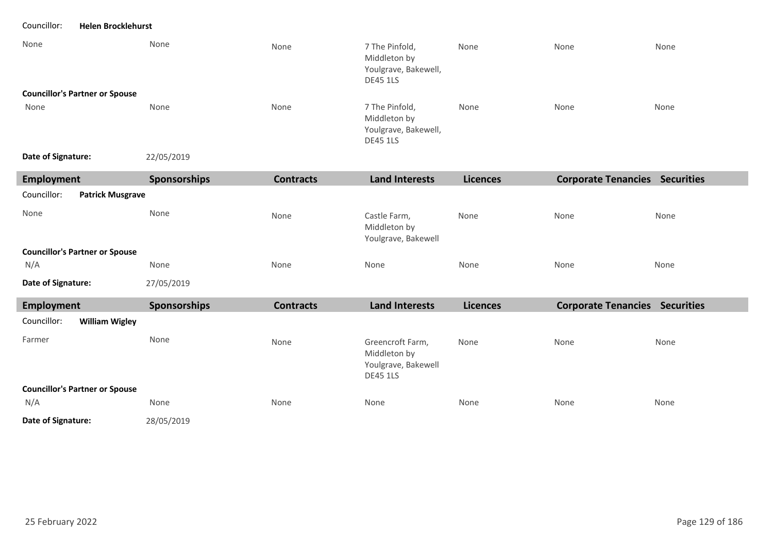Councillor: **Helen Brocklehurst**

| None                                   | None                | None             | 7 The Pinfold,<br>Middleton by<br>Youlgrave, Bakewell,<br><b>DE45 1LS</b>  | None            | None | None                                  |
|----------------------------------------|---------------------|------------------|----------------------------------------------------------------------------|-----------------|------|---------------------------------------|
| <b>Councillor's Partner or Spouse</b>  |                     |                  |                                                                            |                 |      |                                       |
| None                                   | None                | None             | 7 The Pinfold,<br>Middleton by<br>Youlgrave, Bakewell,<br><b>DE45 1LS</b>  | None            | None | None                                  |
| Date of Signature:                     | 22/05/2019          |                  |                                                                            |                 |      |                                       |
| <b>Employment</b>                      | <b>Sponsorships</b> | <b>Contracts</b> | <b>Land Interests</b>                                                      | <b>Licences</b> |      | <b>Corporate Tenancies Securities</b> |
| Councillor:<br><b>Patrick Musgrave</b> |                     |                  |                                                                            |                 |      |                                       |
| None                                   | None                | None             | Castle Farm,<br>Middleton by<br>Youlgrave, Bakewell                        | None            | None | None                                  |
| <b>Councillor's Partner or Spouse</b>  |                     |                  |                                                                            |                 |      |                                       |
| N/A                                    | None                | None             | None                                                                       | None            | None | None                                  |
| Date of Signature:                     | 27/05/2019          |                  |                                                                            |                 |      |                                       |
| <b>Employment</b>                      | Sponsorships        | <b>Contracts</b> | <b>Land Interests</b>                                                      | <b>Licences</b> |      | <b>Corporate Tenancies Securities</b> |
| <b>William Wigley</b><br>Councillor:   |                     |                  |                                                                            |                 |      |                                       |
| Farmer                                 | None                | None             | Greencroft Farm,<br>Middleton by<br>Youlgrave, Bakewell<br><b>DE45 1LS</b> | None            | None | None                                  |
| <b>Councillor's Partner or Spouse</b>  |                     |                  |                                                                            |                 |      |                                       |
| N/A                                    | None                | None             | None                                                                       | None            | None | None                                  |
| Date of Signature:                     | 28/05/2019          |                  |                                                                            |                 |      |                                       |

п ٠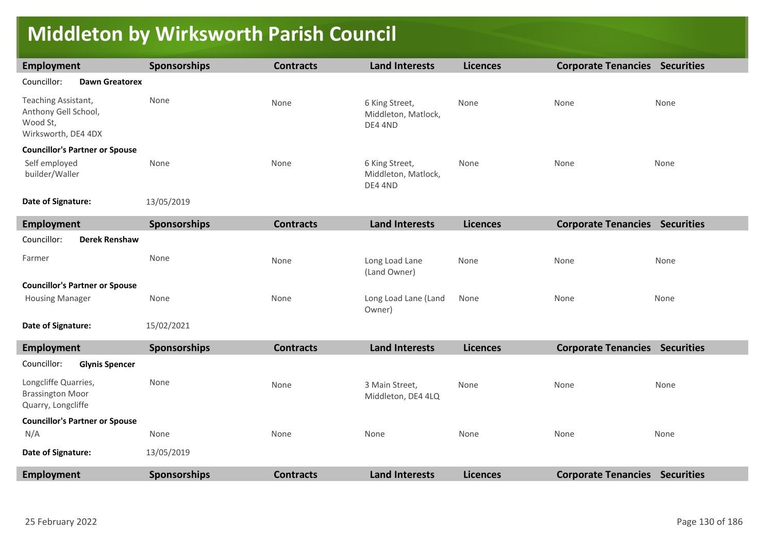### **Middleton by Wirksworth Parish Council**

| Employment                                                                     | <b>Sponsorships</b> | <b>Contracts</b> | <b>Land Interests</b>                            | <b>Licences</b> | <b>Corporate Tenancies Securities</b> |      |
|--------------------------------------------------------------------------------|---------------------|------------------|--------------------------------------------------|-----------------|---------------------------------------|------|
| Councillor:<br><b>Dawn Greatorex</b>                                           |                     |                  |                                                  |                 |                                       |      |
| Teaching Assistant,<br>Anthony Gell School,<br>Wood St,<br>Wirksworth, DE4 4DX | None                | None             | 6 King Street,<br>Middleton, Matlock,<br>DE4 4ND | None            | None                                  | None |
| <b>Councillor's Partner or Spouse</b>                                          |                     |                  |                                                  |                 |                                       |      |
| Self employed<br>builder/Waller                                                | None                | None             | 6 King Street,<br>Middleton, Matlock,<br>DE4 4ND | None            | None                                  | None |
| Date of Signature:                                                             | 13/05/2019          |                  |                                                  |                 |                                       |      |
| Employment                                                                     | <b>Sponsorships</b> | <b>Contracts</b> | <b>Land Interests</b>                            | <b>Licences</b> | <b>Corporate Tenancies Securities</b> |      |
| Councillor:<br><b>Derek Renshaw</b>                                            |                     |                  |                                                  |                 |                                       |      |
| Farmer                                                                         | None                | None             | Long Load Lane<br>(Land Owner)                   | None            | None                                  | None |
| <b>Councillor's Partner or Spouse</b>                                          |                     |                  |                                                  |                 |                                       |      |
| <b>Housing Manager</b>                                                         | None                | None             | Long Load Lane (Land<br>Owner)                   | None            | None                                  | None |
| Date of Signature:                                                             | 15/02/2021          |                  |                                                  |                 |                                       |      |
| <b>Employment</b>                                                              | Sponsorships        | <b>Contracts</b> | <b>Land Interests</b>                            | <b>Licences</b> | <b>Corporate Tenancies Securities</b> |      |
| Councillor:<br><b>Glynis Spencer</b>                                           |                     |                  |                                                  |                 |                                       |      |
| Longcliffe Quarries,<br><b>Brassington Moor</b><br>Quarry, Longcliffe          | None                | None             | 3 Main Street,<br>Middleton, DE4 4LQ             | None            | None                                  | None |
| <b>Councillor's Partner or Spouse</b>                                          |                     |                  |                                                  |                 |                                       |      |
| N/A                                                                            | None                | None             | None                                             | None            | None                                  | None |
| Date of Signature:                                                             | 13/05/2019          |                  |                                                  |                 |                                       |      |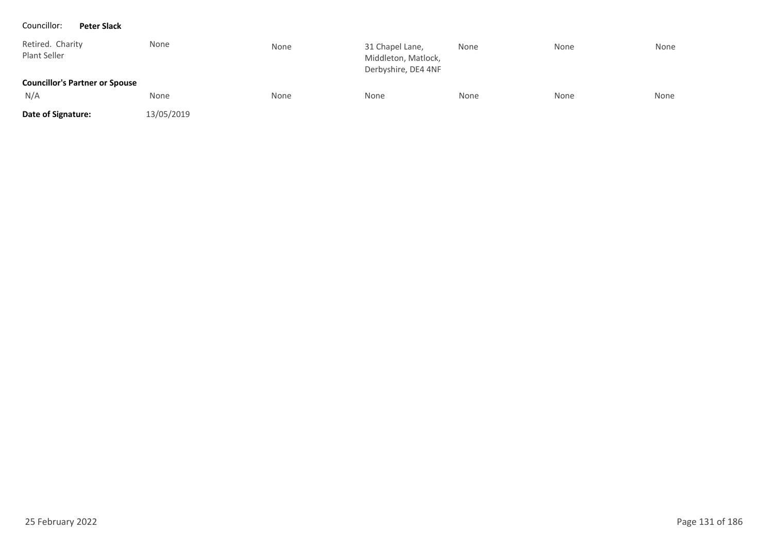#### Councillor: **Peter Slack**

| Retired. Charity<br>Plant Seller      | None       | None | 31 Chapel Lane,<br>Middleton, Matlock,<br>Derbyshire, DE4 4NF | None | None | None |
|---------------------------------------|------------|------|---------------------------------------------------------------|------|------|------|
| <b>Councillor's Partner or Spouse</b> |            |      |                                                               |      |      |      |
| N/A                                   | None       | None | None                                                          | None | None | None |
| Date of Signature:                    | 13/05/2019 |      |                                                               |      |      |      |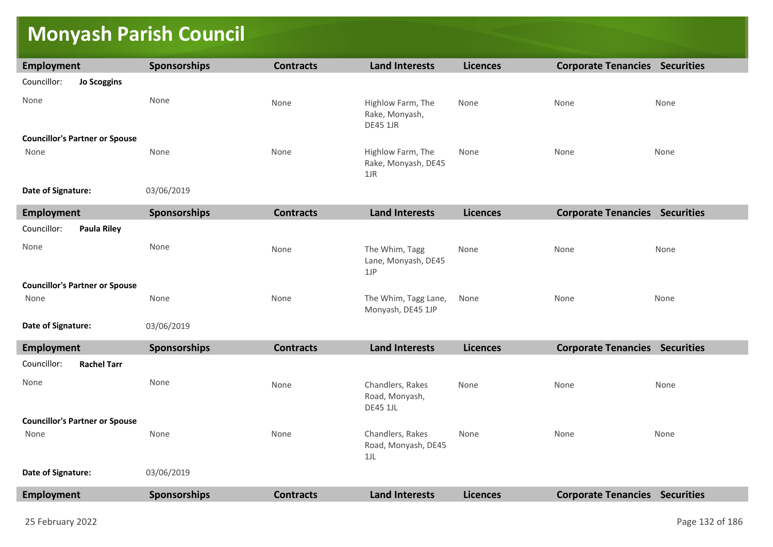# **Monyash Parish Council**

| Employment                            | Sponsorships | <b>Contracts</b> | <b>Land Interests</b>                                  | <b>Licences</b> | <b>Corporate Tenancies Securities</b> |                   |
|---------------------------------------|--------------|------------------|--------------------------------------------------------|-----------------|---------------------------------------|-------------------|
| Councillor:<br><b>Jo Scoggins</b>     |              |                  |                                                        |                 |                                       |                   |
| None                                  | None         | None             | Highlow Farm, The<br>Rake, Monyash,<br><b>DE45 1JR</b> | None            | None                                  | None              |
| <b>Councillor's Partner or Spouse</b> |              |                  |                                                        |                 |                                       |                   |
| None                                  | None         | None             | Highlow Farm, The<br>Rake, Monyash, DE45<br>$1$ J $R$  | None            | None                                  | None              |
| Date of Signature:                    | 03/06/2019   |                  |                                                        |                 |                                       |                   |
| <b>Employment</b>                     | Sponsorships | <b>Contracts</b> | <b>Land Interests</b>                                  | <b>Licences</b> | <b>Corporate Tenancies</b>            | <b>Securities</b> |
| Councillor:<br><b>Paula Riley</b>     |              |                  |                                                        |                 |                                       |                   |
| None                                  | None         | None             | The Whim, Tagg<br>Lane, Monyash, DE45<br>1JP           | None            | None                                  | None              |
| <b>Councillor's Partner or Spouse</b> |              |                  |                                                        |                 |                                       |                   |
| None                                  | None         | None             | The Whim, Tagg Lane,<br>Monyash, DE45 1JP              | None            | None                                  | None              |
| Date of Signature:                    | 03/06/2019   |                  |                                                        |                 |                                       |                   |
| <b>Employment</b>                     | Sponsorships | <b>Contracts</b> | <b>Land Interests</b>                                  | <b>Licences</b> | <b>Corporate Tenancies Securities</b> |                   |

| <b>Employment</b>                     | <b>Sponsorsnips</b> | contracts        | Land Interests                                        | Licences        | Corporate Tenancies        | <b>Securities</b> |
|---------------------------------------|---------------------|------------------|-------------------------------------------------------|-----------------|----------------------------|-------------------|
| Councillor:<br><b>Rachel Tarr</b>     |                     |                  |                                                       |                 |                            |                   |
| None                                  | None                | None             | Chandlers, Rakes<br>Road, Monyash,<br><b>DE45 1JL</b> | None            | None                       | None              |
| <b>Councillor's Partner or Spouse</b> |                     |                  |                                                       |                 |                            |                   |
| None                                  | None                | None             | Chandlers, Rakes<br>Road, Monyash, DE45<br>$1$ J $L$  | None            | None                       | None              |
| Date of Signature:                    | 03/06/2019          |                  |                                                       |                 |                            |                   |
| <b>Employment</b>                     | <b>Sponsorships</b> | <b>Contracts</b> | <b>Land Interests</b>                                 | <b>Licences</b> | <b>Corporate Tenancies</b> | <b>Securities</b> |
|                                       |                     |                  |                                                       |                 |                            |                   |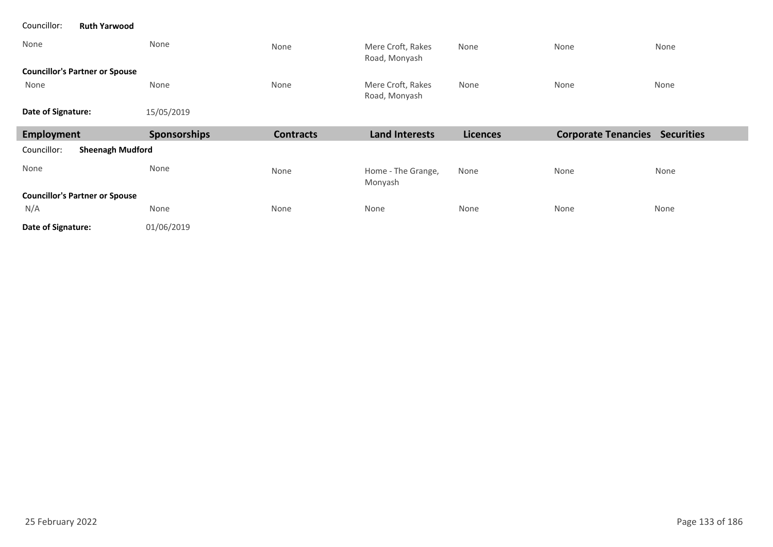| <b>Ruth Yarwood</b><br>Councillor:     |              |                  |                                    |                 |                                       |      |
|----------------------------------------|--------------|------------------|------------------------------------|-----------------|---------------------------------------|------|
| None                                   | None         | None             | Mere Croft, Rakes<br>Road, Monyash | None            | None                                  | None |
| <b>Councillor's Partner or Spouse</b>  |              |                  |                                    |                 |                                       |      |
| None                                   | None         | None             | Mere Croft, Rakes<br>Road, Monyash | None            | None                                  | None |
| Date of Signature:                     | 15/05/2019   |                  |                                    |                 |                                       |      |
|                                        |              |                  |                                    |                 |                                       |      |
| <b>Employment</b>                      | Sponsorships | <b>Contracts</b> | <b>Land Interests</b>              | <b>Licences</b> | <b>Corporate Tenancies Securities</b> |      |
| <b>Sheenagh Mudford</b><br>Councillor: |              |                  |                                    |                 |                                       |      |
| None                                   | None         | None             | Home - The Grange,<br>Monyash      | None            | None                                  | None |
| <b>Councillor's Partner or Spouse</b>  |              |                  |                                    |                 |                                       |      |
| N/A                                    | None         | None             | None                               | None            | None                                  | None |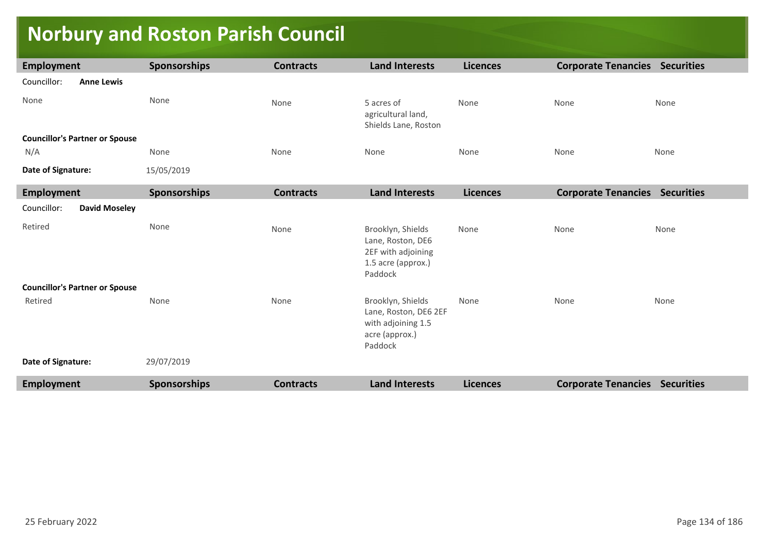# **Norbury and Roston Parish Council**

| Employment                            | Sponsorships | <b>Contracts</b> | <b>Land Interests</b>                                                                         | <b>Licences</b> | <b>Corporate Tenancies Securities</b> |      |
|---------------------------------------|--------------|------------------|-----------------------------------------------------------------------------------------------|-----------------|---------------------------------------|------|
| Councillor:<br><b>Anne Lewis</b>      |              |                  |                                                                                               |                 |                                       |      |
| None                                  | None         | None             | 5 acres of<br>agricultural land,<br>Shields Lane, Roston                                      | None            | None                                  | None |
| <b>Councillor's Partner or Spouse</b> |              |                  |                                                                                               |                 |                                       |      |
| N/A                                   | None         | None             | None                                                                                          | None            | None                                  | None |
| Date of Signature:                    | 15/05/2019   |                  |                                                                                               |                 |                                       |      |
| <b>Employment</b>                     | Sponsorships | <b>Contracts</b> | <b>Land Interests</b>                                                                         | <b>Licences</b> | <b>Corporate Tenancies Securities</b> |      |
| Councillor:<br><b>David Moseley</b>   |              |                  |                                                                                               |                 |                                       |      |
| Retired                               | None         | None             | Brooklyn, Shields<br>Lane, Roston, DE6<br>2EF with adjoining<br>1.5 acre (approx.)<br>Paddock | None            | None                                  | None |
| <b>Councillor's Partner or Spouse</b> |              |                  |                                                                                               |                 |                                       |      |
| Retired                               | None         | None             | Brooklyn, Shields<br>Lane, Roston, DE6 2EF<br>with adjoining 1.5<br>acre (approx.)<br>Paddock | None            | None                                  | None |
| Date of Signature:                    | 29/07/2019   |                  |                                                                                               |                 |                                       |      |
| Employment                            | Sponsorships | <b>Contracts</b> | <b>Land Interests</b>                                                                         | <b>Licences</b> | <b>Corporate Tenancies Securities</b> |      |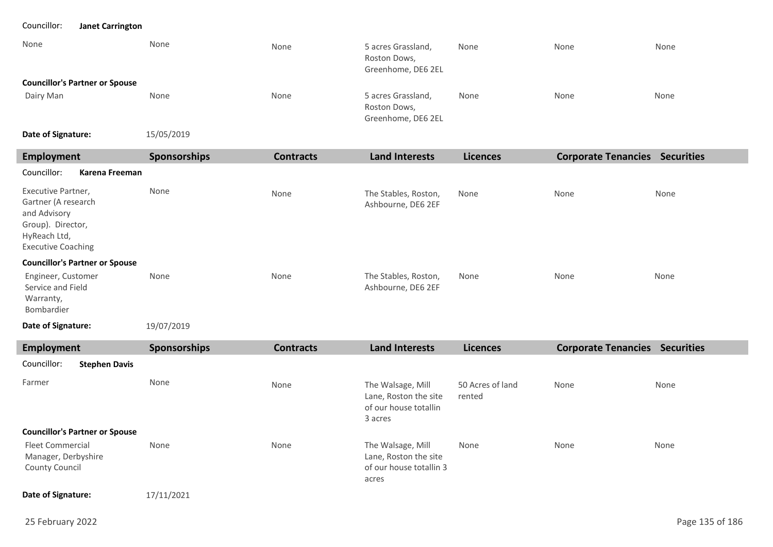### Councillor: **Janet Carrington**

| None                                  | None       | None | 5 acres Grassland,<br>Roston Dows,<br>Greenhome, DE6 2EL | None | None | None |
|---------------------------------------|------------|------|----------------------------------------------------------|------|------|------|
| <b>Councillor's Partner or Spouse</b> |            |      |                                                          |      |      |      |
| Dairy Man                             | None       | None | 5 acres Grassland,<br>Roston Dows,<br>Greenhome, DE6 2EL | None | None | None |
| Date of Signature:                    | 15/05/2019 |      |                                                          |      |      |      |

| Employment                                                                                                                  | <b>Sponsorships</b> | <b>Contracts</b> | <b>Land Interests</b>                      | <b>Licences</b> | <b>Corporate Tenancies Securities</b> |      |
|-----------------------------------------------------------------------------------------------------------------------------|---------------------|------------------|--------------------------------------------|-----------------|---------------------------------------|------|
| Councillor:<br>Karena Freeman                                                                                               |                     |                  |                                            |                 |                                       |      |
| Executive Partner,<br>Gartner (A research<br>and Advisory<br>Group). Director,<br>HyReach Ltd,<br><b>Executive Coaching</b> | None                | None             | The Stables, Roston,<br>Ashbourne, DE6 2EF | None            | None                                  | None |
| <b>Councillor's Partner or Spouse</b>                                                                                       |                     |                  |                                            |                 |                                       |      |
| Engineer, Customer<br>Service and Field<br>Warranty,<br>Bombardier                                                          | None                | None             | The Stables, Roston,<br>Ashbourne, DE6 2EF | None            | None                                  | None |
| Date of Signature:                                                                                                          | 19/07/2019          |                  |                                            |                 |                                       |      |

| Employment                                                              |                      | <b>Sponsorships</b> | <b>Contracts</b> | <b>Land Interests</b>                                                          | <b>Licences</b>            | <b>Corporate Tenancies</b> | <b>Securities</b> |
|-------------------------------------------------------------------------|----------------------|---------------------|------------------|--------------------------------------------------------------------------------|----------------------------|----------------------------|-------------------|
| Councillor:                                                             | <b>Stephen Davis</b> |                     |                  |                                                                                |                            |                            |                   |
| Farmer                                                                  |                      | None                | None             | The Walsage, Mill<br>Lane, Roston the site<br>of our house totallin<br>3 acres | 50 Acres of land<br>rented | None                       | None              |
| <b>Councillor's Partner or Spouse</b>                                   |                      |                     |                  |                                                                                |                            |                            |                   |
| <b>Fleet Commercial</b><br>Manager, Derbyshire<br><b>County Council</b> |                      | None                | None             | The Walsage, Mill<br>Lane, Roston the site<br>of our house totallin 3<br>acres | None                       | None                       | None              |
| Date of Signature:                                                      |                      | 17/11/2021          |                  |                                                                                |                            |                            |                   |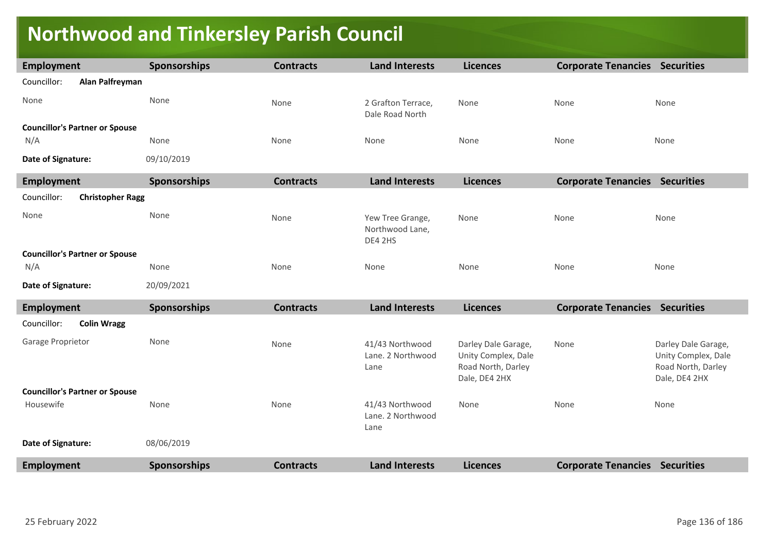# **Northwood and Tinkersley Parish Council**

| Employment                             | Sponsorships        | <b>Contracts</b> | <b>Land Interests</b>                          | <b>Licences</b>                                                                   | <b>Corporate Tenancies Securities</b> |                                                                                   |
|----------------------------------------|---------------------|------------------|------------------------------------------------|-----------------------------------------------------------------------------------|---------------------------------------|-----------------------------------------------------------------------------------|
| Councillor:<br>Alan Palfreyman         |                     |                  |                                                |                                                                                   |                                       |                                                                                   |
| None                                   | None                | None             | 2 Grafton Terrace,<br>Dale Road North          | None                                                                              | None                                  | None                                                                              |
| <b>Councillor's Partner or Spouse</b>  |                     |                  |                                                |                                                                                   |                                       |                                                                                   |
| N/A                                    | None                | None             | None                                           | None                                                                              | None                                  | None                                                                              |
| Date of Signature:                     | 09/10/2019          |                  |                                                |                                                                                   |                                       |                                                                                   |
| Employment                             | <b>Sponsorships</b> | <b>Contracts</b> | <b>Land Interests</b>                          | <b>Licences</b>                                                                   | <b>Corporate Tenancies Securities</b> |                                                                                   |
| Councillor:<br><b>Christopher Ragg</b> |                     |                  |                                                |                                                                                   |                                       |                                                                                   |
| None                                   | None                | None             | Yew Tree Grange,<br>Northwood Lane,<br>DE4 2HS | None                                                                              | None                                  | None                                                                              |
| <b>Councillor's Partner or Spouse</b>  |                     |                  |                                                |                                                                                   |                                       |                                                                                   |
| N/A                                    | None                | None             | None                                           | None                                                                              | None                                  | None                                                                              |
| Date of Signature:                     | 20/09/2021          |                  |                                                |                                                                                   |                                       |                                                                                   |
| <b>Employment</b>                      | <b>Sponsorships</b> | <b>Contracts</b> | <b>Land Interests</b>                          | <b>Licences</b>                                                                   | <b>Corporate Tenancies Securities</b> |                                                                                   |
| <b>Colin Wragg</b><br>Councillor:      |                     |                  |                                                |                                                                                   |                                       |                                                                                   |
| Garage Proprietor                      | None                | None             | 41/43 Northwood<br>Lane. 2 Northwood<br>Lane   | Darley Dale Garage,<br>Unity Complex, Dale<br>Road North, Darley<br>Dale, DE4 2HX | None                                  | Darley Dale Garage,<br>Unity Complex, Dale<br>Road North, Darley<br>Dale, DE4 2HX |
| <b>Councillor's Partner or Spouse</b>  |                     |                  |                                                |                                                                                   |                                       |                                                                                   |
| Housewife                              | None                | None             | 41/43 Northwood<br>Lane. 2 Northwood<br>Lane   | None                                                                              | None                                  | None                                                                              |
| Date of Signature:                     | 08/06/2019          |                  |                                                |                                                                                   |                                       |                                                                                   |
| <b>Employment</b>                      | <b>Sponsorships</b> | <b>Contracts</b> | <b>Land Interests</b>                          | <b>Licences</b>                                                                   | <b>Corporate Tenancies Securities</b> |                                                                                   |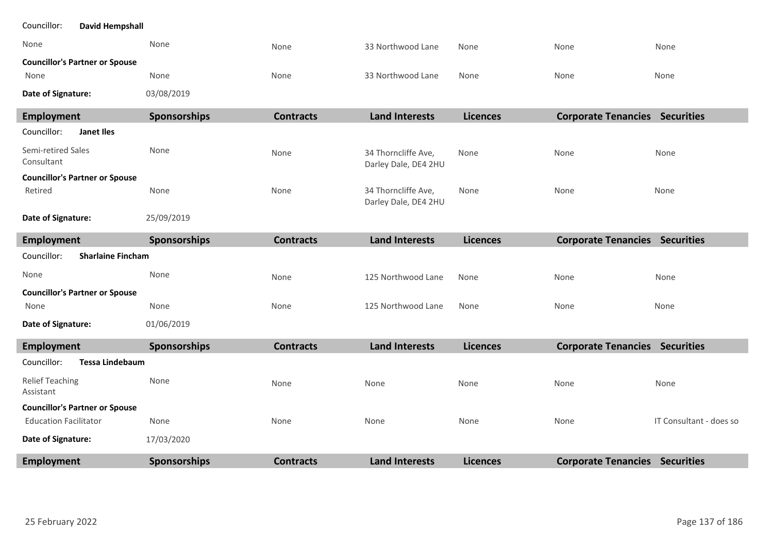| <b>Employment</b>                       | <b>Sponsorships</b> | <b>Contracts</b> | <b>Land Interests</b>                       | <b>Licences</b> | <b>Corporate Tenancies Securities</b> |                         |
|-----------------------------------------|---------------------|------------------|---------------------------------------------|-----------------|---------------------------------------|-------------------------|
| Date of Signature:                      | 17/03/2020          |                  |                                             |                 |                                       |                         |
| <b>Education Facilitator</b>            | None                | None             | None                                        | None            | None                                  | IT Consultant - does so |
| <b>Councillor's Partner or Spouse</b>   |                     |                  |                                             |                 |                                       |                         |
| <b>Relief Teaching</b><br>Assistant     | None                | None             | None                                        | None            | None                                  | None                    |
| Councillor:<br><b>Tessa Lindebaum</b>   |                     |                  |                                             |                 |                                       |                         |
| <b>Employment</b>                       | Sponsorships        | <b>Contracts</b> | <b>Land Interests</b>                       | <b>Licences</b> | <b>Corporate Tenancies Securities</b> |                         |
| Date of Signature:                      | 01/06/2019          |                  |                                             |                 |                                       |                         |
| None                                    | None                | None             | 125 Northwood Lane                          | None            | None                                  | None                    |
| <b>Councillor's Partner or Spouse</b>   |                     |                  |                                             |                 |                                       |                         |
| None                                    | None                | None             | 125 Northwood Lane                          | None            | None                                  | None                    |
| Councillor:<br><b>Sharlaine Fincham</b> |                     |                  |                                             |                 |                                       |                         |
| <b>Employment</b>                       | <b>Sponsorships</b> | <b>Contracts</b> | <b>Land Interests</b>                       | <b>Licences</b> | <b>Corporate Tenancies Securities</b> |                         |
| Date of Signature:                      | 25/09/2019          |                  |                                             |                 |                                       |                         |
| Retired                                 | None                | None             | 34 Thorncliffe Ave,<br>Darley Dale, DE4 2HU | None            | None                                  | None                    |
| <b>Councillor's Partner or Spouse</b>   |                     |                  |                                             |                 |                                       |                         |
| Semi-retired Sales<br>Consultant        | None                | None             | 34 Thorncliffe Ave,<br>Darley Dale, DE4 2HU | None            | None                                  | None                    |
| Councillor:<br>Janet Iles               |                     |                  |                                             |                 |                                       |                         |
| <b>Employment</b>                       | Sponsorships        | <b>Contracts</b> | <b>Land Interests</b>                       | <b>Licences</b> | <b>Corporate Tenancies Securities</b> |                         |
| Date of Signature:                      | 03/08/2019          |                  |                                             |                 |                                       |                         |
| None                                    | None                | None             | 33 Northwood Lane                           | None            | None                                  | None                    |
| <b>Councillor's Partner or Spouse</b>   |                     | None             |                                             | None            | None                                  | None                    |
| None                                    | None                |                  | 33 Northwood Lane                           |                 |                                       |                         |
| Councillor:<br><b>David Hempshall</b>   |                     |                  |                                             |                 |                                       |                         |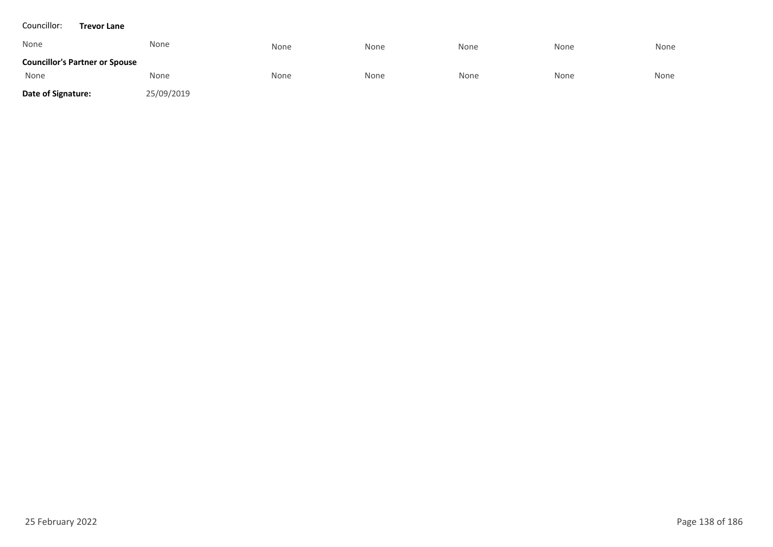#### Councillor: **Trevor Lane**

| None                                  | None       | None | None | None | None | None |
|---------------------------------------|------------|------|------|------|------|------|
| <b>Councillor's Partner or Spouse</b> |            |      |      |      |      |      |
| None                                  | None       | None | None | None | None | None |
| Date of Signature:                    | 25/09/2019 |      |      |      |      |      |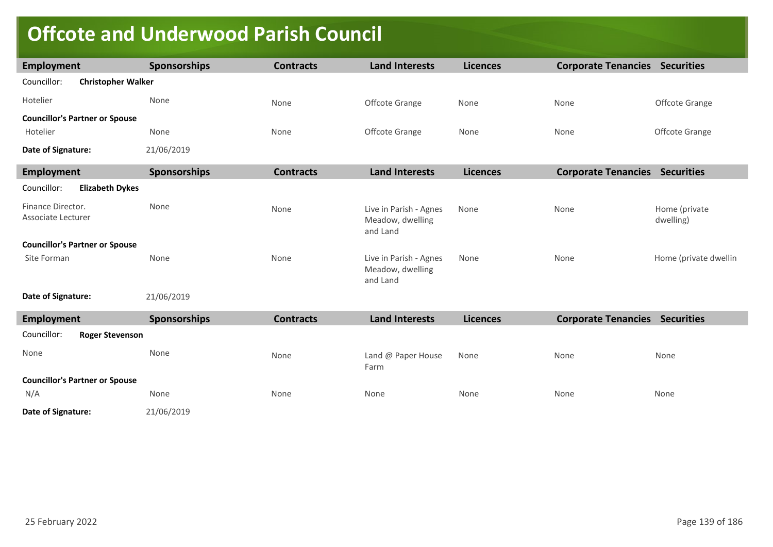# **Offcote and Underwood Parish Council**

| Employment                               | <b>Sponsorships</b> | <b>Contracts</b> | <b>Land Interests</b>                                  | <b>Licences</b> | <b>Corporate Tenancies Securities</b> |                            |
|------------------------------------------|---------------------|------------------|--------------------------------------------------------|-----------------|---------------------------------------|----------------------------|
| Councillor:<br><b>Christopher Walker</b> |                     |                  |                                                        |                 |                                       |                            |
| Hotelier                                 | None                | None             | Offcote Grange                                         | None            | None                                  | Offcote Grange             |
| <b>Councillor's Partner or Spouse</b>    |                     |                  |                                                        |                 |                                       |                            |
| Hotelier                                 | None                | None             | Offcote Grange                                         | None            | None                                  | Offcote Grange             |
| Date of Signature:                       | 21/06/2019          |                  |                                                        |                 |                                       |                            |
| <b>Employment</b>                        | <b>Sponsorships</b> | <b>Contracts</b> | <b>Land Interests</b>                                  | <b>Licences</b> | <b>Corporate Tenancies Securities</b> |                            |
| Councillor:<br><b>Elizabeth Dykes</b>    |                     |                  |                                                        |                 |                                       |                            |
| Finance Director.<br>Associate Lecturer  | None                | None             | Live in Parish - Agnes<br>Meadow, dwelling<br>and Land | None            | None                                  | Home (private<br>dwelling) |
| <b>Councillor's Partner or Spouse</b>    |                     |                  |                                                        |                 |                                       |                            |
| Site Forman                              | None                | None             | Live in Parish - Agnes<br>Meadow, dwelling<br>and Land | None            | None                                  | Home (private dwellin      |
| Date of Signature:                       | 21/06/2019          |                  |                                                        |                 |                                       |                            |
| <b>Employment</b>                        | Sponsorships        | <b>Contracts</b> | <b>Land Interests</b>                                  | <b>Licences</b> | <b>Corporate Tenancies Securities</b> |                            |
| Councillor:<br><b>Roger Stevenson</b>    |                     |                  |                                                        |                 |                                       |                            |
| None                                     | None                | None             | Land @ Paper House<br>Farm                             | None            | None                                  | None                       |
| <b>Councillor's Partner or Spouse</b>    |                     |                  |                                                        |                 |                                       |                            |
| N/A                                      | None                | None             | None                                                   | None            | None                                  | None                       |
| Date of Signature:                       | 21/06/2019          |                  |                                                        |                 |                                       |                            |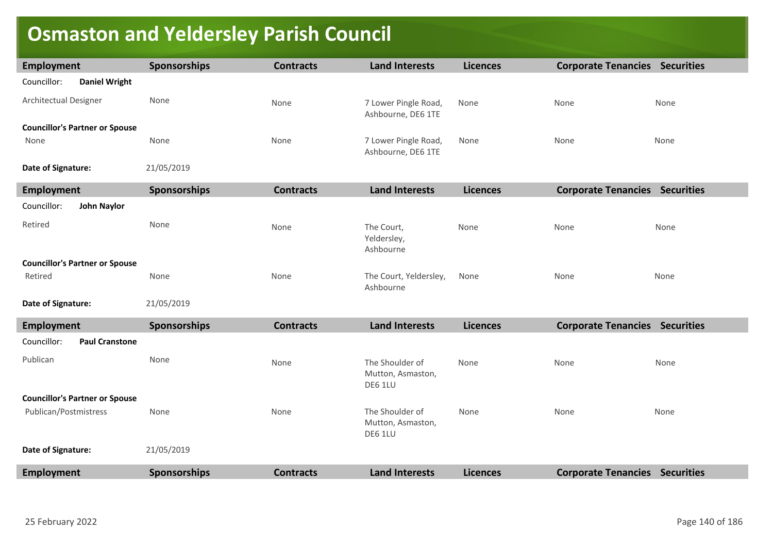# **Osmaston and Yeldersley Parish Council**

| <b>Employment</b>                     | <b>Sponsorships</b> | <b>Contracts</b> | <b>Land Interests</b>                           | <b>Licences</b> | <b>Corporate Tenancies Securities</b> |      |
|---------------------------------------|---------------------|------------------|-------------------------------------------------|-----------------|---------------------------------------|------|
| Councillor:<br><b>Daniel Wright</b>   |                     |                  |                                                 |                 |                                       |      |
| Architectual Designer                 | None                | None             | 7 Lower Pingle Road,<br>Ashbourne, DE6 1TE      | None            | None                                  | None |
| <b>Councillor's Partner or Spouse</b> |                     |                  |                                                 |                 |                                       |      |
| None                                  | None                | None             | 7 Lower Pingle Road,<br>Ashbourne, DE6 1TE      | None            | None                                  | None |
| Date of Signature:                    | 21/05/2019          |                  |                                                 |                 |                                       |      |
| <b>Employment</b>                     | Sponsorships        | <b>Contracts</b> | <b>Land Interests</b>                           | <b>Licences</b> | <b>Corporate Tenancies Securities</b> |      |
| Councillor:<br><b>John Naylor</b>     |                     |                  |                                                 |                 |                                       |      |
| Retired                               | None                | None             | The Court,<br>Yeldersley,<br>Ashbourne          | None            | None                                  | None |
| <b>Councillor's Partner or Spouse</b> |                     |                  |                                                 |                 |                                       |      |
| Retired                               | None                | None             | The Court, Yeldersley,<br>Ashbourne             | None            | None                                  | None |
| Date of Signature:                    | 21/05/2019          |                  |                                                 |                 |                                       |      |
| <b>Employment</b>                     | Sponsorships        | <b>Contracts</b> | <b>Land Interests</b>                           | <b>Licences</b> | <b>Corporate Tenancies Securities</b> |      |
| Councillor:<br><b>Paul Cranstone</b>  |                     |                  |                                                 |                 |                                       |      |
| Publican                              | None                | None             | The Shoulder of<br>Mutton, Asmaston,<br>DE6 1LU | None            | None                                  | None |
| <b>Councillor's Partner or Spouse</b> |                     |                  |                                                 |                 |                                       |      |
| Publican/Postmistress                 | None                | None             | The Shoulder of<br>Mutton, Asmaston,<br>DE6 1LU | None            | None                                  | None |
| Date of Signature:                    | 21/05/2019          |                  |                                                 |                 |                                       |      |
| <b>Employment</b>                     | <b>Sponsorships</b> | <b>Contracts</b> | <b>Land Interests</b>                           | <b>Licences</b> | <b>Corporate Tenancies Securities</b> |      |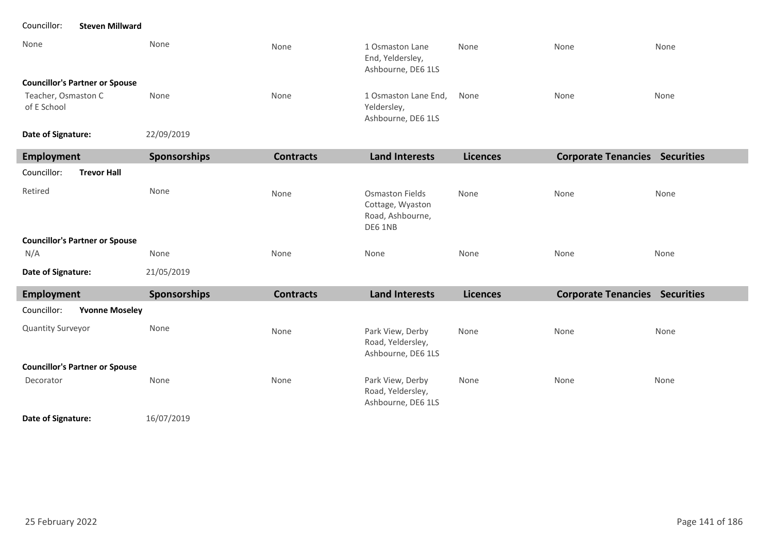### Councillor: **Steven Millward**

| None                                  | None | None | 1 Osmaston Lane<br>End, Yeldersley,<br>Ashbourne, DE6 1LS | None | None | None |
|---------------------------------------|------|------|-----------------------------------------------------------|------|------|------|
| <b>Councillor's Partner or Spouse</b> |      |      |                                                           |      |      |      |
| Teacher, Osmaston C<br>of E School    | None | None | 1 Osmaston Lane End,<br>Yeldersley,<br>Ashbourne, DE6 1LS | None | None | None |

22/09/2019 **Date of Signature:**

| Employment                            | <b>Sponsorships</b> | <b>Contracts</b> | <b>Land Interests</b>                                                     | <b>Licences</b> | <b>Corporate Tenancies</b> | <b>Securities</b> |
|---------------------------------------|---------------------|------------------|---------------------------------------------------------------------------|-----------------|----------------------------|-------------------|
| Councillor:<br><b>Trevor Hall</b>     |                     |                  |                                                                           |                 |                            |                   |
| Retired                               | None                | None             | <b>Osmaston Fields</b><br>Cottage, Wyaston<br>Road, Ashbourne,<br>DE6 1NB | None            | None                       | None              |
| <b>Councillor's Partner or Spouse</b> |                     |                  |                                                                           |                 |                            |                   |
| N/A                                   | None                | None             | None                                                                      | None            | None                       | None              |
| Date of Signature:                    | 21/05/2019          |                  |                                                                           |                 |                            |                   |

| Employment                            | <b>Sponsorships</b> | <b>Contracts</b> | <b>Land Interests</b>                                       | <b>Licences</b> | <b>Corporate Tenancies</b> | <b>Securities</b> |
|---------------------------------------|---------------------|------------------|-------------------------------------------------------------|-----------------|----------------------------|-------------------|
| Councillor:<br><b>Yvonne Moseley</b>  |                     |                  |                                                             |                 |                            |                   |
| <b>Quantity Surveyor</b>              | None                | None             | Park View, Derby<br>Road, Yeldersley,<br>Ashbourne, DE6 1LS | None            | None                       | None              |
| <b>Councillor's Partner or Spouse</b> |                     |                  |                                                             |                 |                            |                   |
| Decorator                             | None                | None             | Park View, Derby<br>Road, Yeldersley,<br>Ashbourne, DE6 1LS | None            | None                       | None              |

16/07/2019 **Date of Signature:**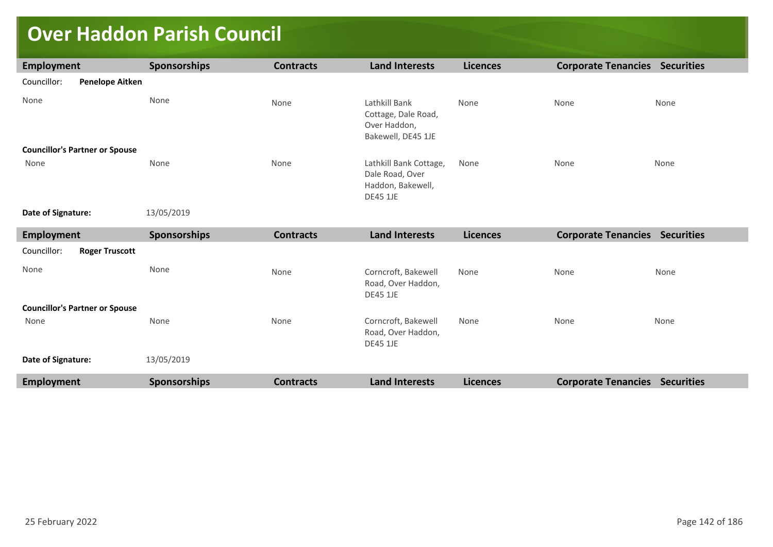# **Over Haddon Parish Council**

| <b>Employment</b>                     | <b>Sponsorships</b> | <b>Contracts</b> | <b>Land Interests</b>                                                             | <b>Licences</b> | <b>Corporate Tenancies Securities</b> |      |
|---------------------------------------|---------------------|------------------|-----------------------------------------------------------------------------------|-----------------|---------------------------------------|------|
| Councillor:<br><b>Penelope Aitken</b> |                     |                  |                                                                                   |                 |                                       |      |
| None                                  | None                | None             | Lathkill Bank<br>Cottage, Dale Road,<br>Over Haddon,<br>Bakewell, DE45 1JE        | None            | None                                  | None |
| <b>Councillor's Partner or Spouse</b> |                     |                  |                                                                                   |                 |                                       |      |
| None                                  | None                | None             | Lathkill Bank Cottage,<br>Dale Road, Over<br>Haddon, Bakewell,<br><b>DE45 1JE</b> | None            | None                                  | None |
| Date of Signature:                    | 13/05/2019          |                  |                                                                                   |                 |                                       |      |
| <b>Employment</b>                     | <b>Sponsorships</b> | <b>Contracts</b> | <b>Land Interests</b>                                                             | <b>Licences</b> | <b>Corporate Tenancies Securities</b> |      |
| Councillor:<br><b>Roger Truscott</b>  |                     |                  |                                                                                   |                 |                                       |      |
| None                                  | None                | None             | Corncroft, Bakewell                                                               | None            | None                                  | None |
|                                       |                     |                  | Road, Over Haddon,<br><b>DE45 1JE</b>                                             |                 |                                       |      |
| <b>Councillor's Partner or Spouse</b> |                     |                  |                                                                                   |                 |                                       |      |
| None                                  | None                | None             | Corncroft, Bakewell<br>Road, Over Haddon,<br><b>DE45 1JE</b>                      | None            | None                                  | None |
| Date of Signature:                    | 13/05/2019          |                  |                                                                                   |                 |                                       |      |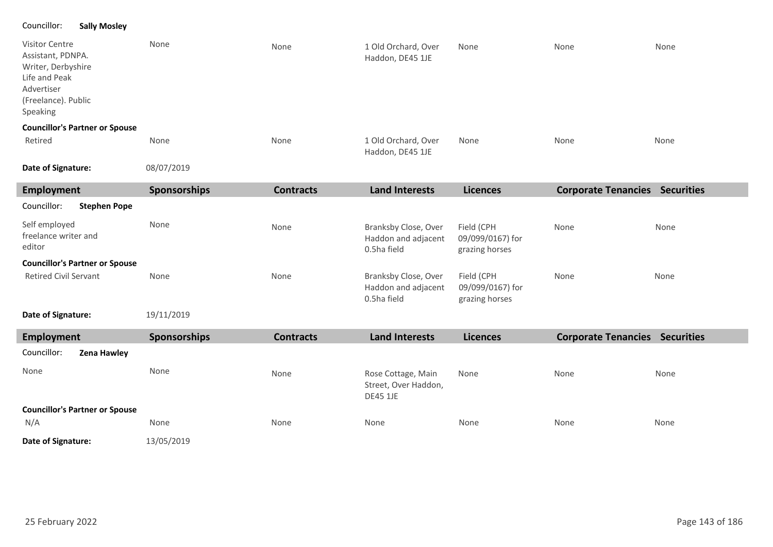### Councillor: **Sally Mosley**

| Visitor Centre<br>Assistant, PDNPA.<br>Writer, Derbyshire<br>Life and Peak<br>Advertiser<br>(Freelance). Public<br>Speaking | None                | None             | 1 Old Orchard, Over<br>Haddon, DE45 1JE                       | None                                             | None                                  | None |
|-----------------------------------------------------------------------------------------------------------------------------|---------------------|------------------|---------------------------------------------------------------|--------------------------------------------------|---------------------------------------|------|
| <b>Councillor's Partner or Spouse</b>                                                                                       |                     |                  |                                                               |                                                  |                                       |      |
| Retired                                                                                                                     | None                | None             | 1 Old Orchard, Over<br>Haddon, DE45 1JE                       | None                                             | None                                  | None |
| Date of Signature:                                                                                                          | 08/07/2019          |                  |                                                               |                                                  |                                       |      |
| <b>Employment</b>                                                                                                           | <b>Sponsorships</b> | <b>Contracts</b> | <b>Land Interests</b>                                         | <b>Licences</b>                                  | <b>Corporate Tenancies Securities</b> |      |
| Councillor:<br><b>Stephen Pope</b>                                                                                          |                     |                  |                                                               |                                                  |                                       |      |
| Self employed<br>freelance writer and<br>editor                                                                             | None                | None             | Branksby Close, Over<br>Haddon and adjacent<br>0.5ha field    | Field (CPH<br>09/099/0167) for<br>grazing horses | None                                  | None |
| <b>Councillor's Partner or Spouse</b>                                                                                       |                     |                  |                                                               |                                                  |                                       |      |
| <b>Retired Civil Servant</b>                                                                                                | None                | None             | Branksby Close, Over<br>Haddon and adjacent<br>0.5ha field    | Field (CPH<br>09/099/0167) for<br>grazing horses | None                                  | None |
| Date of Signature:                                                                                                          | 19/11/2019          |                  |                                                               |                                                  |                                       |      |
| <b>Employment</b>                                                                                                           | <b>Sponsorships</b> | <b>Contracts</b> | <b>Land Interests</b>                                         | <b>Licences</b>                                  | <b>Corporate Tenancies Securities</b> |      |
| Councillor:<br>Zena Hawley                                                                                                  |                     |                  |                                                               |                                                  |                                       |      |
| None                                                                                                                        | None                | None             | Rose Cottage, Main<br>Street, Over Haddon,<br><b>DE45 1JE</b> | None                                             | None                                  | None |
| <b>Councillor's Partner or Spouse</b>                                                                                       |                     |                  |                                                               |                                                  |                                       |      |
| N/A                                                                                                                         | None                | None             | None                                                          | None                                             | None                                  | None |
| Date of Signature:                                                                                                          | 13/05/2019          |                  |                                                               |                                                  |                                       |      |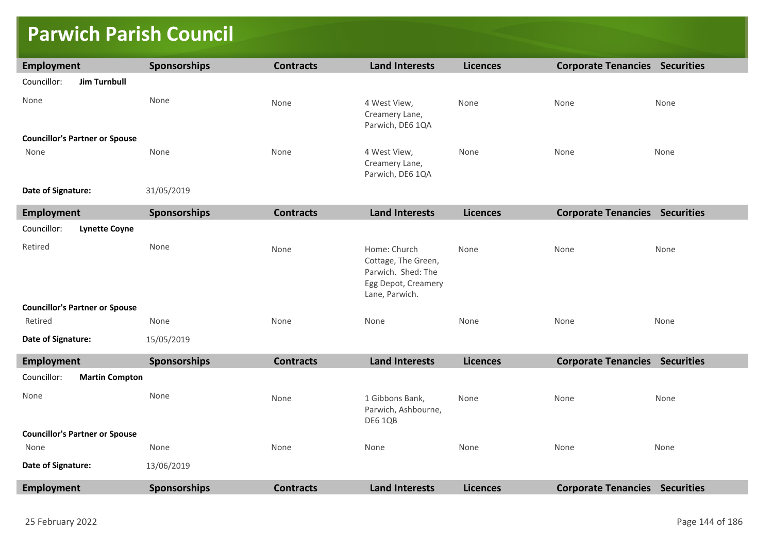### **Parwich Parish Council**

| <b>Employment</b>                     | Sponsorships        | <b>Contracts</b> | <b>Land Interests</b>                                                                              | <b>Licences</b> | <b>Corporate Tenancies Securities</b> |      |
|---------------------------------------|---------------------|------------------|----------------------------------------------------------------------------------------------------|-----------------|---------------------------------------|------|
| Councillor:<br><b>Jim Turnbull</b>    |                     |                  |                                                                                                    |                 |                                       |      |
| None                                  | None                | None             | 4 West View,<br>Creamery Lane,<br>Parwich, DE6 1QA                                                 | None            | None                                  | None |
| <b>Councillor's Partner or Spouse</b> |                     |                  |                                                                                                    |                 |                                       |      |
| None                                  | None                | None             | 4 West View,<br>Creamery Lane,<br>Parwich, DE6 1QA                                                 | None            | None                                  | None |
| Date of Signature:<br>31/05/2019      |                     |                  |                                                                                                    |                 |                                       |      |
| <b>Employment</b>                     | <b>Sponsorships</b> | <b>Contracts</b> | <b>Land Interests</b>                                                                              | <b>Licences</b> | <b>Corporate Tenancies Securities</b> |      |
| Councillor:<br><b>Lynette Coyne</b>   |                     |                  |                                                                                                    |                 |                                       |      |
| Retired                               | None                | None             | Home: Church<br>Cottage, The Green,<br>Parwich. Shed: The<br>Egg Depot, Creamery<br>Lane, Parwich. | None            | None                                  | None |
| <b>Councillor's Partner or Spouse</b> |                     |                  |                                                                                                    |                 |                                       |      |
| Retired                               | None                | None             | None                                                                                               | None            | None                                  | None |
| Date of Signature:                    | 15/05/2019          |                  |                                                                                                    |                 |                                       |      |
| <b>Employment</b>                     | <b>Sponsorships</b> | <b>Contracts</b> | <b>Land Interests</b>                                                                              | <b>Licences</b> | <b>Corporate Tenancies Securities</b> |      |
| Councillor:<br><b>Martin Compton</b>  |                     |                  |                                                                                                    |                 |                                       |      |
| None                                  | None                | None             | 1 Gibbons Bank,<br>Parwich, Ashbourne,<br>DE6 1QB                                                  | None            | None                                  | None |
| <b>Councillor's Partner or Spouse</b> |                     |                  |                                                                                                    |                 |                                       |      |
| None                                  | None                | None             | None                                                                                               | None            | None                                  | None |
| Date of Signature:                    | 13/06/2019          |                  |                                                                                                    |                 |                                       |      |
| <b>Employment</b>                     | Sponsorships        | <b>Contracts</b> | <b>Land Interests</b>                                                                              | <b>Licences</b> | <b>Corporate Tenancies Securities</b> |      |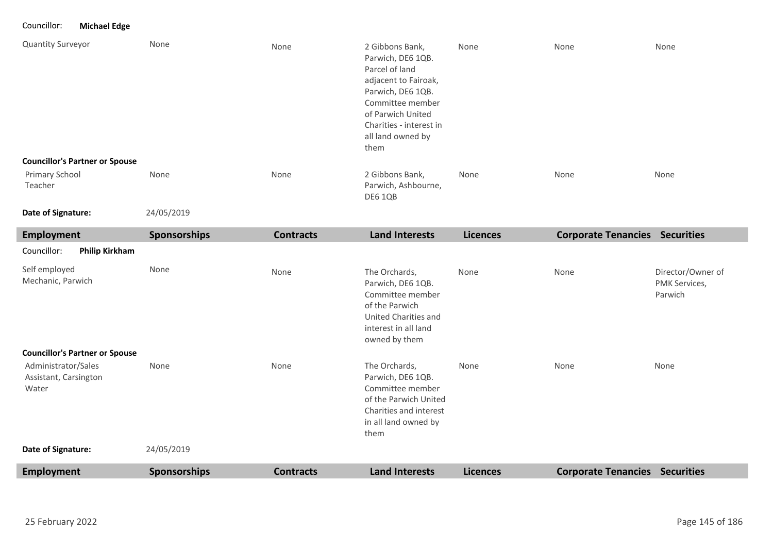#### Councillor: **Michael Edge**

| Quantity Surveyor                                                  | None         | None             | 2 Gibbons Bank,<br>Parwich, DE6 1QB.<br>Parcel of land<br>adjacent to Fairoak,<br>Parwich, DE6 1QB.<br>Committee member<br>of Parwich United<br>Charities - interest in<br>all land owned by<br>them | None            | None                                  | None                                          |
|--------------------------------------------------------------------|--------------|------------------|------------------------------------------------------------------------------------------------------------------------------------------------------------------------------------------------------|-----------------|---------------------------------------|-----------------------------------------------|
| <b>Councillor's Partner or Spouse</b><br>Primary School<br>Teacher | None         | None             | 2 Gibbons Bank,<br>Parwich, Ashbourne,<br>DE6 1QB                                                                                                                                                    | None            | None                                  | None                                          |
| Date of Signature:                                                 | 24/05/2019   |                  |                                                                                                                                                                                                      |                 |                                       |                                               |
| <b>Employment</b>                                                  | Sponsorships | <b>Contracts</b> | <b>Land Interests</b>                                                                                                                                                                                | <b>Licences</b> | <b>Corporate Tenancies Securities</b> |                                               |
| Councillor:<br><b>Philip Kirkham</b>                               |              |                  |                                                                                                                                                                                                      |                 |                                       |                                               |
| Self employed<br>Mechanic, Parwich                                 | None         | None             | The Orchards,<br>Parwich, DE6 1QB.<br>Committee member<br>of the Parwich<br>United Charities and<br>interest in all land<br>owned by them                                                            | None            | None                                  | Director/Owner of<br>PMK Services,<br>Parwich |
| <b>Councillor's Partner or Spouse</b>                              |              |                  |                                                                                                                                                                                                      |                 |                                       |                                               |
| Administrator/Sales<br>Assistant, Carsington<br>Water              | None         | None             | The Orchards,<br>Parwich, DE6 1QB.<br>Committee member<br>of the Parwich United<br>Charities and interest<br>in all land owned by<br>them                                                            | None            | None                                  | None                                          |
| Date of Signature:                                                 | 24/05/2019   |                  |                                                                                                                                                                                                      |                 |                                       |                                               |
| <b>Employment</b>                                                  | Sponsorships | <b>Contracts</b> | <b>Land Interests</b>                                                                                                                                                                                | <b>Licences</b> | <b>Corporate Tenancies Securities</b> |                                               |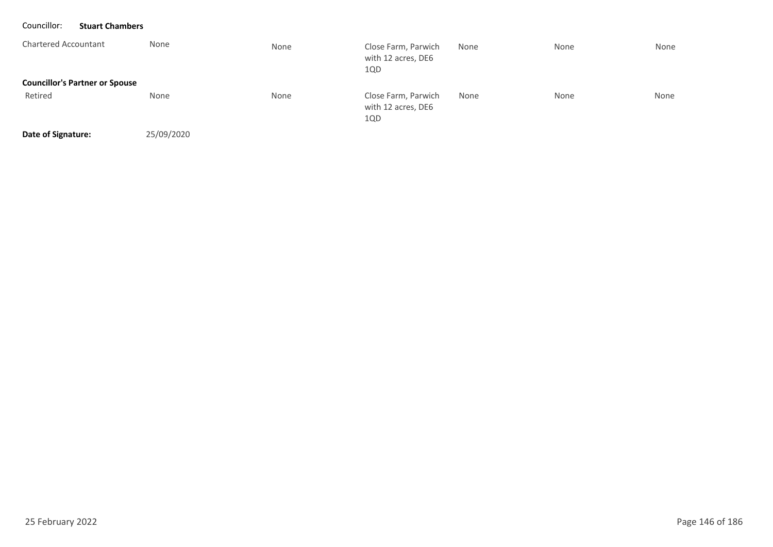| Councillor:<br><b>Stuart Chambers</b> |            |      |                                                  |      |      |      |
|---------------------------------------|------------|------|--------------------------------------------------|------|------|------|
| <b>Chartered Accountant</b>           | None       | None | Close Farm, Parwich<br>with 12 acres, DE6<br>1QD | None | None | None |
| <b>Councillor's Partner or Spouse</b> |            |      |                                                  |      |      |      |
| Retired                               | None       | None | Close Farm, Parwich<br>with 12 acres, DE6<br>1QD | None | None | None |
| Date of Signature:                    | 25/09/2020 |      |                                                  |      |      |      |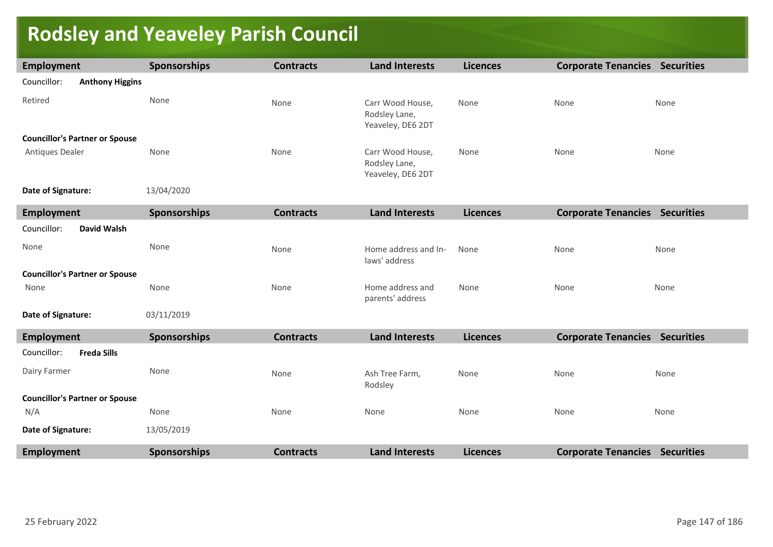# **Rodsley and Yeaveley Parish Council**

| <b>Employment</b>                     | <b>Sponsorships</b> | <b>Contracts</b> | <b>Land Interests</b>                                  | <b>Licences</b> | <b>Corporate Tenancies Securities</b> |      |
|---------------------------------------|---------------------|------------------|--------------------------------------------------------|-----------------|---------------------------------------|------|
| Councillor:<br><b>Anthony Higgins</b> |                     |                  |                                                        |                 |                                       |      |
| Retired                               | None                | None             | Carr Wood House,<br>Rodsley Lane,<br>Yeaveley, DE6 2DT | None            | None                                  | None |
| <b>Councillor's Partner or Spouse</b> |                     |                  |                                                        |                 |                                       |      |
| Antiques Dealer                       | None                | None             | Carr Wood House,<br>Rodsley Lane,<br>Yeaveley, DE6 2DT | None            | None                                  | None |
| Date of Signature:                    | 13/04/2020          |                  |                                                        |                 |                                       |      |
| <b>Employment</b>                     | <b>Sponsorships</b> | <b>Contracts</b> | <b>Land Interests</b>                                  | <b>Licences</b> | <b>Corporate Tenancies Securities</b> |      |
| Councillor:<br><b>David Walsh</b>     |                     |                  |                                                        |                 |                                       |      |
| None                                  | None                | None             | Home address and In-<br>laws' address                  | None            | None                                  | None |
| <b>Councillor's Partner or Spouse</b> |                     |                  |                                                        |                 |                                       |      |
| None                                  | None                | None             | Home address and<br>parents' address                   | None            | None                                  | None |
| Date of Signature:                    | 03/11/2019          |                  |                                                        |                 |                                       |      |
| <b>Employment</b>                     | <b>Sponsorships</b> | <b>Contracts</b> | <b>Land Interests</b>                                  | <b>Licences</b> | <b>Corporate Tenancies Securities</b> |      |
| <b>Freda Sills</b><br>Councillor:     |                     |                  |                                                        |                 |                                       |      |
| Dairy Farmer                          | None                | None             | Ash Tree Farm,<br>Rodsley                              | None            | None                                  | None |
| <b>Councillor's Partner or Spouse</b> |                     |                  |                                                        |                 |                                       |      |
| N/A                                   | None                | None             | None                                                   | None            | None                                  | None |
| Date of Signature:                    | 13/05/2019          |                  |                                                        |                 |                                       |      |
| <b>Employment</b>                     | <b>Sponsorships</b> | <b>Contracts</b> | <b>Land Interests</b>                                  | <b>Licences</b> | <b>Corporate Tenancies Securities</b> |      |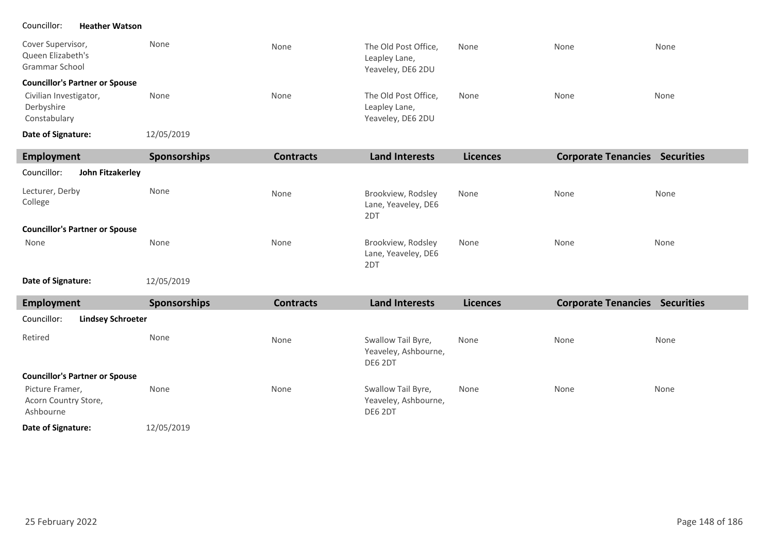#### Councillor: **Heather Watson**

| Cover Supervisor,<br>Queen Elizabeth's<br>Grammar School | None       | None | The Old Post Office,<br>Leapley Lane,<br>Yeaveley, DE6 2DU | None | None | None |
|----------------------------------------------------------|------------|------|------------------------------------------------------------|------|------|------|
| <b>Councillor's Partner or Spouse</b>                    |            |      |                                                            |      |      |      |
| Civilian Investigator,<br>Derbyshire<br>Constabulary     | None       | None | The Old Post Office,<br>Leapley Lane,<br>Yeaveley, DE6 2DU | None | None | None |
| Date of Signature:                                       | 12/05/2019 |      |                                                            |      |      |      |

| Employment                            | <b>Sponsorships</b> | <b>Contracts</b> | <b>Land Interests</b>                            | <b>Licences</b> | <b>Corporate Tenancies</b> | <b>Securities</b> |
|---------------------------------------|---------------------|------------------|--------------------------------------------------|-----------------|----------------------------|-------------------|
| Councillor:<br>John Fitzakerley       |                     |                  |                                                  |                 |                            |                   |
| Lecturer, Derby<br>College            | None                | None             | Brookview, Rodsley<br>Lane, Yeaveley, DE6<br>2DT | None            | None                       | None              |
| <b>Councillor's Partner or Spouse</b> |                     |                  |                                                  |                 |                            |                   |
| None                                  | None                | None             | Brookview, Rodsley<br>Lane, Yeaveley, DE6<br>2DT | None            | None                       | None              |

#### **Date of Signature:**

12/05/2019

| Employment                                           | <b>Sponsorships</b> | <b>Contracts</b> | <b>Land Interests</b>                                 | <b>Licences</b> | <b>Corporate Tenancies</b> | <b>Securities</b> |
|------------------------------------------------------|---------------------|------------------|-------------------------------------------------------|-----------------|----------------------------|-------------------|
| Councillor:<br><b>Lindsey Schroeter</b>              |                     |                  |                                                       |                 |                            |                   |
| Retired                                              | None                | None             | Swallow Tail Byre,<br>Yeaveley, Ashbourne,<br>DE6 2DT | None            | None                       | None              |
| <b>Councillor's Partner or Spouse</b>                |                     |                  |                                                       |                 |                            |                   |
| Picture Framer,<br>Acorn Country Store,<br>Ashbourne | None                | None             | Swallow Tail Byre,<br>Yeaveley, Ashbourne,<br>DE6 2DT | None            | None                       | None              |
| Date of Signature:                                   | 12/05/2019          |                  |                                                       |                 |                            |                   |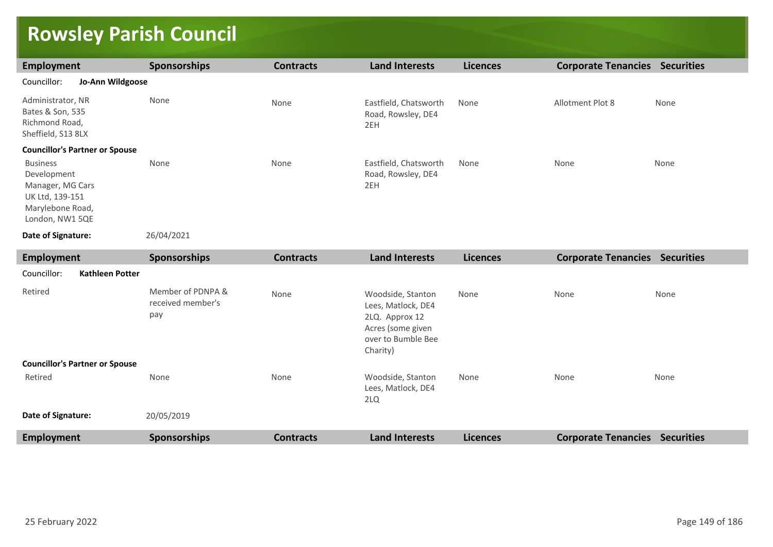### **Rowsley Parish Council**

| Employment                                                                                                   | <b>Sponsorships</b> | <b>Contracts</b> | <b>Land Interests</b>                              | <b>Licences</b> | <b>Corporate Tenancies</b> | <b>Securities</b> |
|--------------------------------------------------------------------------------------------------------------|---------------------|------------------|----------------------------------------------------|-----------------|----------------------------|-------------------|
| Councillor:<br>Jo-Ann Wildgoose                                                                              |                     |                  |                                                    |                 |                            |                   |
| Administrator, NR<br>Bates & Son, 535<br>Richmond Road,<br>Sheffield, S13 8LX                                | None                | None             | Eastfield, Chatsworth<br>Road, Rowsley, DE4<br>2EH | None            | Allotment Plot 8           | None              |
| <b>Councillor's Partner or Spouse</b>                                                                        |                     |                  |                                                    |                 |                            |                   |
| <b>Business</b><br>Development<br>Manager, MG Cars<br>UK Ltd, 139-151<br>Marylebone Road,<br>London, NW1 5QE | None                | None             | Eastfield, Chatsworth<br>Road, Rowsley, DE4<br>2EH | None            | None                       | None              |
| Date of Signature:                                                                                           | 26/04/2021          |                  |                                                    |                 |                            |                   |

| <b>Employment</b>                     | <b>Sponsorships</b>                           | <b>Contracts</b> | <b>Land Interests</b>                                                                                            | <b>Licences</b> | <b>Corporate Tenancies Securities</b> |                   |
|---------------------------------------|-----------------------------------------------|------------------|------------------------------------------------------------------------------------------------------------------|-----------------|---------------------------------------|-------------------|
| Councillor:<br>Kathleen Potter        |                                               |                  |                                                                                                                  |                 |                                       |                   |
| Retired                               | Member of PDNPA &<br>received member's<br>pay | None             | Woodside, Stanton<br>Lees, Matlock, DE4<br>2LQ. Approx 12<br>Acres (some given<br>over to Bumble Bee<br>Charity) | None            | None                                  | None              |
| <b>Councillor's Partner or Spouse</b> |                                               |                  |                                                                                                                  |                 |                                       |                   |
| Retired                               | None                                          | None             | Woodside, Stanton<br>Lees, Matlock, DE4<br>2LQ                                                                   | None            | None                                  | None              |
| Date of Signature:                    | 20/05/2019                                    |                  |                                                                                                                  |                 |                                       |                   |
| <b>Employment</b>                     | <b>Sponsorships</b>                           | <b>Contracts</b> | <b>Land Interests</b>                                                                                            | <b>Licences</b> | <b>Corporate Tenancies</b>            | <b>Securities</b> |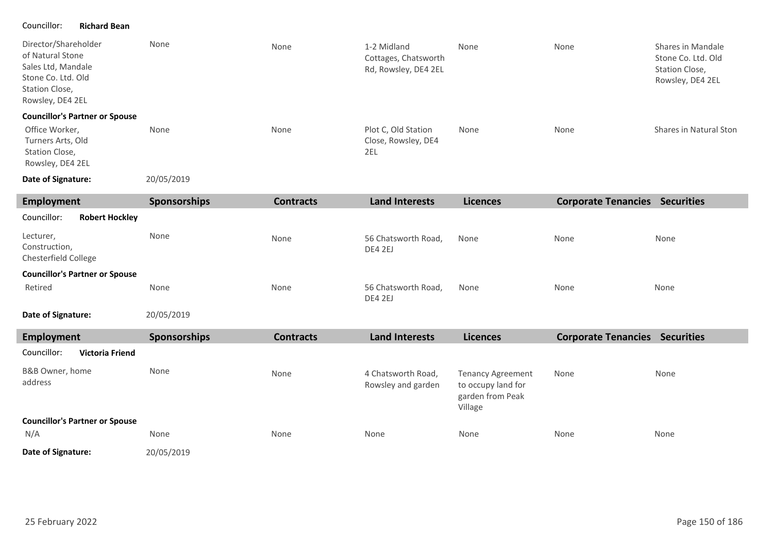#### Councillor: **Richard Bean**

| Director/Shareholder<br>of Natural Stone<br>Sales Ltd, Mandale<br>Stone Co. Ltd. Old<br>Station Close,<br>Rowsley, DE4 2EL | None                | None             | 1-2 Midland<br>Cottages, Chatsworth<br>Rd, Rowsley, DE4 2EL | None            | None                       | Shares in Mandale<br>Stone Co. Ltd. Old<br>Station Close,<br>Rowsley, DE4 2EL |
|----------------------------------------------------------------------------------------------------------------------------|---------------------|------------------|-------------------------------------------------------------|-----------------|----------------------------|-------------------------------------------------------------------------------|
| <b>Councillor's Partner or Spouse</b><br>Office Worker,<br>Turners Arts, Old<br>Station Close,<br>Rowsley, DE4 2EL         | None                | None             | Plot C, Old Station<br>Close, Rowsley, DE4<br>2EL           | None            | None                       | Shares in Natural Ston                                                        |
| Date of Signature:                                                                                                         | 20/05/2019          |                  |                                                             |                 |                            |                                                                               |
| <b>Employment</b>                                                                                                          | <b>Sponsorships</b> | <b>Contracts</b> | <b>Land Interests</b>                                       | <b>Licences</b> | <b>Corporate Tenancies</b> | <b>Securities</b>                                                             |
| Councillor:<br><b>Robert Hockley</b>                                                                                       |                     |                  |                                                             |                 |                            |                                                                               |
| Lecturer,<br>Construction,<br>Chesterfield College                                                                         | None                | None             | 56 Chatsworth Road,<br>DE4 2EJ                              | None            | None                       | None                                                                          |
| <b>Councillor's Partner or Spouse</b>                                                                                      |                     |                  |                                                             |                 |                            |                                                                               |
| Retired                                                                                                                    | None                | None             | 56 Chatsworth Road,<br>DE4 2EJ                              | None            | None                       | None                                                                          |
| Date of Signature:                                                                                                         | 20/05/2019          |                  |                                                             |                 |                            |                                                                               |

| Employment                            | <b>Sponsorships</b> | <b>Contracts</b> | <b>Land Interests</b>                    | <b>Licences</b>                                                               | <b>Corporate Tenancies</b> | <b>Securities</b> |
|---------------------------------------|---------------------|------------------|------------------------------------------|-------------------------------------------------------------------------------|----------------------------|-------------------|
| Councillor:<br><b>Victoria Friend</b> |                     |                  |                                          |                                                                               |                            |                   |
| B&B Owner, home<br>address            | None                | None             | 4 Chatsworth Road,<br>Rowsley and garden | <b>Tenancy Agreement</b><br>to occupy land for<br>garden from Peak<br>Village | None                       | None              |
| <b>Councillor's Partner or Spouse</b> |                     |                  |                                          |                                                                               |                            |                   |
| N/A                                   | None                | None             | None                                     | None                                                                          | None                       | None              |
| Date of Signature:                    | 20/05/2019          |                  |                                          |                                                                               |                            |                   |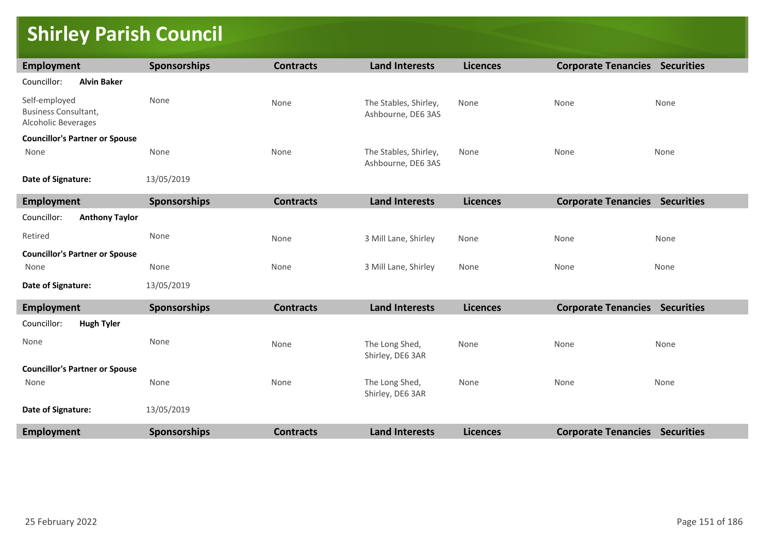## **Shirley Parish Council**

| <b>Employment</b>                                                          | <b>Sponsorships</b> | <b>Contracts</b> | <b>Land Interests</b>                       | <b>Licences</b> | <b>Corporate Tenancies Securities</b> |      |
|----------------------------------------------------------------------------|---------------------|------------------|---------------------------------------------|-----------------|---------------------------------------|------|
| Councillor:<br><b>Alvin Baker</b>                                          |                     |                  |                                             |                 |                                       |      |
| Self-employed<br><b>Business Consultant,</b><br><b>Alcoholic Beverages</b> | None                | None             | The Stables, Shirley,<br>Ashbourne, DE6 3AS | None            | None                                  | None |
| <b>Councillor's Partner or Spouse</b>                                      |                     |                  |                                             |                 |                                       |      |
| None                                                                       | None                | None             | The Stables, Shirley,<br>Ashbourne, DE6 3AS | None            | None                                  | None |
| Date of Signature:                                                         | 13/05/2019          |                  |                                             |                 |                                       |      |
| Employment                                                                 | Sponsorships        | <b>Contracts</b> | <b>Land Interests</b>                       | <b>Licences</b> | <b>Corporate Tenancies Securities</b> |      |
| <b>Anthony Taylor</b><br>Councillor:                                       |                     |                  |                                             |                 |                                       |      |
| Retired                                                                    | None                | None             | 3 Mill Lane, Shirley                        | None            | None                                  | None |
| <b>Councillor's Partner or Spouse</b>                                      |                     |                  |                                             |                 |                                       |      |
| None                                                                       | None                | None             | 3 Mill Lane, Shirley                        | None            | None                                  | None |
| Date of Signature:                                                         | 13/05/2019          |                  |                                             |                 |                                       |      |
| Employment                                                                 | <b>Sponsorships</b> | <b>Contracts</b> | <b>Land Interests</b>                       | <b>Licences</b> | <b>Corporate Tenancies Securities</b> |      |
| <b>Hugh Tyler</b><br>Councillor:                                           |                     |                  |                                             |                 |                                       |      |
| None                                                                       | None                | None             | The Long Shed,<br>Shirley, DE6 3AR          | None            | None                                  | None |
| <b>Councillor's Partner or Spouse</b>                                      |                     |                  |                                             |                 |                                       |      |
| None                                                                       | None                | None             | The Long Shed,<br>Shirley, DE6 3AR          | None            | None                                  | None |
| Date of Signature:                                                         | 13/05/2019          |                  |                                             |                 |                                       |      |
| Employment                                                                 | Sponsorships        | <b>Contracts</b> | <b>Land Interests</b>                       | <b>Licences</b> | <b>Corporate Tenancies Securities</b> |      |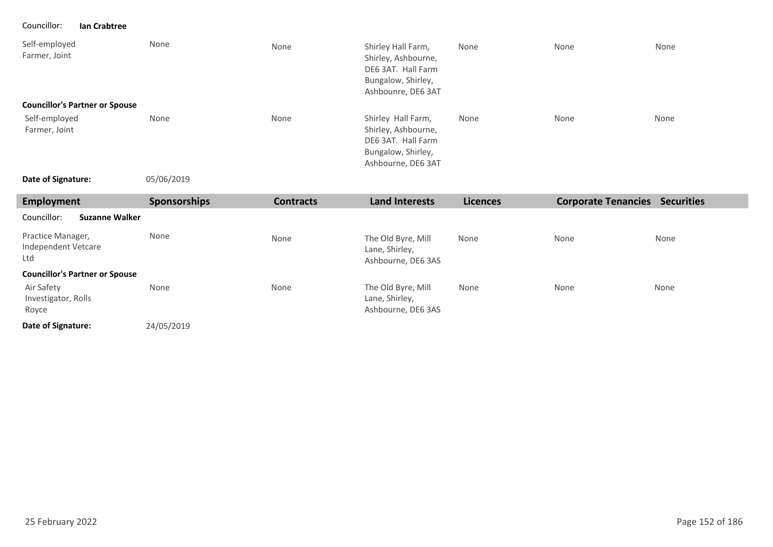Councillor: **Ian Crabtree**

| Self-employed<br>Farmer, Joint        | None | None | Shirley Hall Farm,<br>Shirley, Ashbourne,<br>DE6 3AT. Hall Farm<br>Bungalow, Shirley,<br>Ashbounre, DE6 3AT | None | None | None |
|---------------------------------------|------|------|-------------------------------------------------------------------------------------------------------------|------|------|------|
| <b>Councillor's Partner or Spouse</b> |      |      |                                                                                                             |      |      |      |
| Self-employed<br>Farmer, Joint        | None | None | Shirley Hall Farm,<br>Shirley, Ashbourne,<br>DE6 3AT. Hall Farm<br>Bungalow, Shirley,<br>Ashbourne, DE6 3AT | None | None | None |

**Date of Signature:**

05/06/2019

| <b>Employment</b>                               | <b>Sponsorships</b> | <b>Contracts</b> | <b>Land Interests</b>                                      | <b>Licences</b> | <b>Corporate Tenancies</b> | <b>Securities</b> |
|-------------------------------------------------|---------------------|------------------|------------------------------------------------------------|-----------------|----------------------------|-------------------|
| Councillor:<br><b>Suzanne Walker</b>            |                     |                  |                                                            |                 |                            |                   |
| Practice Manager,<br>Independent Vetcare<br>Ltd | None                | None             | The Old Byre, Mill<br>Lane, Shirley,<br>Ashbourne, DE6 3AS | None            | None                       | None              |
| <b>Councillor's Partner or Spouse</b>           |                     |                  |                                                            |                 |                            |                   |
| Air Safety<br>Investigator, Rolls<br>Royce      | None                | None             | The Old Byre, Mill<br>Lane, Shirley,<br>Ashbourne, DE6 3AS | None            | None                       | None              |
| Date of Signature:                              | 24/05/2019          |                  |                                                            |                 |                            |                   |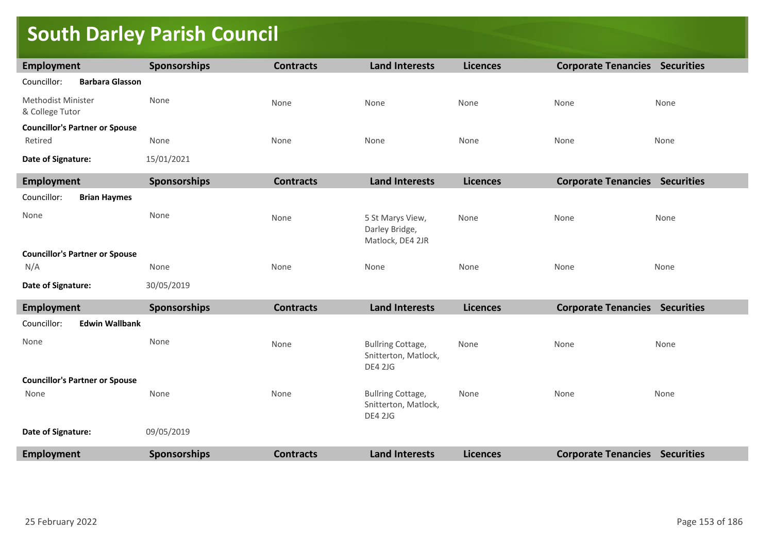### **South Darley Parish Council**

| Employment                                       | <b>Sponsorships</b> | <b>Contracts</b> | <b>Land Interests</b>                                              | <b>Licences</b> | <b>Corporate Tenancies Securities</b> |      |
|--------------------------------------------------|---------------------|------------------|--------------------------------------------------------------------|-----------------|---------------------------------------|------|
| <b>Barbara Glasson</b><br>Councillor:            |                     |                  |                                                                    |                 |                                       |      |
| <b>Methodist Minister</b><br>& College Tutor     | None                | None             | None                                                               | None            | None                                  | None |
| <b>Councillor's Partner or Spouse</b><br>Retired | None                | None             | None                                                               | None            | None                                  | None |
| Date of Signature:                               | 15/01/2021          |                  |                                                                    |                 |                                       |      |
| Employment                                       | Sponsorships        | <b>Contracts</b> | <b>Land Interests</b>                                              | <b>Licences</b> | <b>Corporate Tenancies Securities</b> |      |
| Councillor:<br><b>Brian Haymes</b>               |                     |                  |                                                                    |                 |                                       |      |
| None                                             | None                | None             | 5 St Marys View,<br>Darley Bridge,<br>Matlock, DE4 2JR             | None            | None                                  | None |
| <b>Councillor's Partner or Spouse</b>            |                     |                  |                                                                    |                 |                                       |      |
| N/A                                              | None                | None             | None                                                               | None            | None                                  | None |
| Date of Signature:                               | 30/05/2019          |                  |                                                                    |                 |                                       |      |
| Employment                                       | <b>Sponsorships</b> | <b>Contracts</b> | <b>Land Interests</b>                                              | <b>Licences</b> | <b>Corporate Tenancies Securities</b> |      |
| <b>Edwin Wallbank</b><br>Councillor:             |                     |                  |                                                                    |                 |                                       |      |
| None                                             | None                | None             | <b>Bullring Cottage,</b><br>Snitterton, Matlock,<br><b>DE4 2JG</b> | None            | None                                  | None |
| <b>Councillor's Partner or Spouse</b>            |                     |                  |                                                                    |                 |                                       |      |
| None                                             | None                | None             | <b>Bullring Cottage,</b><br>Snitterton, Matlock,<br><b>DE4 2JG</b> | None            | None                                  | None |
| Date of Signature:                               | 09/05/2019          |                  |                                                                    |                 |                                       |      |
| <b>Employment</b>                                | Sponsorships        | <b>Contracts</b> | <b>Land Interests</b>                                              | <b>Licences</b> | <b>Corporate Tenancies Securities</b> |      |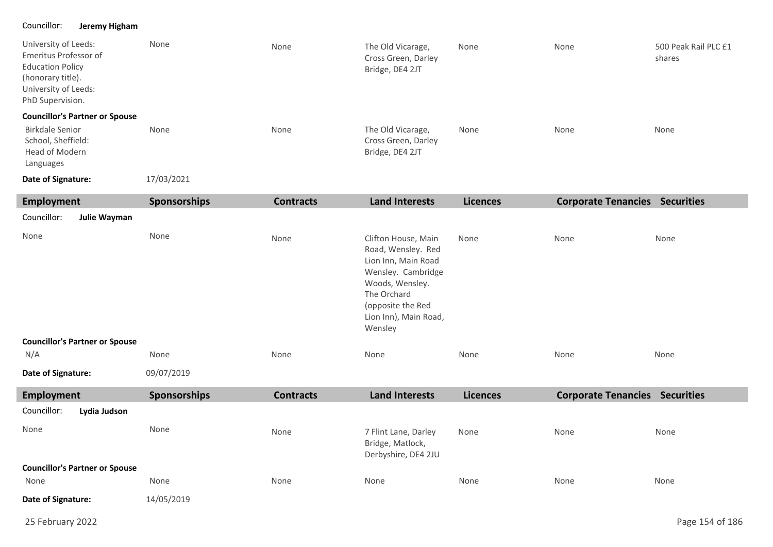### Councillor: **Jeremy Higham**

п

| University of Leeds:<br>Emeritus Professor of<br><b>Education Policy</b><br>(honorary title).<br>University of Leeds:<br>PhD Supervision. | None                | None             | The Old Vicarage,<br>Cross Green, Darley<br>Bridge, DE4 2JT | None            | None                       | 500 Peak Rail PLC £1<br>shares |
|-------------------------------------------------------------------------------------------------------------------------------------------|---------------------|------------------|-------------------------------------------------------------|-----------------|----------------------------|--------------------------------|
| <b>Councillor's Partner or Spouse</b><br>Birkdale Senior<br>School, Sheffield:<br>Head of Modern<br>Languages                             | None                | None             | The Old Vicarage,<br>Cross Green, Darley<br>Bridge, DE4 2JT | None            | None                       | None                           |
| Date of Signature:                                                                                                                        | 17/03/2021          |                  |                                                             |                 |                            |                                |
| Employment                                                                                                                                | <b>Sponsorships</b> | <b>Contracts</b> | <b>Land Interests</b>                                       | <b>Licences</b> | <b>Corporate Tenancies</b> | <b>Securities</b>              |
| Councillor:<br>Julie Wayman                                                                                                               |                     |                  |                                                             |                 |                            |                                |

| None                                  | None       | None | Clifton House, Main<br>Road, Wensley. Red<br>Lion Inn, Main Road<br>Wensley. Cambridge<br>Woods, Wensley.<br>The Orchard<br>(opposite the Red<br>Lion Inn), Main Road,<br>Wensley | None | None | None |
|---------------------------------------|------------|------|-----------------------------------------------------------------------------------------------------------------------------------------------------------------------------------|------|------|------|
| <b>Councillor's Partner or Spouse</b> |            |      |                                                                                                                                                                                   |      |      |      |
| N/A                                   | None       | None | None                                                                                                                                                                              | None | None | None |
| Date of Signature:                    | 09/07/2019 |      |                                                                                                                                                                                   |      |      |      |

| Employment                            | <b>Sponsorships</b> | <b>Contracts</b> | Land Interests                                                  | <b>Licences</b> | <b>Corporate Tenancies</b> | <b>Securities</b> |
|---------------------------------------|---------------------|------------------|-----------------------------------------------------------------|-----------------|----------------------------|-------------------|
| Councillor:<br>Lydia Judson           |                     |                  |                                                                 |                 |                            |                   |
| None                                  | None                | None             | 7 Flint Lane, Darley<br>Bridge, Matlock,<br>Derbyshire, DE4 2JU | None            | None                       | None              |
| <b>Councillor's Partner or Spouse</b> |                     |                  |                                                                 |                 |                            |                   |
| None                                  | None                | None             | None                                                            | None            | None                       | None              |
| Date of Signature:                    | 14/05/2019          |                  |                                                                 |                 |                            |                   |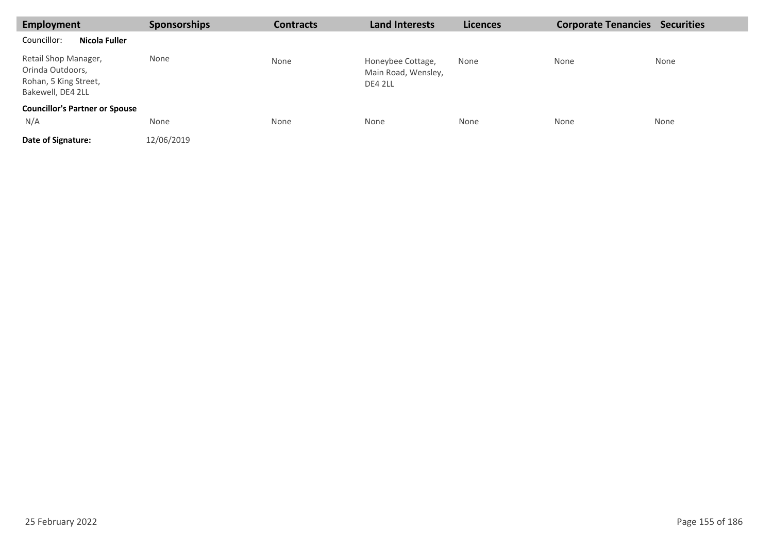| <b>Employment</b>                                                                      | <b>Sponsorships</b> | <b>Contracts</b> | <b>Land Interests</b>                               | <b>Licences</b> | <b>Corporate Tenancies</b> | <b>Securities</b> |
|----------------------------------------------------------------------------------------|---------------------|------------------|-----------------------------------------------------|-----------------|----------------------------|-------------------|
| Nicola Fuller<br>Councillor:                                                           |                     |                  |                                                     |                 |                            |                   |
| Retail Shop Manager,<br>Orinda Outdoors,<br>Rohan, 5 King Street,<br>Bakewell, DE4 2LL | None                | None             | Honeybee Cottage,<br>Main Road, Wensley,<br>DE4 2LL | None            | None                       | None              |
| <b>Councillor's Partner or Spouse</b><br>N/A                                           | None                | None             | None                                                | None            | None                       | None              |
| Date of Signature:                                                                     | 12/06/2019          |                  |                                                     |                 |                            |                   |

п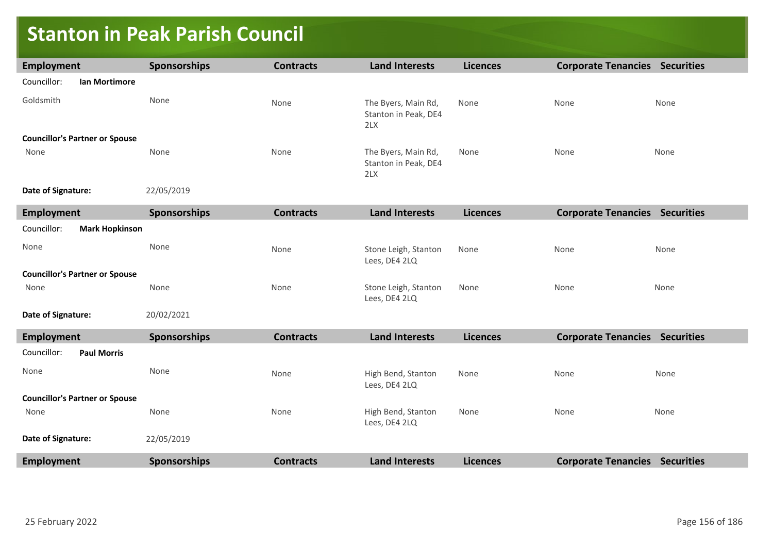### **Stanton in Peak Parish Council**

| Employment                            | <b>Sponsorships</b> | <b>Contracts</b> | <b>Land Interests</b>                              | <b>Licences</b> | <b>Corporate Tenancies Securities</b> |      |
|---------------------------------------|---------------------|------------------|----------------------------------------------------|-----------------|---------------------------------------|------|
| Councillor:<br>Ian Mortimore          |                     |                  |                                                    |                 |                                       |      |
| Goldsmith                             | None                | None             | The Byers, Main Rd,<br>Stanton in Peak, DE4<br>2LX | None            | None                                  | None |
| <b>Councillor's Partner or Spouse</b> |                     |                  |                                                    |                 |                                       |      |
| None                                  | None                | None             | The Byers, Main Rd,<br>Stanton in Peak, DE4<br>2LX | None            | None                                  | None |
| Date of Signature:                    | 22/05/2019          |                  |                                                    |                 |                                       |      |
| <b>Employment</b>                     | <b>Sponsorships</b> | <b>Contracts</b> | <b>Land Interests</b>                              | <b>Licences</b> | <b>Corporate Tenancies Securities</b> |      |
| Councillor:<br><b>Mark Hopkinson</b>  |                     |                  |                                                    |                 |                                       |      |
| None                                  | None                | None             | Stone Leigh, Stanton<br>Lees, DE4 2LQ              | None            | None                                  | None |
| <b>Councillor's Partner or Spouse</b> |                     |                  |                                                    |                 |                                       |      |
| None                                  | None                | None             | Stone Leigh, Stanton<br>Lees, DE4 2LQ              | None            | None                                  | None |
| Date of Signature:                    | 20/02/2021          |                  |                                                    |                 |                                       |      |
| <b>Employment</b>                     | <b>Sponsorships</b> | <b>Contracts</b> | <b>Land Interests</b>                              | <b>Licences</b> | <b>Corporate Tenancies Securities</b> |      |
| <b>Paul Morris</b><br>Councillor:     |                     |                  |                                                    |                 |                                       |      |
| None                                  | None                | None             | High Bend, Stanton<br>Lees, DE4 2LQ                | None            | None                                  | None |
| <b>Councillor's Partner or Spouse</b> |                     |                  |                                                    |                 |                                       |      |
| None                                  | None                | None             | High Bend, Stanton<br>Lees, DE4 2LQ                | None            | None                                  | None |
| Date of Signature:                    | 22/05/2019          |                  |                                                    |                 |                                       |      |
| <b>Employment</b>                     | <b>Sponsorships</b> | <b>Contracts</b> | <b>Land Interests</b>                              | <b>Licences</b> | <b>Corporate Tenancies Securities</b> |      |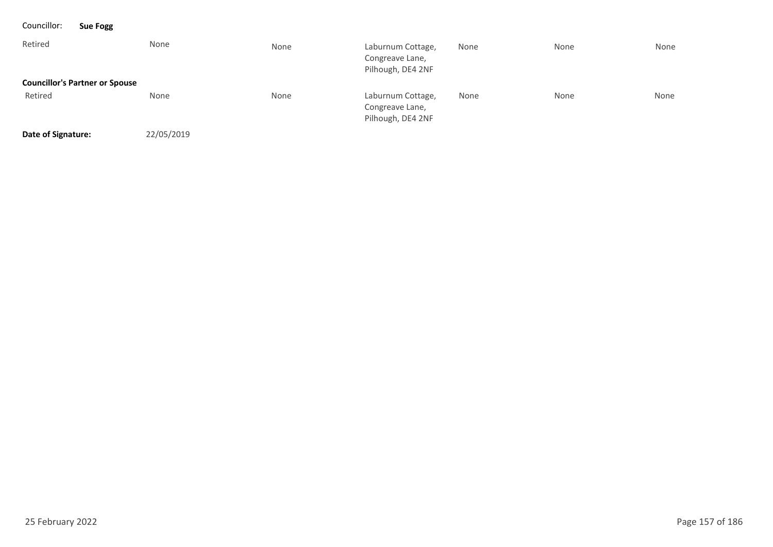| Councillor:        | <b>Sue Fogg</b>                       |            |      |                                                           |      |      |      |
|--------------------|---------------------------------------|------------|------|-----------------------------------------------------------|------|------|------|
| Retired            | None                                  |            | None | Laburnum Cottage,<br>Congreave Lane,<br>Pilhough, DE4 2NF | None | None | None |
|                    | <b>Councillor's Partner or Spouse</b> |            |      |                                                           |      |      |      |
| Retired            | None                                  |            | None | Laburnum Cottage,<br>Congreave Lane,<br>Pilhough, DE4 2NF | None | None | None |
| Date of Signature: |                                       | 22/05/2019 |      |                                                           |      |      |      |

25 February 2022 Page 157 of 186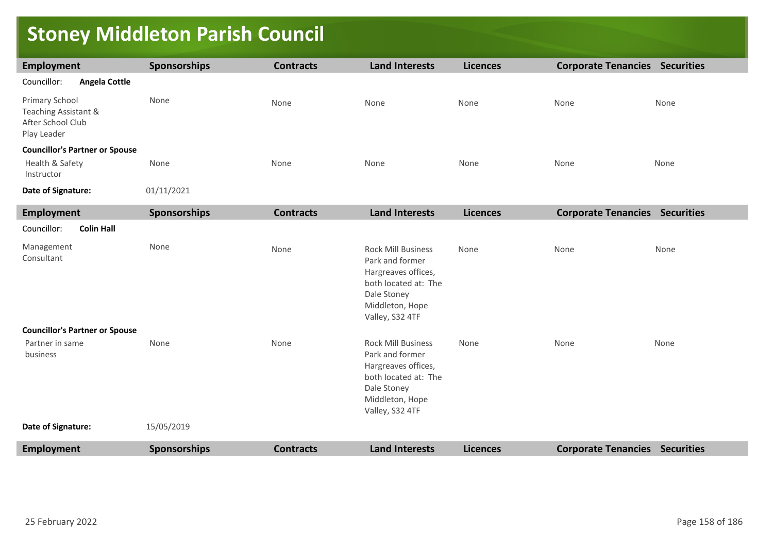### **Stoney Middleton Parish Council**

| Employment                                                                 | <b>Sponsorships</b> | <b>Contracts</b> | <b>Land Interests</b> | <b>Licences</b> | <b>Corporate Tenancies</b> | <b>Securities</b> |
|----------------------------------------------------------------------------|---------------------|------------------|-----------------------|-----------------|----------------------------|-------------------|
| Councillor:<br>Angela Cottle                                               |                     |                  |                       |                 |                            |                   |
| Primary School<br>Teaching Assistant &<br>After School Club<br>Play Leader | None                | None             | None                  | None            | None                       | None              |
| <b>Councillor's Partner or Spouse</b><br>Health & Safety<br>Instructor     | None                | None             | None                  | None            | None                       | None              |
| Date of Signature:                                                         | 01/11/2021          |                  |                       |                 |                            |                   |

| <b>Employment</b>                     | <b>Sponsorships</b> | <b>Contracts</b> | <b>Land Interests</b>                                                                                                                            | <b>Licences</b> | <b>Corporate Tenancies Securities</b> |                   |
|---------------------------------------|---------------------|------------------|--------------------------------------------------------------------------------------------------------------------------------------------------|-----------------|---------------------------------------|-------------------|
| Councillor:<br><b>Colin Hall</b>      |                     |                  |                                                                                                                                                  |                 |                                       |                   |
| Management<br>Consultant              | None                | None             | <b>Rock Mill Business</b><br>Park and former<br>Hargreaves offices,<br>both located at: The<br>Dale Stoney<br>Middleton, Hope<br>Valley, S32 4TF | None            | None                                  | None              |
| <b>Councillor's Partner or Spouse</b> |                     |                  |                                                                                                                                                  |                 |                                       |                   |
| Partner in same<br>business           | None                | None             | <b>Rock Mill Business</b><br>Park and former<br>Hargreaves offices,<br>both located at: The<br>Dale Stoney<br>Middleton, Hope<br>Valley, S32 4TF | None            | None                                  | None              |
| Date of Signature:                    | 15/05/2019          |                  |                                                                                                                                                  |                 |                                       |                   |
| <b>Employment</b>                     | <b>Sponsorships</b> | <b>Contracts</b> | <b>Land Interests</b>                                                                                                                            | <b>Licences</b> | <b>Corporate Tenancies</b>            | <b>Securities</b> |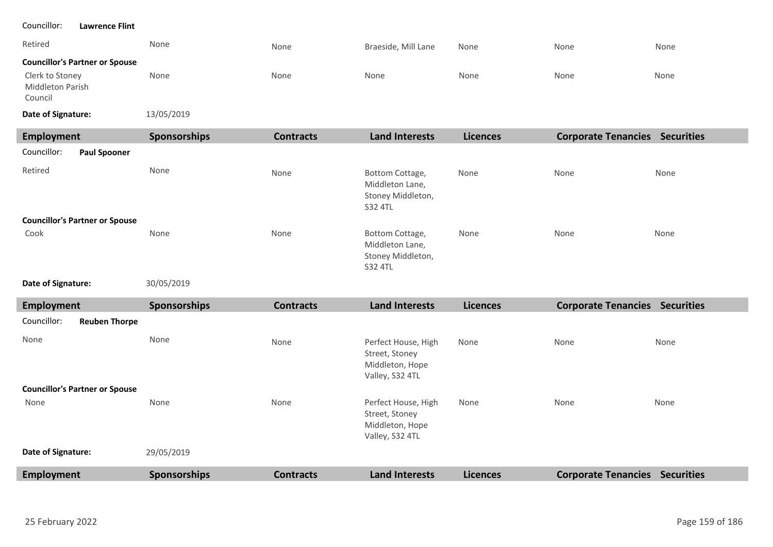#### Retired None None None None Braeside, Mill Lane None None None None None None None  $1/05/2019$ **Councillor's Partner or Spouse Date of Signature:** Councillor: **Lawrence Flint** Clerk to Stoney Middleton Parish Council

| 13/05/2019 |
|------------|
|            |

| Employment                            | <b>Sponsorships</b> | <b>Contracts</b> | <b>Land Interests</b>                                                     | <b>Licences</b> | <b>Corporate Tenancies</b> | <b>Securities</b> |
|---------------------------------------|---------------------|------------------|---------------------------------------------------------------------------|-----------------|----------------------------|-------------------|
| Councillor:<br><b>Paul Spooner</b>    |                     |                  |                                                                           |                 |                            |                   |
| Retired                               | None                | None             | Bottom Cottage,<br>Middleton Lane,<br>Stoney Middleton,<br>S32 4TL        | None            | None                       | None              |
| <b>Councillor's Partner or Spouse</b> |                     |                  |                                                                           |                 |                            |                   |
| Cook                                  | None                | None             | Bottom Cottage,<br>Middleton Lane,<br>Stoney Middleton,<br><b>S32 4TL</b> | None            | None                       | None              |

30/05/2019 **Date of Signature:**

| Employment                            | <b>Sponsorships</b> | <b>Contracts</b> | <b>Land Interests</b>                                                       | <b>Licences</b> | <b>Corporate Tenancies Securities</b> |                   |
|---------------------------------------|---------------------|------------------|-----------------------------------------------------------------------------|-----------------|---------------------------------------|-------------------|
| Councillor:<br><b>Reuben Thorpe</b>   |                     |                  |                                                                             |                 |                                       |                   |
| None                                  | None                | None             | Perfect House, High<br>Street, Stoney<br>Middleton, Hope<br>Valley, S32 4TL | None            | None                                  | None              |
| <b>Councillor's Partner or Spouse</b> |                     |                  |                                                                             |                 |                                       |                   |
| None                                  | None                | None             | Perfect House, High<br>Street, Stoney<br>Middleton, Hope<br>Valley, S32 4TL | None            | None                                  | None              |
| Date of Signature:                    | 29/05/2019          |                  |                                                                             |                 |                                       |                   |
| Employment                            | <b>Sponsorships</b> | <b>Contracts</b> | <b>Land Interests</b>                                                       | <b>Licences</b> | <b>Corporate Tenancies</b>            | <b>Securities</b> |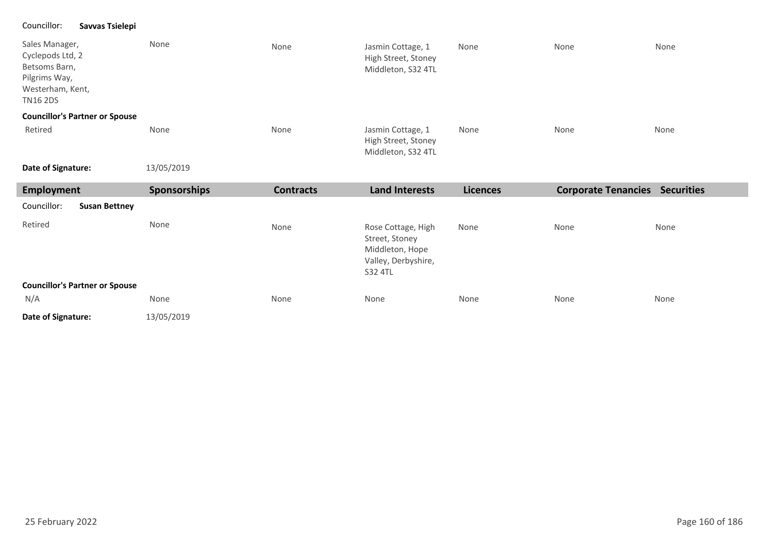#### Councillor: **Savvas Tsielepi**

| Sales Manager,<br>Cyclepods Ltd, 2<br>Betsoms Barn,<br>Pilgrims Way,<br>Westerham, Kent,<br><b>TN16 2DS</b> | None                | None             | Jasmin Cottage, 1<br>High Street, Stoney<br>Middleton, S32 4TL                            | None            | None                                  | None |
|-------------------------------------------------------------------------------------------------------------|---------------------|------------------|-------------------------------------------------------------------------------------------|-----------------|---------------------------------------|------|
| <b>Councillor's Partner or Spouse</b>                                                                       |                     |                  |                                                                                           |                 |                                       |      |
| Retired                                                                                                     | None                | None             | Jasmin Cottage, 1<br>High Street, Stoney<br>Middleton, S32 4TL                            | None            | None                                  | None |
| Date of Signature:                                                                                          | 13/05/2019          |                  |                                                                                           |                 |                                       |      |
| <b>Employment</b>                                                                                           | <b>Sponsorships</b> | <b>Contracts</b> | <b>Land Interests</b>                                                                     | <b>Licences</b> | <b>Corporate Tenancies Securities</b> |      |
| Councillor:<br><b>Susan Bettney</b>                                                                         |                     |                  |                                                                                           |                 |                                       |      |
|                                                                                                             |                     |                  |                                                                                           |                 |                                       |      |
| Retired                                                                                                     | None                | None             | Rose Cottage, High<br>Street, Stoney<br>Middleton, Hope<br>Valley, Derbyshire,<br>S32 4TL | None            | None                                  | None |
| <b>Councillor's Partner or Spouse</b>                                                                       |                     |                  |                                                                                           |                 |                                       |      |
| N/A                                                                                                         | None                | None             | None                                                                                      | None            | None                                  | None |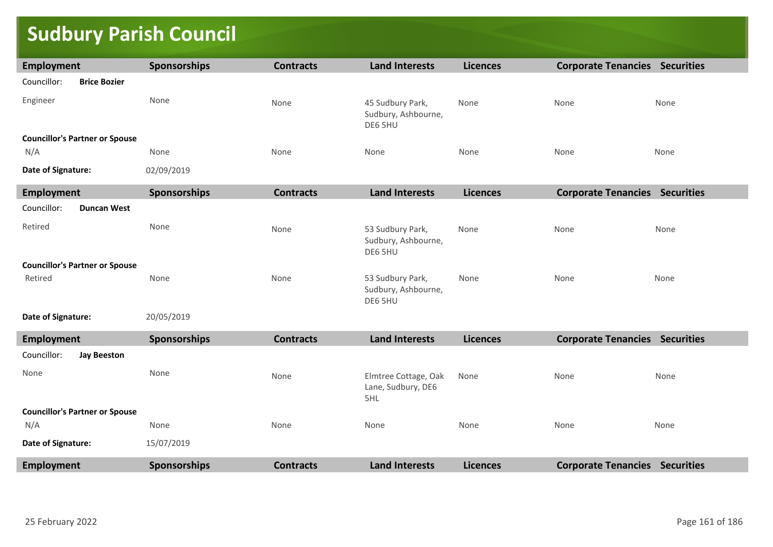### **Sudbury Parish Council**

| Employment                            | Sponsorships        | <b>Contracts</b> | <b>Land Interests</b>                              | <b>Licences</b> | <b>Corporate Tenancies Securities</b> |      |
|---------------------------------------|---------------------|------------------|----------------------------------------------------|-----------------|---------------------------------------|------|
| Councillor:<br><b>Brice Bozier</b>    |                     |                  |                                                    |                 |                                       |      |
| Engineer                              | None                | None             | 45 Sudbury Park,<br>Sudbury, Ashbourne,<br>DE6 5HU | None            | None                                  | None |
| <b>Councillor's Partner or Spouse</b> |                     |                  |                                                    |                 |                                       |      |
| N/A                                   | None                | None             | None                                               | None            | None                                  | None |
| Date of Signature:                    | 02/09/2019          |                  |                                                    |                 |                                       |      |
| Employment                            | Sponsorships        | <b>Contracts</b> | <b>Land Interests</b>                              | <b>Licences</b> | <b>Corporate Tenancies Securities</b> |      |
| Councillor:<br><b>Duncan West</b>     |                     |                  |                                                    |                 |                                       |      |
| Retired                               | None                | None             | 53 Sudbury Park,<br>Sudbury, Ashbourne,<br>DE6 5HU | None            | None                                  | None |
| <b>Councillor's Partner or Spouse</b> |                     |                  |                                                    |                 |                                       |      |
| Retired                               | None                | None             | 53 Sudbury Park,<br>Sudbury, Ashbourne,<br>DE6 5HU | None            | None                                  | None |
| Date of Signature:                    | 20/05/2019          |                  |                                                    |                 |                                       |      |
| <b>Employment</b>                     | Sponsorships        | <b>Contracts</b> | <b>Land Interests</b>                              | <b>Licences</b> | <b>Corporate Tenancies Securities</b> |      |
| Councillor:<br><b>Jay Beeston</b>     |                     |                  |                                                    |                 |                                       |      |
| None                                  | None                | None             | Elmtree Cottage, Oak<br>Lane, Sudbury, DE6<br>5HL  | None            | None                                  | None |
| <b>Councillor's Partner or Spouse</b> |                     |                  |                                                    |                 |                                       |      |
| N/A                                   | None                | None             | None                                               | None            | None                                  | None |
| Date of Signature:                    | 15/07/2019          |                  |                                                    |                 |                                       |      |
| <b>Employment</b>                     | <b>Sponsorships</b> | <b>Contracts</b> | <b>Land Interests</b>                              | <b>Licences</b> | <b>Corporate Tenancies Securities</b> |      |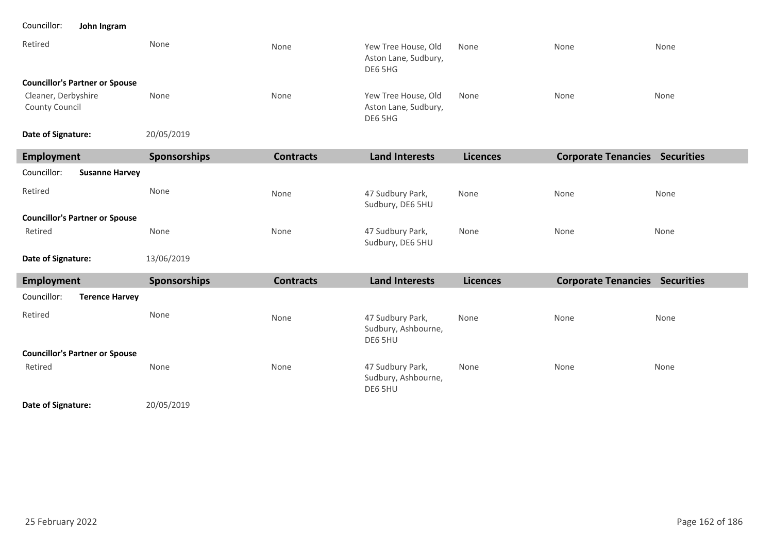#### Councillor: **John Ingram**

| Retired                               | None | None | Yew Tree House, Old<br>Aston Lane, Sudbury,<br>DE6 5HG | None | None | None |
|---------------------------------------|------|------|--------------------------------------------------------|------|------|------|
| <b>Councillor's Partner or Spouse</b> |      |      |                                                        |      |      |      |
| Cleaner, Derbyshire<br>County Council | None | None | Yew Tree House, Old<br>Aston Lane, Sudbury,<br>DE6 5HG | None | None | None |

20/05/2019 **Date of Signature:**

| Employment                            | <b>Sponsorships</b> | <b>Contracts</b> | <b>Land Interests</b>                | <b>Licences</b> | <b>Corporate Tenancies</b> | <b>Securities</b> |
|---------------------------------------|---------------------|------------------|--------------------------------------|-----------------|----------------------------|-------------------|
| Councillor:<br><b>Susanne Harvey</b>  |                     |                  |                                      |                 |                            |                   |
| Retired                               | None                | None             | 47 Sudbury Park,<br>Sudbury, DE6 5HU | None            | None                       | None              |
| <b>Councillor's Partner or Spouse</b> |                     |                  |                                      |                 |                            |                   |
| Retired                               | None                | None             | 47 Sudbury Park,<br>Sudbury, DE6 5HU | None            | None                       | None              |
| Date of Signature:                    | 13/06/2019          |                  |                                      |                 |                            |                   |

| Employment                            | <b>Sponsorships</b> | <b>Contracts</b> | <b>Land Interests</b>                              | <b>Licences</b> | <b>Corporate Tenancies</b> | <b>Securities</b> |
|---------------------------------------|---------------------|------------------|----------------------------------------------------|-----------------|----------------------------|-------------------|
| Councillor:<br><b>Terence Harvey</b>  |                     |                  |                                                    |                 |                            |                   |
| Retired                               | None                | None             | 47 Sudbury Park,<br>Sudbury, Ashbourne,<br>DE6 5HU | None            | None                       | None              |
| <b>Councillor's Partner or Spouse</b> |                     |                  |                                                    |                 |                            |                   |
| Retired                               | None                | None             | 47 Sudbury Park,<br>Sudbury, Ashbourne,<br>DE6 5HU | None            | None                       | None              |

**Date of Signature:**

20/05/2019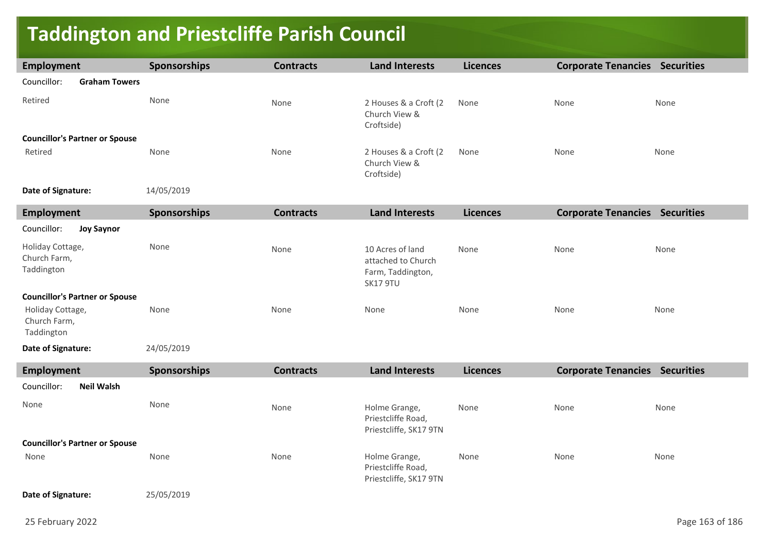### **Taddington and Priestcliffe Parish Council**

| <b>Employment</b>                              | <b>Sponsorships</b> | <b>Contracts</b> | <b>Land Interests</b>                                                   | <b>Licences</b> | <b>Corporate Tenancies Securities</b> |      |
|------------------------------------------------|---------------------|------------------|-------------------------------------------------------------------------|-----------------|---------------------------------------|------|
| Councillor:<br><b>Graham Towers</b>            |                     |                  |                                                                         |                 |                                       |      |
| Retired                                        | None                | None             | 2 Houses & a Croft (2<br>Church View &<br>Croftside)                    | None            | None                                  | None |
| <b>Councillor's Partner or Spouse</b>          |                     |                  |                                                                         |                 |                                       |      |
| Retired                                        | None                | None             | 2 Houses & a Croft (2<br>Church View &<br>Croftside)                    | None            | None                                  | None |
| Date of Signature:                             | 14/05/2019          |                  |                                                                         |                 |                                       |      |
| <b>Employment</b>                              | Sponsorships        | <b>Contracts</b> | <b>Land Interests</b>                                                   | <b>Licences</b> | <b>Corporate Tenancies Securities</b> |      |
| Councillor:<br><b>Joy Saynor</b>               |                     |                  |                                                                         |                 |                                       |      |
| Holiday Cottage,<br>Church Farm,<br>Taddington | None                | None             | 10 Acres of land<br>attached to Church<br>Farm, Taddington,<br>SK17 9TU | None            | None                                  | None |
| <b>Councillor's Partner or Spouse</b>          |                     |                  |                                                                         |                 |                                       |      |
| Holiday Cottage,<br>Church Farm,<br>Taddington | None                | None             | None                                                                    | None            | None                                  | None |
| Date of Signature:                             | 24/05/2019          |                  |                                                                         |                 |                                       |      |
| <b>Employment</b>                              | Sponsorships        | <b>Contracts</b> | <b>Land Interests</b>                                                   | <b>Licences</b> | <b>Corporate Tenancies Securities</b> |      |
| Councillor:<br><b>Neil Walsh</b>               |                     |                  |                                                                         |                 |                                       |      |
| None                                           | None                | None             | Holme Grange,<br>Priestcliffe Road,<br>Priestcliffe, SK17 9TN           | None            | None                                  | None |
| <b>Councillor's Partner or Spouse</b>          |                     |                  |                                                                         |                 |                                       |      |
| None                                           | None                | None             | Holme Grange,<br>Priestcliffe Road,<br>Priestcliffe, SK17 9TN           | None            | None                                  | None |
| Date of Signature:                             | 25/05/2019          |                  |                                                                         |                 |                                       |      |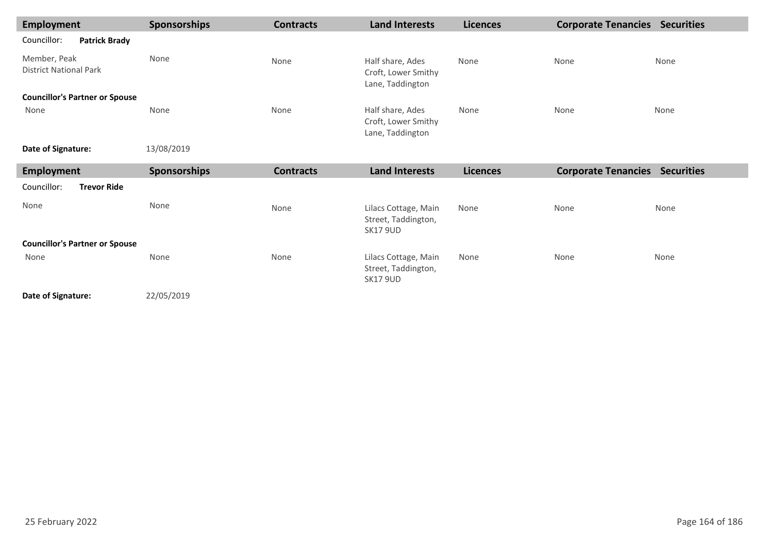| <b>Employment</b>                             | Sponsorships        | <b>Contracts</b> | <b>Land Interests</b>                                       | <b>Licences</b> | <b>Corporate Tenancies</b> | <b>Securities</b> |
|-----------------------------------------------|---------------------|------------------|-------------------------------------------------------------|-----------------|----------------------------|-------------------|
| Councillor:<br><b>Patrick Brady</b>           |                     |                  |                                                             |                 |                            |                   |
| Member, Peak<br><b>District National Park</b> | None                | None             | Half share, Ades<br>Croft, Lower Smithy<br>Lane, Taddington | None            | None                       | None              |
| <b>Councillor's Partner or Spouse</b>         |                     |                  |                                                             |                 |                            |                   |
| None                                          | None                | None             | Half share, Ades<br>Croft, Lower Smithy<br>Lane, Taddington | None            | None                       | None              |
| Date of Signature:                            | 13/08/2019          |                  |                                                             |                 |                            |                   |
| <b>Employment</b>                             | <b>Sponsorships</b> | <b>Contracts</b> | <b>Land Interests</b>                                       | <b>Licences</b> | <b>Corporate Tenancies</b> | <b>Securities</b> |
| Councillor:<br><b>Trevor Ride</b>             |                     |                  |                                                             |                 |                            |                   |
| None                                          | None                | None             | Lilacs Cottage, Main<br>Street, Taddington,                 | None            | None                       | None              |

|                                       |      |      | <b>SK17 9UD</b>                                                |      |      |      |
|---------------------------------------|------|------|----------------------------------------------------------------|------|------|------|
| <b>Councillor's Partner or Spouse</b> |      |      |                                                                |      |      |      |
| None                                  | None | None | Lilacs Cottage, Main<br>Street, Taddington,<br><b>SK17 9UD</b> | None | None | None |
|                                       |      |      |                                                                |      |      |      |

22/05/2019 **Date of Signature:**

25 February 2022 Page 164 of 186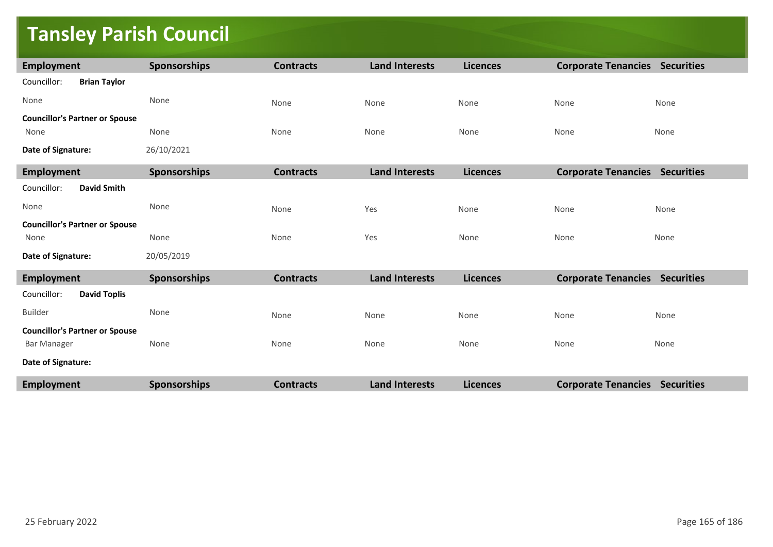### **Tansley Parish Council**

| Employment                            | Sponsorships        | <b>Contracts</b> | <b>Land Interests</b> | <b>Licences</b> | <b>Corporate Tenancies Securities</b> |      |
|---------------------------------------|---------------------|------------------|-----------------------|-----------------|---------------------------------------|------|
| <b>Brian Taylor</b><br>Councillor:    |                     |                  |                       |                 |                                       |      |
| None                                  | None                | None             | None                  | None            | None                                  | None |
| <b>Councillor's Partner or Spouse</b> |                     |                  |                       |                 |                                       |      |
| None                                  | None                | None             | None                  | None            | None                                  | None |
| Date of Signature:                    | 26/10/2021          |                  |                       |                 |                                       |      |
| <b>Employment</b>                     | Sponsorships        | <b>Contracts</b> | <b>Land Interests</b> | <b>Licences</b> | <b>Corporate Tenancies Securities</b> |      |
| <b>David Smith</b><br>Councillor:     |                     |                  |                       |                 |                                       |      |
| None                                  | None                | None             | Yes                   | None            | None                                  | None |
| <b>Councillor's Partner or Spouse</b> |                     |                  |                       |                 |                                       |      |
| None                                  | None                | None             | Yes                   | None            | None                                  | None |
| Date of Signature:                    | 20/05/2019          |                  |                       |                 |                                       |      |
| <b>Employment</b>                     | Sponsorships        | <b>Contracts</b> | <b>Land Interests</b> | <b>Licences</b> | <b>Corporate Tenancies Securities</b> |      |
| <b>David Toplis</b><br>Councillor:    |                     |                  |                       |                 |                                       |      |
| <b>Builder</b>                        | None                | None             | None                  | None            | None                                  | None |
| <b>Councillor's Partner or Spouse</b> |                     |                  |                       |                 |                                       |      |
| <b>Bar Manager</b>                    | None                | None             | None                  | None            | None                                  | None |
| Date of Signature:                    |                     |                  |                       |                 |                                       |      |
| <b>Employment</b>                     | <b>Sponsorships</b> | <b>Contracts</b> | <b>Land Interests</b> | <b>Licences</b> | <b>Corporate Tenancies Securities</b> |      |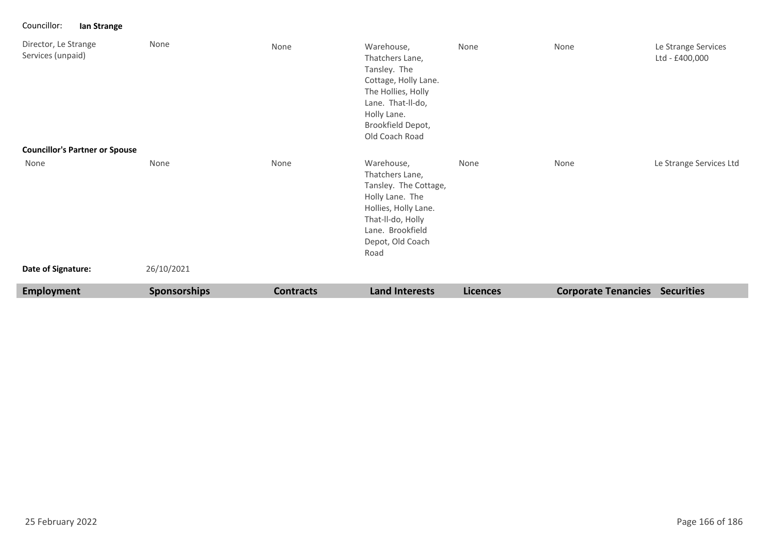Councillor: **Ian Strange**

| Director, Le Strange<br>Services (unpaid)<br><b>Councillor's Partner or Spouse</b> | None                | None             | Warehouse,<br>Thatchers Lane,<br>Tansley. The<br>Cottage, Holly Lane.<br>The Hollies, Holly<br>Lane. That-II-do,<br>Holly Lane.<br>Brookfield Depot,<br>Old Coach Road | None            | None                       | Le Strange Services<br>Ltd - £400,000 |
|------------------------------------------------------------------------------------|---------------------|------------------|------------------------------------------------------------------------------------------------------------------------------------------------------------------------|-----------------|----------------------------|---------------------------------------|
| None                                                                               | None                | None             | Warehouse,<br>Thatchers Lane,<br>Tansley. The Cottage,<br>Holly Lane. The<br>Hollies, Holly Lane.<br>That-II-do, Holly<br>Lane. Brookfield<br>Depot, Old Coach<br>Road | None            | None                       | Le Strange Services Ltd               |
| Date of Signature:                                                                 | 26/10/2021          |                  |                                                                                                                                                                        |                 |                            |                                       |
| Employment                                                                         | <b>Sponsorships</b> | <b>Contracts</b> | <b>Land Interests</b>                                                                                                                                                  | <b>Licences</b> | <b>Corporate Tenancies</b> | <b>Securities</b>                     |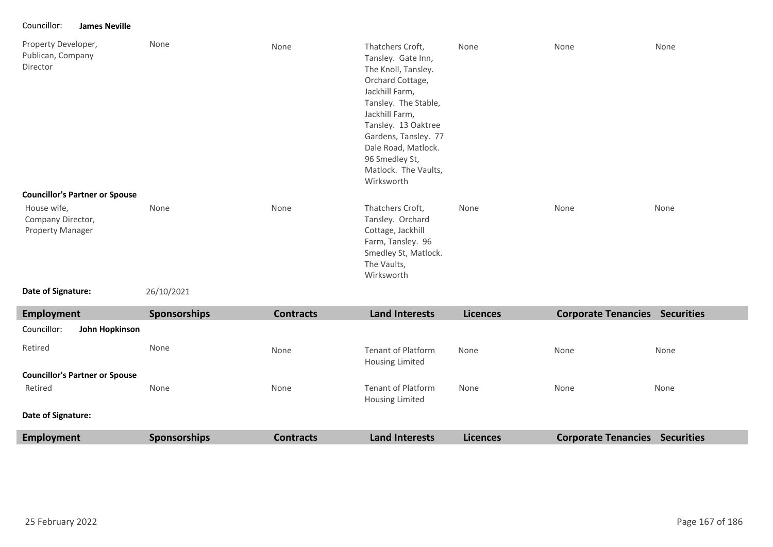#### Councillor: **James Neville**

| Property Developer,<br>Publican, Company<br>Director        | None | None | Thatchers Croft,<br>Tansley. Gate Inn,<br>The Knoll, Tansley.<br>Orchard Cottage,<br>Jackhill Farm,<br>Tansley. The Stable,<br>Jackhill Farm,<br>Tansley. 13 Oaktree<br>Gardens, Tansley. 77<br>Dale Road, Matlock.<br>96 Smedley St,<br>Matlock. The Vaults,<br>Wirksworth | None | None | None |
|-------------------------------------------------------------|------|------|-----------------------------------------------------------------------------------------------------------------------------------------------------------------------------------------------------------------------------------------------------------------------------|------|------|------|
| <b>Councillor's Partner or Spouse</b>                       |      |      |                                                                                                                                                                                                                                                                             |      |      |      |
| House wife,<br>Company Director,<br><b>Property Manager</b> | None | None | Thatchers Croft,<br>Tansley. Orchard<br>Cottage, Jackhill<br>Farm, Tansley. 96<br>Smedley St, Matlock.<br>The Vaults,<br>Wirksworth                                                                                                                                         | None | None | None |

**Date of Signature:**

26/10/2021

| Employment                            | <b>Sponsorships</b> | <b>Contracts</b> | <b>Land Interests</b>                        | <b>Licences</b> | <b>Corporate Tenancies</b> | <b>Securities</b> |
|---------------------------------------|---------------------|------------------|----------------------------------------------|-----------------|----------------------------|-------------------|
| Councillor:<br>John Hopkinson         |                     |                  |                                              |                 |                            |                   |
| Retired                               | None                | None             | Tenant of Platform<br>Housing Limited        | None            | None                       | None              |
| <b>Councillor's Partner or Spouse</b> |                     |                  |                                              |                 |                            |                   |
| Retired                               | None                | None             | <b>Tenant of Platform</b><br>Housing Limited | None            | None                       | None              |
| Date of Signature:                    |                     |                  |                                              |                 |                            |                   |
| <b>Employment</b>                     | <b>Sponsorships</b> | <b>Contracts</b> | <b>Land Interests</b>                        | <b>Licences</b> | <b>Corporate Tenancies</b> | <b>Securities</b> |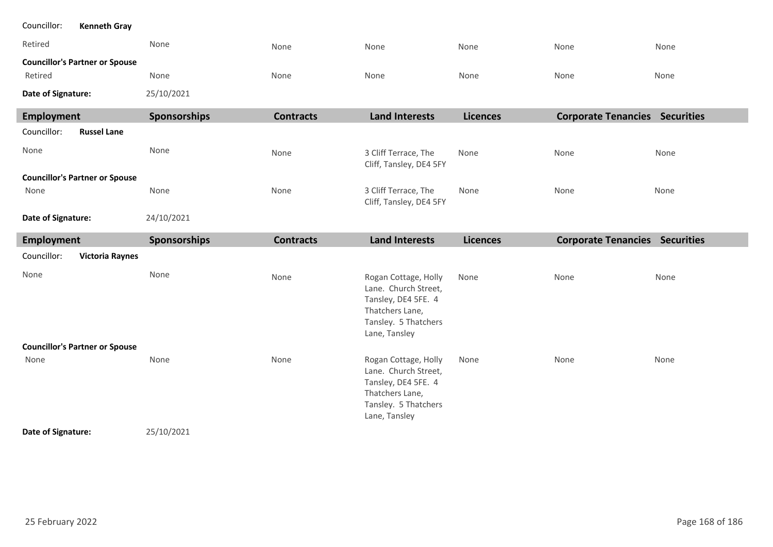| Councillor:<br><b>Kenneth Gray</b>               |                     |                  |                                                                                                                                 |                 |                                       |      |
|--------------------------------------------------|---------------------|------------------|---------------------------------------------------------------------------------------------------------------------------------|-----------------|---------------------------------------|------|
| Retired                                          | None                | None             | None                                                                                                                            | None            | None                                  | None |
| <b>Councillor's Partner or Spouse</b><br>Retired | None                | None             | None                                                                                                                            | None            | None                                  | None |
| Date of Signature:                               | 25/10/2021          |                  |                                                                                                                                 |                 |                                       |      |
| Employment                                       | <b>Sponsorships</b> | <b>Contracts</b> | <b>Land Interests</b>                                                                                                           | <b>Licences</b> | <b>Corporate Tenancies Securities</b> |      |
| Councillor:<br><b>Russel Lane</b>                |                     |                  |                                                                                                                                 |                 |                                       |      |
| None                                             | None                | None             | 3 Cliff Terrace, The<br>Cliff, Tansley, DE4 5FY                                                                                 | None            | None                                  | None |
| <b>Councillor's Partner or Spouse</b>            |                     |                  |                                                                                                                                 |                 |                                       |      |
| None                                             | None                | None             | 3 Cliff Terrace, The<br>Cliff, Tansley, DE4 5FY                                                                                 | None            | None                                  | None |
| Date of Signature:                               | 24/10/2021          |                  |                                                                                                                                 |                 |                                       |      |
|                                                  |                     |                  |                                                                                                                                 |                 |                                       |      |
| <b>Employment</b>                                | Sponsorships        | <b>Contracts</b> | <b>Land Interests</b>                                                                                                           | <b>Licences</b> | <b>Corporate Tenancies Securities</b> |      |
| Councillor:<br><b>Victoria Raynes</b>            |                     |                  |                                                                                                                                 |                 |                                       |      |
| None                                             | None                | None             | Rogan Cottage, Holly<br>Lane. Church Street,<br>Tansley, DE4 5FE. 4<br>Thatchers Lane,<br>Tansley. 5 Thatchers<br>Lane, Tansley | None            | None                                  | None |
| <b>Councillor's Partner or Spouse</b>            |                     |                  |                                                                                                                                 |                 |                                       |      |
| None                                             | None                | None             | Rogan Cottage, Holly<br>Lane. Church Street,<br>Tansley, DE4 5FE. 4<br>Thatchers Lane,<br>Tansley. 5 Thatchers<br>Lane, Tansley | None            | None                                  | None |

п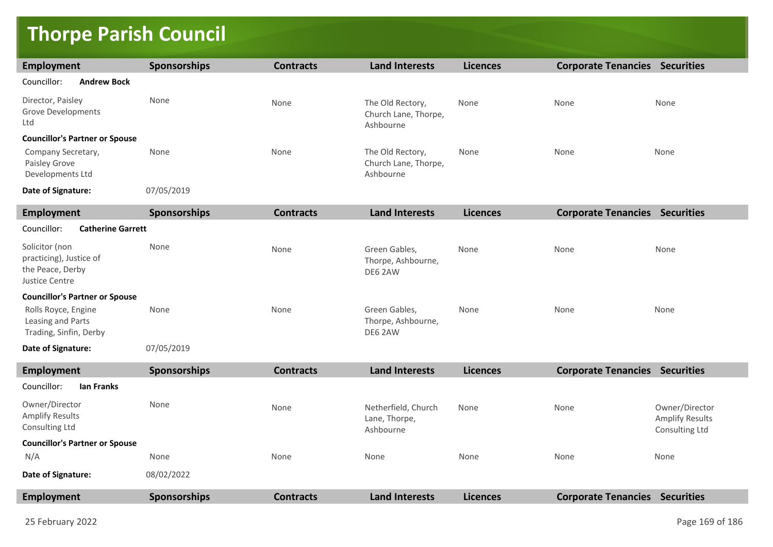## **Thorpe Parish Council**

| <b>Employment</b>                                                               | Sponsorships | <b>Contracts</b> | <b>Land Interests</b>                                 | <b>Licences</b> | <b>Corporate Tenancies Securities</b> |                                                            |  |  |
|---------------------------------------------------------------------------------|--------------|------------------|-------------------------------------------------------|-----------------|---------------------------------------|------------------------------------------------------------|--|--|
| Councillor:<br><b>Andrew Bock</b>                                               |              |                  |                                                       |                 |                                       |                                                            |  |  |
| Director, Paisley<br><b>Grove Developments</b><br>Ltd                           | None         | None             | The Old Rectory,<br>Church Lane, Thorpe,<br>Ashbourne | None            | None                                  | None                                                       |  |  |
| <b>Councillor's Partner or Spouse</b>                                           |              |                  |                                                       |                 |                                       |                                                            |  |  |
| Company Secretary,<br>Paisley Grove<br>Developments Ltd                         | None         | None             | The Old Rectory,<br>Church Lane, Thorpe,<br>Ashbourne | None            | None                                  | None                                                       |  |  |
| Date of Signature:                                                              | 07/05/2019   |                  |                                                       |                 |                                       |                                                            |  |  |
| <b>Employment</b>                                                               | Sponsorships | <b>Contracts</b> | <b>Land Interests</b>                                 | <b>Licences</b> | <b>Corporate Tenancies Securities</b> |                                                            |  |  |
| Councillor:<br><b>Catherine Garrett</b>                                         |              |                  |                                                       |                 |                                       |                                                            |  |  |
| Solicitor (non<br>practicing), Justice of<br>the Peace, Derby<br>Justice Centre | None         | None             | Green Gables,<br>Thorpe, Ashbourne,<br>DE6 2AW        | None            | None                                  | None                                                       |  |  |
| <b>Councillor's Partner or Spouse</b>                                           |              |                  |                                                       |                 |                                       |                                                            |  |  |
| Rolls Royce, Engine<br>Leasing and Parts<br>Trading, Sinfin, Derby              | None         | None             | Green Gables,<br>Thorpe, Ashbourne,<br>DE6 2AW        | None            | None                                  | None                                                       |  |  |
| Date of Signature:                                                              | 07/05/2019   |                  |                                                       |                 |                                       |                                                            |  |  |
| <b>Employment</b>                                                               | Sponsorships | <b>Contracts</b> | <b>Land Interests</b>                                 | <b>Licences</b> | <b>Corporate Tenancies Securities</b> |                                                            |  |  |
| Councillor:<br><b>Ian Franks</b>                                                |              |                  |                                                       |                 |                                       |                                                            |  |  |
| Owner/Director<br><b>Amplify Results</b><br>Consulting Ltd                      | None         | None             | Netherfield, Church<br>Lane, Thorpe,<br>Ashbourne     | None            | None                                  | Owner/Director<br><b>Amplify Results</b><br>Consulting Ltd |  |  |
| <b>Councillor's Partner or Spouse</b>                                           |              |                  |                                                       |                 |                                       |                                                            |  |  |
| N/A                                                                             | None         | None             | None                                                  | None            | None                                  | None                                                       |  |  |
| Date of Signature:                                                              | 08/02/2022   |                  |                                                       |                 |                                       |                                                            |  |  |
| <b>Employment</b>                                                               | Sponsorships | <b>Contracts</b> | <b>Land Interests</b>                                 | <b>Licences</b> | <b>Corporate Tenancies Securities</b> |                                                            |  |  |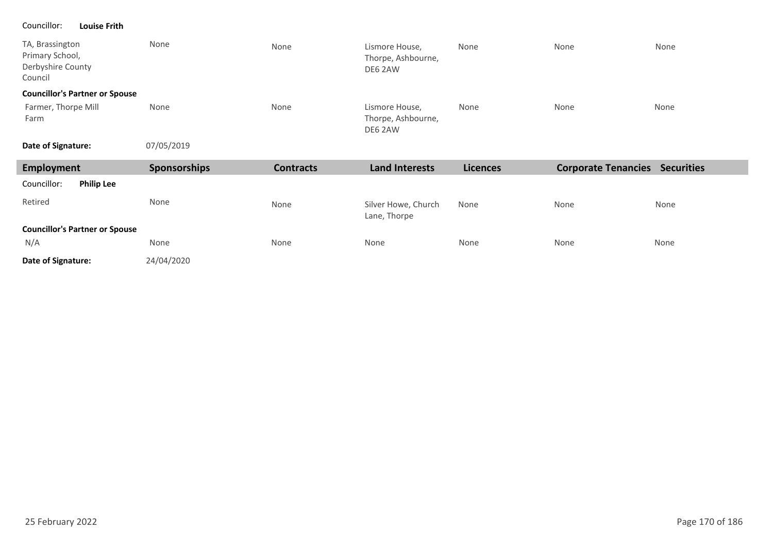#### Councillor: **Louise Frith**

| TA, Brassington<br>Primary School,<br>Derbyshire County<br>Council | None         | None             | Lismore House,<br>Thorpe, Ashbourne,<br>DE6 2AW | None            | None                                  | None |
|--------------------------------------------------------------------|--------------|------------------|-------------------------------------------------|-----------------|---------------------------------------|------|
| <b>Councillor's Partner or Spouse</b>                              |              |                  |                                                 |                 |                                       |      |
| Farmer, Thorpe Mill<br>Farm                                        | None         | None             | Lismore House,<br>Thorpe, Ashbourne,<br>DE6 2AW | None            | None                                  | None |
| Date of Signature:                                                 | 07/05/2019   |                  |                                                 |                 |                                       |      |
|                                                                    |              |                  |                                                 |                 |                                       |      |
| Employment                                                         | Sponsorships | <b>Contracts</b> | <b>Land Interests</b>                           | <b>Licences</b> | <b>Corporate Tenancies Securities</b> |      |
| Councillor:<br><b>Philip Lee</b>                                   |              |                  |                                                 |                 |                                       |      |
| Retired                                                            | None         | None             | Silver Howe, Church<br>Lane, Thorpe             | None            | None                                  | None |
| <b>Councillor's Partner or Spouse</b>                              |              |                  |                                                 |                 |                                       |      |
| N/A                                                                | None         | None             | None                                            | None            | None                                  | None |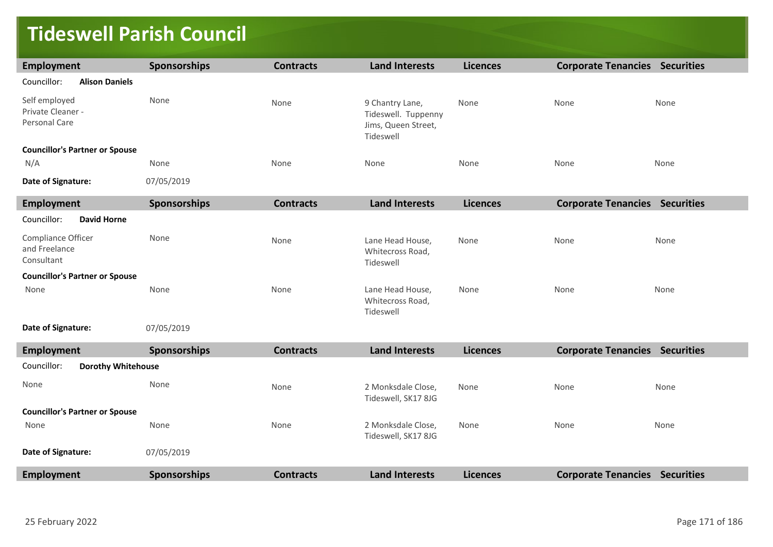### **Tideswell Parish Council**

| <b>Employment</b>                                   | <b>Sponsorships</b> | <b>Contracts</b> | <b>Land Interests</b>                                                      | <b>Licences</b> | <b>Corporate Tenancies Securities</b> |      |
|-----------------------------------------------------|---------------------|------------------|----------------------------------------------------------------------------|-----------------|---------------------------------------|------|
| Councillor:<br><b>Alison Daniels</b>                |                     |                  |                                                                            |                 |                                       |      |
| Self employed<br>Private Cleaner -<br>Personal Care | None                | None             | 9 Chantry Lane,<br>Tideswell. Tuppenny<br>Jims, Queen Street,<br>Tideswell | None            | None                                  | None |
| <b>Councillor's Partner or Spouse</b>               |                     |                  |                                                                            |                 |                                       |      |
| N/A                                                 | None                | None             | None                                                                       | None            | None                                  | None |
| Date of Signature:                                  | 07/05/2019          |                  |                                                                            |                 |                                       |      |
| <b>Employment</b>                                   | <b>Sponsorships</b> | <b>Contracts</b> | <b>Land Interests</b>                                                      | <b>Licences</b> | <b>Corporate Tenancies Securities</b> |      |
| <b>David Horne</b><br>Councillor:                   |                     |                  |                                                                            |                 |                                       |      |
| Compliance Officer<br>and Freelance<br>Consultant   | None                | None             | Lane Head House,<br>Whitecross Road,<br>Tideswell                          | None            | None                                  | None |
| <b>Councillor's Partner or Spouse</b>               |                     |                  |                                                                            |                 |                                       |      |
| None                                                | None                | None             | Lane Head House,<br>Whitecross Road,<br>Tideswell                          | None            | None                                  | None |
| Date of Signature:                                  | 07/05/2019          |                  |                                                                            |                 |                                       |      |
| <b>Employment</b>                                   | <b>Sponsorships</b> | <b>Contracts</b> | <b>Land Interests</b>                                                      | <b>Licences</b> | <b>Corporate Tenancies Securities</b> |      |
| Councillor:<br><b>Dorothy Whitehouse</b>            |                     |                  |                                                                            |                 |                                       |      |
| None                                                | None                | None             | 2 Monksdale Close,<br>Tideswell, SK17 8JG                                  | None            | None                                  | None |
| <b>Councillor's Partner or Spouse</b>               |                     |                  |                                                                            |                 |                                       |      |
| None                                                | None                | None             | 2 Monksdale Close,<br>Tideswell, SK17 8JG                                  | None            | None                                  | None |
| Date of Signature:                                  | 07/05/2019          |                  |                                                                            |                 |                                       |      |
| <b>Employment</b>                                   | <b>Sponsorships</b> | <b>Contracts</b> | <b>Land Interests</b>                                                      | <b>Licences</b> | <b>Corporate Tenancies Securities</b> |      |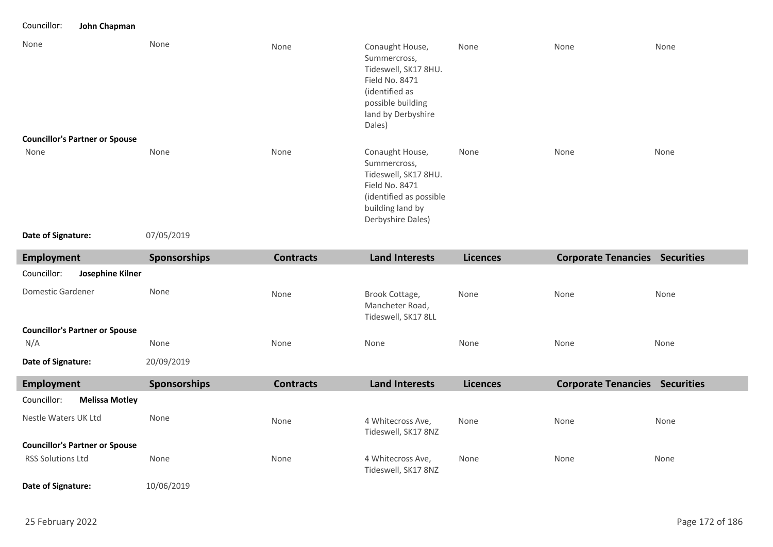Councillor: **John Chapman**

| None<br><b>Councillor's Partner or Spouse</b> | None               | None | Conaught House,<br>Summercross,<br>Tideswell, SK17 8HU.<br>Field No. 8471<br>(identified as<br>possible building<br>land by Derbyshire<br>Dales) | None | None | None |
|-----------------------------------------------|--------------------|------|--------------------------------------------------------------------------------------------------------------------------------------------------|------|------|------|
| None<br>Date of Signature:                    | None<br>07/05/2019 | None | Conaught House,<br>Summercross,<br>Tideswell, SK17 8HU.<br>Field No. 8471<br>(identified as possible<br>building land by<br>Derbyshire Dales)    | None | None | None |

**Date of Signature:**

| Employment                            | Sponsorships        | <b>Contracts</b> | <b>Land Interests</b>                                    | <b>Licences</b> | <b>Corporate Tenancies Securities</b> |                   |
|---------------------------------------|---------------------|------------------|----------------------------------------------------------|-----------------|---------------------------------------|-------------------|
| Josephine Kilner<br>Councillor:       |                     |                  |                                                          |                 |                                       |                   |
| Domestic Gardener                     | None                | None             | Brook Cottage,<br>Mancheter Road,<br>Tideswell, SK17 8LL | None            | None                                  | None              |
| <b>Councillor's Partner or Spouse</b> |                     |                  |                                                          |                 |                                       |                   |
| N/A                                   | None                | None             | None                                                     | None            | None                                  | None              |
| Date of Signature:                    | 20/09/2019          |                  |                                                          |                 |                                       |                   |
| Employment                            | <b>Sponsorships</b> | <b>Contracts</b> | <b>Land Interests</b>                                    | <b>Licences</b> | <b>Corporate Tenancies</b>            | <b>Securities</b> |
| Councillor:<br><b>Melissa Motley</b>  |                     |                  |                                                          |                 |                                       |                   |
| Nestle Waters UK Ltd                  | None                | None             | 4 Whitecross Ave,<br>Tideswell, SK17 8NZ                 | None            | None                                  | None              |
| <b>Councillor's Partner or Spouse</b> |                     |                  |                                                          |                 |                                       |                   |
| <b>RSS Solutions Ltd</b>              | None                | None             | 4 Whitecross Ave,<br>Tideswell, SK17 8NZ                 | None            | None                                  | None              |

10/06/2019 **Date of Signature:**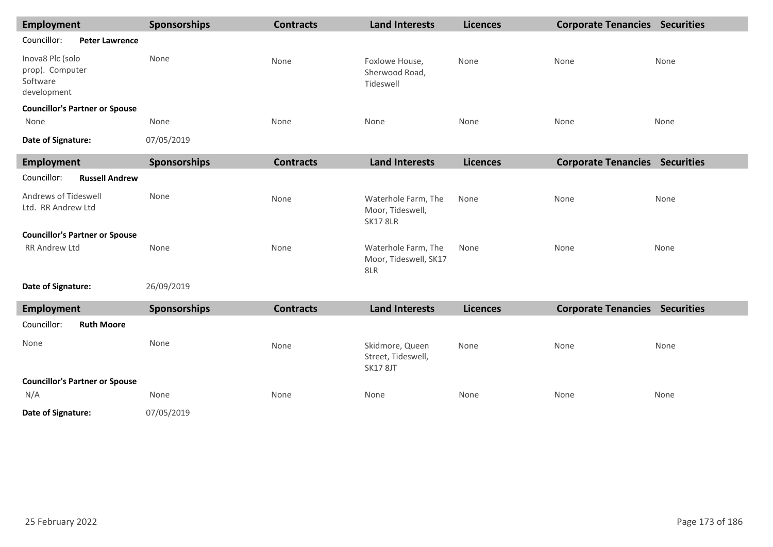| <b>Employment</b>                                              |                                       | <b>Sponsorships</b> | <b>Contracts</b> | <b>Land Interests</b>                                      | <b>Licences</b> | <b>Corporate Tenancies Securities</b> |      |
|----------------------------------------------------------------|---------------------------------------|---------------------|------------------|------------------------------------------------------------|-----------------|---------------------------------------|------|
| Councillor:                                                    | <b>Peter Lawrence</b>                 |                     |                  |                                                            |                 |                                       |      |
| Inova8 Plc (solo<br>prop). Computer<br>Software<br>development |                                       | None                | None             | Foxlowe House,<br>Sherwood Road,<br>Tideswell              | None            | None                                  | None |
|                                                                | <b>Councillor's Partner or Spouse</b> |                     |                  |                                                            |                 |                                       |      |
| None                                                           |                                       | None                | None             | None                                                       | None            | None                                  | None |
| Date of Signature:                                             |                                       | 07/05/2019          |                  |                                                            |                 |                                       |      |
| <b>Employment</b>                                              |                                       | Sponsorships        | <b>Contracts</b> | <b>Land Interests</b>                                      | <b>Licences</b> | <b>Corporate Tenancies Securities</b> |      |
| Councillor:                                                    | <b>Russell Andrew</b>                 |                     |                  |                                                            |                 |                                       |      |
| Andrews of Tideswell<br>Ltd. RR Andrew Ltd                     |                                       | None                | None             | Waterhole Farm, The<br>Moor, Tideswell,<br><b>SK17 8LR</b> | None            | None                                  | None |
|                                                                | <b>Councillor's Partner or Spouse</b> |                     |                  |                                                            |                 |                                       |      |
| <b>RR Andrew Ltd</b>                                           |                                       | None                | None             | Waterhole Farm, The<br>Moor, Tideswell, SK17<br>8LR        | None            | None                                  | None |
| Date of Signature:                                             |                                       | 26/09/2019          |                  |                                                            |                 |                                       |      |
| <b>Employment</b>                                              |                                       | Sponsorships        | <b>Contracts</b> | <b>Land Interests</b>                                      | <b>Licences</b> | <b>Corporate Tenancies Securities</b> |      |
| Councillor:                                                    | <b>Ruth Moore</b>                     |                     |                  |                                                            |                 |                                       |      |
| None                                                           |                                       | None                | None             | Skidmore, Queen<br>Street, Tideswell,<br><b>SK17 8JT</b>   | None            | None                                  | None |
|                                                                | <b>Councillor's Partner or Spouse</b> |                     |                  |                                                            |                 |                                       |      |
| N/A                                                            |                                       | None                | None             | None                                                       | None            | None                                  | None |
| Date of Signature:                                             |                                       | 07/05/2019          |                  |                                                            |                 |                                       |      |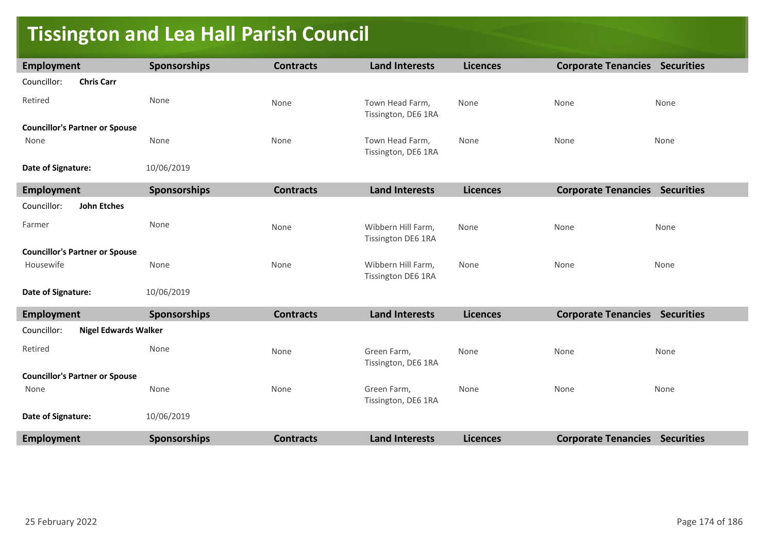### **Tissington and Lea Hall Parish Council**

| Employment                                 | <b>Sponsorships</b> | <b>Contracts</b> | <b>Land Interests</b>                    | <b>Licences</b> | <b>Corporate Tenancies Securities</b> |      |
|--------------------------------------------|---------------------|------------------|------------------------------------------|-----------------|---------------------------------------|------|
| Councillor:<br><b>Chris Carr</b>           |                     |                  |                                          |                 |                                       |      |
| Retired                                    | None                | None             | Town Head Farm,<br>Tissington, DE6 1RA   | None            | None                                  | None |
| <b>Councillor's Partner or Spouse</b>      |                     |                  |                                          |                 |                                       |      |
| None                                       | None                | None             | Town Head Farm,<br>Tissington, DE6 1RA   | None            | None                                  | None |
| Date of Signature:                         | 10/06/2019          |                  |                                          |                 |                                       |      |
| <b>Employment</b>                          | <b>Sponsorships</b> | <b>Contracts</b> | <b>Land Interests</b>                    | <b>Licences</b> | <b>Corporate Tenancies Securities</b> |      |
| Councillor:<br>John Etches                 |                     |                  |                                          |                 |                                       |      |
| Farmer                                     | None                | None             | Wibbern Hill Farm,<br>Tissington DE6 1RA | None            | None                                  | None |
| <b>Councillor's Partner or Spouse</b>      |                     |                  |                                          |                 |                                       |      |
| Housewife                                  | None                | None             | Wibbern Hill Farm,<br>Tissington DE6 1RA | None            | None                                  | None |
| Date of Signature:                         | 10/06/2019          |                  |                                          |                 |                                       |      |
| <b>Employment</b>                          | <b>Sponsorships</b> | <b>Contracts</b> | <b>Land Interests</b>                    | <b>Licences</b> | <b>Corporate Tenancies Securities</b> |      |
| <b>Nigel Edwards Walker</b><br>Councillor: |                     |                  |                                          |                 |                                       |      |
| Retired                                    | None                | None             | Green Farm,<br>Tissington, DE6 1RA       | None            | None                                  | None |
| <b>Councillor's Partner or Spouse</b>      |                     |                  |                                          |                 |                                       |      |
| None                                       | None                | None             | Green Farm,<br>Tissington, DE6 1RA       | None            | None                                  | None |
| Date of Signature:                         | 10/06/2019          |                  |                                          |                 |                                       |      |
| <b>Employment</b>                          | <b>Sponsorships</b> | <b>Contracts</b> | <b>Land Interests</b>                    | <b>Licences</b> | <b>Corporate Tenancies Securities</b> |      |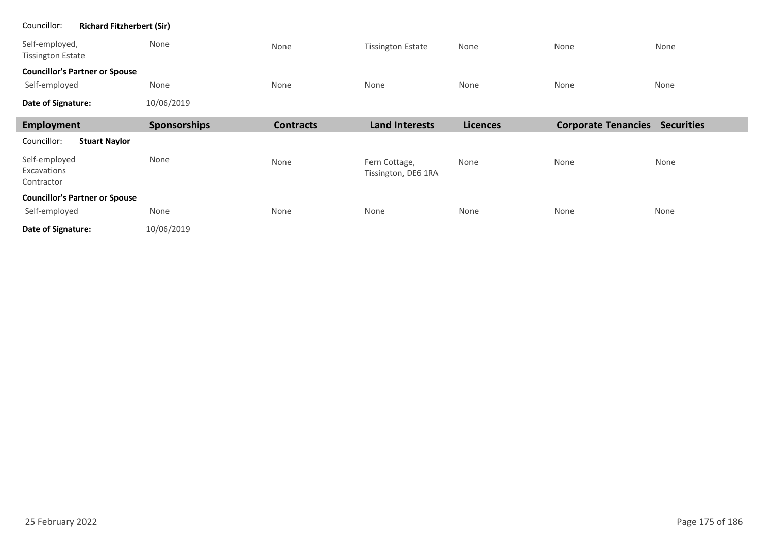| <b>Richard Fitzherbert (Sir)</b><br>Councillor: |              |                  |                                      |                 |                                       |      |  |  |
|-------------------------------------------------|--------------|------------------|--------------------------------------|-----------------|---------------------------------------|------|--|--|
| Self-employed,<br><b>Tissington Estate</b>      | None         | None             | <b>Tissington Estate</b>             | None            | None                                  | None |  |  |
| <b>Councillor's Partner or Spouse</b>           |              |                  |                                      |                 |                                       |      |  |  |
| Self-employed                                   | None         | None             | None                                 | None            | None                                  | None |  |  |
| Date of Signature:                              | 10/06/2019   |                  |                                      |                 |                                       |      |  |  |
| <b>Employment</b>                               | Sponsorships | <b>Contracts</b> | <b>Land Interests</b>                | <b>Licences</b> | <b>Corporate Tenancies Securities</b> |      |  |  |
| <b>Stuart Naylor</b><br>Councillor:             |              |                  |                                      |                 |                                       |      |  |  |
| Self-employed<br>Excavations<br>Contractor      | None         | None             | Fern Cottage,<br>Tissington, DE6 1RA | None            | None                                  | None |  |  |
| <b>Councillor's Partner or Spouse</b>           |              |                  |                                      |                 |                                       |      |  |  |
| Self-employed                                   | None         | None             | None                                 | None            | None                                  | None |  |  |
| Date of Signature:                              | 10/06/2019   |                  |                                      |                 |                                       |      |  |  |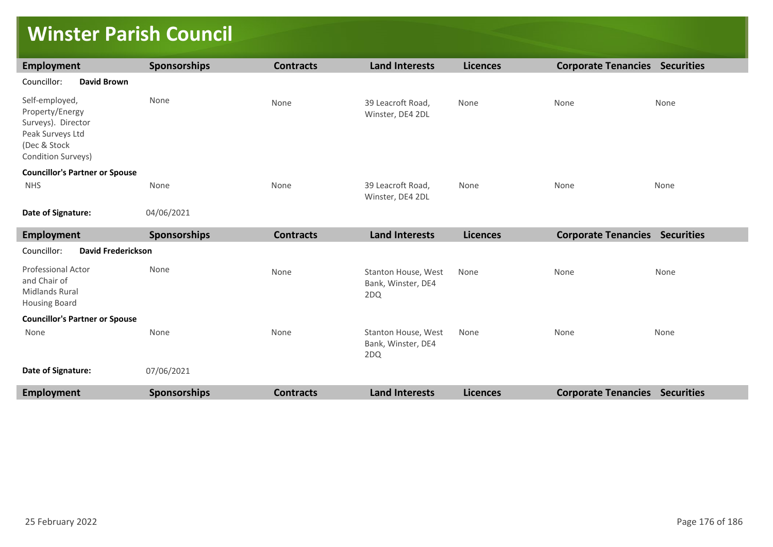### **Winster Parish Council**

| <b>Employment</b>                                                                                                 | Sponsorships        | <b>Contracts</b> | <b>Land Interests</b>                            | <b>Licences</b> | <b>Corporate Tenancies Securities</b> |      |
|-------------------------------------------------------------------------------------------------------------------|---------------------|------------------|--------------------------------------------------|-----------------|---------------------------------------|------|
| Councillor:<br><b>David Brown</b>                                                                                 |                     |                  |                                                  |                 |                                       |      |
| Self-employed,<br>Property/Energy<br>Surveys). Director<br>Peak Surveys Ltd<br>(Dec & Stock<br>Condition Surveys) | None                | None             | 39 Leacroft Road,<br>Winster, DE4 2DL            | None            | None                                  | None |
| <b>Councillor's Partner or Spouse</b>                                                                             |                     |                  |                                                  |                 |                                       |      |
| <b>NHS</b>                                                                                                        | None                | None             | 39 Leacroft Road,<br>Winster, DE4 2DL            | None            | None                                  | None |
| Date of Signature:                                                                                                | 04/06/2021          |                  |                                                  |                 |                                       |      |
| <b>Employment</b>                                                                                                 | Sponsorships        | <b>Contracts</b> | <b>Land Interests</b>                            | <b>Licences</b> | <b>Corporate Tenancies Securities</b> |      |
| Councillor:<br><b>David Frederickson</b>                                                                          |                     |                  |                                                  |                 |                                       |      |
| <b>Professional Actor</b><br>and Chair of<br><b>Midlands Rural</b><br><b>Housing Board</b>                        | None                | None             | Stanton House, West<br>Bank, Winster, DE4<br>2DQ | None            | None                                  | None |
| <b>Councillor's Partner or Spouse</b>                                                                             |                     |                  |                                                  |                 |                                       |      |
| None                                                                                                              | None                | None             | Stanton House, West<br>Bank, Winster, DE4<br>2DQ | None            | None                                  | None |
| Date of Signature:                                                                                                | 07/06/2021          |                  |                                                  |                 |                                       |      |
| <b>Employment</b>                                                                                                 | <b>Sponsorships</b> | <b>Contracts</b> | <b>Land Interests</b>                            | <b>Licences</b> | <b>Corporate Tenancies Securities</b> |      |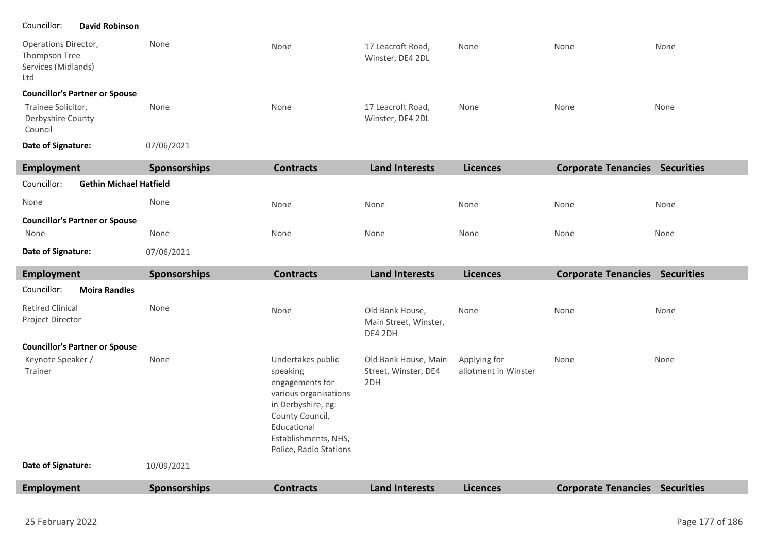#### Councillor: **David Robinson**

| Operations Director,<br>Thompson Tree<br>Services (Midlands)<br>Ltd | None                | None             | 17 Leacroft Road,<br>Winster, DE4 2DL | None            | None                       | None              |
|---------------------------------------------------------------------|---------------------|------------------|---------------------------------------|-----------------|----------------------------|-------------------|
| <b>Councillor's Partner or Spouse</b>                               |                     |                  |                                       |                 |                            |                   |
| Trainee Solicitor,<br>Derbyshire County<br>Council                  | None                | None             | 17 Leacroft Road,<br>Winster, DE4 2DL | None            | None                       | None              |
| Date of Signature:                                                  | 07/06/2021          |                  |                                       |                 |                            |                   |
| Employment                                                          | <b>Sponsorships</b> | <b>Contracts</b> | <b>Land Interests</b>                 | <b>Licences</b> | <b>Corporate Tenancies</b> | <b>Securities</b> |
| <b>Gethin Michael Hatfield</b><br>Councillor:                       |                     |                  |                                       |                 |                            |                   |
| None                                                                | None                | None             | None                                  | None            | None                       | None              |

None

None

None

None

None

**Councillor's Partner or Spouse**

None 07/06/2021 **Date of Signature:** None

| Employment                                  | Sponsorships | <b>Contracts</b>                                                                                                                                                                    | <b>Land Interests</b>                               | <b>Licences</b>                      | <b>Corporate Tenancies Securities</b> |      |
|---------------------------------------------|--------------|-------------------------------------------------------------------------------------------------------------------------------------------------------------------------------------|-----------------------------------------------------|--------------------------------------|---------------------------------------|------|
| Councillor:<br><b>Moira Randles</b>         |              |                                                                                                                                                                                     |                                                     |                                      |                                       |      |
| <b>Retired Clinical</b><br>Project Director | None         | None                                                                                                                                                                                | Old Bank House,<br>Main Street, Winster,<br>DE4 2DH | None                                 | None                                  | None |
| <b>Councillor's Partner or Spouse</b>       |              |                                                                                                                                                                                     |                                                     |                                      |                                       |      |
| Keynote Speaker /<br>Trainer                | None         | Undertakes public<br>speaking<br>engagements for<br>various organisations<br>in Derbyshire, eg:<br>County Council,<br>Educational<br>Establishments, NHS,<br>Police, Radio Stations | Old Bank House, Main<br>Street, Winster, DE4<br>2DH | Applying for<br>allotment in Winster | None                                  | None |
| Date of Signature:                          | 10/09/2021   |                                                                                                                                                                                     |                                                     |                                      |                                       |      |
| Employment                                  | Sponsorships | <b>Contracts</b>                                                                                                                                                                    | <b>Land Interests</b>                               | <b>Licences</b>                      | <b>Corporate Tenancies Securities</b> |      |

٠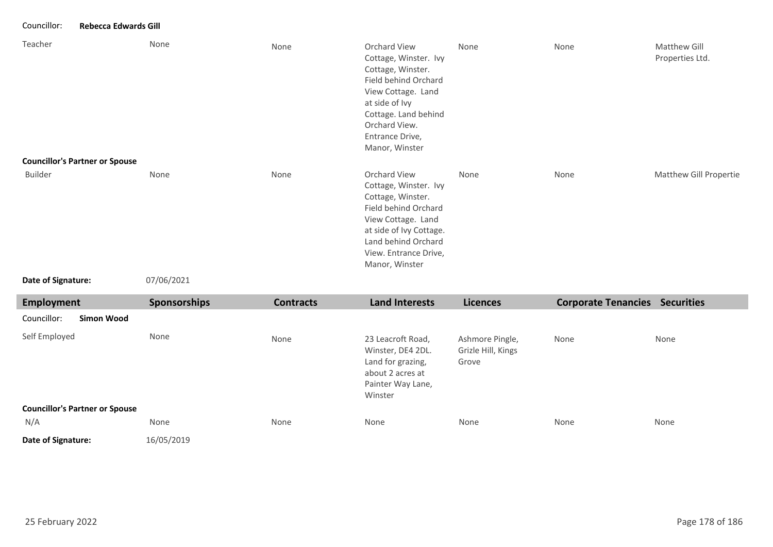#### Councillor: **Rebecca Edwards Gill**

| Teacher                                          | None | None | Orchard View<br>Cottage, Winster. Ivy<br>Cottage, Winster.<br>Field behind Orchard<br>View Cottage. Land<br>at side of Ivy<br>Cottage. Land behind<br>Orchard View.<br>Entrance Drive,<br>Manor, Winster | None | None | Matthew Gill<br>Properties Ltd. |
|--------------------------------------------------|------|------|----------------------------------------------------------------------------------------------------------------------------------------------------------------------------------------------------------|------|------|---------------------------------|
| <b>Councillor's Partner or Spouse</b><br>Builder | None | None | Orchard View<br>Cottage, Winster. Ivy<br>Cottage, Winster.<br>Field behind Orchard<br>View Cottage. Land<br>at side of Ivy Cottage.<br>Land behind Orchard<br>View. Entrance Drive,<br>Manor, Winster    | None | None | Matthew Gill Propertie          |

```
Date of Signature:
```
07/06/2021

| <b>Employment</b>                     |            | <b>Sponsorships</b> | <b>Contracts</b> | <b>Land Interests</b>                                                                                           | <b>Licences</b>                                | <b>Corporate Tenancies Securities</b> |      |
|---------------------------------------|------------|---------------------|------------------|-----------------------------------------------------------------------------------------------------------------|------------------------------------------------|---------------------------------------|------|
| Councillor:                           | Simon Wood |                     |                  |                                                                                                                 |                                                |                                       |      |
| Self Employed                         |            | None                | None             | 23 Leacroft Road,<br>Winster, DE4 2DL.<br>Land for grazing,<br>about 2 acres at<br>Painter Way Lane,<br>Winster | Ashmore Pingle,<br>Grizle Hill, Kings<br>Grove | None                                  | None |
| <b>Councillor's Partner or Spouse</b> |            |                     |                  |                                                                                                                 |                                                |                                       |      |
| N/A                                   |            | None                | None             | None                                                                                                            | None                                           | None                                  | None |
| Date of Signature:                    |            | 16/05/2019          |                  |                                                                                                                 |                                                |                                       |      |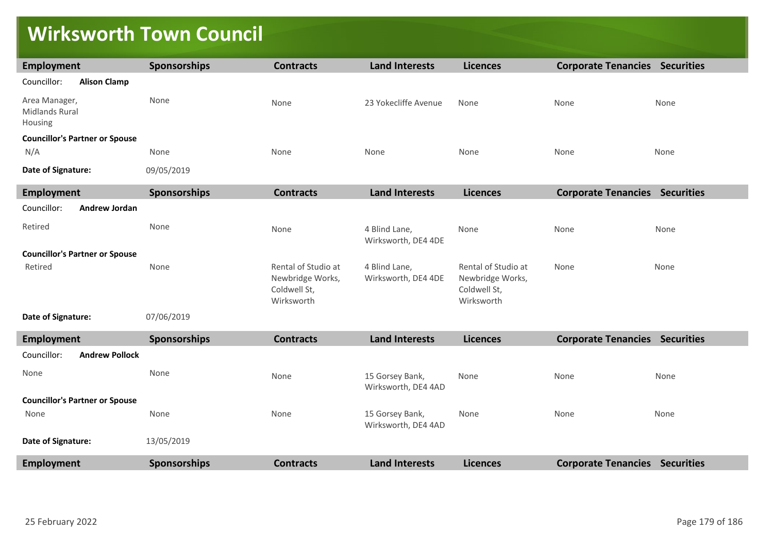### **Wirksworth Town Council**

| <b>Employment</b>                                 | Sponsorships        | <b>Contracts</b>                                                      | <b>Land Interests</b>                  | <b>Licences</b>                                                       | <b>Corporate Tenancies Securities</b> |      |
|---------------------------------------------------|---------------------|-----------------------------------------------------------------------|----------------------------------------|-----------------------------------------------------------------------|---------------------------------------|------|
| Councillor:<br><b>Alison Clamp</b>                |                     |                                                                       |                                        |                                                                       |                                       |      |
| Area Manager,<br><b>Midlands Rural</b><br>Housing | None                | None                                                                  | 23 Yokecliffe Avenue                   | None                                                                  | None                                  | None |
| <b>Councillor's Partner or Spouse</b>             |                     |                                                                       |                                        |                                                                       |                                       |      |
| N/A                                               | None                | None                                                                  | None                                   | None                                                                  | None                                  | None |
| Date of Signature:                                | 09/05/2019          |                                                                       |                                        |                                                                       |                                       |      |
| Employment                                        | <b>Sponsorships</b> | <b>Contracts</b>                                                      | <b>Land Interests</b>                  | <b>Licences</b>                                                       | <b>Corporate Tenancies Securities</b> |      |
| Councillor:<br><b>Andrew Jordan</b>               |                     |                                                                       |                                        |                                                                       |                                       |      |
| Retired                                           | None                | None                                                                  | 4 Blind Lane,<br>Wirksworth, DE4 4DE   | None                                                                  | None                                  | None |
| <b>Councillor's Partner or Spouse</b>             |                     |                                                                       |                                        |                                                                       |                                       |      |
| Retired                                           | None                | Rental of Studio at<br>Newbridge Works,<br>Coldwell St,<br>Wirksworth | 4 Blind Lane,<br>Wirksworth, DE4 4DE   | Rental of Studio at<br>Newbridge Works,<br>Coldwell St,<br>Wirksworth | None                                  | None |
| Date of Signature:                                | 07/06/2019          |                                                                       |                                        |                                                                       |                                       |      |
| Employment                                        | <b>Sponsorships</b> | <b>Contracts</b>                                                      | <b>Land Interests</b>                  | <b>Licences</b>                                                       | <b>Corporate Tenancies Securities</b> |      |
| Councillor:<br><b>Andrew Pollock</b>              |                     |                                                                       |                                        |                                                                       |                                       |      |
| None                                              | None                | None                                                                  | 15 Gorsey Bank,<br>Wirksworth, DE4 4AD | None                                                                  | None                                  | None |
| <b>Councillor's Partner or Spouse</b>             |                     |                                                                       |                                        |                                                                       |                                       |      |
| None                                              | None                | None                                                                  | 15 Gorsey Bank,<br>Wirksworth, DE4 4AD | None                                                                  | None                                  | None |
| Date of Signature:                                | 13/05/2019          |                                                                       |                                        |                                                                       |                                       |      |
| Employment                                        | <b>Sponsorships</b> | <b>Contracts</b>                                                      | <b>Land Interests</b>                  | <b>Licences</b>                                                       | <b>Corporate Tenancies Securities</b> |      |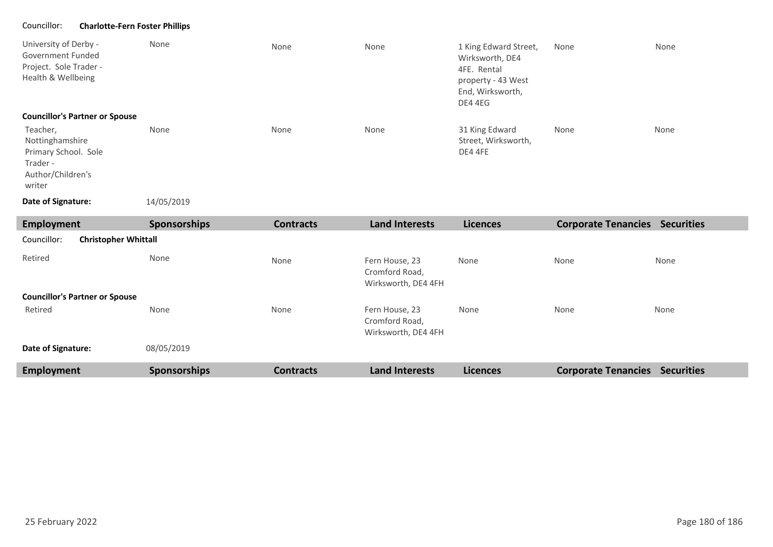#### Councillor: **Charlotte-Fern Foster Phillips**

| University of Derby -<br>Government Funded<br>Project. Sole Trader -<br>Health & Wellbeing<br><b>Councillor's Partner or Spouse</b> | None       | None | None | 1 King Edward Street,<br>Wirksworth, DE4<br>4FE. Rental<br>property - 43 West<br>End, Wirksworth,<br>DE4 4EG | None | None |
|-------------------------------------------------------------------------------------------------------------------------------------|------------|------|------|--------------------------------------------------------------------------------------------------------------|------|------|
| Teacher,<br>Nottinghamshire<br>Primary School. Sole<br>Trader -<br>Author/Children's<br>writer                                      | None       | None | None | 31 King Edward<br>Street, Wirksworth,<br>DE4 4FE                                                             | None | None |
| Date of Signature:                                                                                                                  | 14/05/2019 |      |      |                                                                                                              |      |      |

**Employment Sponsorships Contracts Land Interests Licences Corporate Tenancies Securities** Retired None None None None Fern House, 23 Cromford Road, Wirksworth, DE4 4FH Fern House, 23 Cromford Road, Wirksworth, DE4 4FH None None None None None None 08/05/2019 **Councillor's Partner or Spouse Date of Signature:** Councillor: **Christopher Whittall** Retired **Employment Sponsorships Contracts Land Interests Licences Corporate Tenancies Securities**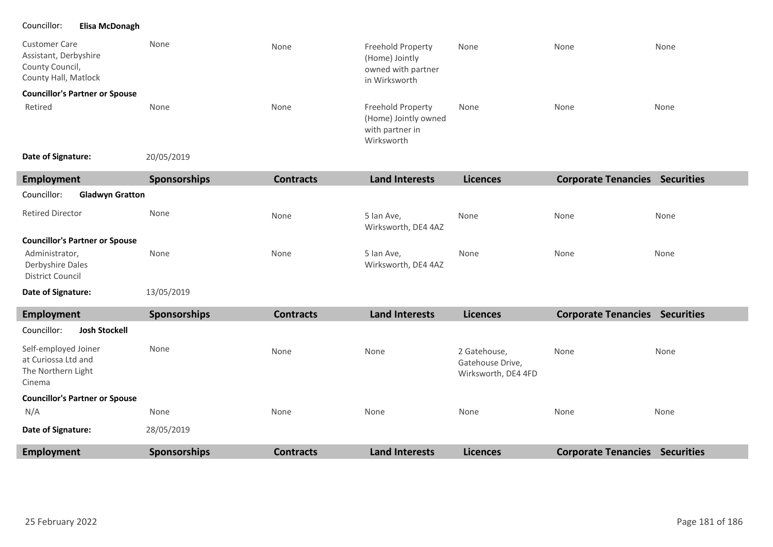## Councillor: **Elisa McDonagh**

I

I

| <b>Customer Care</b><br>Assistant, Derbyshire<br>County Council,<br>County Hall, Matlock | None         | None             | Freehold Property<br>(Home) Jointly<br>owned with partner<br>in Wirksworth | None                                                    | None                                  | None |
|------------------------------------------------------------------------------------------|--------------|------------------|----------------------------------------------------------------------------|---------------------------------------------------------|---------------------------------------|------|
| <b>Councillor's Partner or Spouse</b><br>Retired                                         | None         | None             | Freehold Property<br>(Home) Jointly owned<br>with partner in<br>Wirksworth | None                                                    | None                                  | None |
| Date of Signature:                                                                       | 20/05/2019   |                  |                                                                            |                                                         |                                       |      |
| <b>Employment</b>                                                                        | Sponsorships | <b>Contracts</b> | <b>Land Interests</b>                                                      | <b>Licences</b>                                         | <b>Corporate Tenancies Securities</b> |      |
| Councillor:<br><b>Gladwyn Gratton</b>                                                    |              |                  |                                                                            |                                                         |                                       |      |
| <b>Retired Director</b>                                                                  | None         | None             | 5 Ian Ave,<br>Wirksworth, DE4 4AZ                                          | None                                                    | None                                  | None |
| <b>Councillor's Partner or Spouse</b>                                                    |              |                  |                                                                            |                                                         |                                       |      |
| Administrator,<br>Derbyshire Dales<br><b>District Council</b>                            | None         | None             | 5 Ian Ave,<br>Wirksworth, DE4 4AZ                                          | None                                                    | None                                  | None |
| Date of Signature:                                                                       | 13/05/2019   |                  |                                                                            |                                                         |                                       |      |
| <b>Employment</b>                                                                        | Sponsorships | <b>Contracts</b> | <b>Land Interests</b>                                                      | <b>Licences</b>                                         | <b>Corporate Tenancies Securities</b> |      |
| Councillor:<br><b>Josh Stockell</b>                                                      |              |                  |                                                                            |                                                         |                                       |      |
| Self-employed Joiner<br>at Curiossa Ltd and<br>The Northern Light<br>Cinema              | None         | None             | None                                                                       | 2 Gatehouse,<br>Gatehouse Drive,<br>Wirksworth, DE4 4FD | None                                  | None |
| <b>Councillor's Partner or Spouse</b>                                                    |              |                  |                                                                            |                                                         |                                       |      |
| N/A                                                                                      | None         | None             | None                                                                       | None                                                    | None                                  | None |
| Date of Signature:                                                                       | 28/05/2019   |                  |                                                                            |                                                         |                                       |      |

**Employment Sponsorships Contracts Land Interests Licences Corporate Tenancies Securities**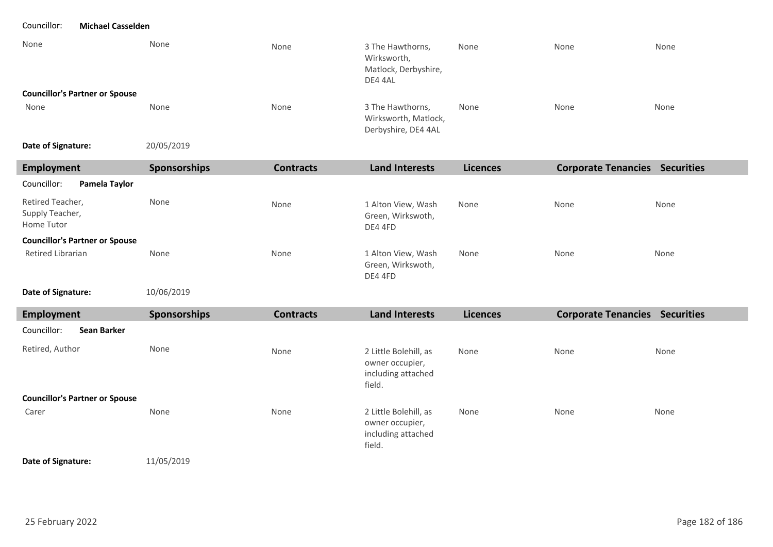Councillor: **Michael Casselden**

| None                                  | None | None | 3 The Hawthorns,<br>Wirksworth,<br>Matlock, Derbyshire,<br>DE4 4AL | None | None | None |
|---------------------------------------|------|------|--------------------------------------------------------------------|------|------|------|
| <b>Councillor's Partner or Spouse</b> |      |      |                                                                    |      |      |      |
| None                                  | None | None | 3 The Hawthorns,<br>Wirksworth, Matlock,<br>Derbyshire, DE4 4AL    | None | None | None |

20/05/2019 **Date of Signature:**

| Employment                                        | <b>Sponsorships</b> | <b>Contracts</b> | Land Interests                                     | <b>Licences</b> | <b>Corporate Tenancies</b> | <b>Securities</b> |
|---------------------------------------------------|---------------------|------------------|----------------------------------------------------|-----------------|----------------------------|-------------------|
| Councillor:<br>Pamela Taylor                      |                     |                  |                                                    |                 |                            |                   |
| Retired Teacher,<br>Supply Teacher,<br>Home Tutor | None                | None             | 1 Alton View, Wash<br>Green, Wirkswoth,<br>DE4 4FD | None            | None                       | None              |
| <b>Councillor's Partner or Spouse</b>             |                     |                  |                                                    |                 |                            |                   |
| Retired Librarian                                 | None                | None             | 1 Alton View, Wash<br>Green, Wirkswoth,<br>DE4 4FD | None            | None                       | None              |

10/06/2019 **Date of Signature:**

| Employment                            | Sponsorships | <b>Contracts</b> | <b>Land Interests</b>                                                    | <b>Licences</b> | <b>Corporate Tenancies Securities</b> |      |
|---------------------------------------|--------------|------------------|--------------------------------------------------------------------------|-----------------|---------------------------------------|------|
| Councillor:<br>Sean Barker            |              |                  |                                                                          |                 |                                       |      |
| Retired, Author                       | None         | None             | 2 Little Bolehill, as<br>owner occupier,<br>including attached<br>field. | None            | None                                  | None |
| <b>Councillor's Partner or Spouse</b> |              |                  |                                                                          |                 |                                       |      |
| Carer                                 | None         | None             | 2 Little Bolehill, as<br>owner occupier,<br>including attached<br>field. | None            | None                                  | None |

## **Date of Signature:**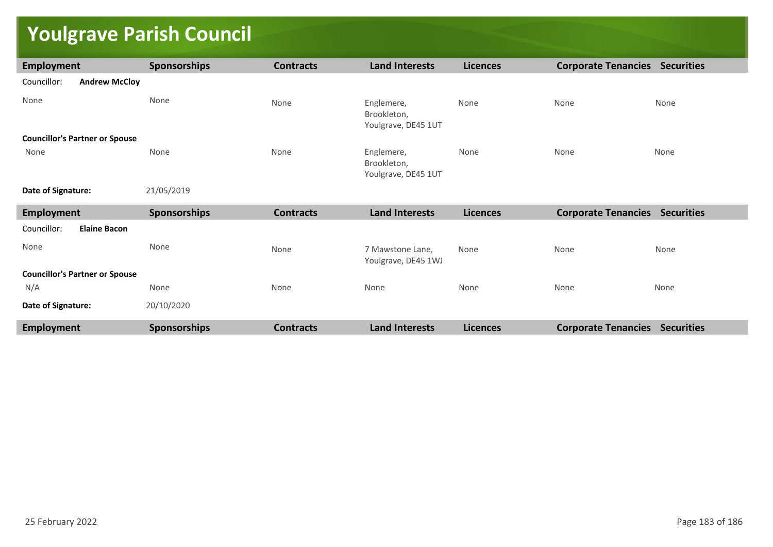## **Youlgrave Parish Council**

| <b>Employment</b>                     | <b>Sponsorships</b> | <b>Contracts</b> | <b>Land Interests</b>                            | <b>Licences</b> | <b>Corporate Tenancies Securities</b> |      |
|---------------------------------------|---------------------|------------------|--------------------------------------------------|-----------------|---------------------------------------|------|
| Councillor:<br><b>Andrew McCloy</b>   |                     |                  |                                                  |                 |                                       |      |
| None                                  | None                | None             | Englemere,<br>Brookleton,<br>Youlgrave, DE45 1UT | None            | None                                  | None |
| <b>Councillor's Partner or Spouse</b> |                     |                  |                                                  |                 |                                       |      |
| None                                  | None                | None             | Englemere,<br>Brookleton,<br>Youlgrave, DE45 1UT | None            | None                                  | None |
| Date of Signature:                    | 21/05/2019          |                  |                                                  |                 |                                       |      |
| <b>Employment</b>                     | <b>Sponsorships</b> | <b>Contracts</b> | <b>Land Interests</b>                            | <b>Licences</b> | <b>Corporate Tenancies Securities</b> |      |
| Councillor:<br><b>Elaine Bacon</b>    |                     |                  |                                                  |                 |                                       |      |
| None                                  | None                | None             | 7 Mawstone Lane,<br>Youlgrave, DE45 1WJ          | None            | None                                  | None |
| <b>Councillor's Partner or Spouse</b> |                     |                  |                                                  |                 |                                       |      |
| N/A                                   | None                | None             | None                                             | None            | None                                  | None |
| Date of Signature:                    | 20/10/2020          |                  |                                                  |                 |                                       |      |
| <b>Employment</b>                     | <b>Sponsorships</b> | <b>Contracts</b> | <b>Land Interests</b>                            | <b>Licences</b> | <b>Corporate Tenancies Securities</b> |      |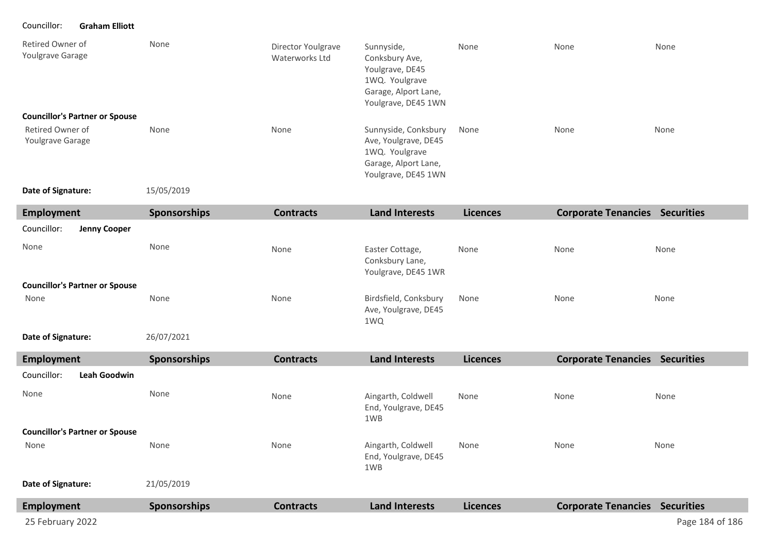Councillor: **Graham Elliott**

| Retired Owner of<br>Youlgrave Garage  | None | Director Youlgrave<br>Waterworks Ltd | Sunnyside,<br>Conksbury Ave,<br>Youlgrave, DE45<br>1WQ. Youlgrave<br>Garage, Alport Lane,<br>Youlgrave, DE45 1WN | None | None | None |
|---------------------------------------|------|--------------------------------------|------------------------------------------------------------------------------------------------------------------|------|------|------|
| <b>Councillor's Partner or Spouse</b> |      |                                      |                                                                                                                  |      |      |      |
| Retired Owner of<br>Youlgrave Garage  | None | None                                 | Sunnyside, Conksbury<br>Ave, Youlgrave, DE45<br>1WQ. Youlgrave<br>Garage, Alport Lane,<br>Youlgrave, DE45 1WN    | None | None | None |

**Date of Signature:**

15/05/2019

| Employment                            | <b>Sponsorships</b> | <b>Contracts</b> | <b>Land Interests</b>                                     | <b>Licences</b> | <b>Corporate Tenancies</b> | <b>Securities</b> |
|---------------------------------------|---------------------|------------------|-----------------------------------------------------------|-----------------|----------------------------|-------------------|
| Councillor:<br><b>Jenny Cooper</b>    |                     |                  |                                                           |                 |                            |                   |
| None                                  | None                | None             | Easter Cottage,<br>Conksbury Lane,<br>Youlgrave, DE45 1WR | None            | None                       | None              |
| <b>Councillor's Partner or Spouse</b> |                     |                  |                                                           |                 |                            |                   |
| None                                  | None                | None             | Birdsfield, Conksbury<br>Ave, Youlgrave, DE45<br>1WQ      | None            | None                       | None              |
|                                       |                     |                  |                                                           |                 |                            |                   |

26/07/2021 **Date of Signature:**

| <b>Employment</b>                     | <b>Sponsorships</b> | <b>Contracts</b> | <b>Land Interests</b>                             | <b>Licences</b> | <b>Corporate Tenancies</b> | <b>Securities</b> |
|---------------------------------------|---------------------|------------------|---------------------------------------------------|-----------------|----------------------------|-------------------|
| Councillor:<br>Leah Goodwin           |                     |                  |                                                   |                 |                            |                   |
| None                                  | None                | None             | Aingarth, Coldwell<br>End, Youlgrave, DE45<br>1WB | None            | None                       | None              |
| <b>Councillor's Partner or Spouse</b> |                     |                  |                                                   |                 |                            |                   |
| None                                  | None                | None             | Aingarth, Coldwell<br>End, Youlgrave, DE45<br>1WB | None            | None                       | None              |
| Date of Signature:                    | 21/05/2019          |                  |                                                   |                 |                            |                   |
| <b>Employment</b>                     | <b>Sponsorships</b> | <b>Contracts</b> | <b>Land Interests</b>                             | <b>Licences</b> | <b>Corporate Tenancies</b> | <b>Securities</b> |
| 25 February 2022                      |                     |                  |                                                   |                 |                            | Page 184 of 186   |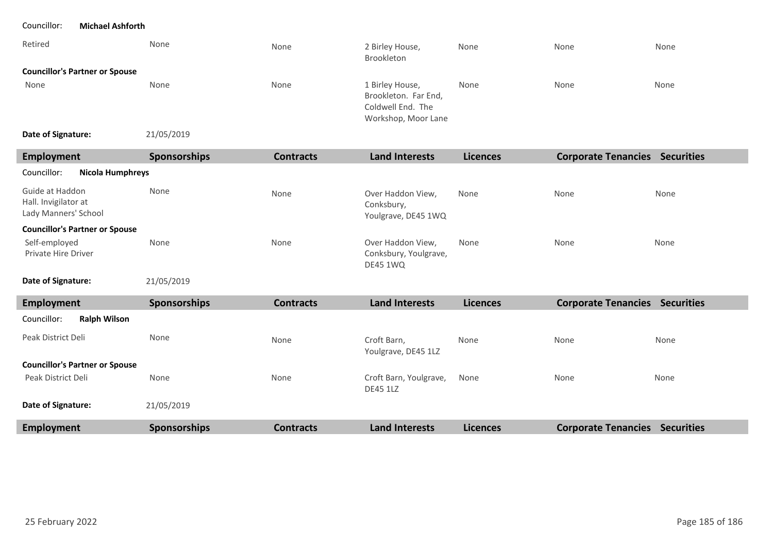| Retired                               | None       | None | 2 Birley House,<br>Brookleton                                                       | None | None | None |
|---------------------------------------|------------|------|-------------------------------------------------------------------------------------|------|------|------|
| <b>Councillor's Partner or Spouse</b> |            |      |                                                                                     |      |      |      |
| None                                  | None       | None | 1 Birley House,<br>Brookleton. Far End,<br>Coldwell End. The<br>Workshop, Moor Lane | None | None | None |
| Date of Signature:                    | 21/05/2019 |      |                                                                                     |      |      |      |

| Employment                                                      | <b>Sponsorships</b> | <b>Contracts</b> | <b>Land Interests</b>                                         | <b>Licences</b> | <b>Corporate Tenancies</b> | <b>Securities</b> |
|-----------------------------------------------------------------|---------------------|------------------|---------------------------------------------------------------|-----------------|----------------------------|-------------------|
| Councillor:<br>Nicola Humphreys                                 |                     |                  |                                                               |                 |                            |                   |
| Guide at Haddon<br>Hall. Invigilator at<br>Lady Manners' School | None                | None             | Over Haddon View,<br>Conksbury,<br>Youlgrave, DE45 1WQ        | None            | None                       | None              |
| <b>Councillor's Partner or Spouse</b>                           |                     |                  |                                                               |                 |                            |                   |
| Self-employed<br><b>Private Hire Driver</b>                     | None                | None             | Over Haddon View,<br>Conksbury, Youlgrave,<br><b>DE45 1WQ</b> | None            | None                       | None              |

**Date of Signature:**

21/05/2019

| <b>Employment</b>                     | <b>Sponsorships</b> | <b>Contracts</b> | <b>Land Interests</b>                     | <b>Licences</b> | <b>Corporate Tenancies</b> | <b>Securities</b> |
|---------------------------------------|---------------------|------------------|-------------------------------------------|-----------------|----------------------------|-------------------|
| Councillor:<br><b>Ralph Wilson</b>    |                     |                  |                                           |                 |                            |                   |
| Peak District Deli                    | None                | None             | Croft Barn,<br>Youlgrave, DE45 1LZ        | None            | None                       | None              |
| <b>Councillor's Partner or Spouse</b> |                     |                  |                                           |                 |                            |                   |
| Peak District Deli                    | None                | None             | Croft Barn, Youlgrave,<br><b>DE45 1LZ</b> | None            | None                       | None              |
| Date of Signature:                    | 21/05/2019          |                  |                                           |                 |                            |                   |
| <b>Employment</b>                     | <b>Sponsorships</b> | <b>Contracts</b> | <b>Land Interests</b>                     | <b>Licences</b> | <b>Corporate Tenancies</b> | <b>Securities</b> |